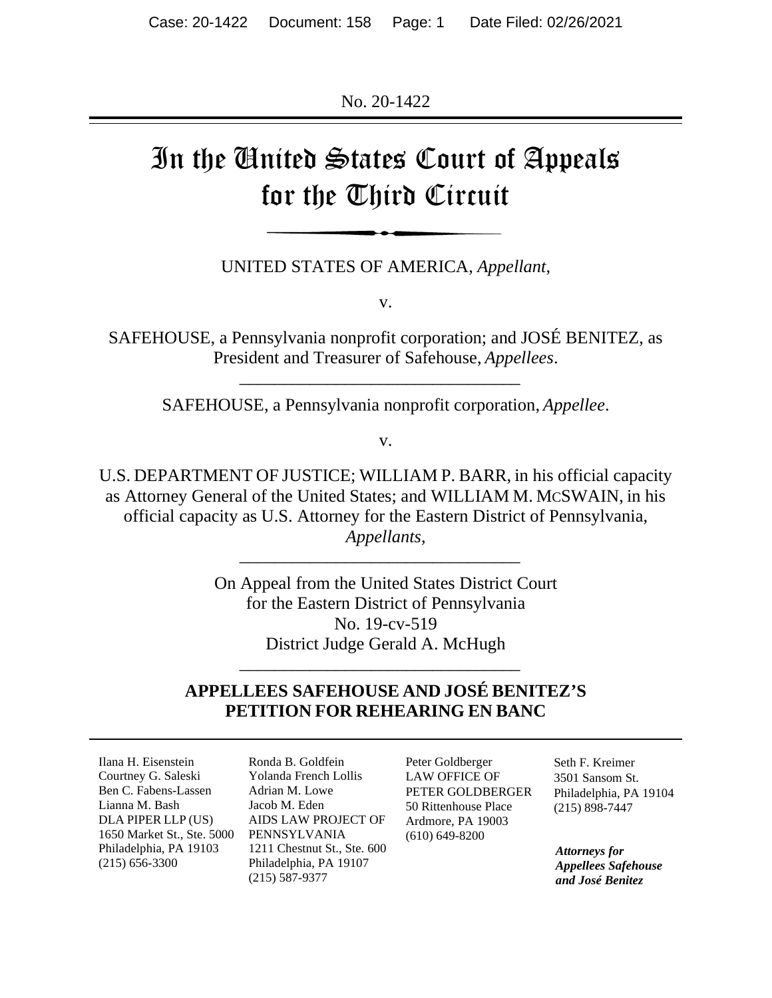No. 20-1422

# In the United States Court of Appeals for the Third Circuit

UNITED STATES OF AMERICA, *Appellant*,

v.

SAFEHOUSE, a Pennsylvania nonprofit corporation; and JOSÉ BENITEZ, as President and Treasurer of Safehouse, *Appellees*.

SAFEHOUSE, a Pennsylvania nonprofit corporation, *Appellee*.

*\_\_\_\_\_\_\_\_\_\_\_\_\_\_\_\_\_\_\_\_\_\_\_\_\_\_\_\_\_\_\_\_*

v.

U.S. DEPARTMENT OF JUSTICE; WILLIAM P. BARR, in his official capacity as Attorney General of the United States; and WILLIAM M. MCSWAIN, in his official capacity as U.S. Attorney for the Eastern District of Pennsylvania, *Appellants*,

*\_\_\_\_\_\_\_\_\_\_\_\_\_\_\_\_\_\_\_\_\_\_\_\_\_\_\_\_\_\_\_\_*

On Appeal from the United States District Court for the Eastern District of Pennsylvania No. 19-cv-519 District Judge Gerald A. McHugh

# **APPELLEES SAFEHOUSE AND JOSÉ BENITEZ'S PETITION FOR REHEARING EN BANC**

*\_\_\_\_\_\_\_\_\_\_\_\_\_\_\_\_\_\_\_\_\_\_\_\_\_\_\_\_\_\_\_\_*

Ilana H. Eisenstein Courtney G. Saleski Ben C. Fabens-Lassen Lianna M. Bash DLA PIPER LLP (US) 1650 Market St., Ste. 5000 Philadelphia, PA 19103 (215) 656-3300

Ronda B. Goldfein Yolanda French Lollis Adrian M. Lowe Jacob M. Eden AIDS LAW PROJECT OF PENNSYLVANIA 1211 Chestnut St., Ste. 600 Philadelphia, PA 19107 (215) 587-9377

Peter Goldberger LAW OFFICE OF PETER GOLDBERGER 50 Rittenhouse Place Ardmore, PA 19003 (610) 649-8200

Seth F. Kreimer 3501 Sansom St. Philadelphia, PA 19104 (215) 898-7447

*Attorneys for Appellees Safehouse and José Benitez*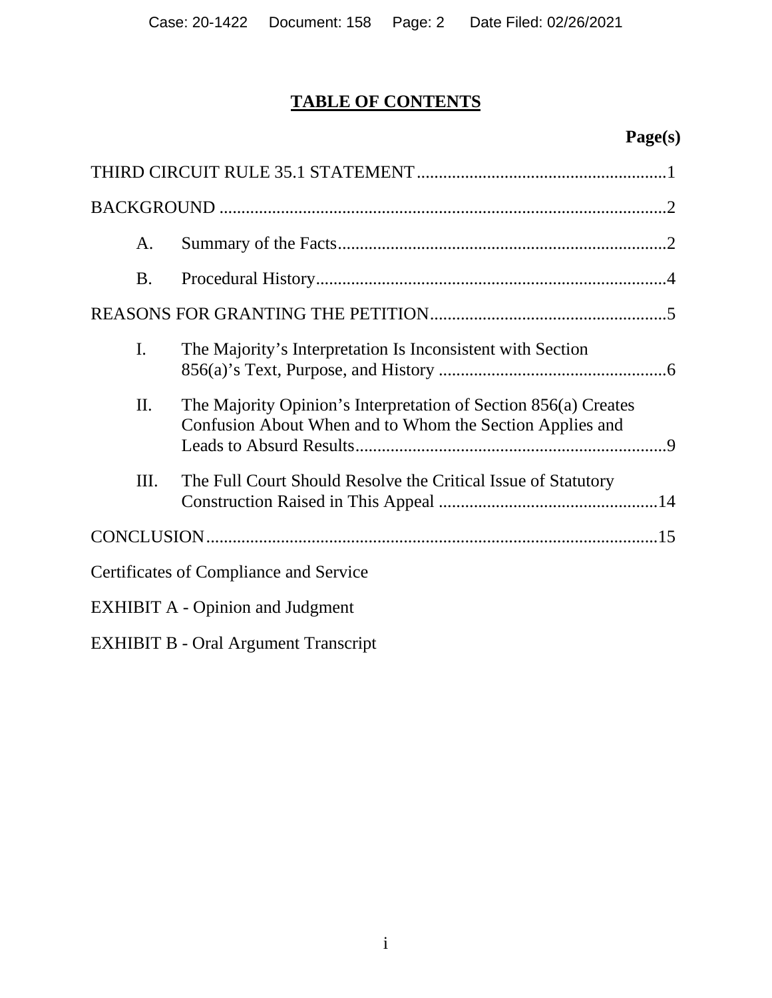# **TABLE OF CONTENTS**

# **Page(s)**

| A.                                          |                                                                                                                             |
|---------------------------------------------|-----------------------------------------------------------------------------------------------------------------------------|
| <b>B.</b>                                   |                                                                                                                             |
|                                             |                                                                                                                             |
| I.                                          | The Majority's Interpretation Is Inconsistent with Section                                                                  |
| Π.                                          | The Majority Opinion's Interpretation of Section 856(a) Creates<br>Confusion About When and to Whom the Section Applies and |
| Ш.                                          | The Full Court Should Resolve the Critical Issue of Statutory                                                               |
|                                             |                                                                                                                             |
|                                             | Certificates of Compliance and Service                                                                                      |
| <b>EXHIBIT A - Opinion and Judgment</b>     |                                                                                                                             |
| <b>EXHIBIT B - Oral Argument Transcript</b> |                                                                                                                             |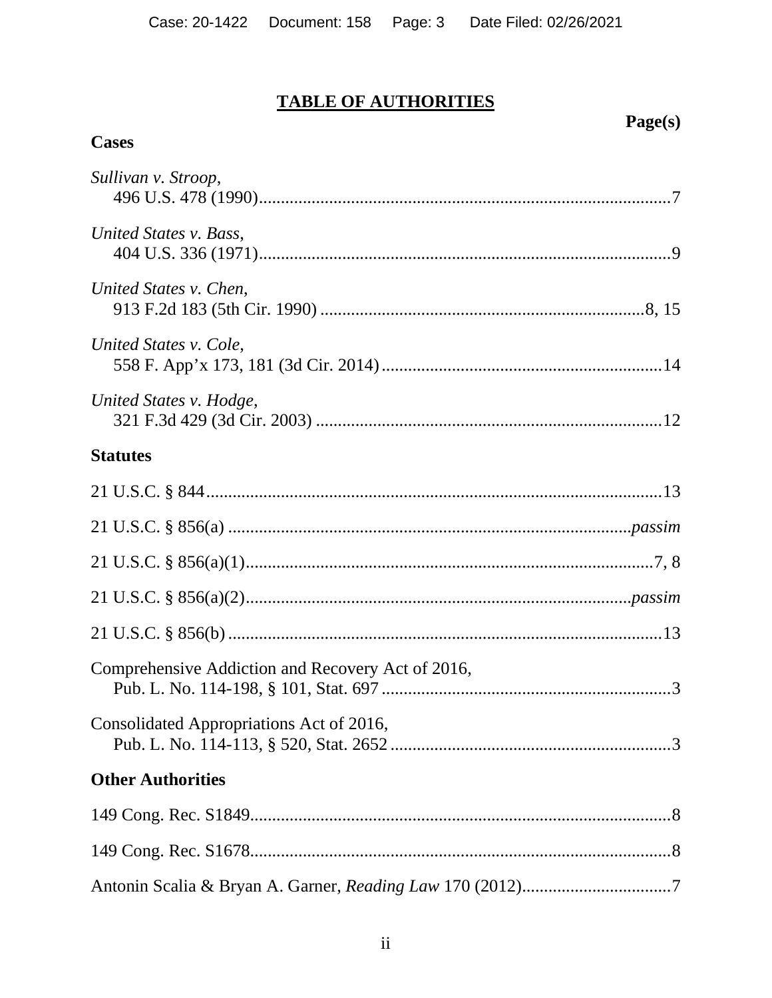# **TABLE OF AUTHORITIES**

# Page(s)

# **Cases**

| Sullivan v. Stroop,                               |
|---------------------------------------------------|
| United States v. Bass,                            |
| United States v. Chen,                            |
| United States v. Cole,                            |
| United States v. Hodge,                           |
| <b>Statutes</b>                                   |
|                                                   |
|                                                   |
|                                                   |
|                                                   |
|                                                   |
| Comprehensive Addiction and Recovery Act of 2016, |
| Consolidated Appropriations Act of 2016,          |
| <b>Other Authorities</b>                          |
|                                                   |
|                                                   |
|                                                   |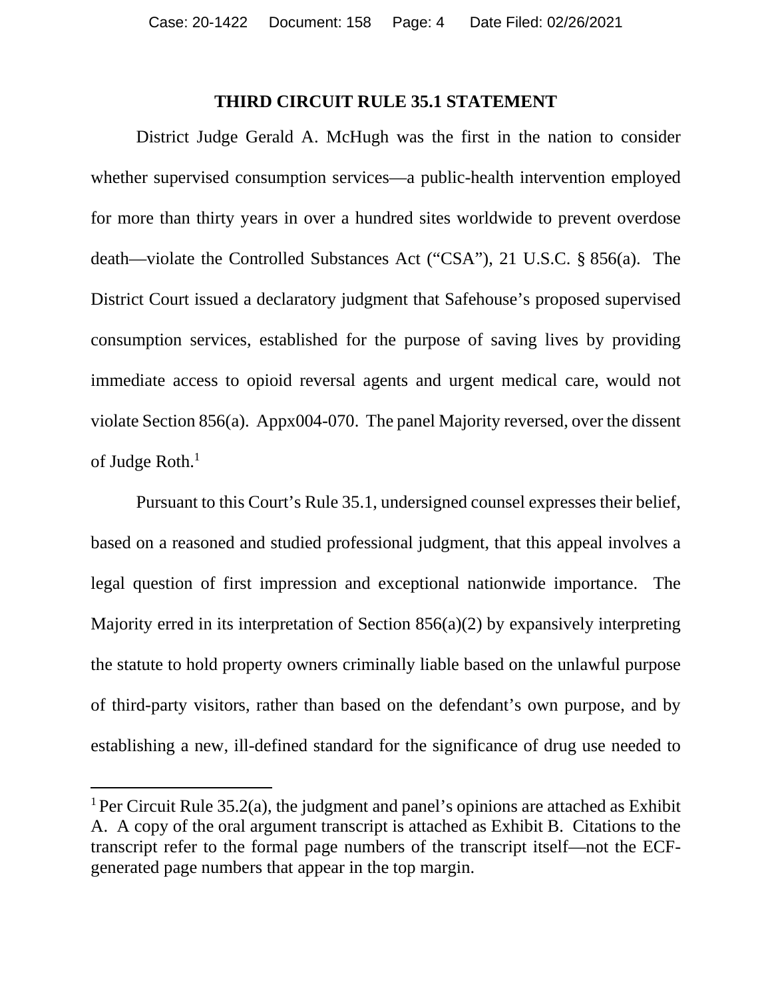#### **THIRD CIRCUIT RULE 35.1 STATEMENT**

<span id="page-3-0"></span>District Judge Gerald A. McHugh was the first in the nation to consider whether supervised consumption services—a public-health intervention employed for more than thirty years in over a hundred sites worldwide to prevent overdose death—violate the Controlled Substances Act ("CSA"), 21 U.S.C. § 856(a). The District Court issued a declaratory judgment that Safehouse's proposed supervised consumption services, established for the purpose of saving lives by providing immediate access to opioid reversal agents and urgent medical care, would not violate Section 856(a). Appx004-070. The panel Majority reversed, over the dissent of Judge Roth.<sup>1</sup>

Pursuant to this Court's Rule 35.1, undersigned counsel expresses their belief, based on a reasoned and studied professional judgment, that this appeal involves a legal question of first impression and exceptional nationwide importance. The Majority erred in its interpretation of Section 856(a)(2) by expansively interpreting the statute to hold property owners criminally liable based on the unlawful purpose of third-party visitors, rather than based on the defendant's own purpose, and by establishing a new, ill-defined standard for the significance of drug use needed to

<sup>&</sup>lt;sup>1</sup> Per Circuit Rule 35.2(a), the judgment and panel's opinions are attached as Exhibit A. A copy of the oral argument transcript is attached as Exhibit B. Citations to the transcript refer to the formal page numbers of the transcript itself—not the ECFgenerated page numbers that appear in the top margin.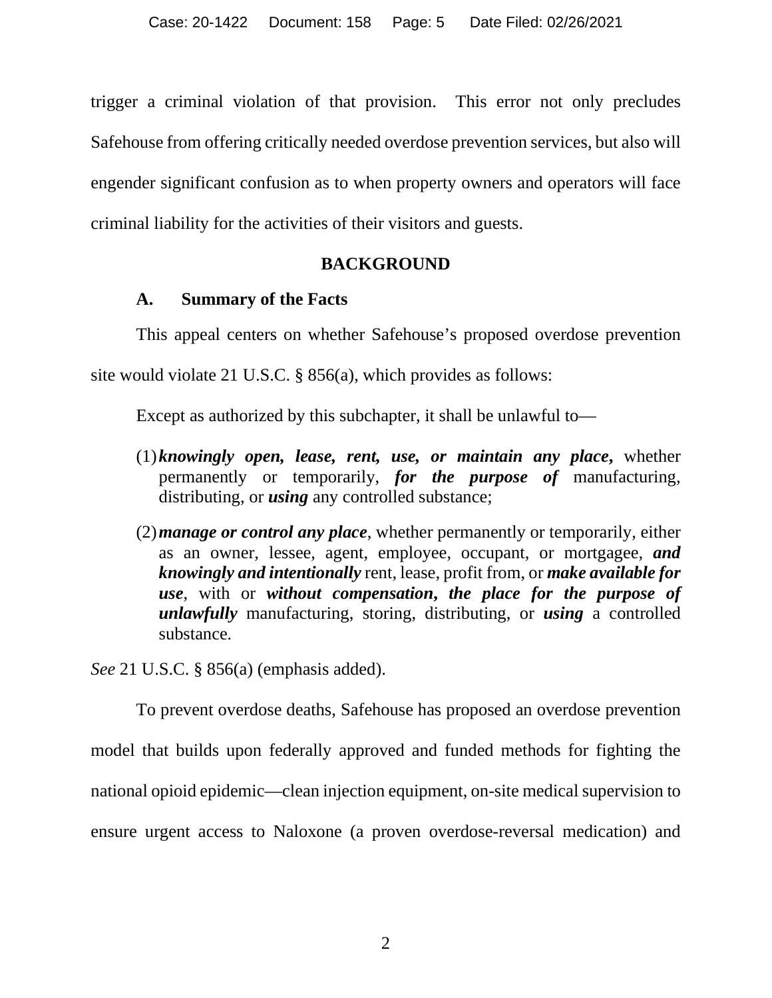trigger a criminal violation of that provision. This error not only precludes Safehouse from offering critically needed overdose prevention services, but also will engender significant confusion as to when property owners and operators will face criminal liability for the activities of their visitors and guests.

# **BACKGROUND**

# <span id="page-4-0"></span>**A. Summary of the Facts**

<span id="page-4-1"></span>This appeal centers on whether Safehouse's proposed overdose prevention

site would violate 21 U.S.C. § 856(a), which provides as follows:

Except as authorized by this subchapter, it shall be unlawful to—

- (1)*knowingly open, lease, rent, use, or maintain any place***,** whether permanently or temporarily, *for the purpose of* manufacturing, distributing, or *using* any controlled substance;
- (2)*manage or control any place*, whether permanently or temporarily, either as an owner, lessee, agent, employee, occupant, or mortgagee, *and knowingly and intentionally* rent, lease, profit from, or *make available for use*, with or *without compensation***,** *the place for the purpose of unlawfully* manufacturing, storing, distributing, or *using* a controlled substance*.*

*See* 21 U.S.C. § 856(a) (emphasis added).

To prevent overdose deaths, Safehouse has proposed an overdose prevention model that builds upon federally approved and funded methods for fighting the national opioid epidemic—clean injection equipment, on-site medical supervision to ensure urgent access to Naloxone (a proven overdose-reversal medication) and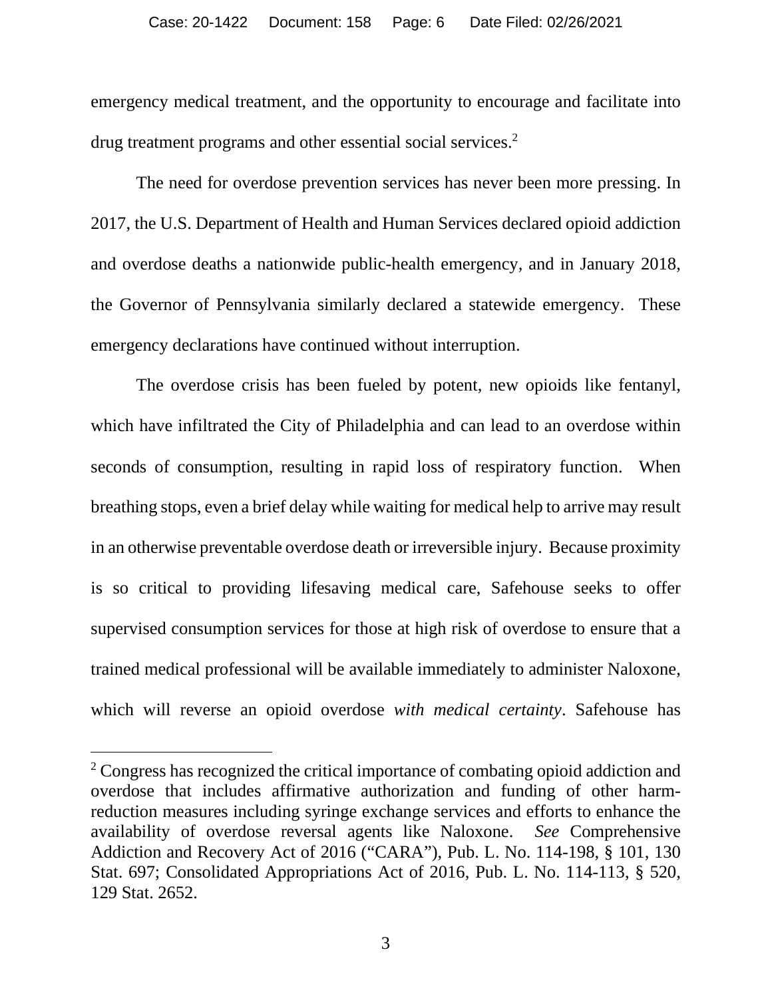emergency medical treatment, and the opportunity to encourage and facilitate into drug treatment programs and other essential social services.<sup>2</sup>

The need for overdose prevention services has never been more pressing. In 2017, the U.S. Department of Health and Human Services declared opioid addiction and overdose deaths a nationwide public-health emergency, and in January 2018, the Governor of Pennsylvania similarly declared a statewide emergency. These emergency declarations have continued without interruption.

The overdose crisis has been fueled by potent, new opioids like fentanyl, which have infiltrated the City of Philadelphia and can lead to an overdose within seconds of consumption, resulting in rapid loss of respiratory function. When breathing stops, even a brief delay while waiting for medical help to arrive may result in an otherwise preventable overdose death or irreversible injury. Because proximity is so critical to providing lifesaving medical care, Safehouse seeks to offer supervised consumption services for those at high risk of overdose to ensure that a trained medical professional will be available immediately to administer Naloxone, which will reverse an opioid overdose *with medical certainty*. Safehouse has

<span id="page-5-1"></span><span id="page-5-0"></span><sup>&</sup>lt;sup>2</sup> Congress has recognized the critical importance of combating opioid addiction and overdose that includes affirmative authorization and funding of other harmreduction measures including syringe exchange services and efforts to enhance the availability of overdose reversal agents like Naloxone. *See* Comprehensive Addiction and Recovery Act of 2016 ("CARA"), Pub. L. No. 114-198, § 101, 130 Stat. 697; Consolidated Appropriations Act of 2016, Pub. L. No. 114-113, § 520, 129 Stat. 2652.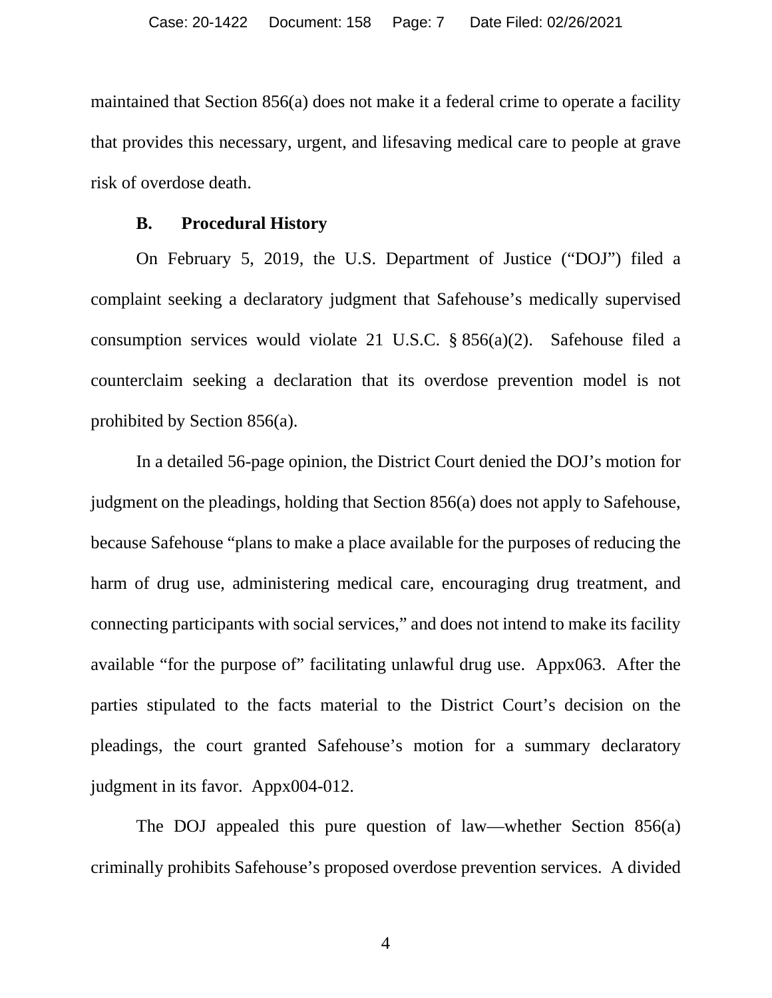maintained that Section 856(a) does not make it a federal crime to operate a facility that provides this necessary, urgent, and lifesaving medical care to people at grave risk of overdose death.

#### **B. Procedural History**

<span id="page-6-0"></span>On February 5, 2019, the U.S. Department of Justice ("DOJ") filed a complaint seeking a declaratory judgment that Safehouse's medically supervised consumption services would violate 21 U.S.C. § 856(a)(2). Safehouse filed a counterclaim seeking a declaration that its overdose prevention model is not prohibited by Section 856(a).

In a detailed 56-page opinion, the District Court denied the DOJ's motion for judgment on the pleadings, holding that Section 856(a) does not apply to Safehouse, because Safehouse "plans to make a place available for the purposes of reducing the harm of drug use, administering medical care, encouraging drug treatment, and connecting participants with social services," and does not intend to make its facility available "for the purpose of" facilitating unlawful drug use. Appx063. After the parties stipulated to the facts material to the District Court's decision on the pleadings, the court granted Safehouse's motion for a summary declaratory judgment in its favor. Appx004-012.

The DOJ appealed this pure question of law—whether Section 856(a) criminally prohibits Safehouse's proposed overdose prevention services. A divided

4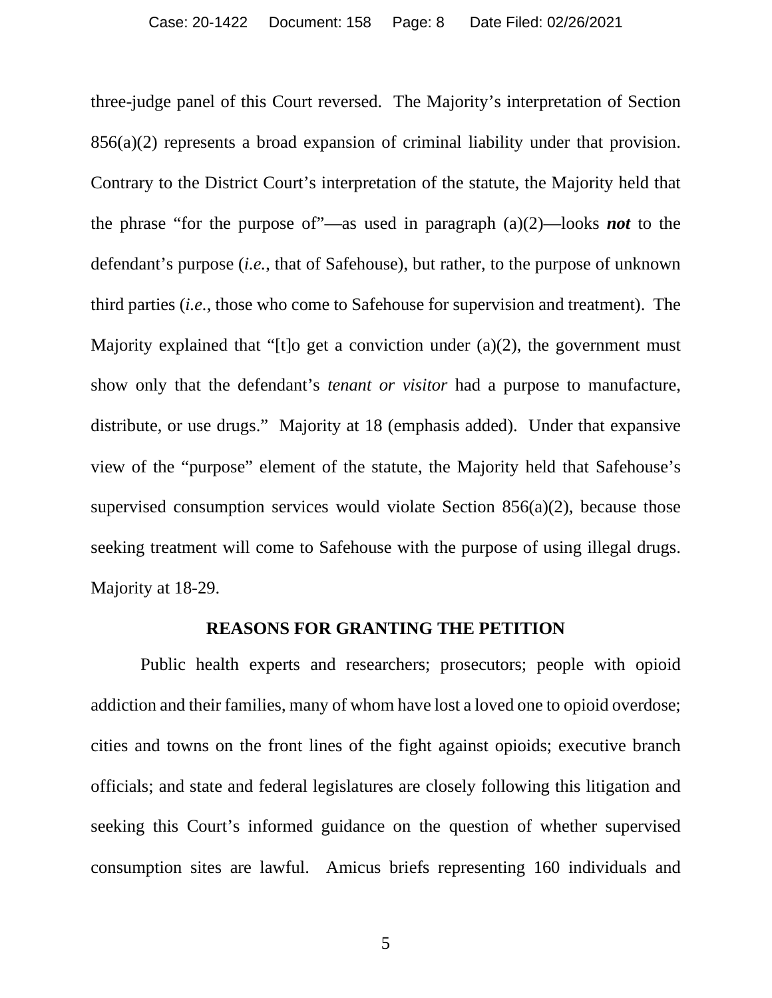three-judge panel of this Court reversed. The Majority's interpretation of Section 856(a)(2) represents a broad expansion of criminal liability under that provision. Contrary to the District Court's interpretation of the statute, the Majority held that the phrase "for the purpose of"—as used in paragraph (a)(2)—looks *not* to the defendant's purpose (*i.e.*, that of Safehouse), but rather, to the purpose of unknown third parties (*i.e.*, those who come to Safehouse for supervision and treatment). The Majority explained that "[t]o get a conviction under (a)(2), the government must show only that the defendant's *tenant or visitor* had a purpose to manufacture, distribute, or use drugs." Majority at 18 (emphasis added). Under that expansive view of the "purpose" element of the statute, the Majority held that Safehouse's supervised consumption services would violate Section 856(a)(2), because those seeking treatment will come to Safehouse with the purpose of using illegal drugs. Majority at 18-29.

#### **REASONS FOR GRANTING THE PETITION**

<span id="page-7-0"></span> Public health experts and researchers; prosecutors; people with opioid addiction and their families, many of whom have lost a loved one to opioid overdose; cities and towns on the front lines of the fight against opioids; executive branch officials; and state and federal legislatures are closely following this litigation and seeking this Court's informed guidance on the question of whether supervised consumption sites are lawful. Amicus briefs representing 160 individuals and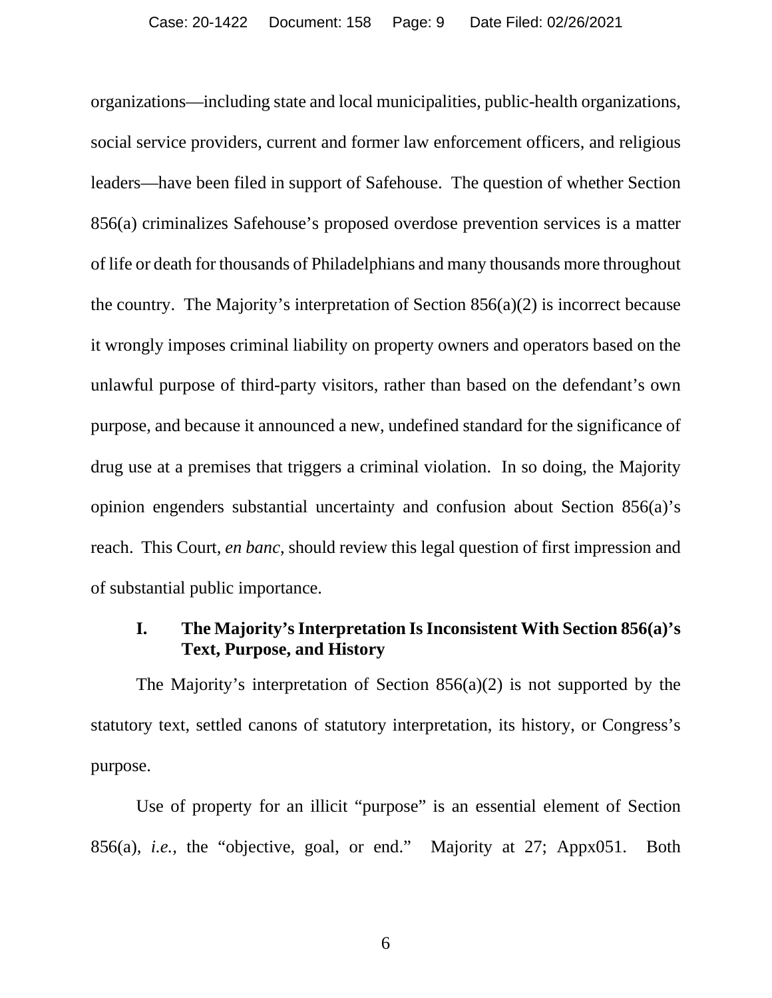organizations—including state and local municipalities, public-health organizations, social service providers, current and former law enforcement officers, and religious leaders—have been filed in support of Safehouse. The question of whether Section 856(a) criminalizes Safehouse's proposed overdose prevention services is a matter of life or death for thousands of Philadelphians and many thousands more throughout the country. The Majority's interpretation of Section 856(a)(2) is incorrect because it wrongly imposes criminal liability on property owners and operators based on the unlawful purpose of third-party visitors, rather than based on the defendant's own purpose, and because it announced a new, undefined standard for the significance of drug use at a premises that triggers a criminal violation. In so doing, the Majority opinion engenders substantial uncertainty and confusion about Section 856(a)'s reach. This Court, *en banc*, should review this legal question of first impression and of substantial public importance.

# <span id="page-8-0"></span>**I. The Majority's Interpretation Is Inconsistent With Section 856(a)'s Text, Purpose, and History**

The Majority's interpretation of Section 856(a)(2) is not supported by the statutory text, settled canons of statutory interpretation, its history, or Congress's purpose.

Use of property for an illicit "purpose" is an essential element of Section 856(a), *i.e.,* the "objective, goal, or end." Majority at 27; Appx051. Both

6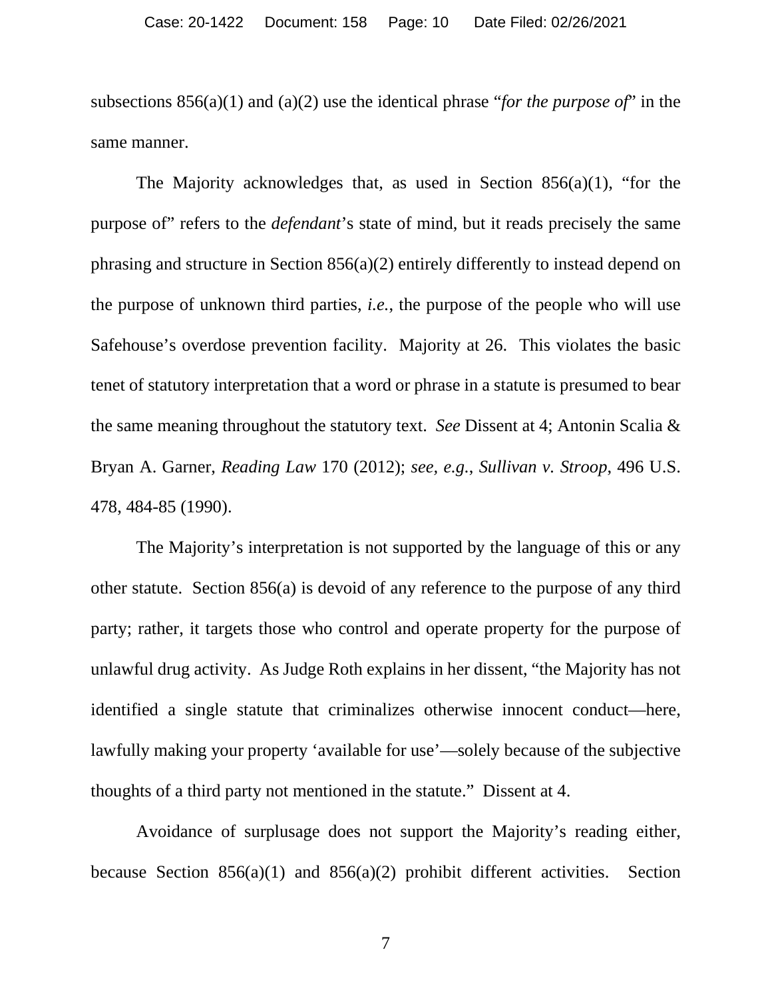subsections 856(a)(1) and (a)(2) use the identical phrase "*for the purpose of*" in the same manner.

The Majority acknowledges that, as used in Section 856(a)(1), "for the purpose of" refers to the *defendant*'s state of mind, but it reads precisely the same phrasing and structure in Section 856(a)(2) entirely differently to instead depend on the purpose of unknown third parties, *i.e.*, the purpose of the people who will use Safehouse's overdose prevention facility. Majority at 26. This violates the basic tenet of statutory interpretation that a word or phrase in a statute is presumed to bear the same meaning throughout the statutory text. *See* Dissent at 4; Antonin Scalia & Bryan A. Garner, *Reading Law* 170 (2012); *see, e.g.*, *Sullivan v. Stroop*, 496 U.S. 478, 484-85 (1990).

<span id="page-9-0"></span>The Majority's interpretation is not supported by the language of this or any other statute. Section 856(a) is devoid of any reference to the purpose of any third party; rather, it targets those who control and operate property for the purpose of unlawful drug activity. As Judge Roth explains in her dissent, "the Majority has not identified a single statute that criminalizes otherwise innocent conduct—here, lawfully making your property 'available for use'—solely because of the subjective thoughts of a third party not mentioned in the statute." Dissent at 4.

Avoidance of surplusage does not support the Majority's reading either, because Section  $856(a)(1)$  and  $856(a)(2)$  prohibit different activities. Section

7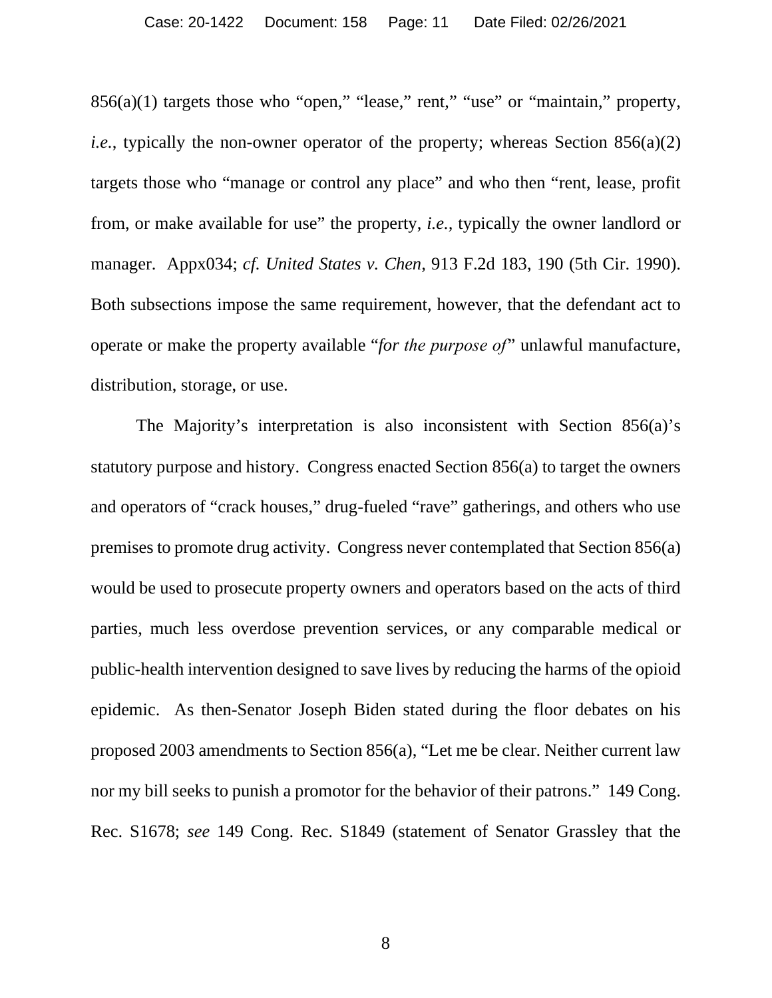$856(a)(1)$  targets those who "open," "lease," rent," "use" or "maintain," property, *i.e.*, typically the non-owner operator of the property; whereas Section 856(a)(2) targets those who "manage or control any place" and who then "rent, lease, profit from, or make available for use" the property, *i.e.,* typically the owner landlord or manager. Appx034; *cf. United States v. Chen,* 913 F.2d 183, 190 (5th Cir. 1990). Both subsections impose the same requirement, however, that the defendant act to operate or make the property available "*for the purpose of*" unlawful manufacture, distribution, storage, or use.

<span id="page-10-1"></span><span id="page-10-0"></span>The Majority's interpretation is also inconsistent with Section 856(a)'s statutory purpose and history. Congress enacted Section 856(a) to target the owners and operators of "crack houses," drug-fueled "rave" gatherings, and others who use premises to promote drug activity. Congress never contemplated that Section 856(a) would be used to prosecute property owners and operators based on the acts of third parties, much less overdose prevention services, or any comparable medical or public-health intervention designed to save lives by reducing the harms of the opioid epidemic. As then-Senator Joseph Biden stated during the floor debates on his proposed 2003 amendments to Section 856(a), "Let me be clear. Neither current law nor my bill seeks to punish a promotor for the behavior of their patrons." 149 Cong. Rec. S1678; *see* 149 Cong. Rec. S1849 (statement of Senator Grassley that the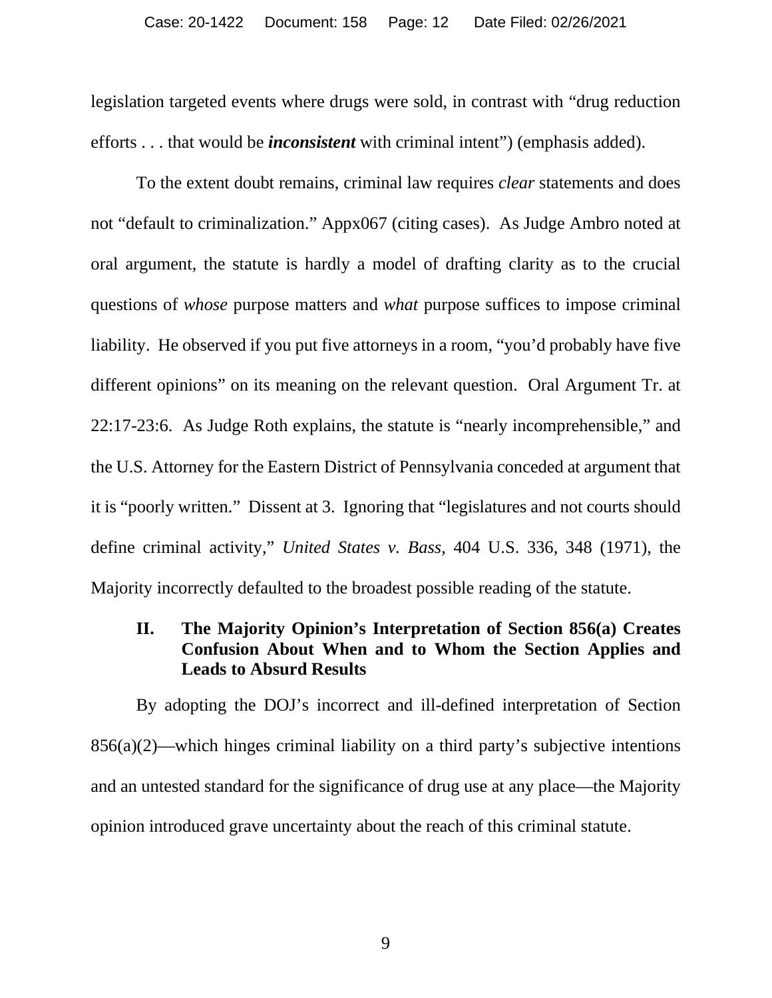legislation targeted events where drugs were sold, in contrast with "drug reduction efforts . . . that would be *inconsistent* with criminal intent") (emphasis added).

To the extent doubt remains, criminal law requires *clear* statements and does not "default to criminalization." Appx067 (citing cases). As Judge Ambro noted at oral argument, the statute is hardly a model of drafting clarity as to the crucial questions of *whose* purpose matters and *what* purpose suffices to impose criminal liability. He observed if you put five attorneys in a room, "you'd probably have five different opinions" on its meaning on the relevant question. Oral Argument Tr. at 22:17-23:6. As Judge Roth explains, the statute is "nearly incomprehensible," and the U.S. Attorney for the Eastern District of Pennsylvania conceded at argument that it is "poorly written." Dissent at 3. Ignoring that "legislatures and not courts should define criminal activity," *United States v. Bass*, 404 U.S. 336, 348 (1971), the Majority incorrectly defaulted to the broadest possible reading of the statute.

# <span id="page-11-1"></span><span id="page-11-0"></span>**II. The Majority Opinion's Interpretation of Section 856(a) Creates Confusion About When and to Whom the Section Applies and Leads to Absurd Results**

By adopting the DOJ's incorrect and ill-defined interpretation of Section  $856(a)(2)$ —which hinges criminal liability on a third party's subjective intentions and an untested standard for the significance of drug use at any place—the Majority opinion introduced grave uncertainty about the reach of this criminal statute.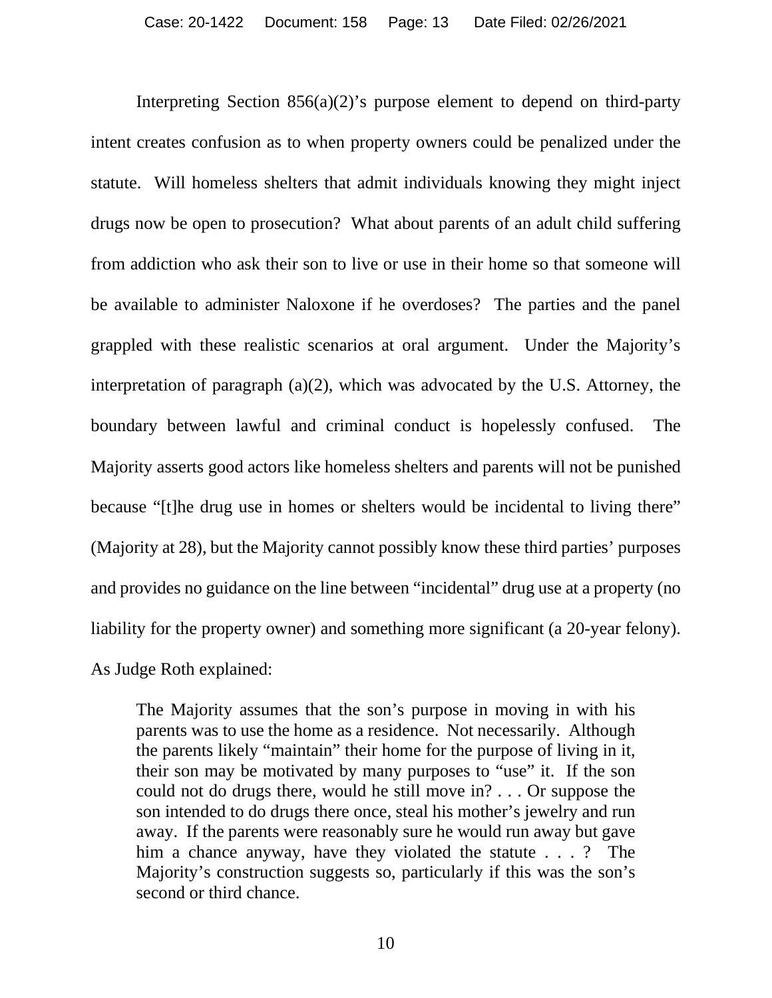Interpreting Section  $856(a)(2)$ 's purpose element to depend on third-party intent creates confusion as to when property owners could be penalized under the statute. Will homeless shelters that admit individuals knowing they might inject drugs now be open to prosecution? What about parents of an adult child suffering from addiction who ask their son to live or use in their home so that someone will be available to administer Naloxone if he overdoses? The parties and the panel grappled with these realistic scenarios at oral argument. Under the Majority's interpretation of paragraph (a)(2), which was advocated by the U.S. Attorney, the boundary between lawful and criminal conduct is hopelessly confused. The Majority asserts good actors like homeless shelters and parents will not be punished because "[t]he drug use in homes or shelters would be incidental to living there" (Majority at 28), but the Majority cannot possibly know these third parties' purposes and provides no guidance on the line between "incidental" drug use at a property (no liability for the property owner) and something more significant (a 20-year felony). As Judge Roth explained:

The Majority assumes that the son's purpose in moving in with his parents was to use the home as a residence. Not necessarily. Although the parents likely "maintain" their home for the purpose of living in it, their son may be motivated by many purposes to "use" it. If the son could not do drugs there, would he still move in? . . . Or suppose the son intended to do drugs there once, steal his mother's jewelry and run away. If the parents were reasonably sure he would run away but gave him a chance anyway, have they violated the statute . . . ? The Majority's construction suggests so, particularly if this was the son's second or third chance.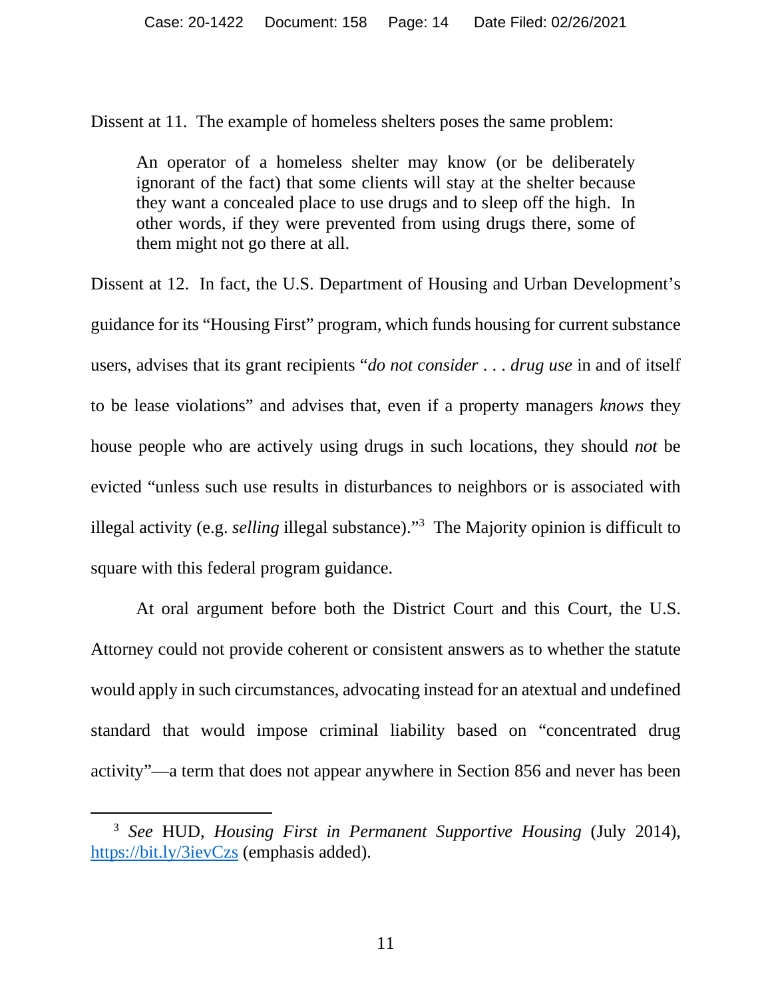Dissent at 11. The example of homeless shelters poses the same problem:

An operator of a homeless shelter may know (or be deliberately ignorant of the fact) that some clients will stay at the shelter because they want a concealed place to use drugs and to sleep off the high. In other words, if they were prevented from using drugs there, some of them might not go there at all.

Dissent at 12. In fact, the U.S. Department of Housing and Urban Development's guidance for its "Housing First" program, which funds housing for current substance users, advises that its grant recipients "*do not consider* . . . *drug use* in and of itself to be lease violations" and advises that, even if a property managers *knows* they house people who are actively using drugs in such locations, they should *not* be evicted "unless such use results in disturbances to neighbors or is associated with illegal activity (e.g. *selling* illegal substance)."<sup>3</sup> The Majority opinion is difficult to square with this federal program guidance.

At oral argument before both the District Court and this Court, the U.S. Attorney could not provide coherent or consistent answers as to whether the statute would apply in such circumstances, advocating instead for an atextual and undefined standard that would impose criminal liability based on "concentrated drug activity"—a term that does not appear anywhere in Section 856 and never has been

<sup>3</sup> *See* HUD, *Housing First in Permanent Supportive Housing* (July 2014), <https://bit.ly/3ievCzs>(emphasis added).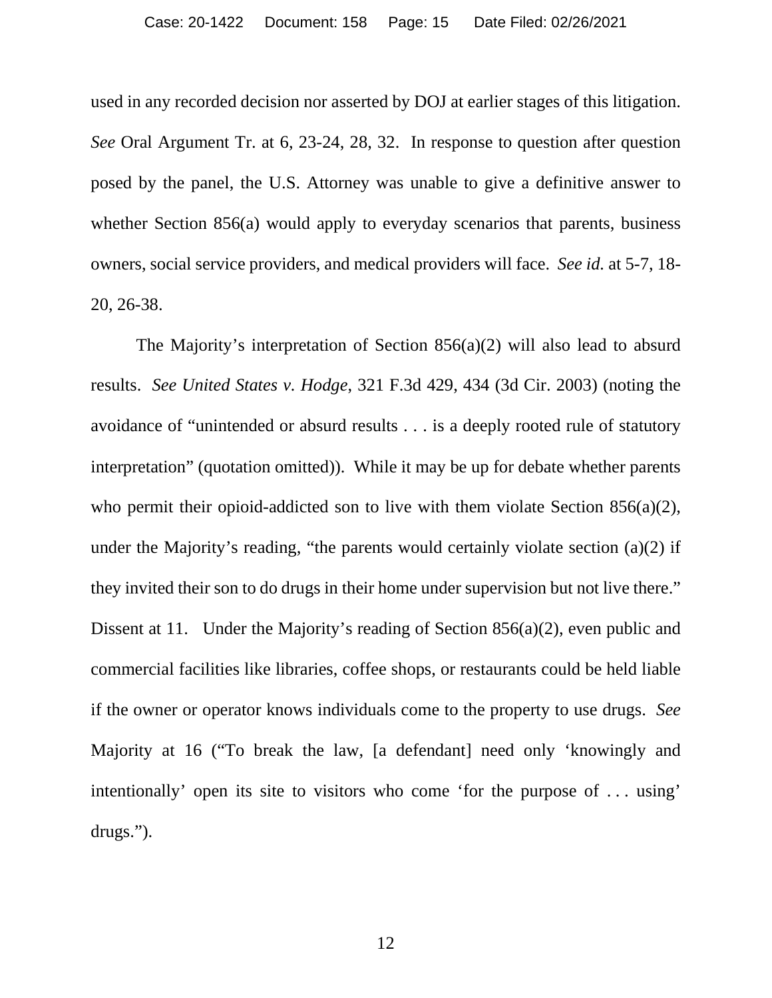used in any recorded decision nor asserted by DOJ at earlier stages of this litigation. *See* Oral Argument Tr. at 6, 23-24, 28, 32. In response to question after question posed by the panel, the U.S. Attorney was unable to give a definitive answer to whether Section 856(a) would apply to everyday scenarios that parents, business owners, social service providers, and medical providers will face. *See id.* at 5-7, 18- 20, 26-38.

<span id="page-14-0"></span>The Majority's interpretation of Section 856(a)(2) will also lead to absurd results. *See United States v. Hodge*, 321 F.3d 429, 434 (3d Cir. 2003) (noting the avoidance of "unintended or absurd results . . . is a deeply rooted rule of statutory interpretation" (quotation omitted)). While it may be up for debate whether parents who permit their opioid-addicted son to live with them violate Section 856(a)(2), under the Majority's reading, "the parents would certainly violate section (a)(2) if they invited their son to do drugs in their home under supervision but not live there." Dissent at 11. Under the Majority's reading of Section 856(a)(2), even public and commercial facilities like libraries, coffee shops, or restaurants could be held liable if the owner or operator knows individuals come to the property to use drugs. *See*  Majority at 16 ("To break the law, [a defendant] need only 'knowingly and intentionally' open its site to visitors who come 'for the purpose of . . . using' drugs.").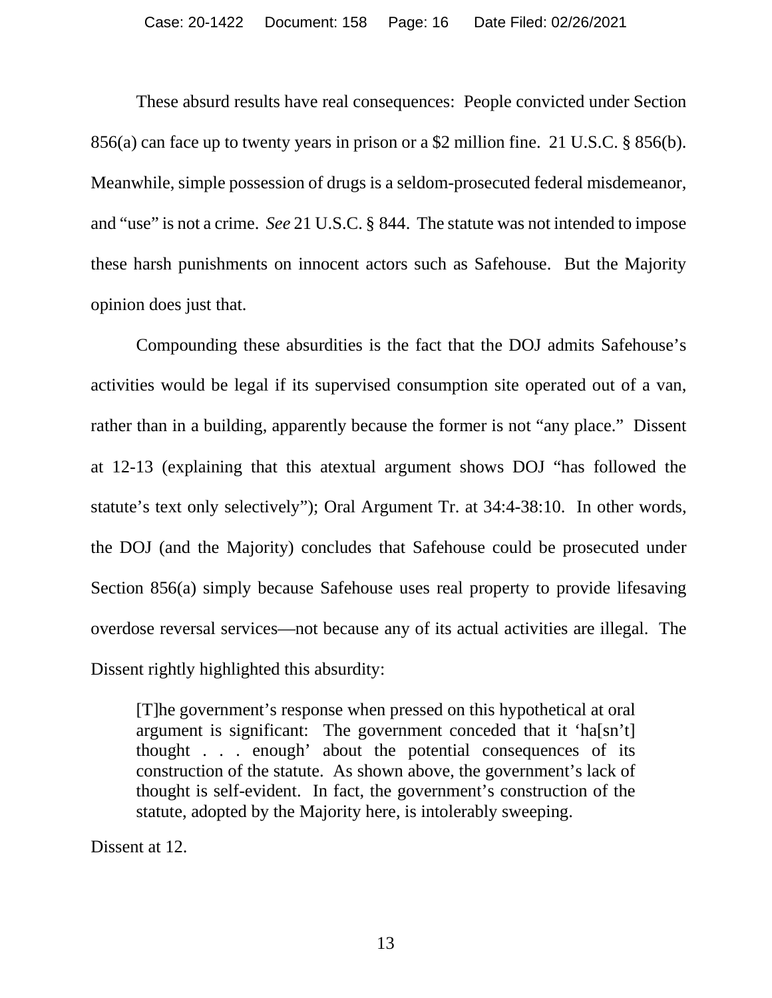<span id="page-15-1"></span><span id="page-15-0"></span>These absurd results have real consequences: People convicted under Section 856(a) can face up to twenty years in prison or a \$2 million fine. 21 U.S.C. § 856(b). Meanwhile, simple possession of drugs is a seldom-prosecuted federal misdemeanor, and "use" is not a crime. *See* 21 U.S.C. § 844. The statute was not intended to impose these harsh punishments on innocent actors such as Safehouse. But the Majority opinion does just that.

Compounding these absurdities is the fact that the DOJ admits Safehouse's activities would be legal if its supervised consumption site operated out of a van, rather than in a building, apparently because the former is not "any place." Dissent at 12-13 (explaining that this atextual argument shows DOJ "has followed the statute's text only selectively"); Oral Argument Tr. at 34:4-38:10. In other words, the DOJ (and the Majority) concludes that Safehouse could be prosecuted under Section 856(a) simply because Safehouse uses real property to provide lifesaving overdose reversal services—not because any of its actual activities are illegal. The Dissent rightly highlighted this absurdity:

[T]he government's response when pressed on this hypothetical at oral argument is significant: The government conceded that it 'ha[sn't] thought . . . enough' about the potential consequences of its construction of the statute. As shown above, the government's lack of thought is self-evident. In fact, the government's construction of the statute, adopted by the Majority here, is intolerably sweeping.

Dissent at 12.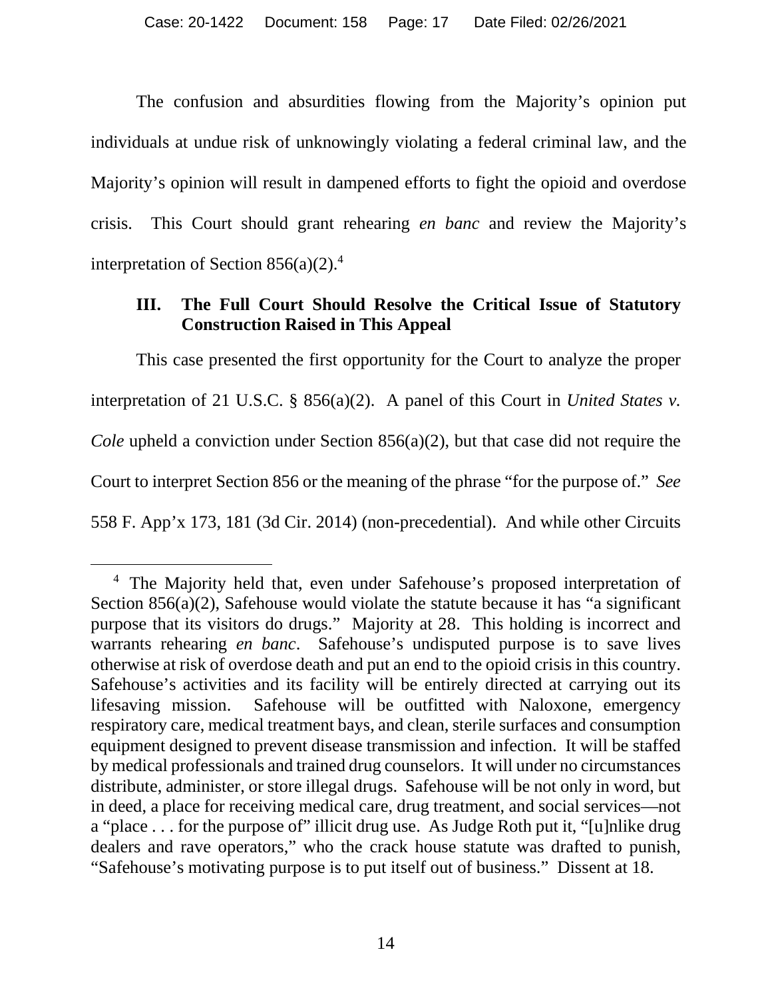The confusion and absurdities flowing from the Majority's opinion put individuals at undue risk of unknowingly violating a federal criminal law, and the Majority's opinion will result in dampened efforts to fight the opioid and overdose crisis. This Court should grant rehearing *en banc* and review the Majority's interpretation of Section  $856(a)(2)$ .<sup>4</sup>

# <span id="page-16-1"></span><span id="page-16-0"></span>**III. The Full Court Should Resolve the Critical Issue of Statutory Construction Raised in This Appeal**

This case presented the first opportunity for the Court to analyze the proper interpretation of 21 U.S.C. § 856(a)(2). A panel of this Court in *United States v. Cole* upheld a conviction under Section 856(a)(2), but that case did not require the Court to interpret Section 856 or the meaning of the phrase "for the purpose of." *See*  558 F. App'x 173, 181 (3d Cir. 2014) (non-precedential). And while other Circuits

<sup>&</sup>lt;sup>4</sup> The Majority held that, even under Safehouse's proposed interpretation of Section  $856(a)(2)$ , Safehouse would violate the statute because it has "a significant" purpose that its visitors do drugs." Majority at 28. This holding is incorrect and warrants rehearing *en banc*. Safehouse's undisputed purpose is to save lives otherwise at risk of overdose death and put an end to the opioid crisis in this country. Safehouse's activities and its facility will be entirely directed at carrying out its lifesaving mission. Safehouse will be outfitted with Naloxone, emergency respiratory care, medical treatment bays, and clean, sterile surfaces and consumption equipment designed to prevent disease transmission and infection. It will be staffed by medical professionals and trained drug counselors. It will under no circumstances distribute, administer, or store illegal drugs. Safehouse will be not only in word, but in deed, a place for receiving medical care, drug treatment, and social services—not a "place . . . for the purpose of" illicit drug use. As Judge Roth put it, "[u]nlike drug dealers and rave operators," who the crack house statute was drafted to punish, "Safehouse's motivating purpose is to put itself out of business." Dissent at 18.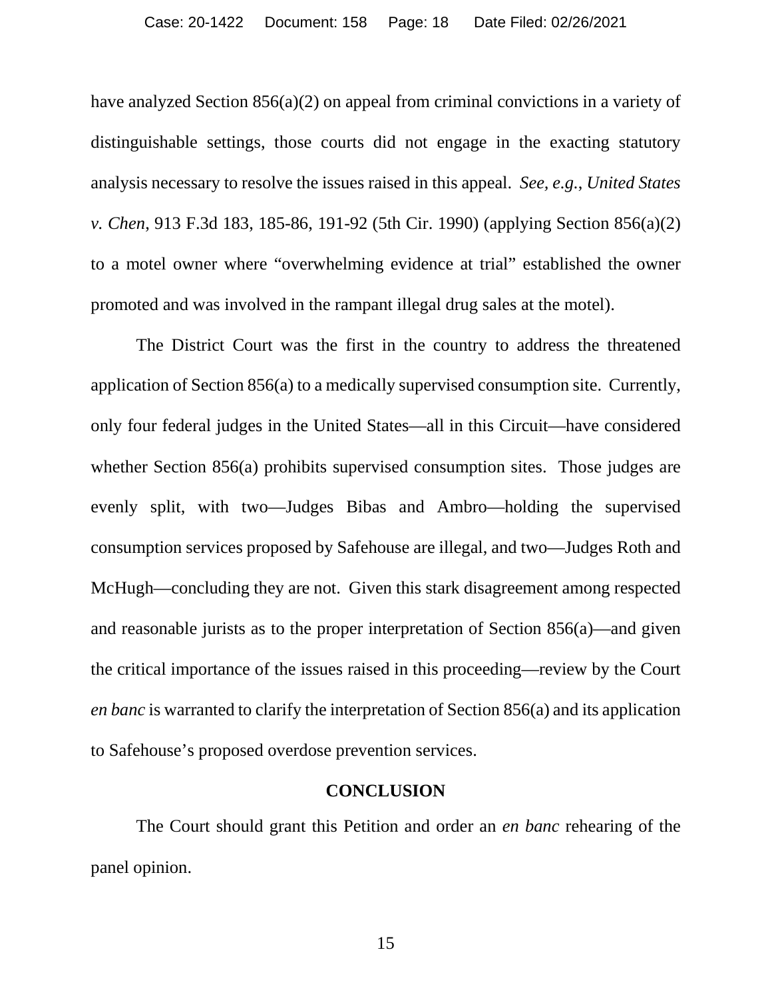have analyzed Section 856(a)(2) on appeal from criminal convictions in a variety of distinguishable settings, those courts did not engage in the exacting statutory analysis necessary to resolve the issues raised in this appeal. *See, e.g.*, *United States v. Chen*, 913 F.3d 183, 185-86, 191-92 (5th Cir. 1990) (applying Section 856(a)(2) to a motel owner where "overwhelming evidence at trial" established the owner promoted and was involved in the rampant illegal drug sales at the motel).

The District Court was the first in the country to address the threatened application of Section 856(a) to a medically supervised consumption site. Currently, only four federal judges in the United States—all in this Circuit—have considered whether Section 856(a) prohibits supervised consumption sites. Those judges are evenly split, with two—Judges Bibas and Ambro—holding the supervised consumption services proposed by Safehouse are illegal, and two—Judges Roth and McHugh—concluding they are not. Given this stark disagreement among respected and reasonable jurists as to the proper interpretation of Section 856(a)—and given the critical importance of the issues raised in this proceeding—review by the Court *en banc* is warranted to clarify the interpretation of Section 856(a) and its application to Safehouse's proposed overdose prevention services.

#### **CONCLUSION**

<span id="page-17-0"></span>The Court should grant this Petition and order an *en banc* rehearing of the panel opinion.

15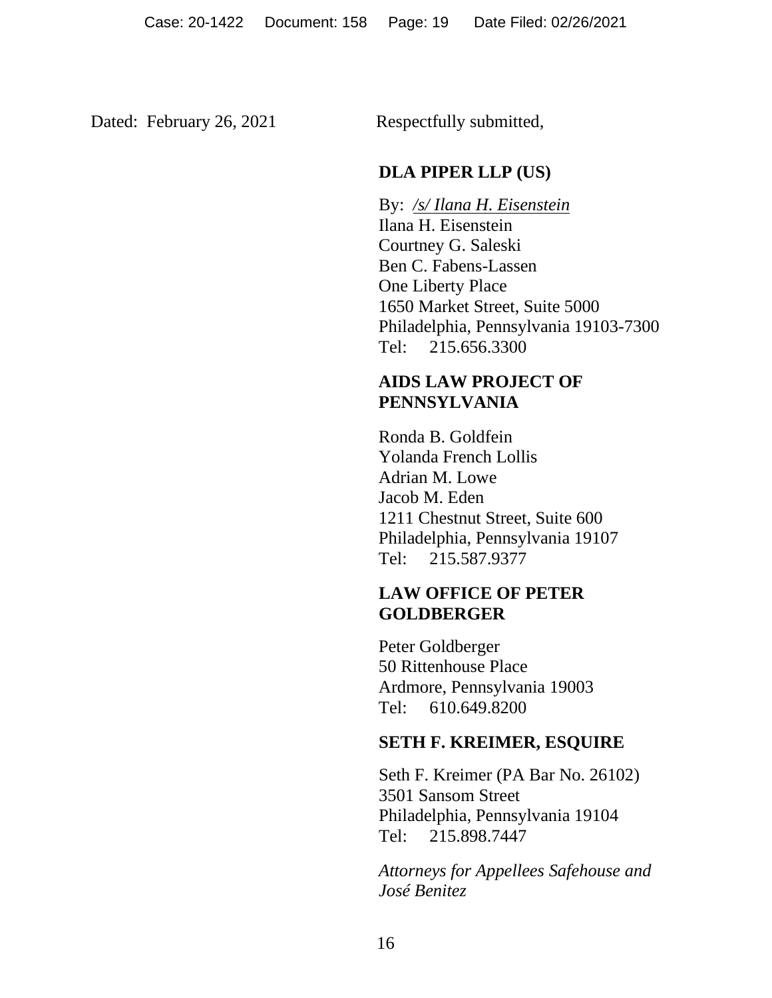Dated: February 26, 2021 Respectfully submitted,

# **DLA PIPER LLP (US)**

By: */s/ Ilana H. Eisenstein* Ilana H. Eisenstein Courtney G. Saleski Ben C. Fabens-Lassen One Liberty Place 1650 Market Street, Suite 5000 Philadelphia, Pennsylvania 19103-7300 Tel: 215.656.3300

# **AIDS LAW PROJECT OF PENNSYLVANIA**

Ronda B. Goldfein Yolanda French Lollis Adrian M. Lowe Jacob M. Eden 1211 Chestnut Street, Suite 600 Philadelphia, Pennsylvania 19107 Tel: 215.587.9377

# **LAW OFFICE OF PETER GOLDBERGER**

Peter Goldberger 50 Rittenhouse Place Ardmore, Pennsylvania 19003 Tel: 610.649.8200

# **SETH F. KREIMER, ESQUIRE**

Seth F. Kreimer (PA Bar No. 26102) 3501 Sansom Street Philadelphia, Pennsylvania 19104 Tel: 215.898.7447

*Attorneys for Appellees Safehouse and José Benitez*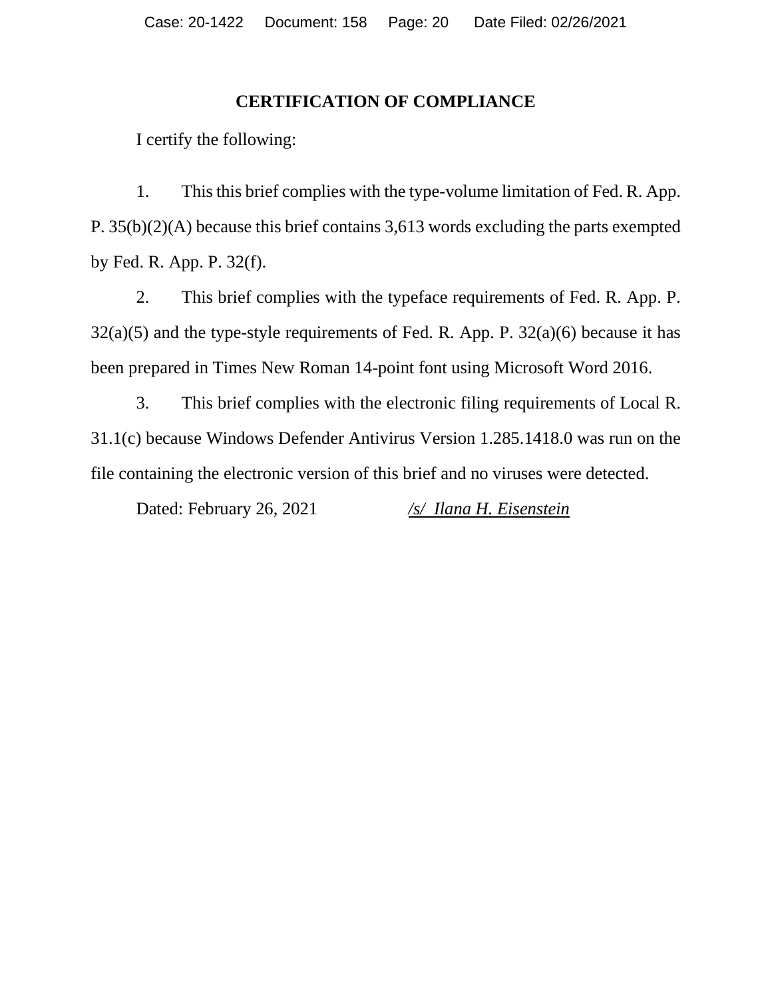# **CERTIFICATION OF COMPLIANCE**

I certify the following:

1. This this brief complies with the type-volume limitation of Fed. R. App. P. 35(b)(2)(A) because this brief contains 3,613 words excluding the parts exempted by Fed. R. App. P. 32(f).

2. This brief complies with the typeface requirements of Fed. R. App. P.  $32(a)(5)$  and the type-style requirements of Fed. R. App. P.  $32(a)(6)$  because it has been prepared in Times New Roman 14-point font using Microsoft Word 2016.

3. This brief complies with the electronic filing requirements of Local R. 31.1(c) because Windows Defender Antivirus Version 1.285.1418.0 was run on the file containing the electronic version of this brief and no viruses were detected.

Dated: February 26, 2021 */s/ Ilana H. Eisenstein*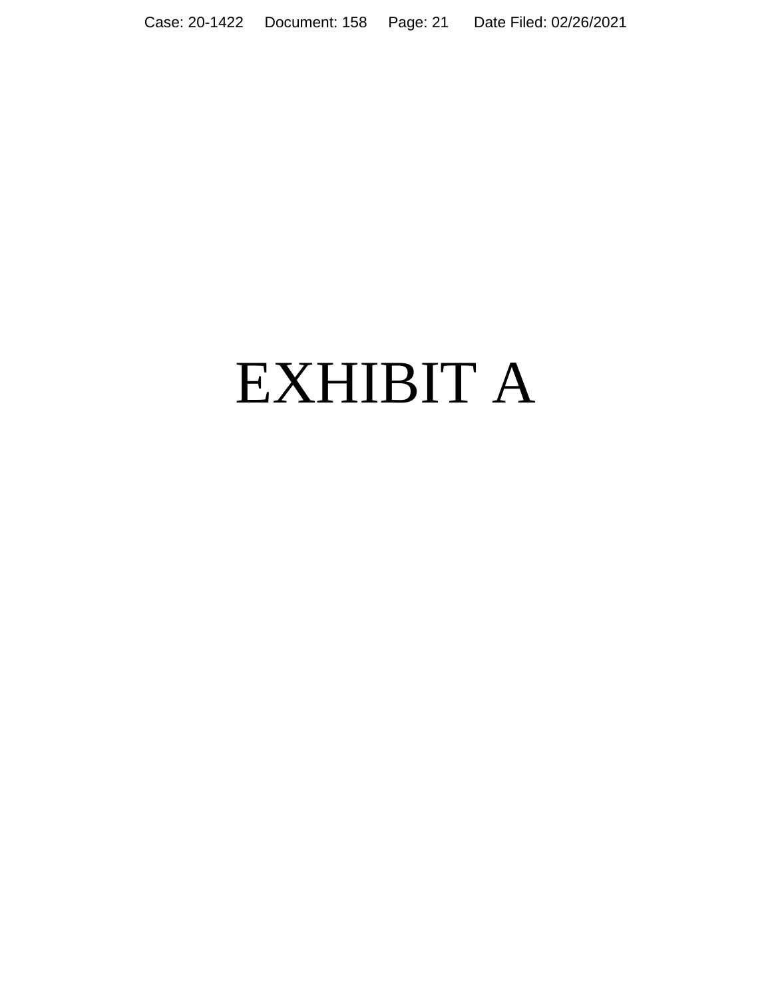# EXHIBIT A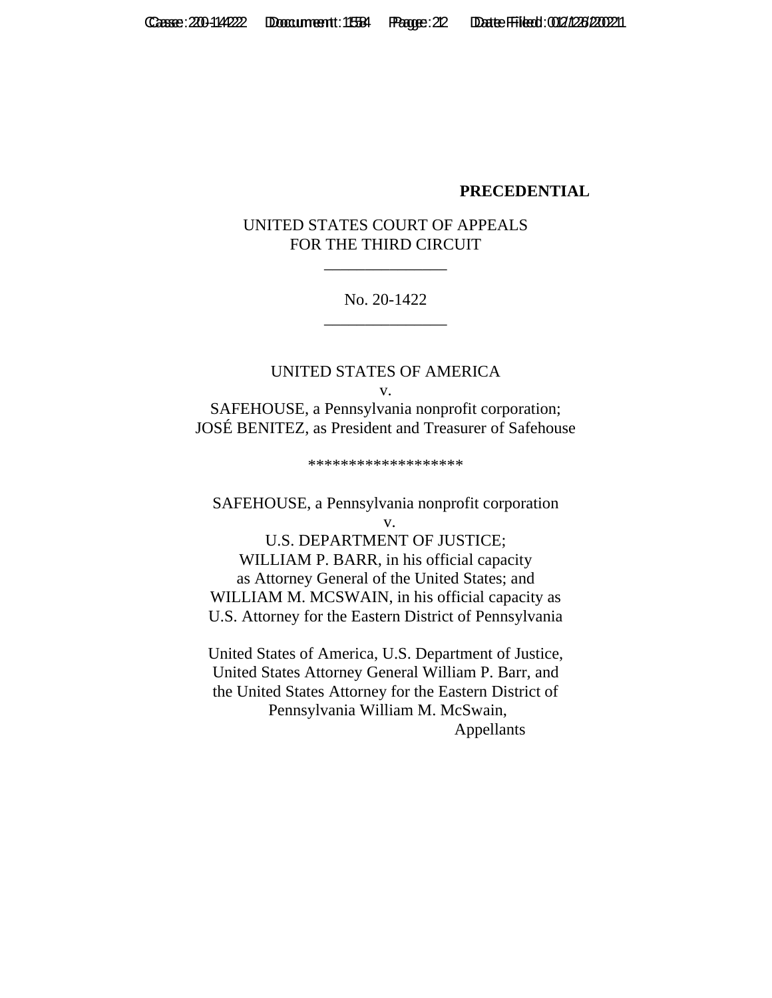#### **PRECEDENTIAL**

## UNITED STATES COURT OF APPEALS FOR THE THIRD CIRCUIT

\_\_\_\_\_\_\_\_\_\_\_\_\_\_\_

#### No. 20-1422 \_\_\_\_\_\_\_\_\_\_\_\_\_\_\_

UNITED STATES OF AMERICA v. SAFEHOUSE, a Pennsylvania nonprofit corporation; JOSÉ BENITEZ, as President and Treasurer of Safehouse

\*\*\*\*\*\*\*\*\*\*\*\*\*\*\*\*\*\*\*

SAFEHOUSE, a Pennsylvania nonprofit corporation v.

U.S. DEPARTMENT OF JUSTICE; WILLIAM P. BARR, in his official capacity as Attorney General of the United States; and WILLIAM M. MCSWAIN, in his official capacity as U.S. Attorney for the Eastern District of Pennsylvania

United States of America, U.S. Department of Justice, United States Attorney General William P. Barr, and the United States Attorney for the Eastern District of Pennsylvania William M. McSwain, Appellants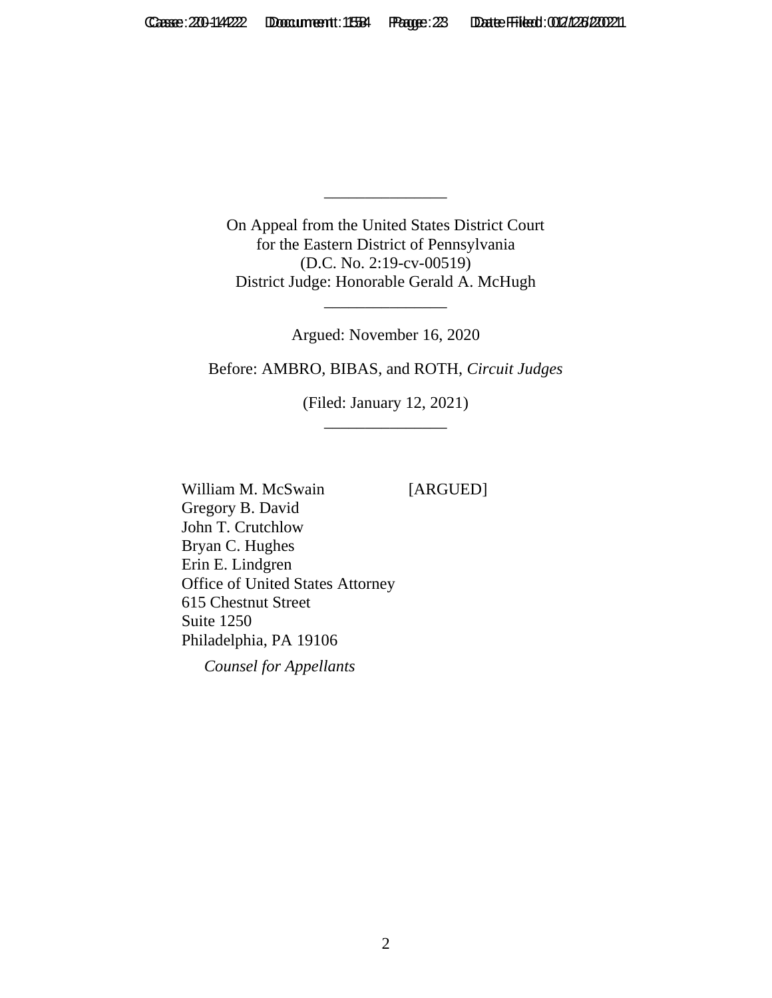On Appeal from the United States District Court for the Eastern District of Pennsylvania (D.C. No. 2:19-cv-00519) District Judge: Honorable Gerald A. McHugh

\_\_\_\_\_\_\_\_\_\_\_\_\_\_\_

Argued: November 16, 2020

\_\_\_\_\_\_\_\_\_\_\_\_\_\_\_

Before: AMBRO, BIBAS, and ROTH, *Circuit Judges*

(Filed: January 12, 2021) \_\_\_\_\_\_\_\_\_\_\_\_\_\_\_

William M. McSwain [ARGUED] Gregory B. David John T. Crutchlow Bryan C. Hughes Erin E. Lindgren Office of United States Attorney 615 Chestnut Street Suite 1250 Philadelphia, PA 19106

*Counsel for Appellants*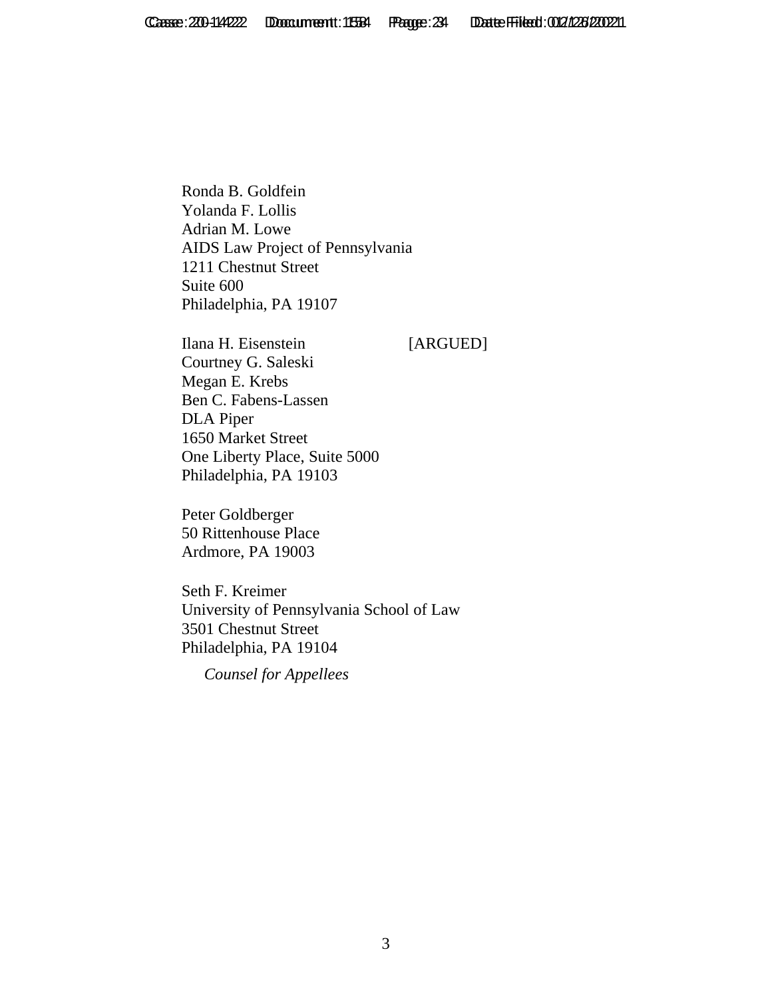Ronda B. Goldfein Yolanda F. Lollis Adrian M. Lowe AIDS Law Project of Pennsylvania 1211 Chestnut Street Suite 600 Philadelphia, PA 19107

Ilana H. Eisenstein [ARGUED] Courtney G. Saleski Megan E. Krebs Ben C. Fabens-Lassen DLA Piper 1650 Market Street One Liberty Place, Suite 5000 Philadelphia, PA 19103

Peter Goldberger 50 Rittenhouse Place Ardmore, PA 19003

Seth F. Kreimer University of Pennsylvania School of Law 3501 Chestnut Street Philadelphia, PA 19104

*Counsel for Appellees*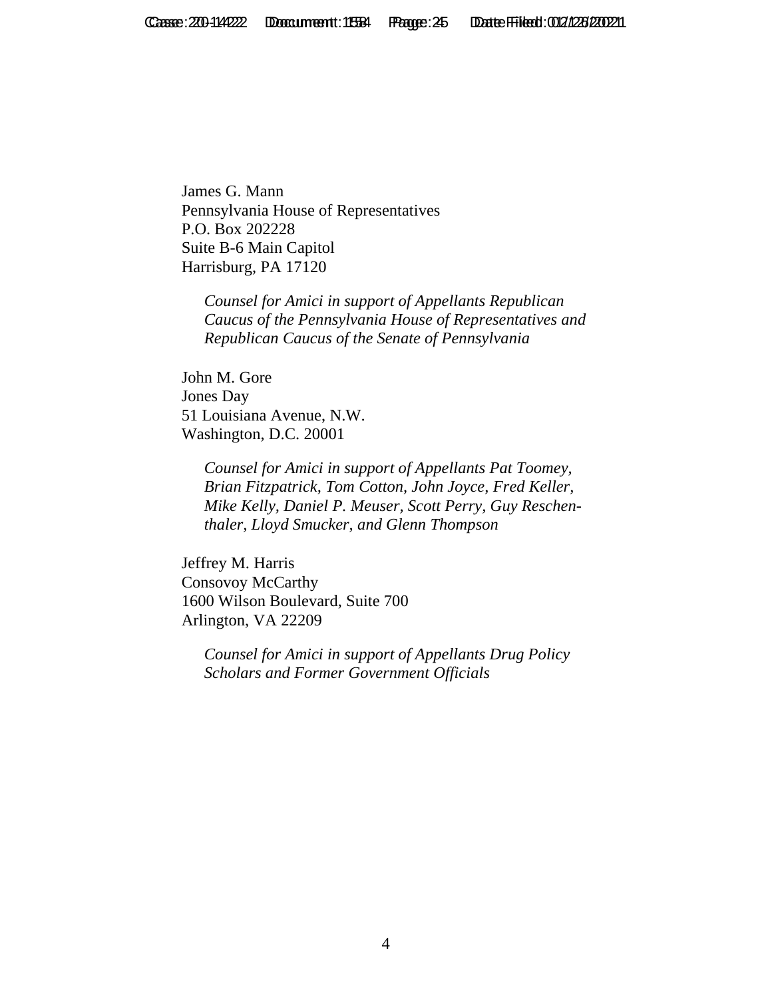James G. Mann Pennsylvania House of Representatives P.O. Box 202228 Suite B-6 Main Capitol Harrisburg, PA 17120

*Counsel for Amici in support of Appellants Republican Caucus of the Pennsylvania House of Representatives and Republican Caucus of the Senate of Pennsylvania*

John M. Gore Jones Day 51 Louisiana Avenue, N.W. Washington, D.C. 20001

> *Counsel for Amici in support of Appellants Pat Toomey, Brian Fitzpatrick, Tom Cotton, John Joyce, Fred Keller, Mike Kelly, Daniel P. Meuser, Scott Perry, Guy Reschenthaler, Lloyd Smucker, and Glenn Thompson*

Jeffrey M. Harris Consovoy McCarthy 1600 Wilson Boulevard, Suite 700 Arlington, VA 22209

*Counsel for Amici in support of Appellants Drug Policy Scholars and Former Government Officials*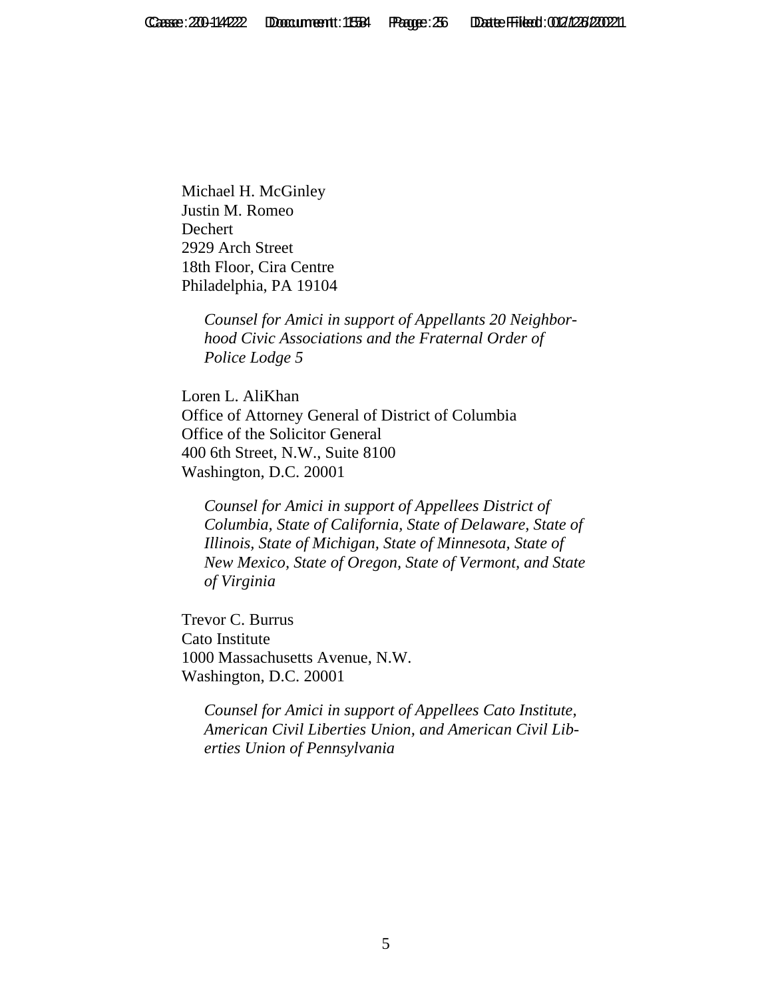Michael H. McGinley Justin M. Romeo Dechert 2929 Arch Street 18th Floor, Cira Centre Philadelphia, PA 19104

> *Counsel for Amici in support of Appellants 20 Neighborhood Civic Associations and the Fraternal Order of Police Lodge 5*

Loren L. AliKhan Office of Attorney General of District of Columbia Office of the Solicitor General 400 6th Street, N.W., Suite 8100 Washington, D.C. 20001

*Counsel for Amici in support of Appellees District of Columbia, State of California, State of Delaware, State of Illinois, State of Michigan, State of Minnesota, State of New Mexico, State of Oregon, State of Vermont, and State of Virginia*

Trevor C. Burrus Cato Institute 1000 Massachusetts Avenue, N.W. Washington, D.C. 20001

> *Counsel for Amici in support of Appellees Cato Institute, American Civil Liberties Union, and American Civil Liberties Union of Pennsylvania*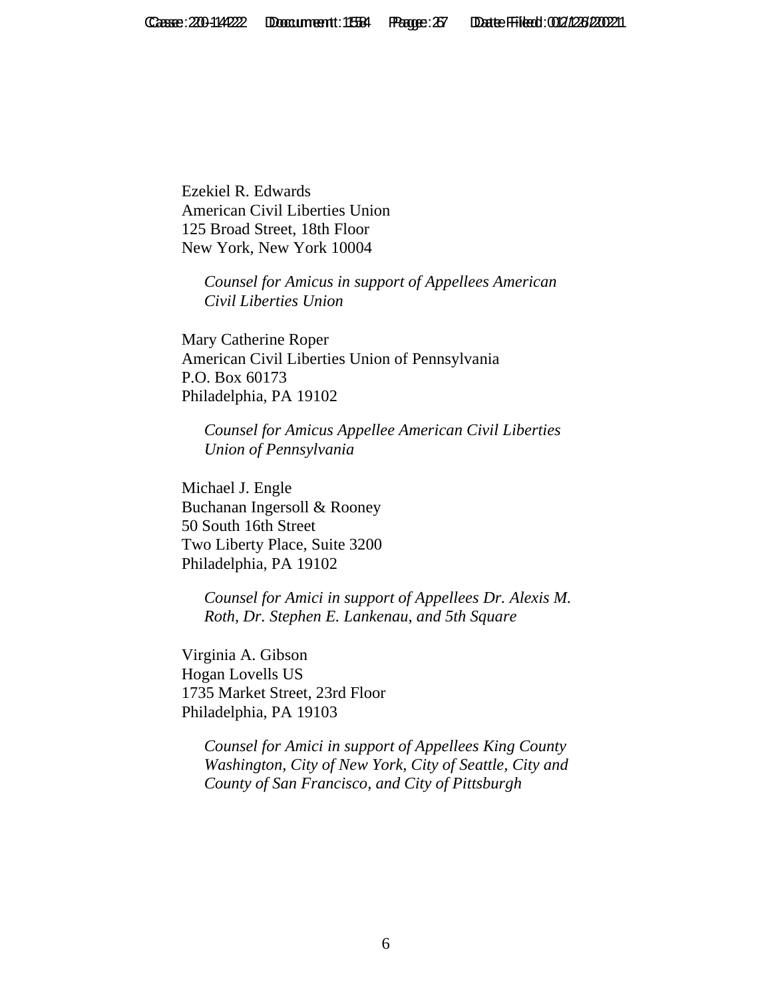Ezekiel R. Edwards American Civil Liberties Union 125 Broad Street, 18th Floor New York, New York 10004

> *Counsel for Amicus in support of Appellees American Civil Liberties Union*

Mary Catherine Roper American Civil Liberties Union of Pennsylvania P.O. Box 60173 Philadelphia, PA 19102

*Counsel for Amicus Appellee American Civil Liberties Union of Pennsylvania*

Michael J. Engle Buchanan Ingersoll & Rooney 50 South 16th Street Two Liberty Place, Suite 3200 Philadelphia, PA 19102

> *Counsel for Amici in support of Appellees Dr. Alexis M. Roth, Dr. Stephen E. Lankenau, and 5th Square*

Virginia A. Gibson Hogan Lovells US 1735 Market Street, 23rd Floor Philadelphia, PA 19103

> *Counsel for Amici in support of Appellees King County Washington, City of New York, City of Seattle, City and County of San Francisco, and City of Pittsburgh*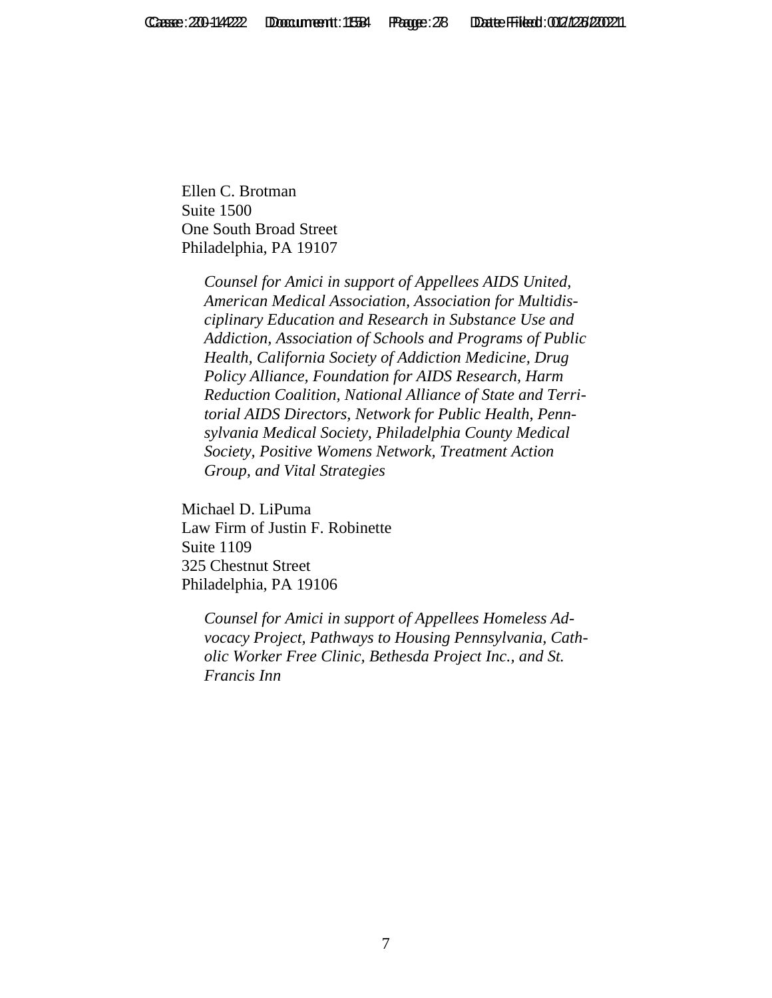Ellen C. Brotman Suite 1500 One South Broad Street Philadelphia, PA 19107

> *Counsel for Amici in support of Appellees AIDS United, American Medical Association, Association for Multidisciplinary Education and Research in Substance Use and Addiction, Association of Schools and Programs of Public Health, California Society of Addiction Medicine, Drug Policy Alliance, Foundation for AIDS Research, Harm Reduction Coalition, National Alliance of State and Territorial AIDS Directors, Network for Public Health, Pennsylvania Medical Society, Philadelphia County Medical Society, Positive Womens Network, Treatment Action Group, and Vital Strategies*

Michael D. LiPuma Law Firm of Justin F. Robinette Suite 1109 325 Chestnut Street Philadelphia, PA 19106

> *Counsel for Amici in support of Appellees Homeless Advocacy Project, Pathways to Housing Pennsylvania, Catholic Worker Free Clinic, Bethesda Project Inc., and St. Francis Inn*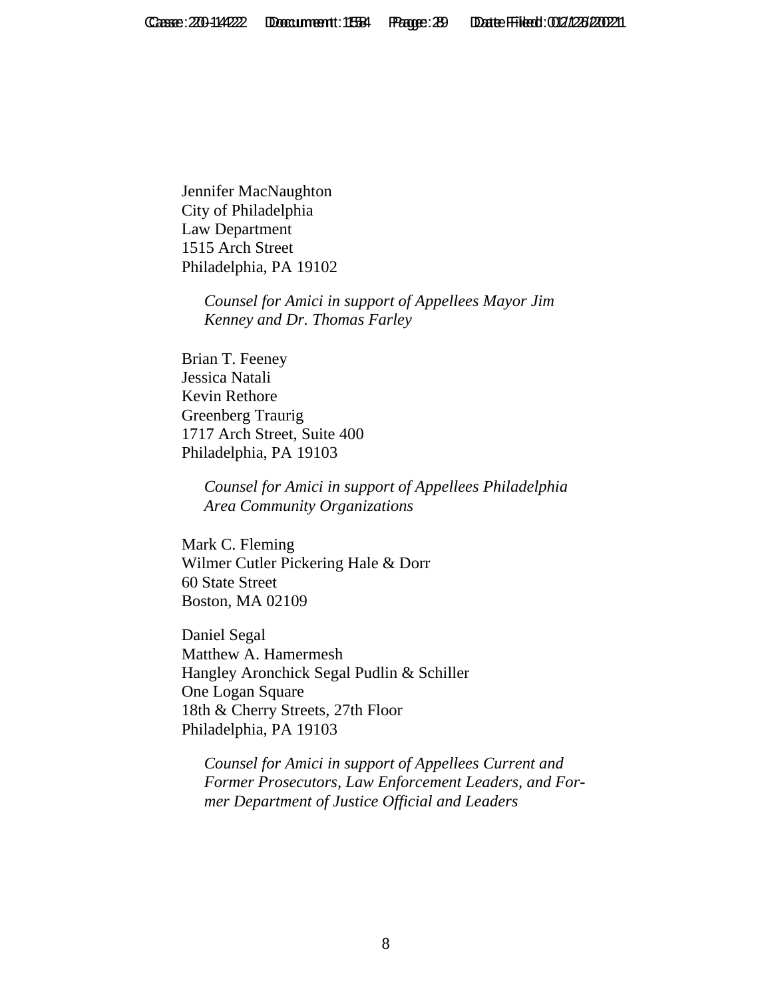Jennifer MacNaughton City of Philadelphia Law Department 1515 Arch Street Philadelphia, PA 19102

> *Counsel for Amici in support of Appellees Mayor Jim Kenney and Dr. Thomas Farley*

Brian T. Feeney Jessica Natali Kevin Rethore Greenberg Traurig 1717 Arch Street, Suite 400 Philadelphia, PA 19103

> *Counsel for Amici in support of Appellees Philadelphia Area Community Organizations*

Mark C. Fleming Wilmer Cutler Pickering Hale & Dorr 60 State Street Boston, MA 02109

Daniel Segal Matthew A. Hamermesh Hangley Aronchick Segal Pudlin & Schiller One Logan Square 18th & Cherry Streets, 27th Floor Philadelphia, PA 19103

*Counsel for Amici in support of Appellees Current and Former Prosecutors, Law Enforcement Leaders, and Former Department of Justice Official and Leaders*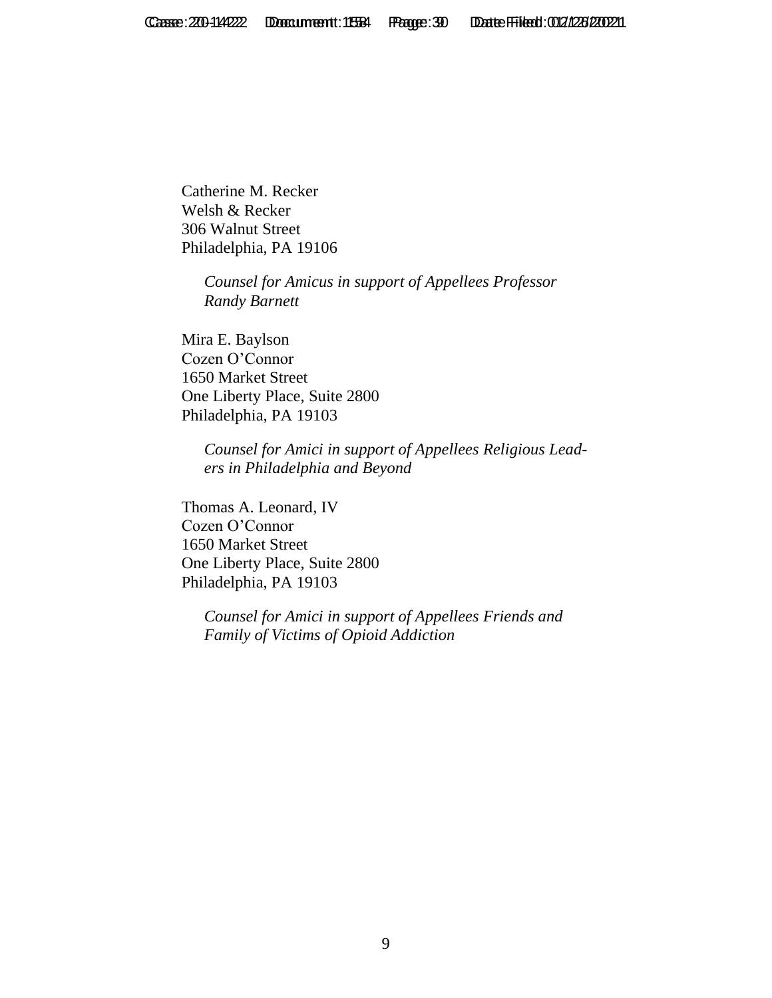Catherine M. Recker Welsh & Recker 306 Walnut Street Philadelphia, PA 19106

> *Counsel for Amicus in support of Appellees Professor Randy Barnett*

Mira E. Baylson Cozen O'Connor 1650 Market Street One Liberty Place, Suite 2800 Philadelphia, PA 19103

> *Counsel for Amici in support of Appellees Religious Leaders in Philadelphia and Beyond*

Thomas A. Leonard, IV Cozen O'Connor 1650 Market Street One Liberty Place, Suite 2800 Philadelphia, PA 19103

> *Counsel for Amici in support of Appellees Friends and Family of Victims of Opioid Addiction*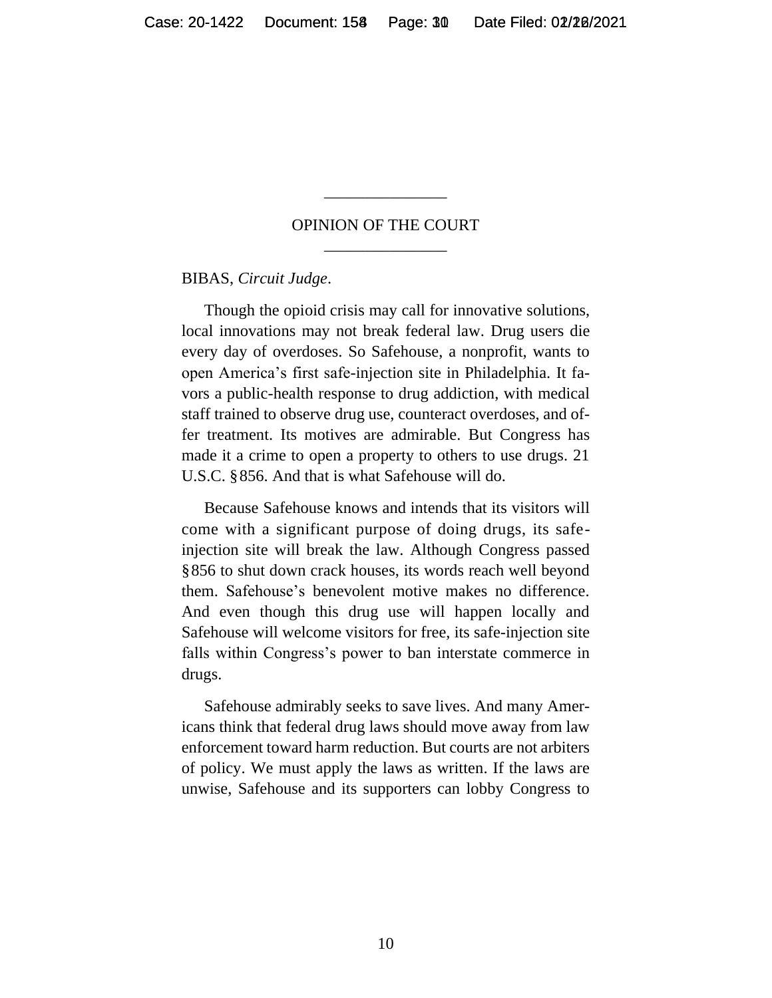#### OPINION OF THE COURT \_\_\_\_\_\_\_\_\_\_\_\_\_\_\_

\_\_\_\_\_\_\_\_\_\_\_\_\_\_\_

BIBAS, *Circuit Judge*.

Though the opioid crisis may call for innovative solutions, local innovations may not break federal law. Drug users die every day of overdoses. So Safehouse, a nonprofit, wants to open America's first safe-injection site in Philadelphia. It favors a public-health response to drug addiction, with medical staff trained to observe drug use, counteract overdoses, and offer treatment. Its motives are admirable. But Congress has made it a crime to open a property to others to use drugs. 21 U.S.C. §856. And that is what Safehouse will do.

Because Safehouse knows and intends that its visitors will come with a significant purpose of doing drugs, its safeinjection site will break the law. Although Congress passed §856 to shut down crack houses, its words reach well beyond them. Safehouse's benevolent motive makes no difference. And even though this drug use will happen locally and Safehouse will welcome visitors for free, its safe-injection site falls within Congress's power to ban interstate commerce in drugs.

Safehouse admirably seeks to save lives. And many Americans think that federal drug laws should move away from law enforcement toward harm reduction. But courts are not arbiters of policy. We must apply the laws as written. If the laws are unwise, Safehouse and its supporters can lobby Congress to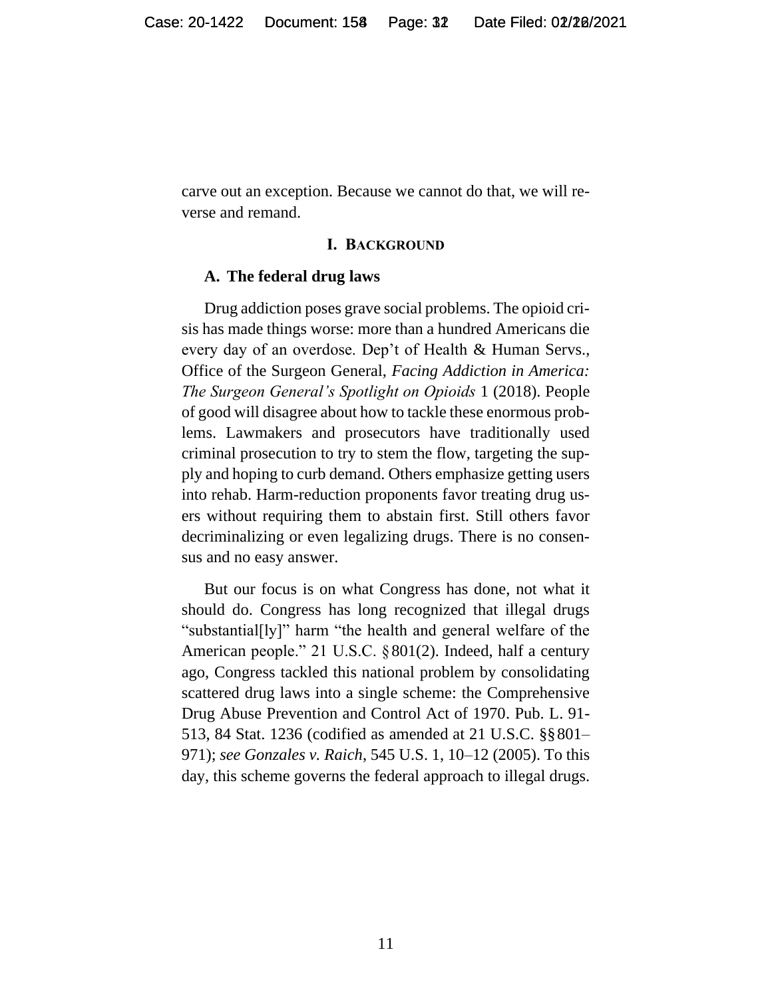carve out an exception. Because we cannot do that, we will reverse and remand.

#### **I. BACKGROUND**

#### **A. The federal drug laws**

Drug addiction poses grave social problems. The opioid crisis has made things worse: more than a hundred Americans die every day of an overdose. Dep't of Health & Human Servs., Office of the Surgeon General, *Facing Addiction in America: The Surgeon General's Spotlight on Opioids* 1 (2018). People of good will disagree about how to tackle these enormous problems. Lawmakers and prosecutors have traditionally used criminal prosecution to try to stem the flow, targeting the supply and hoping to curb demand. Others emphasize getting users into rehab. Harm-reduction proponents favor treating drug users without requiring them to abstain first. Still others favor decriminalizing or even legalizing drugs. There is no consensus and no easy answer.

But our focus is on what Congress has done, not what it should do. Congress has long recognized that illegal drugs "substantial[ly]" harm "the health and general welfare of the American people." 21 U.S.C. §801(2). Indeed, half a century ago, Congress tackled this national problem by consolidating scattered drug laws into a single scheme: the Comprehensive Drug Abuse Prevention and Control Act of 1970. Pub. L. 91- 513, 84 Stat. 1236 (codified as amended at 21 U.S.C. §§801– 971); *see Gonzales v. Raich*, 545 U.S. 1, 10–12 (2005). To this day, this scheme governs the federal approach to illegal drugs.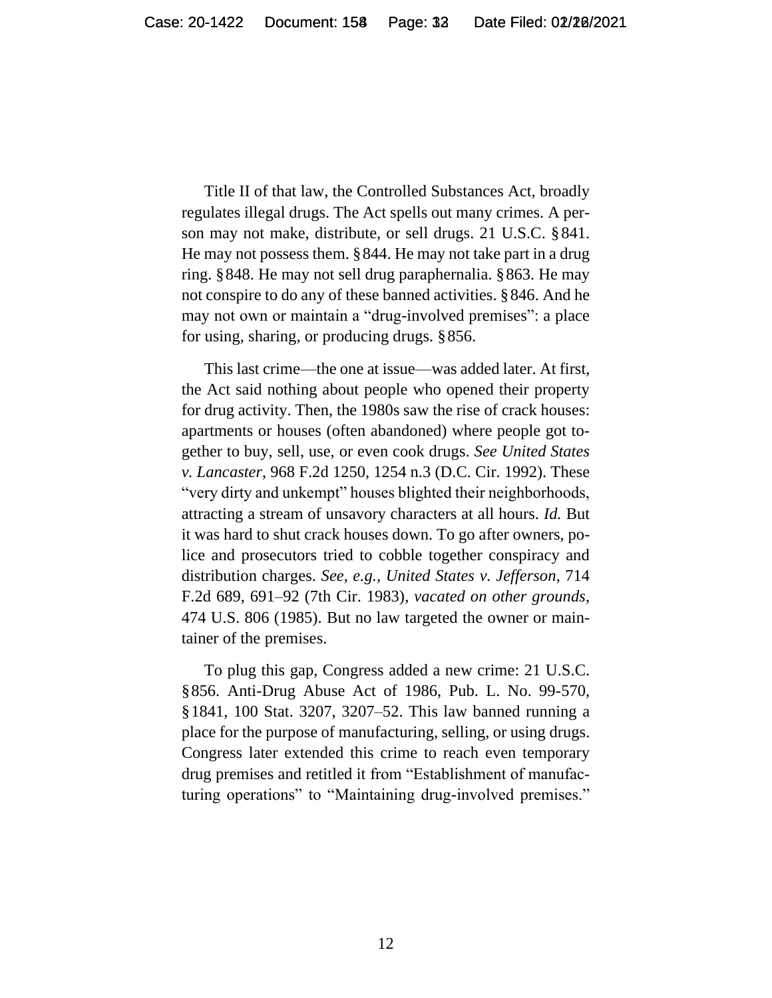Title II of that law, the Controlled Substances Act, broadly regulates illegal drugs. The Act spells out many crimes. A person may not make, distribute, or sell drugs. 21 U.S.C. §841. He may not possess them. §844. He may not take part in a drug ring. §848. He may not sell drug paraphernalia. §863. He may not conspire to do any of these banned activities. §846. And he may not own or maintain a "drug-involved premises": a place for using, sharing, or producing drugs. §856.

This last crime—the one at issue—was added later. At first, the Act said nothing about people who opened their property for drug activity. Then, the 1980s saw the rise of crack houses: apartments or houses (often abandoned) where people got together to buy, sell, use, or even cook drugs. *See United States v. Lancaster*, 968 F.2d 1250, 1254 n.3 (D.C. Cir. 1992). These "very dirty and unkempt" houses blighted their neighborhoods, attracting a stream of unsavory characters at all hours. *Id.* But it was hard to shut crack houses down. To go after owners, police and prosecutors tried to cobble together conspiracy and distribution charges. *See, e.g.*, *United States v. Jefferson*, 714 F.2d 689, 691–92 (7th Cir. 1983), *vacated on other grounds*, 474 U.S. 806 (1985). But no law targeted the owner or maintainer of the premises.

To plug this gap, Congress added a new crime: 21 U.S.C. §856. Anti-Drug Abuse Act of 1986, Pub. L. No. 99-570, §1841, 100 Stat. 3207, 3207–52. This law banned running a place for the purpose of manufacturing, selling, or using drugs. Congress later extended this crime to reach even temporary drug premises and retitled it from "Establishment of manufacturing operations" to "Maintaining drug-involved premises."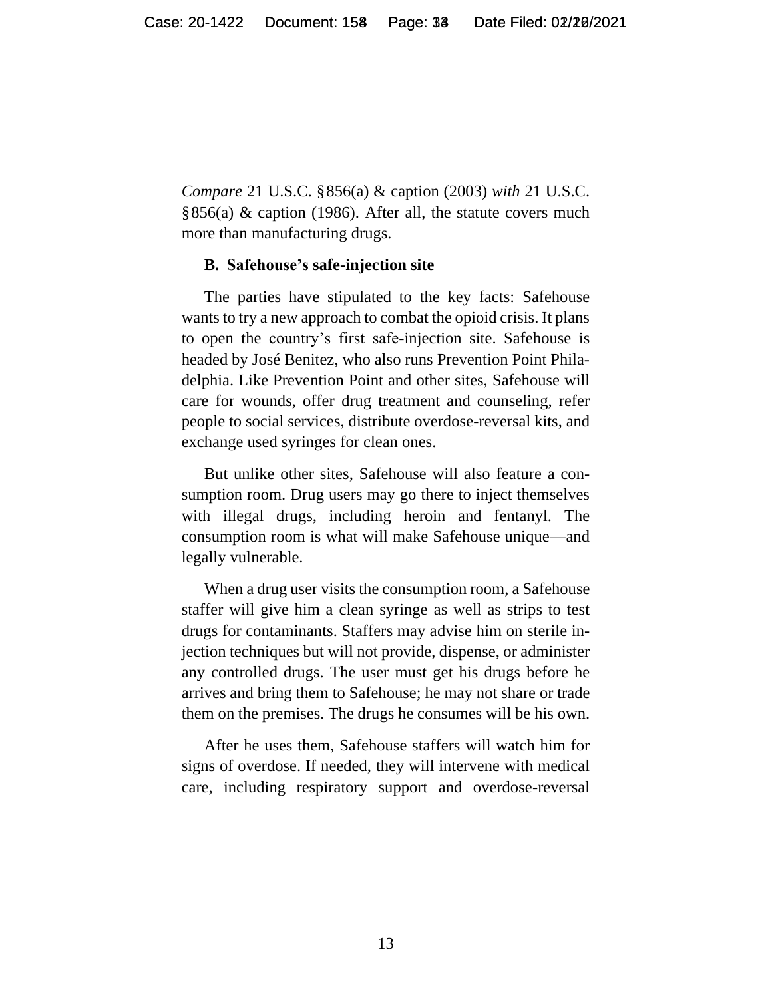*Compare* 21 U.S.C. §856(a) & caption (2003) *with* 21 U.S.C.  $§856(a)$  & caption (1986). After all, the statute covers much more than manufacturing drugs.

#### **B. Safehouse's safe-injection site**

The parties have stipulated to the key facts: Safehouse wants to try a new approach to combat the opioid crisis. It plans to open the country's first safe-injection site. Safehouse is headed by José Benitez, who also runs Prevention Point Philadelphia. Like Prevention Point and other sites, Safehouse will care for wounds, offer drug treatment and counseling, refer people to social services, distribute overdose-reversal kits, and exchange used syringes for clean ones.

But unlike other sites, Safehouse will also feature a consumption room. Drug users may go there to inject themselves with illegal drugs, including heroin and fentanyl. The consumption room is what will make Safehouse unique—and legally vulnerable.

When a drug user visits the consumption room, a Safehouse staffer will give him a clean syringe as well as strips to test drugs for contaminants. Staffers may advise him on sterile injection techniques but will not provide, dispense, or administer any controlled drugs. The user must get his drugs before he arrives and bring them to Safehouse; he may not share or trade them on the premises. The drugs he consumes will be his own.

After he uses them, Safehouse staffers will watch him for signs of overdose. If needed, they will intervene with medical care, including respiratory support and overdose-reversal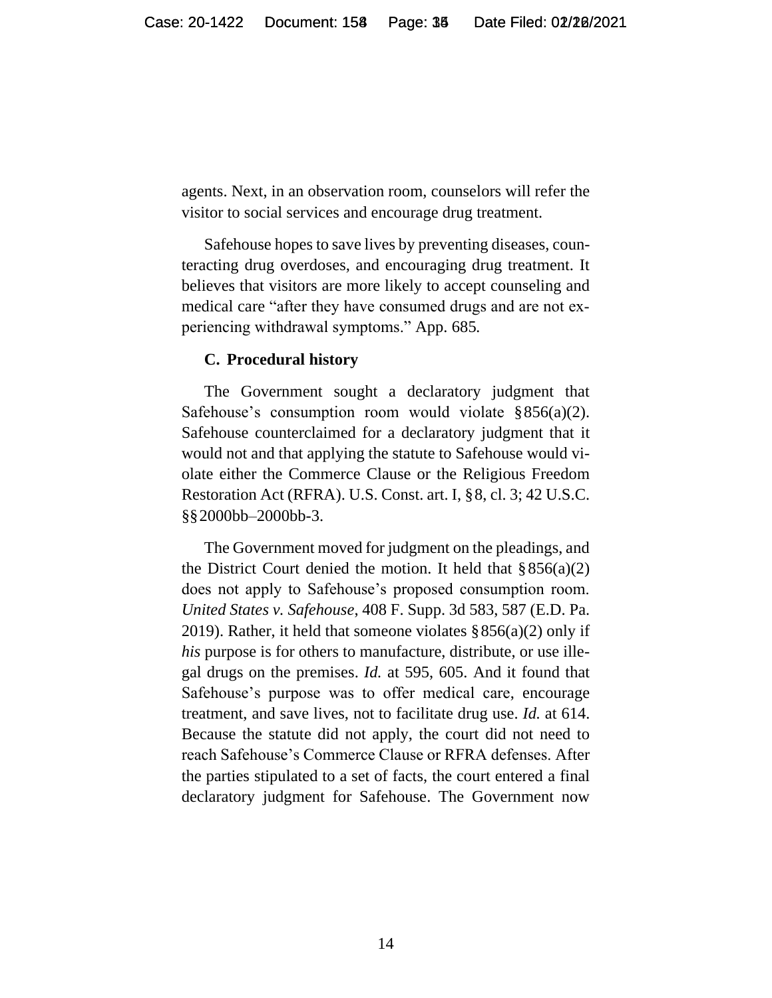agents. Next, in an observation room, counselors will refer the visitor to social services and encourage drug treatment.

Safehouse hopes to save lives by preventing diseases, counteracting drug overdoses, and encouraging drug treatment. It believes that visitors are more likely to accept counseling and medical care "after they have consumed drugs and are not experiencing withdrawal symptoms." App. 685*.*

#### **C. Procedural history**

The Government sought a declaratory judgment that Safehouse's consumption room would violate  $\S 856(a)(2)$ . Safehouse counterclaimed for a declaratory judgment that it would not and that applying the statute to Safehouse would violate either the Commerce Clause or the Religious Freedom Restoration Act (RFRA). U.S. Const. art. I, §8, cl. 3; 42 U.S.C. §§2000bb–2000bb-3.

The Government moved for judgment on the pleadings, and the District Court denied the motion. It held that  $\S 856(a)(2)$ does not apply to Safehouse's proposed consumption room. *United States v. Safehouse*, 408 F. Supp. 3d 583, 587 (E.D. Pa. 2019). Rather, it held that someone violates  $\S 856(a)(2)$  only if *his* purpose is for others to manufacture, distribute, or use illegal drugs on the premises. *Id.* at 595, 605. And it found that Safehouse's purpose was to offer medical care, encourage treatment, and save lives, not to facilitate drug use. *Id.* at 614. Because the statute did not apply, the court did not need to reach Safehouse's Commerce Clause or RFRA defenses. After the parties stipulated to a set of facts, the court entered a final declaratory judgment for Safehouse. The Government now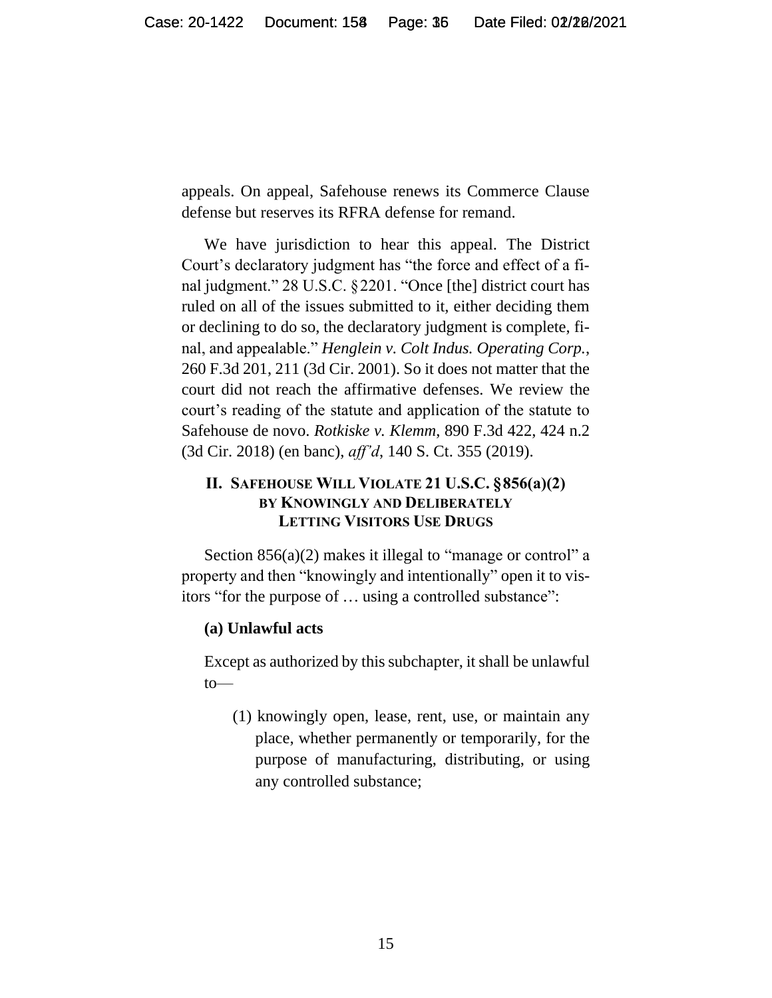appeals. On appeal, Safehouse renews its Commerce Clause defense but reserves its RFRA defense for remand.

We have jurisdiction to hear this appeal. The District Court's declaratory judgment has "the force and effect of a final judgment." 28 U.S.C. §2201. "Once [the] district court has ruled on all of the issues submitted to it, either deciding them or declining to do so, the declaratory judgment is complete, final, and appealable." *Henglein v. Colt Indus. Operating Corp.*, 260 F.3d 201, 211 (3d Cir. 2001). So it does not matter that the court did not reach the affirmative defenses. We review the court's reading of the statute and application of the statute to Safehouse de novo. *Rotkiske v. Klemm*, 890 F.3d 422, 424 n.2 (3d Cir. 2018) (en banc), *aff'd*, 140 S. Ct. 355 (2019).

# **II. SAFEHOUSE WILL VIOLATE 21 U.S.C. §856(a)(2) BY KNOWINGLY AND DELIBERATELY LETTING VISITORS USE DRUGS**

Section 856(a)(2) makes it illegal to "manage or control" a property and then "knowingly and intentionally" open it to visitors "for the purpose of ... using a controlled substance":

#### **(a) Unlawful acts**

Except as authorized by this subchapter, it shall be unlawful to—

(1) knowingly open, lease, rent, use, or maintain any place, whether permanently or temporarily, for the purpose of manufacturing, distributing, or using any controlled substance;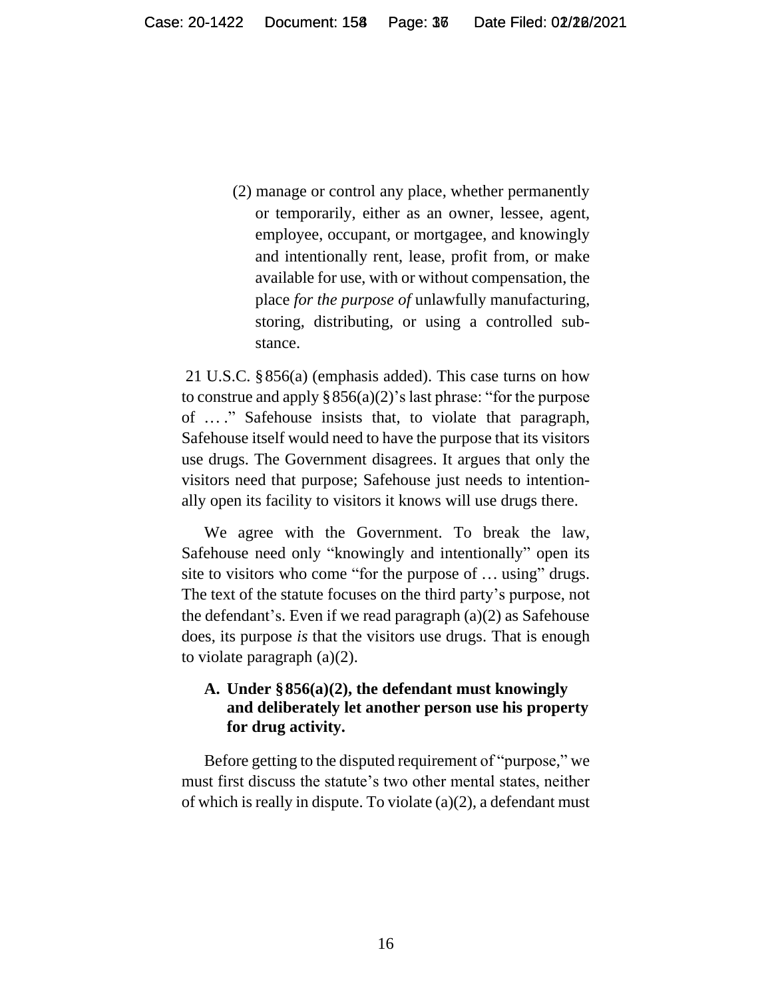(2) manage or control any place, whether permanently or temporarily, either as an owner, lessee, agent, employee, occupant, or mortgagee, and knowingly and intentionally rent, lease, profit from, or make available for use, with or without compensation, the place *for the purpose of* unlawfully manufacturing, storing, distributing, or using a controlled substance.

21 U.S.C. §856(a) (emphasis added). This case turns on how to construe and apply  $\S 856(a)(2)$ 's last phrase: "for the purpose of ... ." Safehouse insists that, to violate that paragraph, Safehouse itself would need to have the purpose that its visitors use drugs. The Government disagrees. It argues that only the visitors need that purpose; Safehouse just needs to intentionally open its facility to visitors it knows will use drugs there.

We agree with the Government. To break the law, Safehouse need only "knowingly and intentionally" open its site to visitors who come "for the purpose of ... using" drugs. The text of the statute focuses on the third party's purpose, not the defendant's. Even if we read paragraph (a)(2) as Safehouse does, its purpose *is* that the visitors use drugs. That is enough to violate paragraph (a)(2).

## **A. Under §856(a)(2), the defendant must knowingly and deliberately let another person use his property for drug activity.**

Before getting to the disputed requirement of "purpose," we must first discuss the statute's two other mental states, neither of which is really in dispute. To violate (a)(2), a defendant must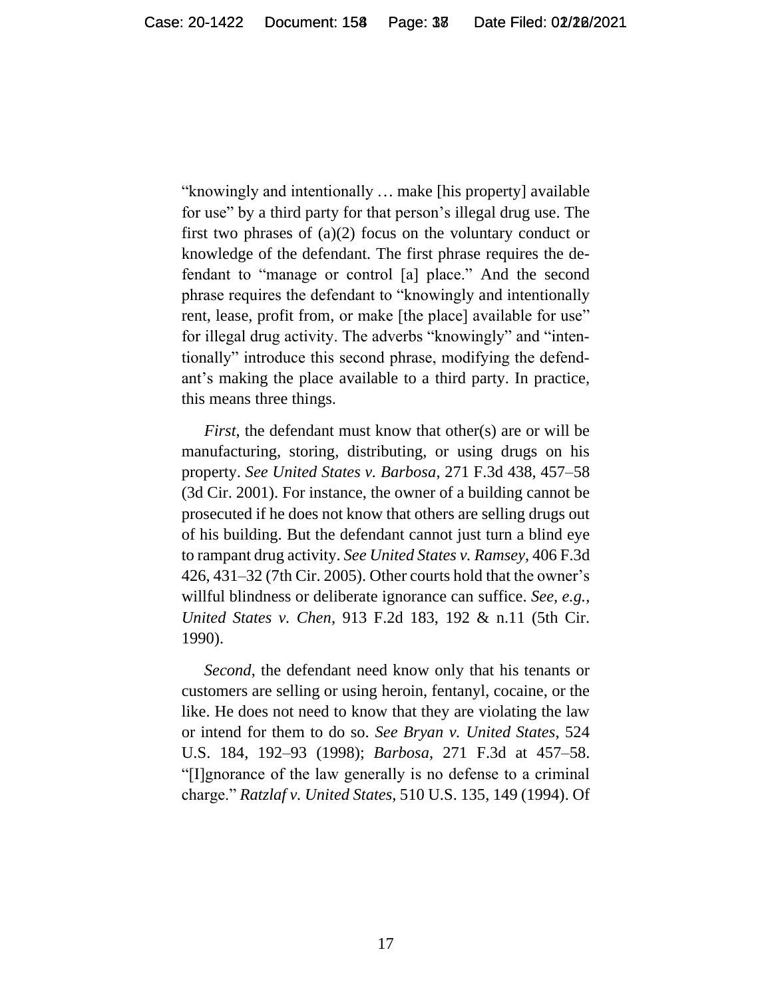"knowingly and intentionally ... make [his property] available for use" by a third party for that person's illegal drug use. The first two phrases of (a)(2) focus on the voluntary conduct or knowledge of the defendant. The first phrase requires the defendant to "manage or control [a] place." And the second phrase requires the defendant to "knowingly and intentionally rent, lease, profit from, or make [the place] available for use" for illegal drug activity. The adverbs "knowingly" and "intentionally" introduce this second phrase, modifying the defendant's making the place available to a third party. In practice, this means three things.

*First*, the defendant must know that other(s) are or will be manufacturing, storing, distributing, or using drugs on his property. *See United States v. Barbosa*, 271 F.3d 438, 457–58 (3d Cir. 2001). For instance, the owner of a building cannot be prosecuted if he does not know that others are selling drugs out of his building. But the defendant cannot just turn a blind eye to rampant drug activity. *See United States v. Ramsey*, 406 F.3d 426, 431–32 (7th Cir. 2005). Other courts hold that the owner's willful blindness or deliberate ignorance can suffice. *See, e.g.*, *United States v. Chen*, 913 F.2d 183, 192 & n.11 (5th Cir. 1990).

*Second*, the defendant need know only that his tenants or customers are selling or using heroin, fentanyl, cocaine, or the like. He does not need to know that they are violating the law or intend for them to do so. *See Bryan v. United States*, 524 U.S. 184, 192–93 (1998); *Barbosa*, 271 F.3d at 457–58. "[I]gnorance of the law generally is no defense to a criminal charge." *Ratzlaf v. United States*, 510 U.S. 135, 149 (1994). Of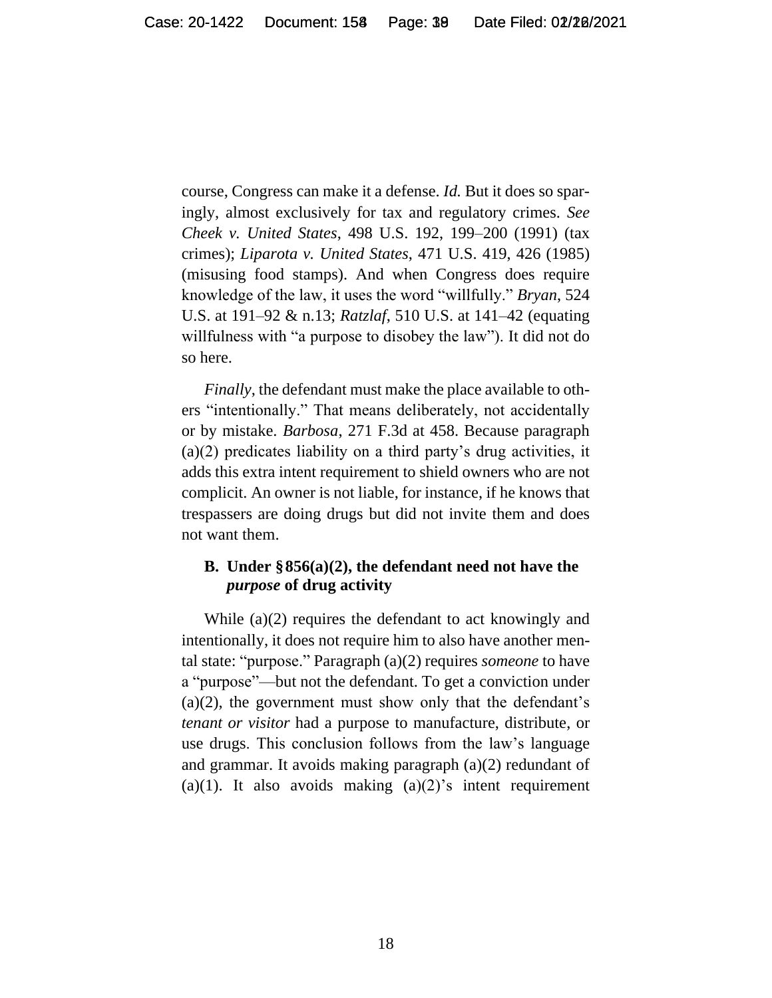course, Congress can make it a defense. *Id.* But it does so sparingly, almost exclusively for tax and regulatory crimes. *See Cheek v. United States*, 498 U.S. 192, 199–200 (1991) (tax crimes); *Liparota v. United States*, 471 U.S. 419, 426 (1985) (misusing food stamps). And when Congress does require knowledge of the law, it uses the word "willfully." *Bryan*, 524 U.S. at 191–92 & n.13; *Ratzlaf*, 510 U.S. at 141–42 (equating willfulness with "a purpose to disobey the law"). It did not do so here.

*Finally*, the defendant must make the place available to others "intentionally." That means deliberately, not accidentally or by mistake. *Barbosa*, 271 F.3d at 458. Because paragraph (a)(2) predicates liability on a third party's drug activities, it adds this extra intent requirement to shield owners who are not complicit. An owner is not liable, for instance, if he knows that trespassers are doing drugs but did not invite them and does not want them.

### **B. Under §856(a)(2), the defendant need not have the**  *purpose* **of drug activity**

While (a)(2) requires the defendant to act knowingly and intentionally, it does not require him to also have another mental state: "purpose." Paragraph (a)(2) requires *someone* to have a "purpose"—but not the defendant. To get a conviction under (a)(2), the government must show only that the defendant's *tenant or visitor* had a purpose to manufacture, distribute, or use drugs. This conclusion follows from the law's language and grammar. It avoids making paragraph (a)(2) redundant of (a)(1). It also avoids making  $(a)(2)$ 's intent requirement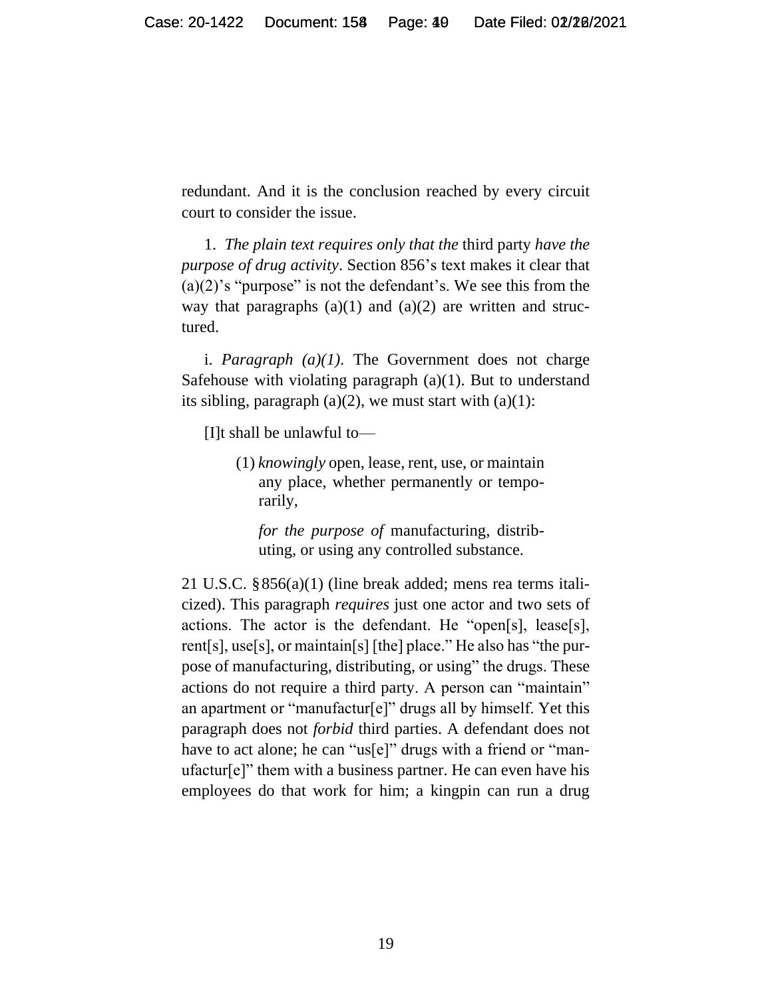redundant. And it is the conclusion reached by every circuit court to consider the issue.

1. *The plain text requires only that the* third party *have the purpose of drug activity*. Section 856's text makes it clear that (a)(2)'s "purpose" is not the defendant's. We see this from the way that paragraphs  $(a)(1)$  and  $(a)(2)$  are written and structured.

i. *Paragraph*  $(a)(1)$ . The Government does not charge Safehouse with violating paragraph  $(a)(1)$ . But to understand its sibling, paragraph  $(a)(2)$ , we must start with  $(a)(1)$ :

[I]t shall be unlawful to—

(1) *knowingly* open, lease, rent, use, or maintain any place, whether permanently or temporarily,

*for the purpose of* manufacturing, distributing, or using any controlled substance.

21 U.S.C. §856(a)(1) (line break added; mens rea terms italicized). This paragraph *requires* just one actor and two sets of actions. The actor is the defendant. He "open[s], lease[s], rent[s], use[s], or maintain[s] [the] place." He also has "the purpose of manufacturing, distributing, or using" the drugs. These actions do not require a third party. A person can "maintain" an apartment or "manufactur[e]" drugs all by himself. Yet this paragraph does not *forbid* third parties. A defendant does not have to act alone; he can "us[e]" drugs with a friend or "manufactur[e]" them with a business partner. He can even have his employees do that work for him; a kingpin can run a drug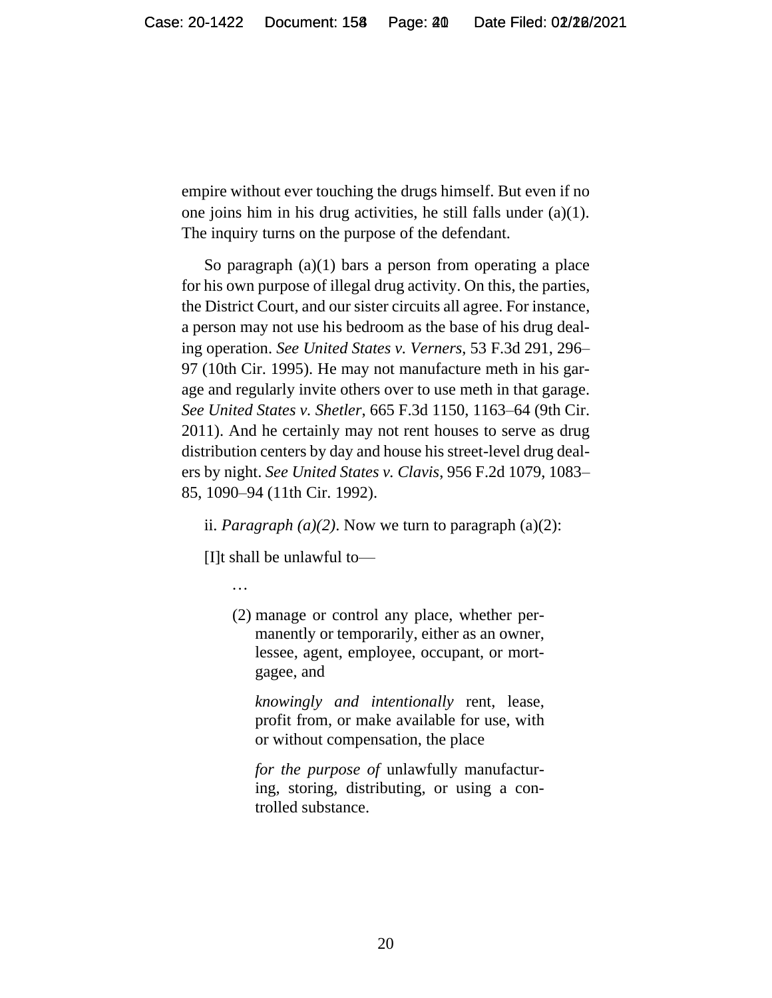empire without ever touching the drugs himself. But even if no one joins him in his drug activities, he still falls under (a)(1). The inquiry turns on the purpose of the defendant.

So paragraph  $(a)(1)$  bars a person from operating a place for his own purpose of illegal drug activity. On this, the parties, the District Court, and our sister circuits all agree. For instance, a person may not use his bedroom as the base of his drug dealing operation. *See United States v. Verners*, 53 F.3d 291, 296– 97 (10th Cir. 1995). He may not manufacture meth in his garage and regularly invite others over to use meth in that garage. *See United States v. Shetler*, 665 F.3d 1150, 1163–64 (9th Cir. 2011). And he certainly may not rent houses to serve as drug distribution centers by day and house his street-level drug dealers by night. *See United States v. Clavis*, 956 F.2d 1079, 1083– 85, 1090–94 (11th Cir. 1992).

ii. *Paragraph*  $(a)(2)$ . Now we turn to paragraph  $(a)(2)$ :

[I]t shall be unlawful to—

...

(2) manage or control any place, whether permanently or temporarily, either as an owner, lessee, agent, employee, occupant, or mortgagee, and

*knowingly and intentionally* rent, lease, profit from, or make available for use, with or without compensation, the place

*for the purpose of* unlawfully manufacturing, storing, distributing, or using a controlled substance.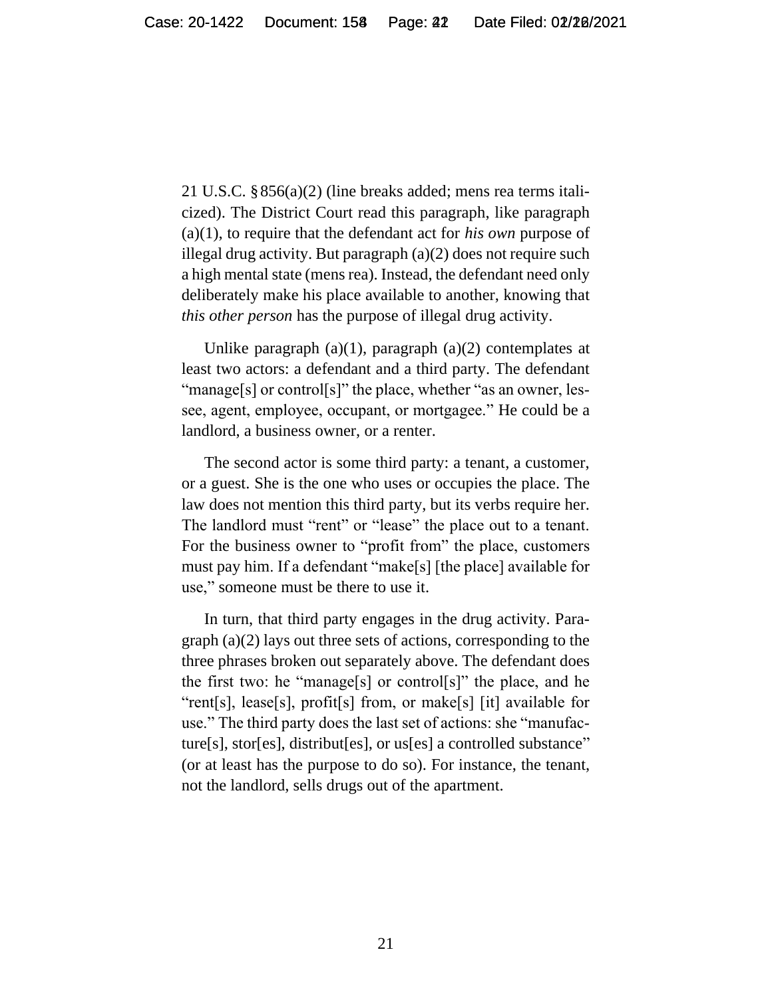21 U.S.C. §856(a)(2) (line breaks added; mens rea terms italicized). The District Court read this paragraph, like paragraph (a)(1), to require that the defendant act for *his own* purpose of illegal drug activity. But paragraph (a)(2) does not require such a high mental state (mens rea). Instead, the defendant need only deliberately make his place available to another, knowing that *this other person* has the purpose of illegal drug activity.

Unlike paragraph  $(a)(1)$ , paragraph  $(a)(2)$  contemplates at least two actors: a defendant and a third party. The defendant "manage[s] or control[s]" the place, whether "as an owner, lessee, agent, employee, occupant, or mortgagee." He could be a landlord, a business owner, or a renter.

The second actor is some third party: a tenant, a customer, or a guest. She is the one who uses or occupies the place. The law does not mention this third party, but its verbs require her. The landlord must "rent" or "lease" the place out to a tenant. For the business owner to "profit from" the place, customers must pay him. If a defendant "make[s] [the place] available for use," someone must be there to use it.

In turn, that third party engages in the drug activity. Paragraph (a)(2) lays out three sets of actions, corresponding to the three phrases broken out separately above. The defendant does the first two: he "manage[s] or control[s]" the place, and he "rent[s], lease[s], profit[s] from, or make[s] [it] available for use." The third party does the last set of actions: she "manufacture[s], stor[es], distribut[es], or us[es] a controlled substance" (or at least has the purpose to do so). For instance, the tenant, not the landlord, sells drugs out of the apartment.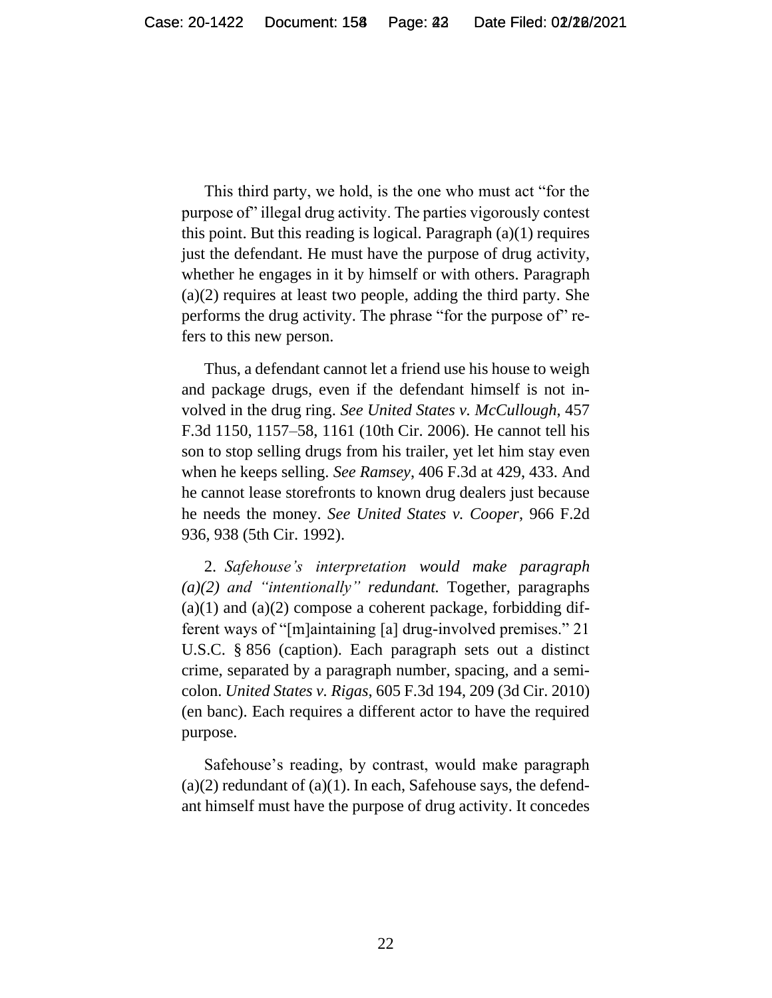This third party, we hold, is the one who must act "for the purpose of" illegal drug activity. The parties vigorously contest this point. But this reading is logical. Paragraph  $(a)(1)$  requires just the defendant. He must have the purpose of drug activity, whether he engages in it by himself or with others. Paragraph (a)(2) requires at least two people, adding the third party. She performs the drug activity. The phrase "for the purpose of" refers to this new person.

Thus, a defendant cannot let a friend use his house to weigh and package drugs, even if the defendant himself is not involved in the drug ring. *See United States v. McCullough*, 457 F.3d 1150, 1157–58, 1161 (10th Cir. 2006). He cannot tell his son to stop selling drugs from his trailer, yet let him stay even when he keeps selling. *See Ramsey*, 406 F.3d at 429, 433. And he cannot lease storefronts to known drug dealers just because he needs the money. *See United States v. Cooper*, 966 F.2d 936, 938 (5th Cir. 1992).

2. *Safehouse's interpretation would make paragraph (a)(2) and "intentionally" redundant.* Together, paragraphs  $(a)(1)$  and  $(a)(2)$  compose a coherent package, forbidding different ways of "[m]aintaining [a] drug-involved premises." 21 U.S.C. § 856 (caption). Each paragraph sets out a distinct crime, separated by a paragraph number, spacing, and a semicolon. *United States v. Rigas*, 605 F.3d 194, 209 (3d Cir. 2010) (en banc). Each requires a different actor to have the required purpose.

Safehouse's reading, by contrast, would make paragraph  $(a)(2)$  redundant of  $(a)(1)$ . In each, Safehouse says, the defendant himself must have the purpose of drug activity. It concedes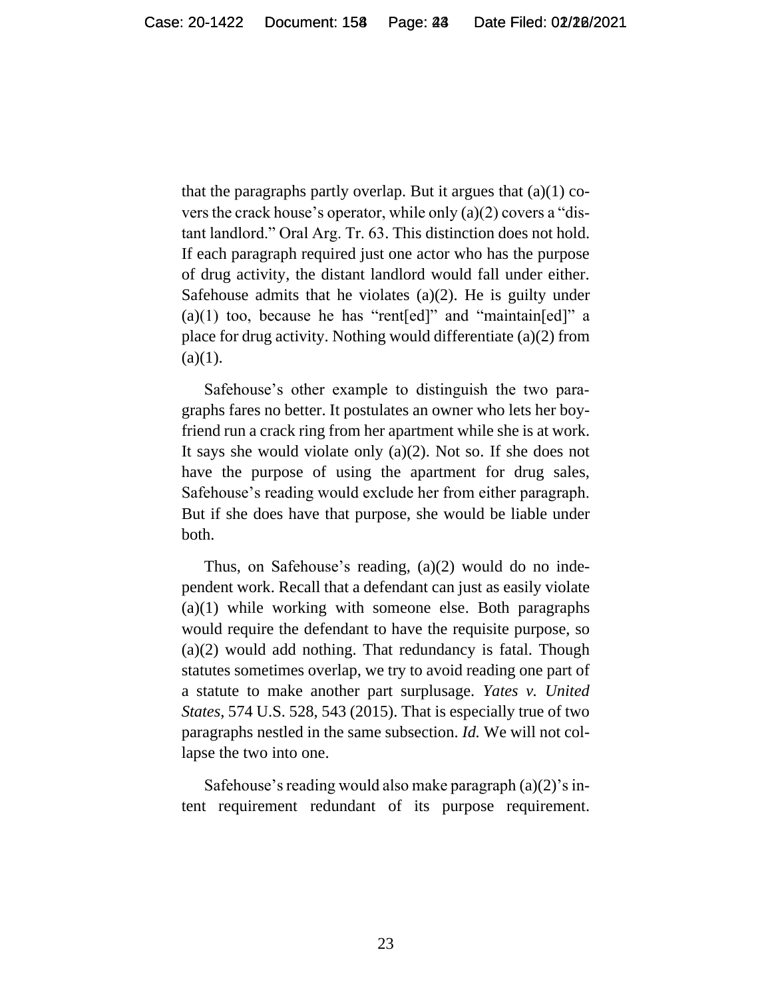that the paragraphs partly overlap. But it argues that  $(a)(1)$  covers the crack house's operator, while only (a)(2) covers a "distant landlord." Oral Arg. Tr. 63. This distinction does not hold. If each paragraph required just one actor who has the purpose of drug activity, the distant landlord would fall under either. Safehouse admits that he violates  $(a)(2)$ . He is guilty under  $(a)(1)$  too, because he has "rent[ed]" and "maintain[ed]" a place for drug activity. Nothing would differentiate (a)(2) from  $(a)(1)$ .

Safehouse's other example to distinguish the two paragraphs fares no better. It postulates an owner who lets her boyfriend run a crack ring from her apartment while she is at work. It says she would violate only (a)(2). Not so. If she does not have the purpose of using the apartment for drug sales, Safehouse's reading would exclude her from either paragraph. But if she does have that purpose, she would be liable under both.

Thus, on Safehouse's reading, (a)(2) would do no independent work. Recall that a defendant can just as easily violate (a)(1) while working with someone else. Both paragraphs would require the defendant to have the requisite purpose, so (a)(2) would add nothing. That redundancy is fatal. Though statutes sometimes overlap, we try to avoid reading one part of a statute to make another part surplusage. *Yates v. United States*, 574 U.S. 528, 543 (2015). That is especially true of two paragraphs nestled in the same subsection. *Id.* We will not collapse the two into one.

Safehouse's reading would also make paragraph (a)(2)'s intent requirement redundant of its purpose requirement.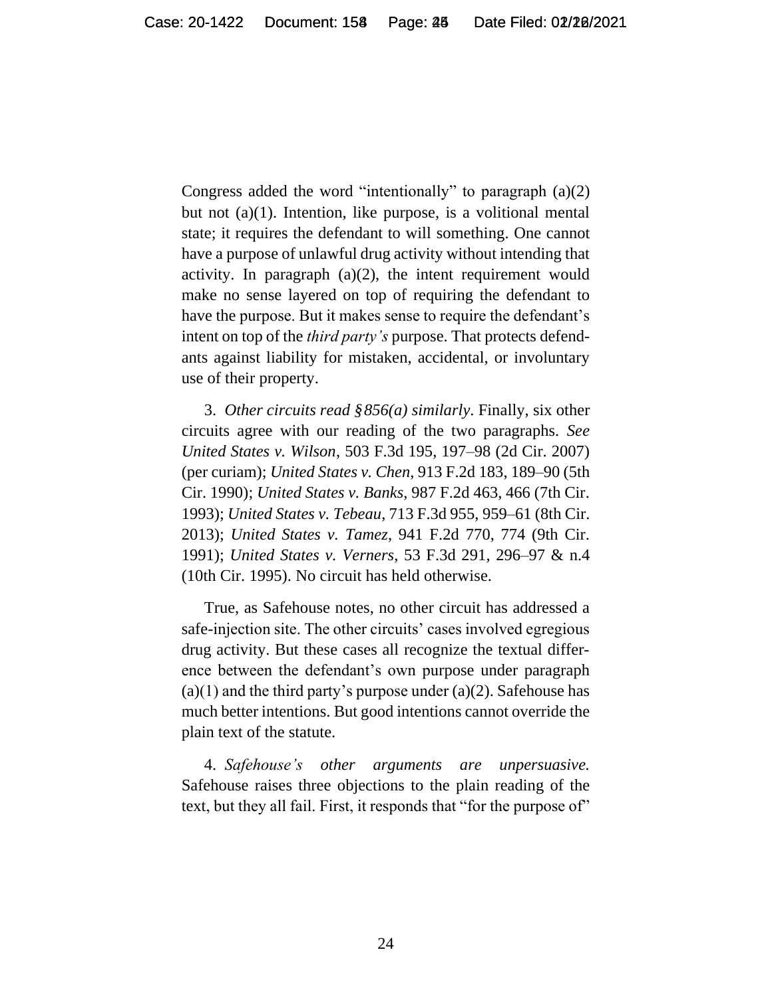Congress added the word "intentionally" to paragraph (a)(2) but not (a)(1). Intention, like purpose, is a volitional mental state; it requires the defendant to will something. One cannot have a purpose of unlawful drug activity without intending that activity. In paragraph  $(a)(2)$ , the intent requirement would make no sense layered on top of requiring the defendant to have the purpose. But it makes sense to require the defendant's intent on top of the *third party's* purpose. That protects defendants against liability for mistaken, accidental, or involuntary use of their property.

3. *Other circuits read §856(a) similarly*. Finally, six other circuits agree with our reading of the two paragraphs. *See United States v. Wilson*, 503 F.3d 195, 197–98 (2d Cir. 2007) (per curiam); *United States v. Chen*, 913 F.2d 183, 189–90 (5th Cir. 1990); *United States v. Banks*, 987 F.2d 463, 466 (7th Cir. 1993); *United States v. Tebeau*, 713 F.3d 955, 959–61 (8th Cir. 2013); *United States v. Tamez*, 941 F.2d 770, 774 (9th Cir. 1991); *United States v. Verners*, 53 F.3d 291, 296–97 & n.4 (10th Cir. 1995). No circuit has held otherwise.

True, as Safehouse notes, no other circuit has addressed a safe-injection site. The other circuits' cases involved egregious drug activity. But these cases all recognize the textual difference between the defendant's own purpose under paragraph  $(a)(1)$  and the third party's purpose under  $(a)(2)$ . Safehouse has much better intentions. But good intentions cannot override the plain text of the statute.

4. *Safehouse's other arguments are unpersuasive.* Safehouse raises three objections to the plain reading of the text, but they all fail. First, it responds that "for the purpose of"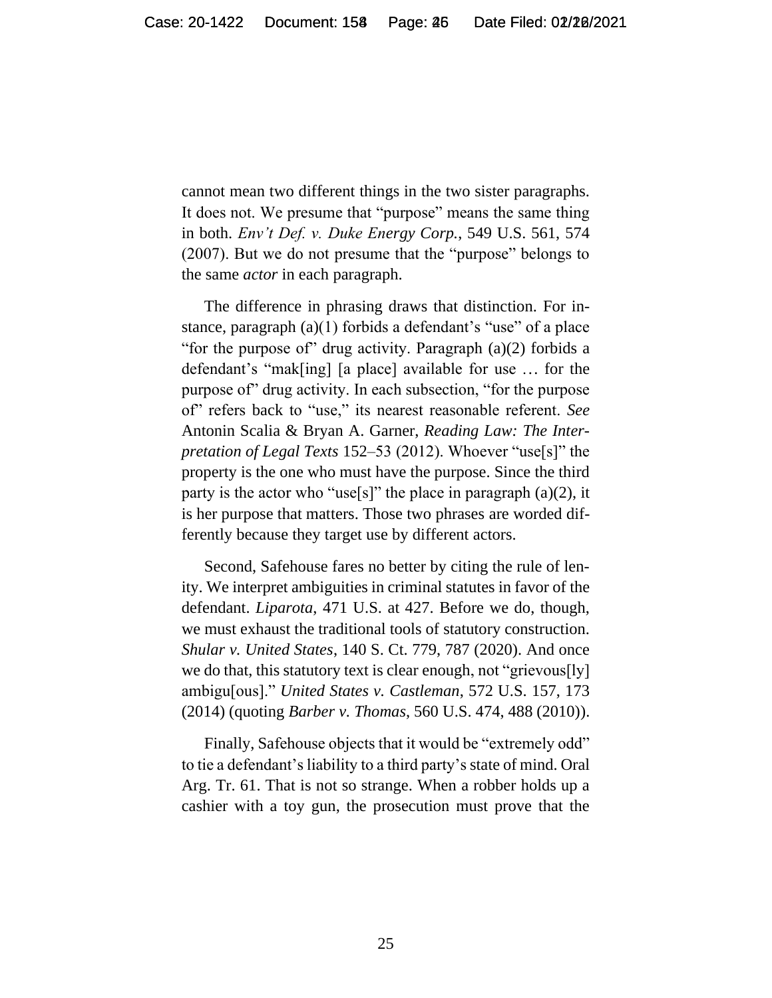cannot mean two different things in the two sister paragraphs. It does not. We presume that "purpose" means the same thing in both. *Env't Def. v. Duke Energy Corp.*, 549 U.S. 561, 574 (2007). But we do not presume that the "purpose" belongs to the same *actor* in each paragraph.

The difference in phrasing draws that distinction. For instance, paragraph (a)(1) forbids a defendant's "use" of a place "for the purpose of" drug activity. Paragraph (a)(2) forbids a defendant's "mak[ing] [a place] available for use ... for the purpose of" drug activity. In each subsection, "for the purpose of" refers back to "use," its nearest reasonable referent. *See*  Antonin Scalia & Bryan A. Garner, *Reading Law: The Interpretation of Legal Texts* 152–53 (2012). Whoever "use[s]" the property is the one who must have the purpose. Since the third party is the actor who "use[s]" the place in paragraph  $(a)(2)$ , it is her purpose that matters. Those two phrases are worded differently because they target use by different actors.

Second, Safehouse fares no better by citing the rule of lenity. We interpret ambiguities in criminal statutes in favor of the defendant. *Liparota*, 471 U.S. at 427. Before we do, though, we must exhaust the traditional tools of statutory construction. *Shular v. United States*, 140 S. Ct. 779, 787 (2020). And once we do that, this statutory text is clear enough, not "grievous[ly] ambigu[ous]." *United States v. Castleman*, 572 U.S. 157, 173 (2014) (quoting *Barber v. Thomas*, 560 U.S. 474, 488 (2010)).

Finally, Safehouse objects that it would be "extremely odd" to tie a defendant's liability to a third party's state of mind. Oral Arg. Tr. 61. That is not so strange. When a robber holds up a cashier with a toy gun, the prosecution must prove that the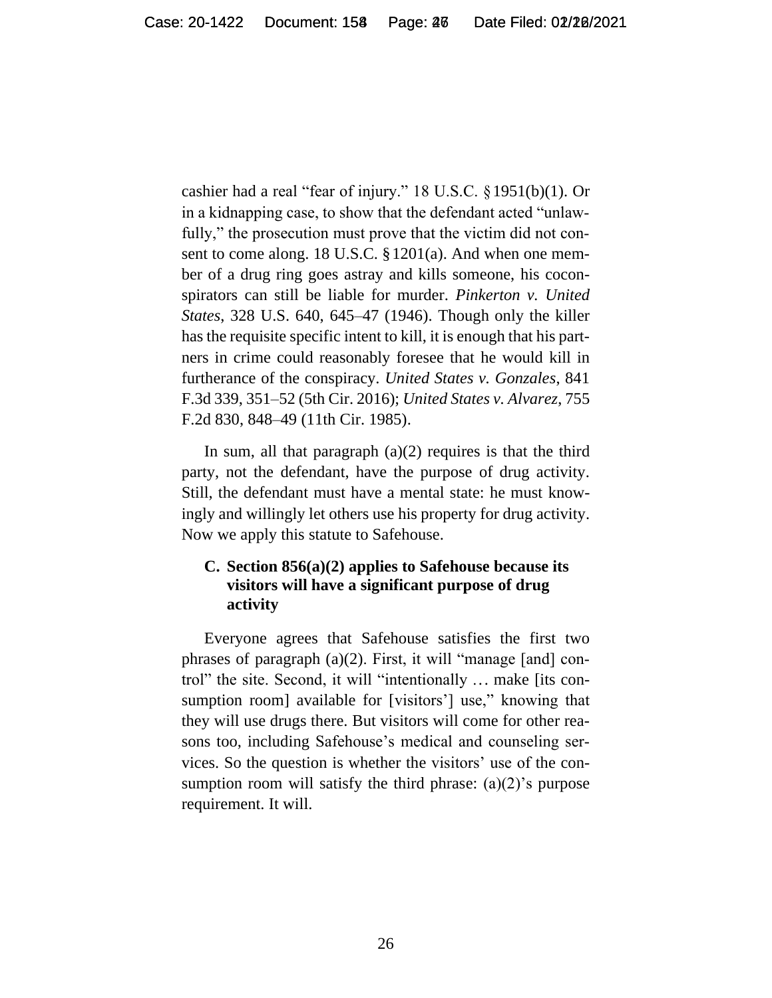cashier had a real "fear of injury." 18 U.S.C. §1951(b)(1). Or in a kidnapping case, to show that the defendant acted "unlawfully," the prosecution must prove that the victim did not consent to come along. 18 U.S.C. §1201(a). And when one member of a drug ring goes astray and kills someone, his coconspirators can still be liable for murder. *Pinkerton v. United States*, 328 U.S. 640, 645–47 (1946). Though only the killer has the requisite specific intent to kill, it is enough that his partners in crime could reasonably foresee that he would kill in furtherance of the conspiracy. *United States v. Gonzales*, 841 F.3d 339, 351–52 (5th Cir. 2016); *United States v. Alvarez*, 755 F.2d 830, 848–49 (11th Cir. 1985).

In sum, all that paragraph  $(a)(2)$  requires is that the third party, not the defendant, have the purpose of drug activity. Still, the defendant must have a mental state: he must knowingly and willingly let others use his property for drug activity. Now we apply this statute to Safehouse.

# **C. Section 856(a)(2) applies to Safehouse because its visitors will have a significant purpose of drug activity**

Everyone agrees that Safehouse satisfies the first two phrases of paragraph (a)(2). First, it will "manage [and] control" the site. Second, it will "intentionally ... make [its consumption room] available for [visitors'] use," knowing that they will use drugs there. But visitors will come for other reasons too, including Safehouse's medical and counseling services. So the question is whether the visitors' use of the consumption room will satisfy the third phrase:  $(a)(2)$ 's purpose requirement. It will.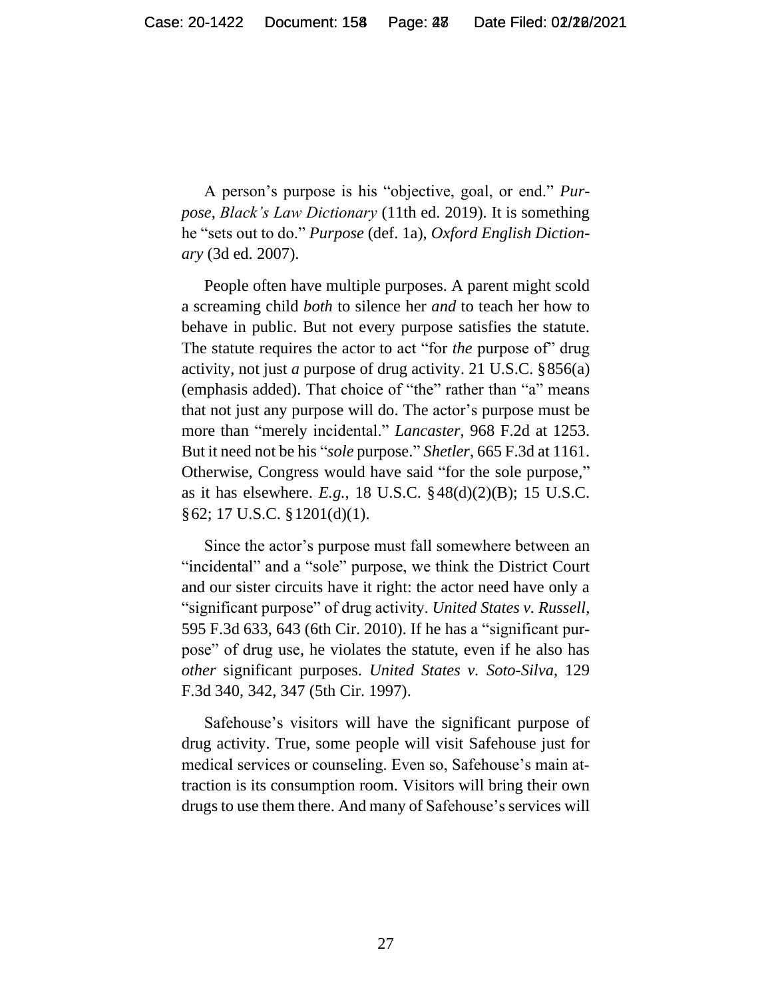A person's purpose is his "objective, goal, or end." *Purpose*, *Black's Law Dictionary* (11th ed. 2019). It is something he "sets out to do." *Purpose* (def. 1a), *Oxford English Dictionary* (3d ed. 2007).

People often have multiple purposes. A parent might scold a screaming child *both* to silence her *and* to teach her how to behave in public. But not every purpose satisfies the statute. The statute requires the actor to act "for *the* purpose of" drug activity, not just *a* purpose of drug activity. 21 U.S.C. §856(a) (emphasis added). That choice of "the" rather than "a" means that not just any purpose will do. The actor's purpose must be more than "merely incidental." *Lancaster*, 968 F.2d at 1253. But it need not be his "*sole* purpose." *Shetler*, 665 F.3d at 1161. Otherwise, Congress would have said "for the sole purpose," as it has elsewhere. *E.g.*, 18 U.S.C. §48(d)(2)(B); 15 U.S.C. §62; 17 U.S.C. §1201(d)(1).

Since the actor's purpose must fall somewhere between an "incidental" and a "sole" purpose, we think the District Court and our sister circuits have it right: the actor need have only a "significant purpose" of drug activity. *United States v. Russell*, 595 F.3d 633, 643 (6th Cir. 2010). If he has a "significant purpose" of drug use, he violates the statute, even if he also has *other* significant purposes. *United States v. Soto-Silva*, 129 F.3d 340, 342, 347 (5th Cir. 1997).

Safehouse's visitors will have the significant purpose of drug activity. True, some people will visit Safehouse just for medical services or counseling. Even so, Safehouse's main attraction is its consumption room. Visitors will bring their own drugs to use them there. And many of Safehouse's services will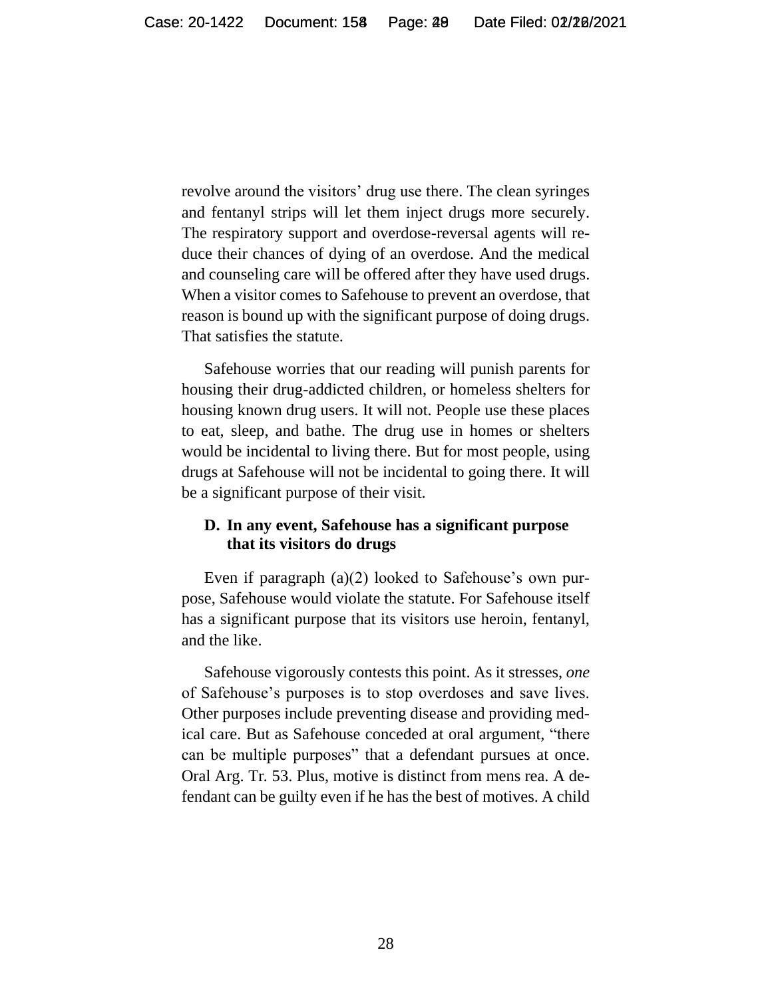revolve around the visitors' drug use there. The clean syringes and fentanyl strips will let them inject drugs more securely. The respiratory support and overdose-reversal agents will reduce their chances of dying of an overdose. And the medical and counseling care will be offered after they have used drugs. When a visitor comes to Safehouse to prevent an overdose, that reason is bound up with the significant purpose of doing drugs. That satisfies the statute.

Safehouse worries that our reading will punish parents for housing their drug-addicted children, or homeless shelters for housing known drug users. It will not. People use these places to eat, sleep, and bathe. The drug use in homes or shelters would be incidental to living there. But for most people, using drugs at Safehouse will not be incidental to going there. It will be a significant purpose of their visit.

### **D. In any event, Safehouse has a significant purpose that its visitors do drugs**

Even if paragraph (a)(2) looked to Safehouse's own purpose, Safehouse would violate the statute. For Safehouse itself has a significant purpose that its visitors use heroin, fentanyl, and the like.

Safehouse vigorously contests this point. As it stresses, *one* of Safehouse's purposes is to stop overdoses and save lives. Other purposes include preventing disease and providing medical care. But as Safehouse conceded at oral argument, "there can be multiple purposes" that a defendant pursues at once. Oral Arg. Tr*.* 53. Plus, motive is distinct from mens rea. A defendant can be guilty even if he has the best of motives. A child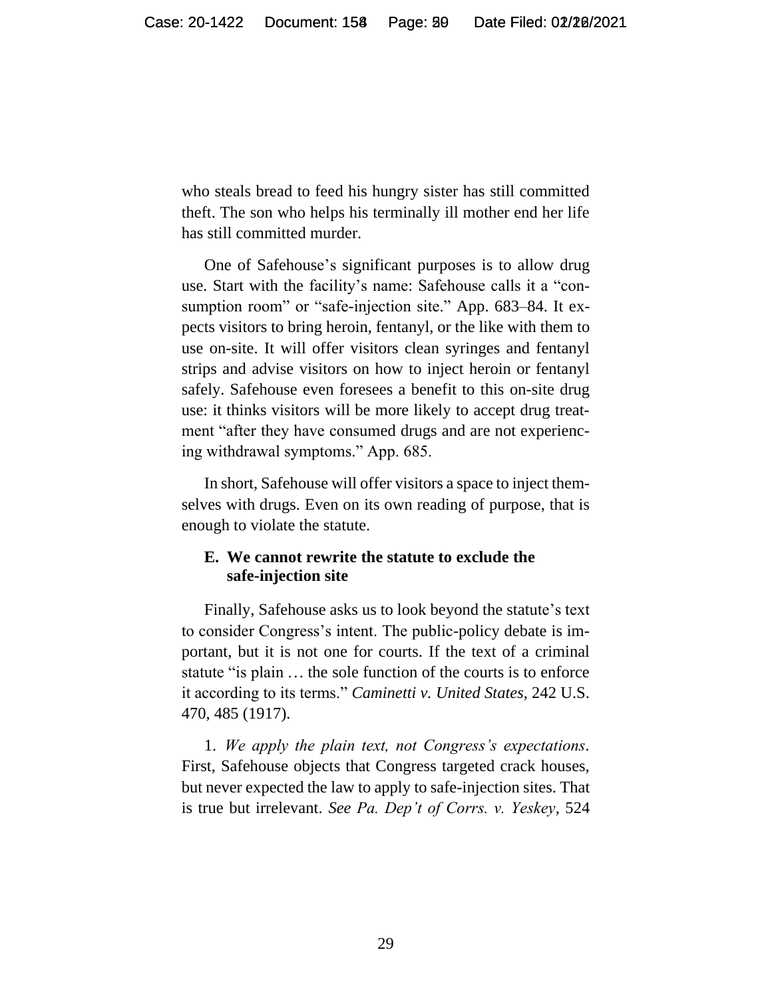who steals bread to feed his hungry sister has still committed theft. The son who helps his terminally ill mother end her life has still committed murder.

One of Safehouse's significant purposes is to allow drug use. Start with the facility's name: Safehouse calls it a "consumption room" or "safe-injection site." App. 683–84. It expects visitors to bring heroin, fentanyl, or the like with them to use on-site. It will offer visitors clean syringes and fentanyl strips and advise visitors on how to inject heroin or fentanyl safely. Safehouse even foresees a benefit to this on-site drug use: it thinks visitors will be more likely to accept drug treatment "after they have consumed drugs and are not experiencing withdrawal symptoms." App. 685.

In short, Safehouse will offer visitors a space to inject themselves with drugs. Even on its own reading of purpose, that is enough to violate the statute.

### **E. We cannot rewrite the statute to exclude the safe-injection site**

Finally, Safehouse asks us to look beyond the statute's text to consider Congress's intent. The public-policy debate is important, but it is not one for courts. If the text of a criminal statute "is plain ... the sole function of the courts is to enforce it according to its terms." *Caminetti v. United States*, 242 U.S. 470, 485 (1917).

1. *We apply the plain text, not Congress's expectations.*  First, Safehouse objects that Congress targeted crack houses, but never expected the law to apply to safe-injection sites. That is true but irrelevant. *See Pa. Dep't of Corrs. v. Yeskey*, 524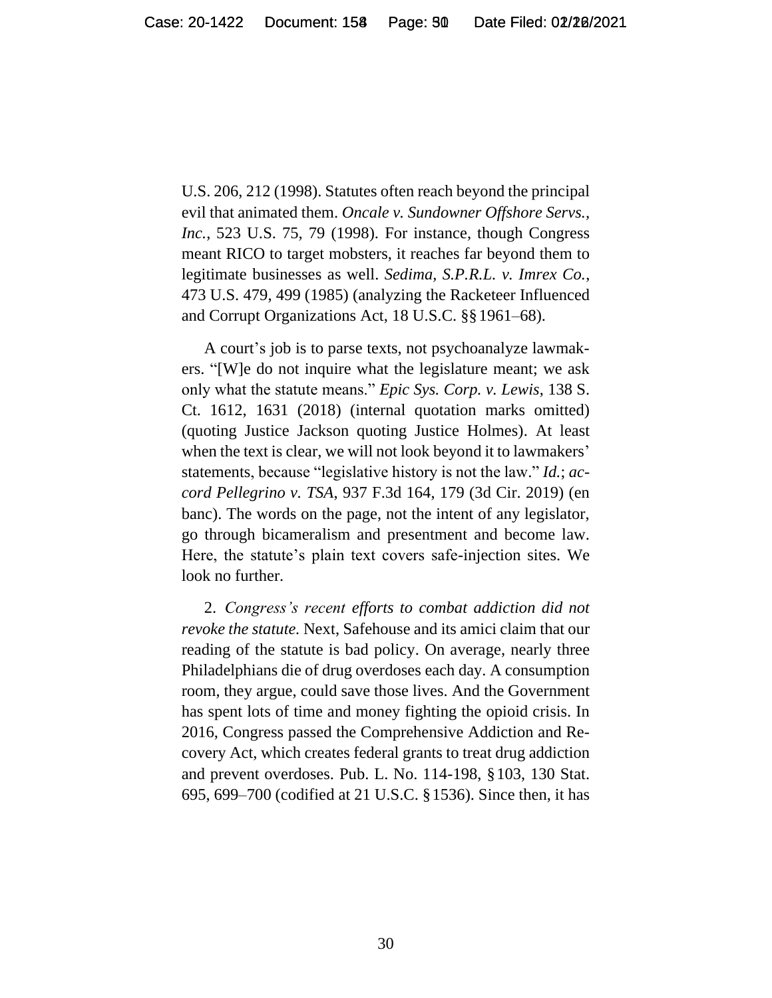U.S. 206, 212 (1998). Statutes often reach beyond the principal evil that animated them. *Oncale v. Sundowner Offshore Servs., Inc.*, 523 U.S. 75, 79 (1998). For instance, though Congress meant RICO to target mobsters, it reaches far beyond them to legitimate businesses as well. *Sedima, S.P.R.L. v. Imrex Co.*, 473 U.S. 479, 499 (1985) (analyzing the Racketeer Influenced and Corrupt Organizations Act, 18 U.S.C. §§1961–68).

A court's job is to parse texts, not psychoanalyze lawmakers. "[W]e do not inquire what the legislature meant; we ask only what the statute means." *Epic Sys. Corp. v. Lewis*, 138 S. Ct. 1612, 1631 (2018) (internal quotation marks omitted) (quoting Justice Jackson quoting Justice Holmes). At least when the text is clear, we will not look beyond it to lawmakers' statements, because "legislative history is not the law." *Id.*; *accord Pellegrino v. TSA*, 937 F.3d 164, 179 (3d Cir. 2019) (en banc). The words on the page, not the intent of any legislator, go through bicameralism and presentment and become law. Here, the statute's plain text covers safe-injection sites. We look no further.

2. *Congress's recent efforts to combat addiction did not revoke the statute.* Next, Safehouse and its amici claim that our reading of the statute is bad policy. On average, nearly three Philadelphians die of drug overdoses each day. A consumption room, they argue, could save those lives. And the Government has spent lots of time and money fighting the opioid crisis. In 2016, Congress passed the Comprehensive Addiction and Recovery Act, which creates federal grants to treat drug addiction and prevent overdoses. Pub. L. No. 114-198, §103, 130 Stat. 695, 699–700 (codified at 21 U.S.C. §1536). Since then, it has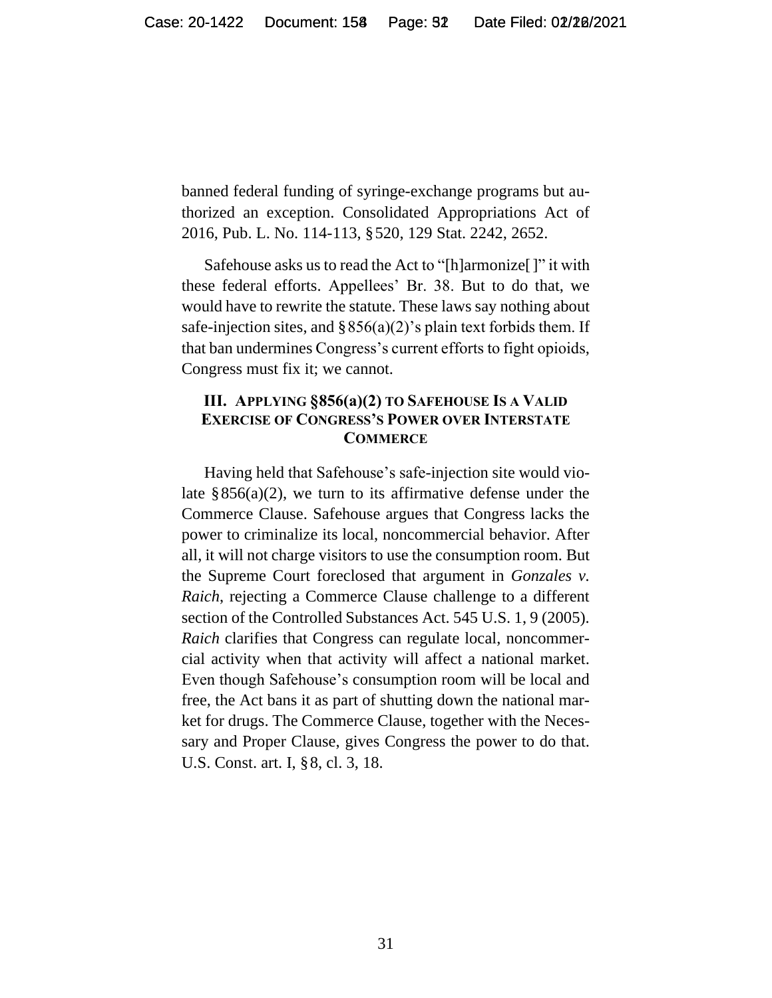banned federal funding of syringe-exchange programs but authorized an exception. Consolidated Appropriations Act of 2016, Pub. L. No. 114-113, §520, 129 Stat. 2242, 2652.

Safehouse asks us to read the Act to "[h]armonize[]" it with these federal efforts. Appellees' Br. 38. But to do that, we would have to rewrite the statute. These laws say nothing about safe-injection sites, and  $\S 856(a)(2)$ 's plain text forbids them. If that ban undermines Congress's current efforts to fight opioids, Congress must fix it; we cannot.

#### **III. APPLYING §856(a)(2) TO SAFEHOUSE IS A VALID EXERCISE OF CONGRESS'S POWER OVER INTERSTATE COMMERCE**

Having held that Safehouse's safe-injection site would violate  $\S 856(a)(2)$ , we turn to its affirmative defense under the Commerce Clause. Safehouse argues that Congress lacks the power to criminalize its local, noncommercial behavior. After all, it will not charge visitors to use the consumption room. But the Supreme Court foreclosed that argument in *Gonzales v. Raich*, rejecting a Commerce Clause challenge to a different section of the Controlled Substances Act. 545 U.S. 1, 9 (2005). *Raich* clarifies that Congress can regulate local, noncommercial activity when that activity will affect a national market. Even though Safehouse's consumption room will be local and free, the Act bans it as part of shutting down the national market for drugs. The Commerce Clause, together with the Necessary and Proper Clause, gives Congress the power to do that. U.S. Const. art. I, §8, cl. 3, 18.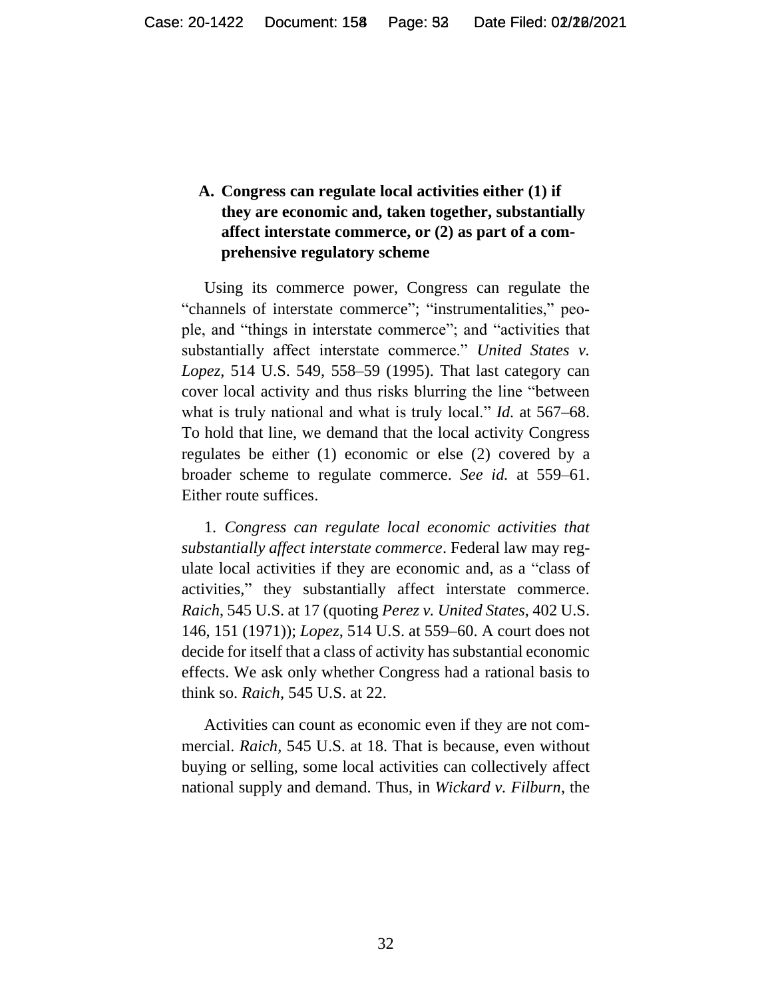# **A. Congress can regulate local activities either (1) if they are economic and, taken together, substantially affect interstate commerce, or (2) as part of a comprehensive regulatory scheme**

Using its commerce power, Congress can regulate the "channels of interstate commerce"; "instrumentalities," people, and "things in interstate commerce"; and "activities that substantially affect interstate commerce." *United States v. Lopez*, 514 U.S. 549, 558–59 (1995). That last category can cover local activity and thus risks blurring the line "between what is truly national and what is truly local." *Id.* at 567–68. To hold that line, we demand that the local activity Congress regulates be either (1) economic or else (2) covered by a broader scheme to regulate commerce. *See id.* at 559–61. Either route suffices.

1. *Congress can regulate local economic activities that substantially affect interstate commerce*. Federal law may regulate local activities if they are economic and, as a "class of activities," they substantially affect interstate commerce. *Raich*, 545 U.S. at 17 (quoting *Perez v. United States*, 402 U.S. 146, 151 (1971)); *Lopez*, 514 U.S. at 559–60. A court does not decide for itself that a class of activity has substantial economic effects. We ask only whether Congress had a rational basis to think so. *Raich*, 545 U.S. at 22.

Activities can count as economic even if they are not commercial. *Raich*, 545 U.S. at 18. That is because, even without buying or selling, some local activities can collectively affect national supply and demand. Thus, in *Wickard v. Filburn*, the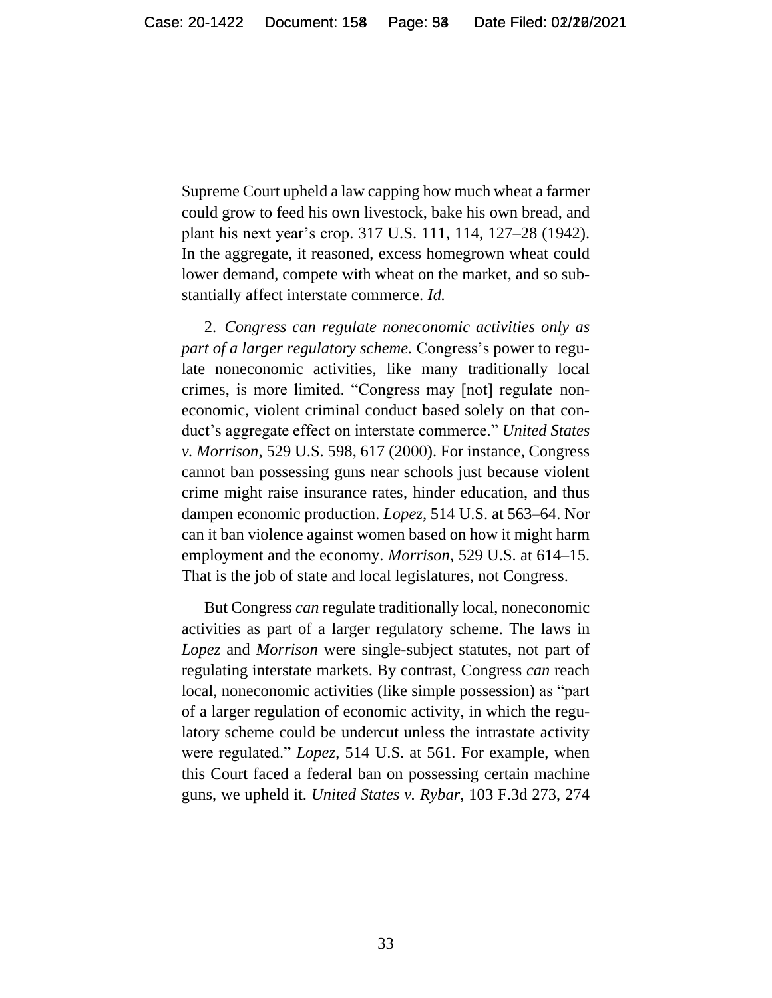Supreme Court upheld a law capping how much wheat a farmer could grow to feed his own livestock, bake his own bread, and plant his next year's crop. 317 U.S. 111, 114, 127–28 (1942). In the aggregate, it reasoned, excess homegrown wheat could lower demand, compete with wheat on the market, and so substantially affect interstate commerce. *Id.*

2. *Congress can regulate noneconomic activities only as part of a larger regulatory scheme.* Congress's power to regulate noneconomic activities, like many traditionally local crimes, is more limited. "Congress may [not] regulate noneconomic, violent criminal conduct based solely on that conduct's aggregate effect on interstate commerce." *United States v. Morrison*, 529 U.S. 598, 617 (2000). For instance, Congress cannot ban possessing guns near schools just because violent crime might raise insurance rates, hinder education, and thus dampen economic production. *Lopez*, 514 U.S. at 563–64. Nor can it ban violence against women based on how it might harm employment and the economy. *Morrison*, 529 U.S. at 614–15. That is the job of state and local legislatures, not Congress.

But Congress *can* regulate traditionally local, noneconomic activities as part of a larger regulatory scheme. The laws in *Lopez* and *Morrison* were single-subject statutes, not part of regulating interstate markets. By contrast, Congress *can* reach local, noneconomic activities (like simple possession) as "part of a larger regulation of economic activity, in which the regulatory scheme could be undercut unless the intrastate activity were regulated." *Lopez*, 514 U.S. at 561. For example, when this Court faced a federal ban on possessing certain machine guns, we upheld it. *United States v. Rybar*, 103 F.3d 273, 274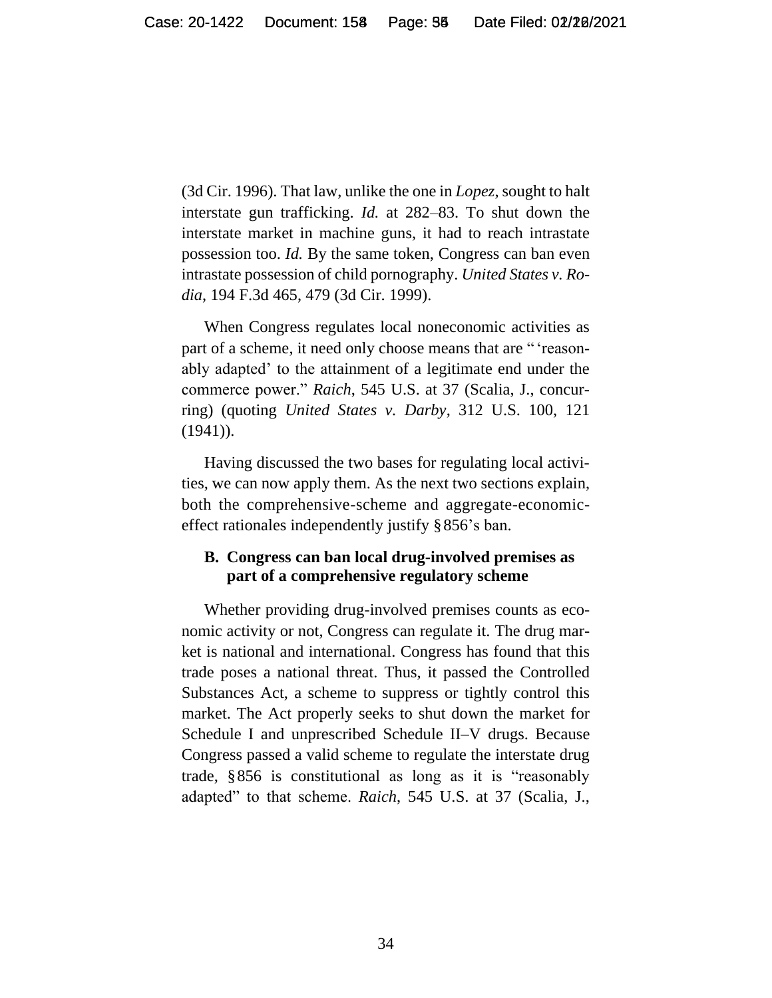(3d Cir. 1996). That law, unlike the one in *Lopez*, sought to halt interstate gun trafficking. *Id.* at 282–83. To shut down the interstate market in machine guns, it had to reach intrastate possession too. *Id.* By the same token, Congress can ban even intrastate possession of child pornography. *United States v. Rodia*, 194 F.3d 465, 479 (3d Cir. 1999).

When Congress regulates local noneconomic activities as part of a scheme, it need only choose means that are " 'reasonably adapted' to the attainment of a legitimate end under the commerce power." *Raich*, 545 U.S. at 37 (Scalia, J., concurring) (quoting *United States v. Darby*, 312 U.S. 100, 121  $(1941)$ .

Having discussed the two bases for regulating local activities, we can now apply them. As the next two sections explain, both the comprehensive-scheme and aggregate-economiceffect rationales independently justify §856's ban.

### **B. Congress can ban local drug-involved premises as part of a comprehensive regulatory scheme**

Whether providing drug-involved premises counts as economic activity or not, Congress can regulate it. The drug market is national and international. Congress has found that this trade poses a national threat. Thus, it passed the Controlled Substances Act, a scheme to suppress or tightly control this market. The Act properly seeks to shut down the market for Schedule I and unprescribed Schedule II–V drugs. Because Congress passed a valid scheme to regulate the interstate drug trade, §856 is constitutional as long as it is "reasonably adapted" to that scheme. *Raich*, 545 U.S. at 37 (Scalia, J.,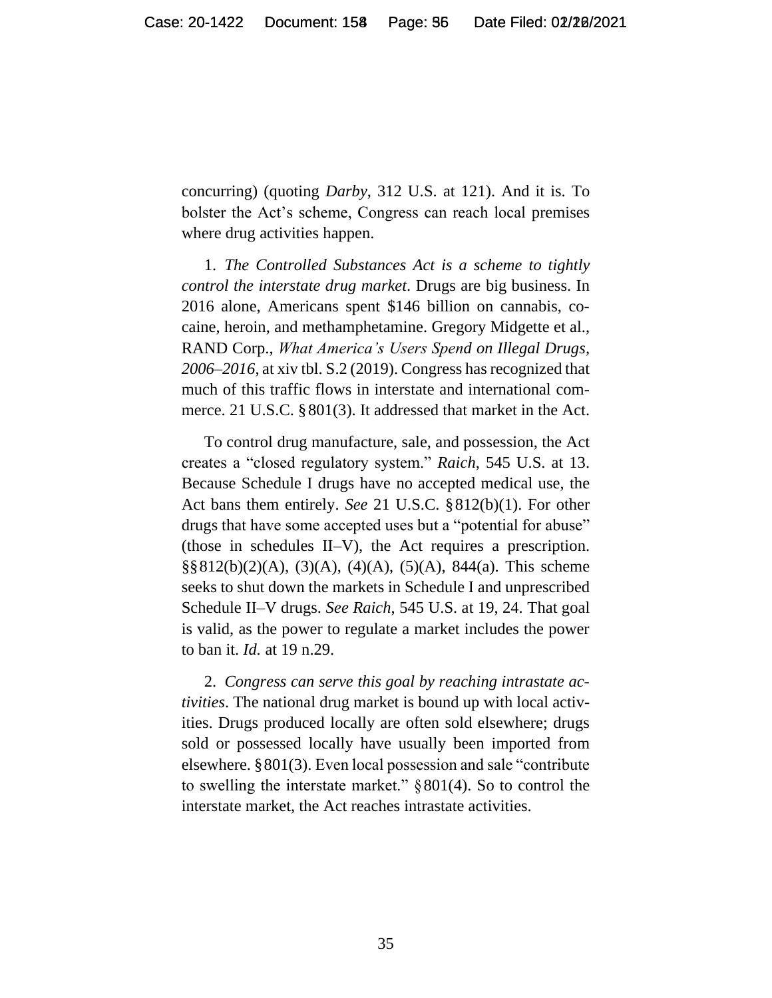concurring) (quoting *Darby*, 312 U.S. at 121). And it is. To bolster the Act's scheme, Congress can reach local premises where drug activities happen.

1. *The Controlled Substances Act is a scheme to tightly control the interstate drug market*. Drugs are big business. In 2016 alone, Americans spent \$146 billion on cannabis, cocaine, heroin, and methamphetamine. Gregory Midgette et al., RAND Corp., *What America's Users Spend on Illegal Drugs, 2006–2016*, at xiv tbl. S.2 (2019). Congress has recognized that much of this traffic flows in interstate and international commerce. 21 U.S.C. §801(3). It addressed that market in the Act.

To control drug manufacture, sale, and possession, the Act creates a "closed regulatory system." *Raich*, 545 U.S. at 13. Because Schedule I drugs have no accepted medical use, the Act bans them entirely. *See* 21 U.S.C. §812(b)(1). For other drugs that have some accepted uses but a "potential for abuse" (those in schedules II–V), the Act requires a prescription.  $\S\S 812(b)(2)(A), (3)(A), (4)(A), (5)(A), 844(a).$  This scheme seeks to shut down the markets in Schedule I and unprescribed Schedule II–V drugs. *See Raich*, 545 U.S. at 19, 24. That goal is valid, as the power to regulate a market includes the power to ban it. *Id.* at 19 n.29.

2. *Congress can serve this goal by reaching intrastate activities*. The national drug market is bound up with local activities. Drugs produced locally are often sold elsewhere; drugs sold or possessed locally have usually been imported from elsewhere. §801(3). Even local possession and sale "contribute to swelling the interstate market."  $§ 801(4)$ . So to control the interstate market, the Act reaches intrastate activities.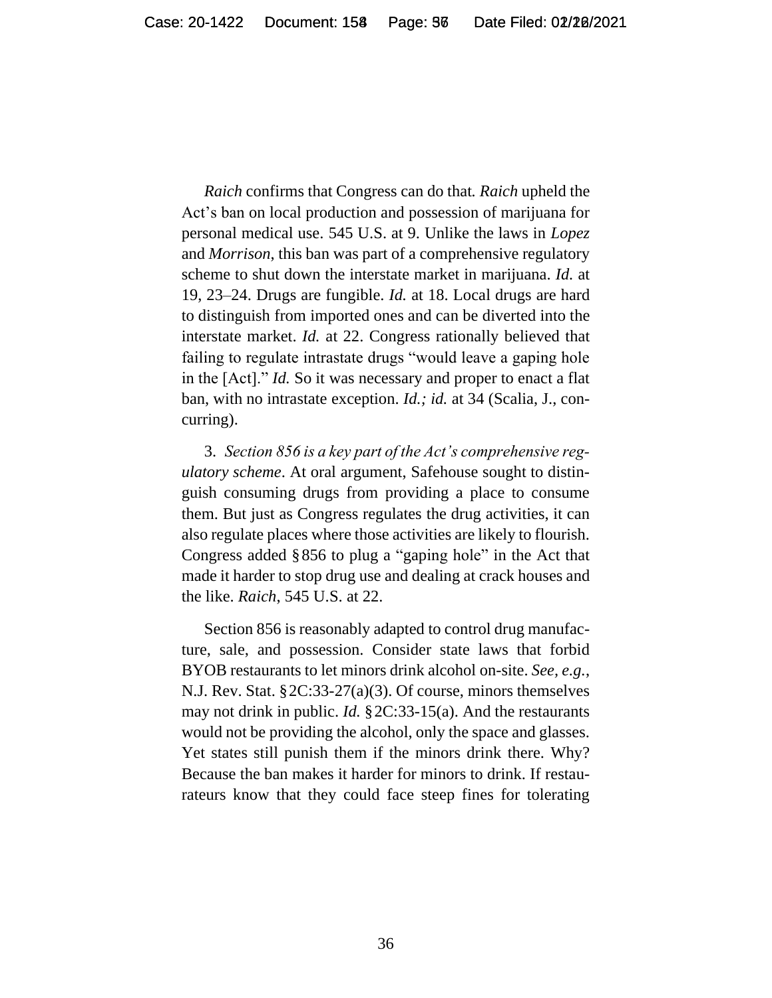*Raich* confirms that Congress can do that*. Raich* upheld the Act's ban on local production and possession of marijuana for personal medical use. 545 U.S. at 9. Unlike the laws in *Lopez* and *Morrison*, this ban was part of a comprehensive regulatory scheme to shut down the interstate market in marijuana. *Id.* at 19, 23–24. Drugs are fungible. *Id.* at 18. Local drugs are hard to distinguish from imported ones and can be diverted into the interstate market. *Id.* at 22. Congress rationally believed that failing to regulate intrastate drugs "would leave a gaping hole in the [Act]." *Id.* So it was necessary and proper to enact a flat ban, with no intrastate exception. *Id.; id.* at 34 (Scalia, J., concurring).

3. *Section 856 is a key part of the Act's comprehensive regulatory scheme*. At oral argument, Safehouse sought to distinguish consuming drugs from providing a place to consume them. But just as Congress regulates the drug activities, it can also regulate places where those activities are likely to flourish. Congress added §856 to plug a "gaping hole" in the Act that made it harder to stop drug use and dealing at crack houses and the like. *Raich*, 545 U.S. at 22.

Section 856 is reasonably adapted to control drug manufacture, sale, and possession. Consider state laws that forbid BYOB restaurants to let minors drink alcohol on-site. *See, e.g.*, N.J. Rev. Stat. §2C:33-27(a)(3). Of course, minors themselves may not drink in public. *Id.* §2C:33-15(a). And the restaurants would not be providing the alcohol, only the space and glasses. Yet states still punish them if the minors drink there. Why? Because the ban makes it harder for minors to drink. If restaurateurs know that they could face steep fines for tolerating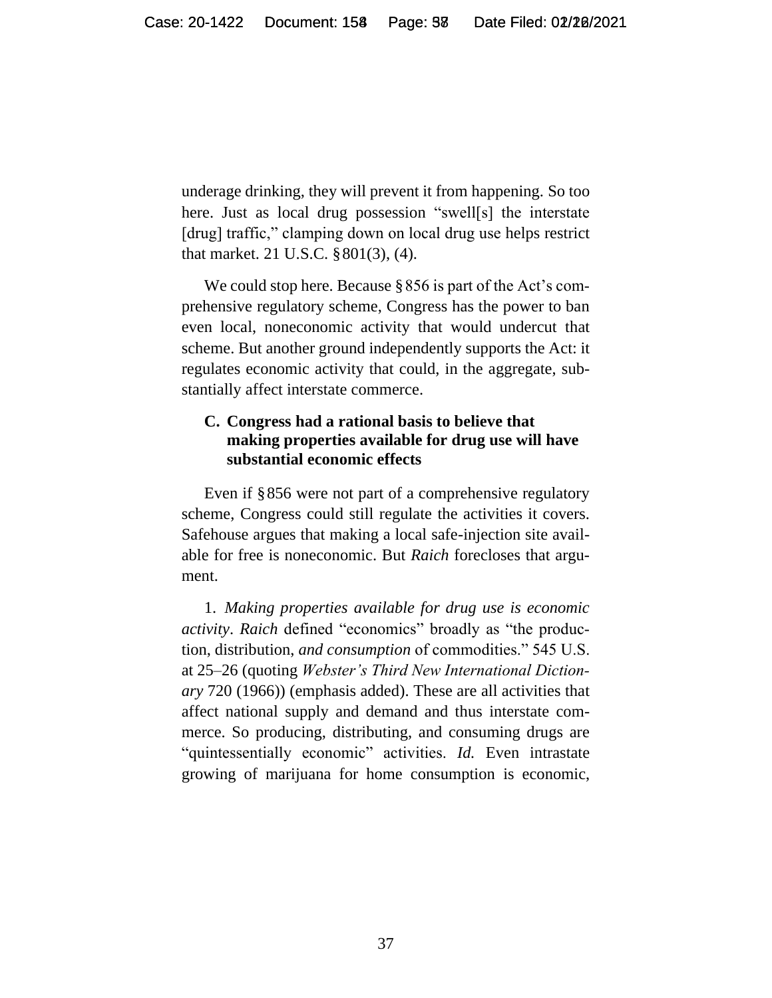underage drinking, they will prevent it from happening. So too here. Just as local drug possession "swell[s] the interstate [drug] traffic," clamping down on local drug use helps restrict that market. 21 U.S.C. §801(3), (4).

We could stop here. Because §856 is part of the Act's comprehensive regulatory scheme, Congress has the power to ban even local, noneconomic activity that would undercut that scheme. But another ground independently supports the Act: it regulates economic activity that could, in the aggregate, substantially affect interstate commerce.

### **C. Congress had a rational basis to believe that making properties available for drug use will have substantial economic effects**

Even if §856 were not part of a comprehensive regulatory scheme, Congress could still regulate the activities it covers. Safehouse argues that making a local safe-injection site available for free is noneconomic. But *Raich* forecloses that argument.

1. *Making properties available for drug use is economic activity*. *Raich* defined "economics" broadly as "the production, distribution, *and consumption* of commodities." 545 U.S. at 25–26 (quoting *Webster's Third New International Dictionary* 720 (1966)) (emphasis added). These are all activities that affect national supply and demand and thus interstate commerce. So producing, distributing, and consuming drugs are "quintessentially economic" activities. *Id.* Even intrastate growing of marijuana for home consumption is economic,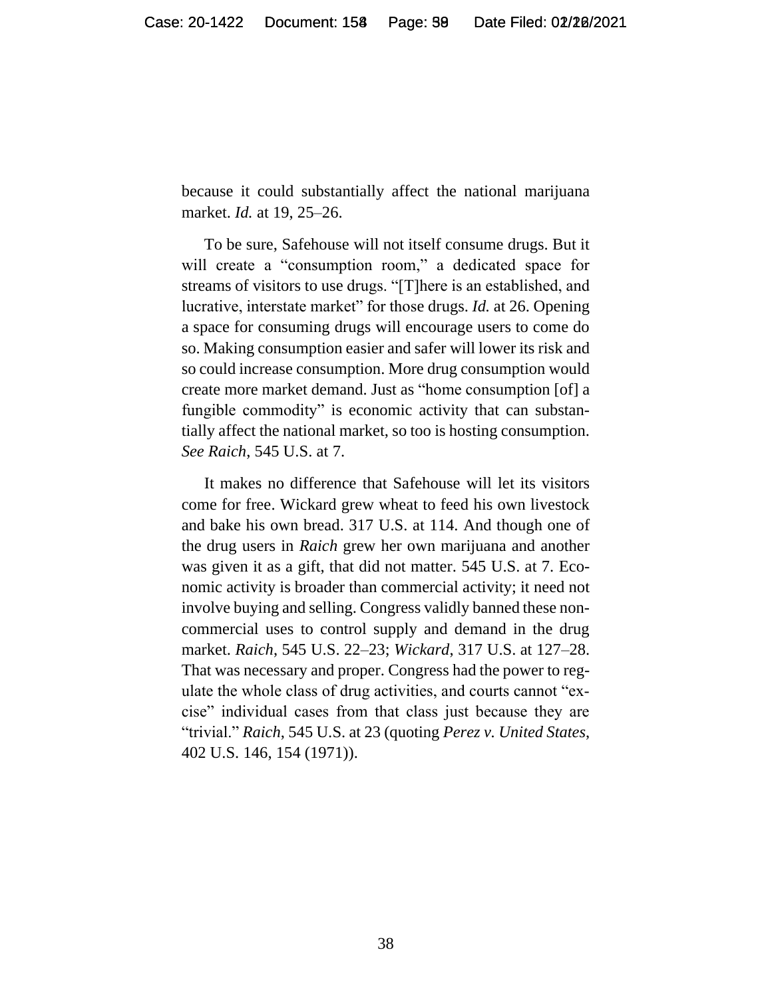because it could substantially affect the national marijuana market. *Id.* at 19, 25–26.

To be sure, Safehouse will not itself consume drugs. But it will create a "consumption room," a dedicated space for streams of visitors to use drugs. "[T]here is an established, and lucrative, interstate market" for those drugs. *Id.* at 26. Opening a space for consuming drugs will encourage users to come do so. Making consumption easier and safer will lower its risk and so could increase consumption. More drug consumption would create more market demand. Just as "home consumption [of] a fungible commodity" is economic activity that can substantially affect the national market, so too is hosting consumption. *See Raich*, 545 U.S. at 7.

It makes no difference that Safehouse will let its visitors come for free. Wickard grew wheat to feed his own livestock and bake his own bread. 317 U.S. at 114. And though one of the drug users in *Raich* grew her own marijuana and another was given it as a gift, that did not matter. 545 U.S. at 7. Economic activity is broader than commercial activity; it need not involve buying and selling. Congress validly banned these noncommercial uses to control supply and demand in the drug market. *Raich*, 545 U.S. 22–23; *Wickard*, 317 U.S. at 127–28. That was necessary and proper. Congress had the power to regulate the whole class of drug activities, and courts cannot "excise" individual cases from that class just because they are "trivial." *Raich*, 545 U.S. at 23 (quoting *Perez v. United States*, 402 U.S. 146, 154 (1971)).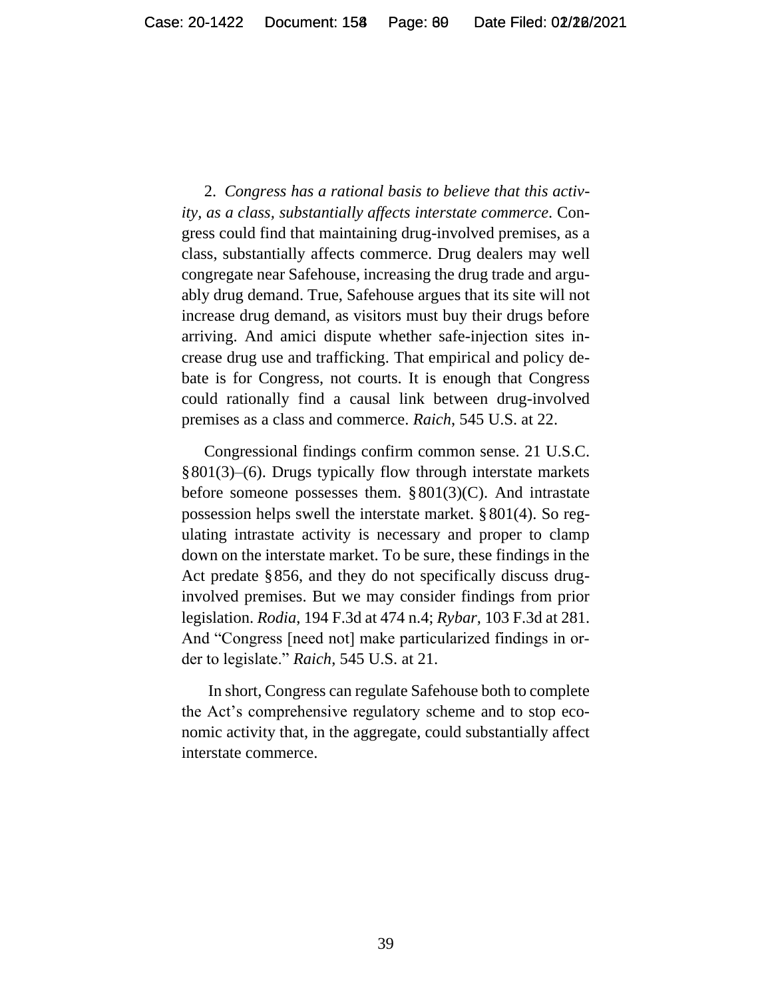2. *Congress has a rational basis to believe that this activity, as a class, substantially affects interstate commerce*. Congress could find that maintaining drug-involved premises, as a class, substantially affects commerce. Drug dealers may well congregate near Safehouse, increasing the drug trade and arguably drug demand. True, Safehouse argues that its site will not increase drug demand, as visitors must buy their drugs before arriving. And amici dispute whether safe-injection sites increase drug use and trafficking. That empirical and policy debate is for Congress, not courts. It is enough that Congress could rationally find a causal link between drug-involved premises as a class and commerce. *Raich*, 545 U.S. at 22.

Congressional findings confirm common sense. 21 U.S.C. §801(3)–(6). Drugs typically flow through interstate markets before someone possesses them.  $\S 801(3)(C)$ . And intrastate possession helps swell the interstate market. § 801(4). So regulating intrastate activity is necessary and proper to clamp down on the interstate market. To be sure, these findings in the Act predate §856, and they do not specifically discuss druginvolved premises. But we may consider findings from prior legislation. *Rodia*, 194 F.3d at 474 n.4; *Rybar*, 103 F.3d at 281. And "Congress [need not] make particularized findings in order to legislate." *Raich*, 545 U.S. at 21.

In short, Congress can regulate Safehouse both to complete the Act's comprehensive regulatory scheme and to stop economic activity that, in the aggregate, could substantially affect interstate commerce.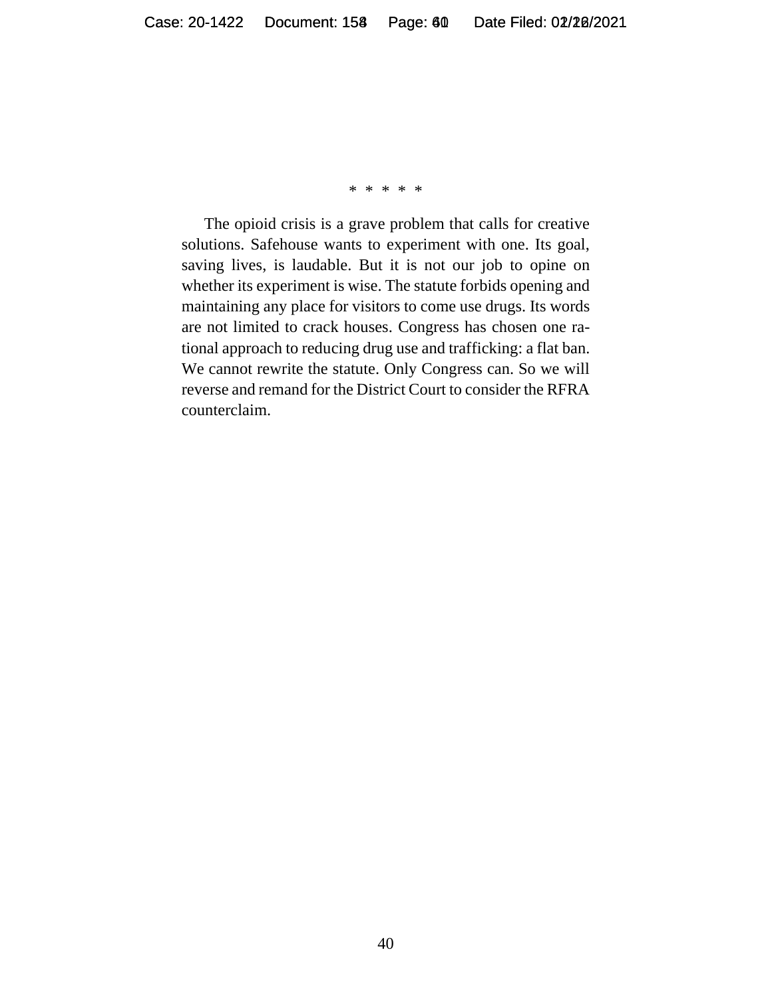#### \* \* \* \* \*

The opioid crisis is a grave problem that calls for creative solutions. Safehouse wants to experiment with one. Its goal, saving lives, is laudable. But it is not our job to opine on whether its experiment is wise. The statute forbids opening and maintaining any place for visitors to come use drugs. Its words are not limited to crack houses. Congress has chosen one rational approach to reducing drug use and trafficking: a flat ban. We cannot rewrite the statute. Only Congress can. So we will reverse and remand for the District Court to consider the RFRA counterclaim.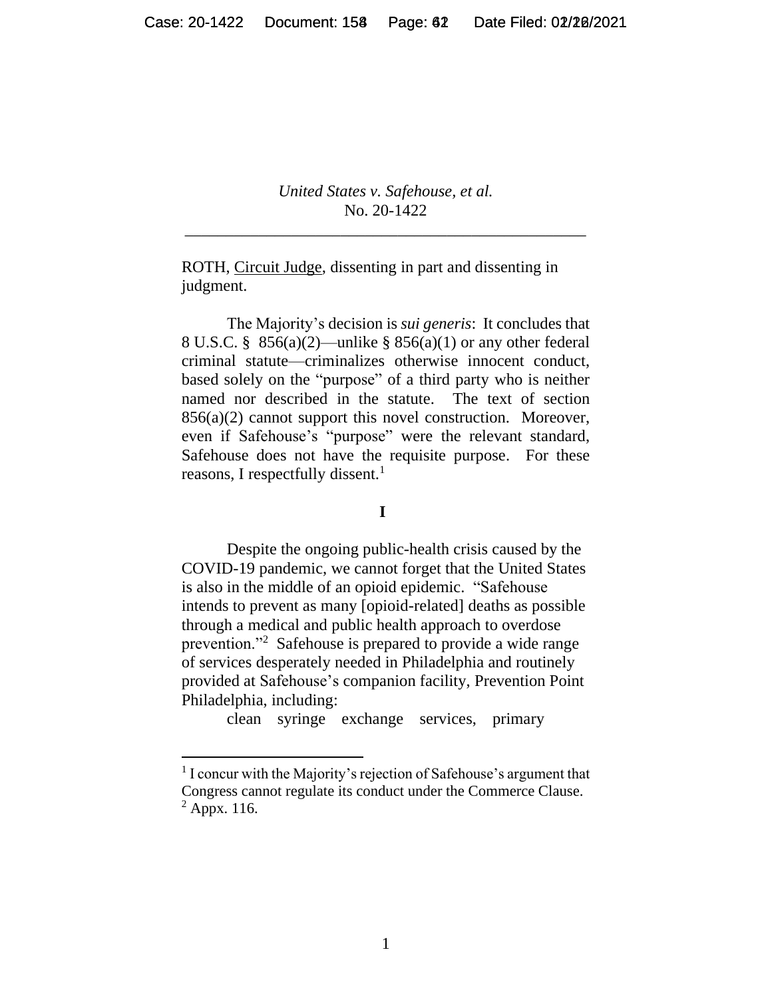*United States v. Safehouse, et al.* No. 20-1422

\_\_\_\_\_\_\_\_\_\_\_\_\_\_\_\_\_\_\_\_\_\_\_\_\_\_\_\_\_\_\_\_\_\_\_\_\_\_\_\_\_\_\_\_\_\_\_\_\_

ROTH, Circuit Judge, dissenting in part and dissenting in judgment.

The Majority's decision is *sui generis*: It concludes that 8 U.S.C. § 856(a)(2)—unlike § 856(a)(1) or any other federal criminal statute—criminalizes otherwise innocent conduct, based solely on the "purpose" of a third party who is neither named nor described in the statute. The text of section 856(a)(2) cannot support this novel construction. Moreover, even if Safehouse's "purpose" were the relevant standard, Safehouse does not have the requisite purpose. For these reasons, I respectfully dissent.<sup>1</sup>

#### **I**

Despite the ongoing public-health crisis caused by the COVID-19 pandemic, we cannot forget that the United States is also in the middle of an opioid epidemic. "Safehouse intends to prevent as many [opioid-related] deaths as possible through a medical and public health approach to overdose prevention."<sup>2</sup> Safehouse is prepared to provide a wide range of services desperately needed in Philadelphia and routinely provided at Safehouse's companion facility, Prevention Point Philadelphia, including:

clean syringe exchange services, primary

 $<sup>1</sup>$  I concur with the Majority's rejection of Safehouse's argument that</sup> Congress cannot regulate its conduct under the Commerce Clause.  $<sup>2</sup>$  Appx. 116.</sup>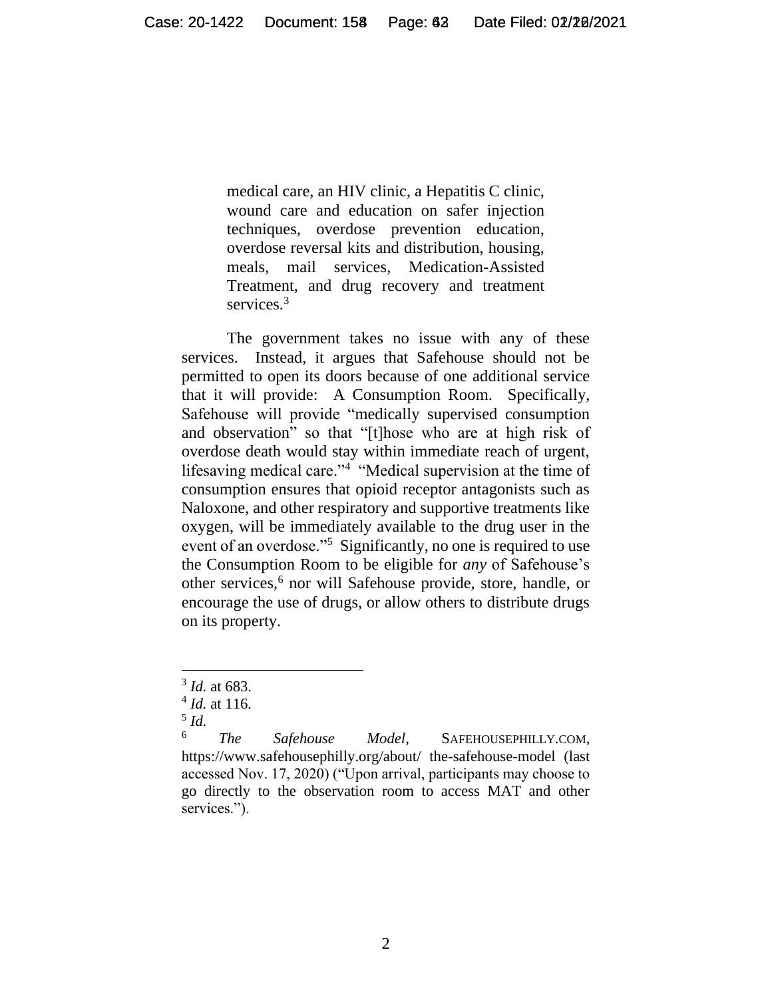medical care, an HIV clinic, a Hepatitis C clinic, wound care and education on safer injection techniques, overdose prevention education, overdose reversal kits and distribution, housing, meals, mail services, Medication-Assisted Treatment, and drug recovery and treatment services.<sup>3</sup>

The government takes no issue with any of these services. Instead, it argues that Safehouse should not be permitted to open its doors because of one additional service that it will provide: A Consumption Room. Specifically, Safehouse will provide "medically supervised consumption and observation" so that "[t]hose who are at high risk of overdose death would stay within immediate reach of urgent, lifesaving medical care."<sup>4</sup> "Medical supervision at the time of consumption ensures that opioid receptor antagonists such as Naloxone, and other respiratory and supportive treatments like oxygen, will be immediately available to the drug user in the event of an overdose."<sup>5</sup> Significantly, no one is required to use the Consumption Room to be eligible for *any* of Safehouse's other services,<sup>6</sup> nor will Safehouse provide, store, handle, or encourage the use of drugs, or allow others to distribute drugs on its property.

<sup>3</sup> *Id.* at 683.

<sup>4</sup> *Id.* at 116.

<sup>5</sup> *Id.*

<sup>6</sup> *The Safehouse Model*, SAFEHOUSEPHILLY.COM, https://www.safehousephilly.org/about/ the-safehouse-model (last accessed Nov. 17, 2020) ("Upon arrival, participants may choose to go directly to the observation room to access MAT and other services.").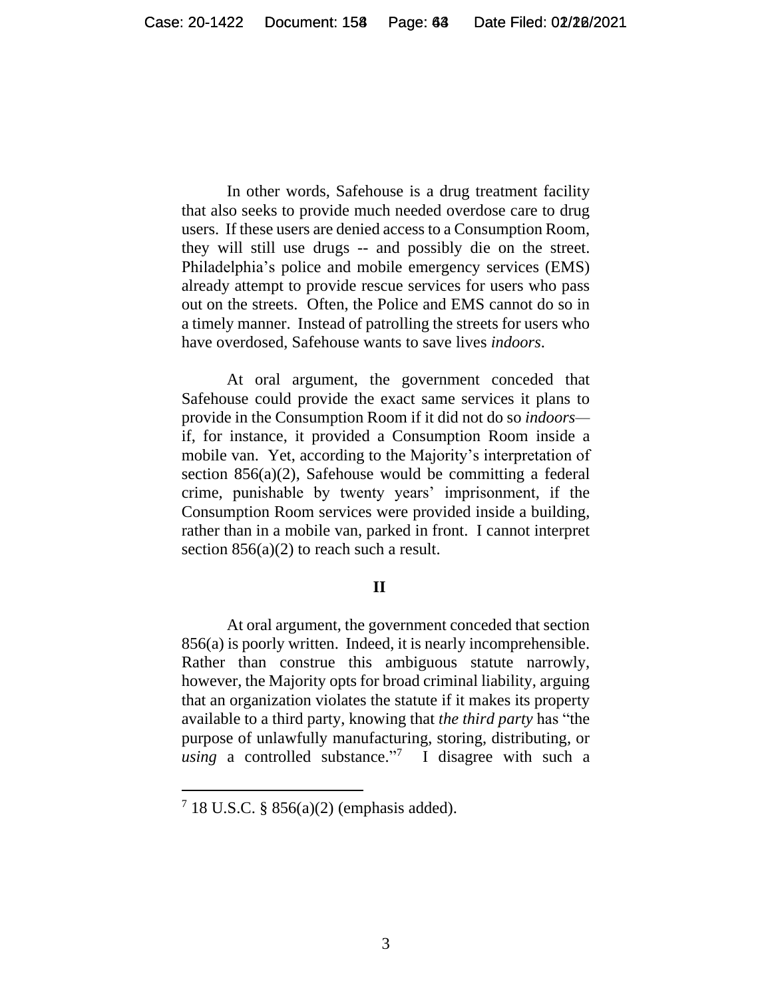In other words, Safehouse is a drug treatment facility that also seeks to provide much needed overdose care to drug users. If these users are denied access to a Consumption Room, they will still use drugs -- and possibly die on the street. Philadelphia's police and mobile emergency services (EMS) already attempt to provide rescue services for users who pass out on the streets. Often, the Police and EMS cannot do so in a timely manner. Instead of patrolling the streets for users who have overdosed, Safehouse wants to save lives *indoors*.

At oral argument, the government conceded that Safehouse could provide the exact same services it plans to provide in the Consumption Room if it did not do so *indoors* if, for instance, it provided a Consumption Room inside a mobile van. Yet, according to the Majority's interpretation of section 856(a)(2), Safehouse would be committing a federal crime, punishable by twenty years' imprisonment, if the Consumption Room services were provided inside a building, rather than in a mobile van, parked in front. I cannot interpret section  $856(a)(2)$  to reach such a result.

#### **II**

At oral argument, the government conceded that section 856(a) is poorly written. Indeed, it is nearly incomprehensible. Rather than construe this ambiguous statute narrowly, however, the Majority opts for broad criminal liability, arguing that an organization violates the statute if it makes its property available to a third party, knowing that *the third party* has "the purpose of unlawfully manufacturing, storing, distributing, or *using* a controlled substance." 7 I disagree with such a

 $718$  U.S.C. § 856(a)(2) (emphasis added).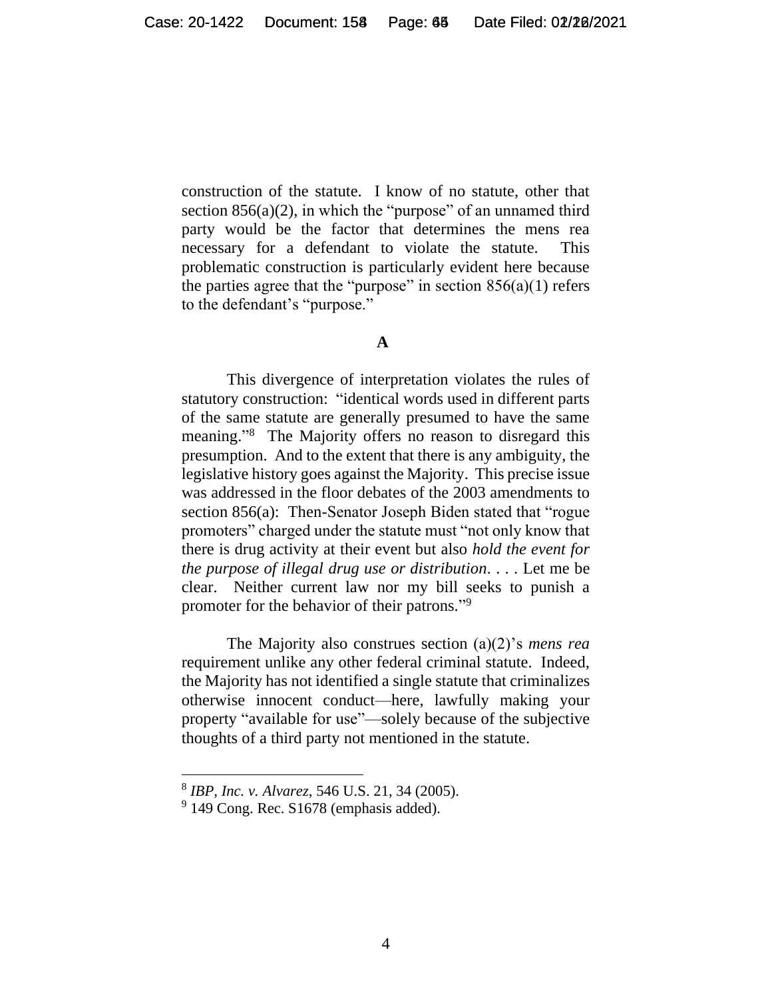construction of the statute. I know of no statute, other that section  $856(a)(2)$ , in which the "purpose" of an unnamed third party would be the factor that determines the mens rea necessary for a defendant to violate the statute. This problematic construction is particularly evident here because the parties agree that the "purpose" in section  $856(a)(1)$  refers to the defendant's "purpose."

#### **A**

This divergence of interpretation violates the rules of statutory construction: "identical words used in different parts of the same statute are generally presumed to have the same meaning." 8 The Majority offers no reason to disregard this presumption. And to the extent that there is any ambiguity, the legislative history goes against the Majority. This precise issue was addressed in the floor debates of the 2003 amendments to section 856(a): Then-Senator Joseph Biden stated that "rogue promoters" charged under the statute must "not only know that there is drug activity at their event but also *hold the event for the purpose of illegal drug use or distribution*. . . . Let me be clear. Neither current law nor my bill seeks to punish a promoter for the behavior of their patrons."<sup>9</sup>

The Majority also construes section (a)(2)'s *mens rea* requirement unlike any other federal criminal statute. Indeed, the Majority has not identified a single statute that criminalizes otherwise innocent conduct—here, lawfully making your property "available for use"—solely because of the subjective thoughts of a third party not mentioned in the statute.

<sup>8</sup> *IBP, Inc. v. Alvarez*, 546 U.S. 21, 34 (2005).

<sup>&</sup>lt;sup>9</sup> 149 Cong. Rec. S1678 (emphasis added).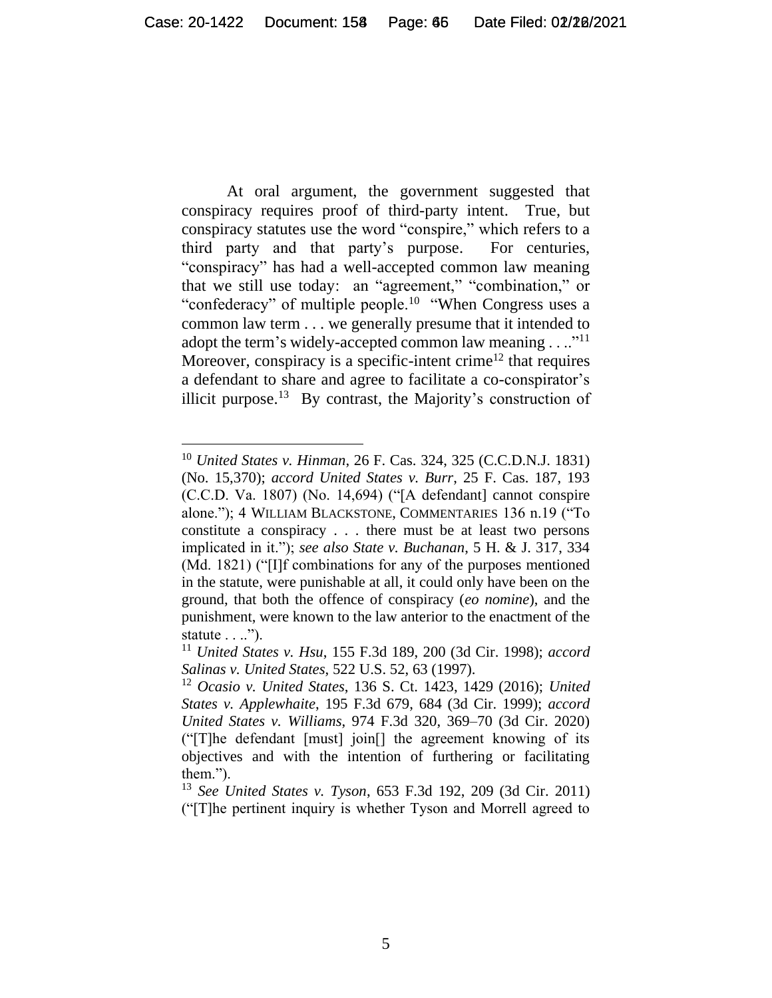At oral argument, the government suggested that conspiracy requires proof of third-party intent. True, but conspiracy statutes use the word "conspire," which refers to a third party and that party's purpose. For centuries, "conspiracy" has had a well-accepted common law meaning that we still use today: an "agreement," "combination," or "confederacy" of multiple people.<sup>10</sup> "When Congress uses a common law term . . . we generally presume that it intended to adopt the term's widely-accepted common law meaning  $\dots$ ."<sup>11</sup> Moreover, conspiracy is a specific-intent crime<sup>12</sup> that requires a defendant to share and agree to facilitate a co-conspirator's illicit purpose.<sup>13</sup> By contrast, the Majority's construction of

<sup>10</sup> *United States v. Hinman*, 26 F. Cas. 324, 325 (C.C.D.N.J. 1831) (No. 15,370); *accord United States v. Burr*, 25 F. Cas. 187, 193 (C.C.D. Va. 1807) (No. 14,694) ("[A defendant] cannot conspire alone."); 4 WILLIAM BLACKSTONE, COMMENTARIES 136 n.19 ("To constitute a conspiracy . . . there must be at least two persons implicated in it."); *see also State v. Buchanan*, 5 H. & J. 317, 334 (Md. 1821) ("[I]f combinations for any of the purposes mentioned in the statute, were punishable at all, it could only have been on the ground, that both the offence of conspiracy (*eo nomine*), and the punishment, were known to the law anterior to the enactment of the statute . . ..").

<sup>11</sup> *United States v. Hsu*, 155 F.3d 189, 200 (3d Cir. 1998); *accord Salinas v. United States*, 522 U.S. 52, 63 (1997).

<sup>12</sup> *Ocasio v. United States*, 136 S. Ct. 1423, 1429 (2016); *United States v. Applewhaite*, 195 F.3d 679, 684 (3d Cir. 1999); *accord United States v. Williams*, 974 F.3d 320, 369–70 (3d Cir. 2020) ("[T]he defendant [must] join[] the agreement knowing of its objectives and with the intention of furthering or facilitating them.").

<sup>13</sup> *See United States v. Tyson*, 653 F.3d 192, 209 (3d Cir. 2011) ("[T]he pertinent inquiry is whether Tyson and Morrell agreed to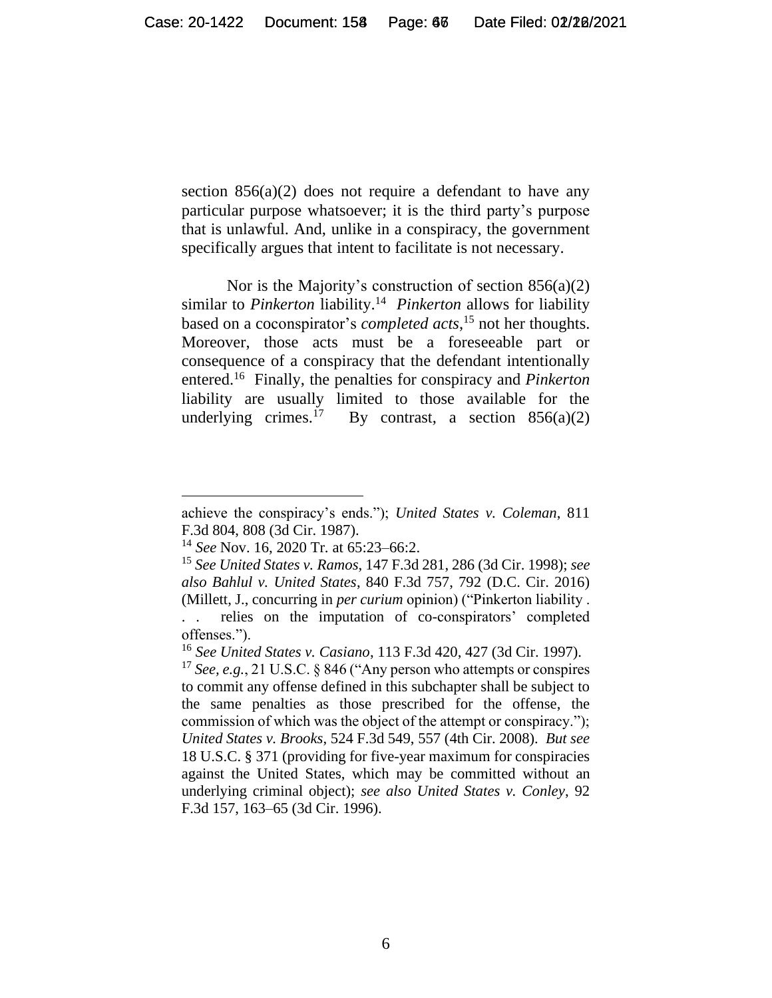section  $856(a)(2)$  does not require a defendant to have any particular purpose whatsoever; it is the third party's purpose that is unlawful. And, unlike in a conspiracy, the government specifically argues that intent to facilitate is not necessary.

Nor is the Majority's construction of section  $856(a)(2)$ similar to *Pinkerton* liability.<sup>14</sup> Pinkerton allows for liability based on a coconspirator's *completed acts*, <sup>15</sup> not her thoughts. Moreover, those acts must be a foreseeable part or consequence of a conspiracy that the defendant intentionally entered.<sup>16</sup> Finally, the penalties for conspiracy and *Pinkerton* liability are usually limited to those available for the underlying crimes. $17$ By contrast, a section  $856(a)(2)$ 

achieve the conspiracy's ends."); *United States v. Coleman*, 811 F.3d 804, 808 (3d Cir. 1987).

<sup>14</sup> *See* Nov. 16, 2020 Tr. at 65:23–66:2.

<sup>15</sup> *See United States v. Ramos*, 147 F.3d 281, 286 (3d Cir. 1998); *see also Bahlul v. United States*, 840 F.3d 757, 792 (D.C. Cir. 2016) (Millett, J., concurring in *per curium* opinion) ("Pinkerton liability .

<sup>. .</sup> relies on the imputation of co-conspirators' completed offenses.").

<sup>16</sup> *See United States v. Casiano*, 113 F.3d 420, 427 (3d Cir. 1997).

<sup>17</sup> *See, e.g.*, 21 U.S.C. § 846 ("Any person who attempts or conspires to commit any offense defined in this subchapter shall be subject to the same penalties as those prescribed for the offense, the commission of which was the object of the attempt or conspiracy."); *United States v. Brooks*, 524 F.3d 549, 557 (4th Cir. 2008). *But see*  18 U.S.C. § 371 (providing for five-year maximum for conspiracies against the United States, which may be committed without an underlying criminal object); *see also United States v. Conley*, 92 F.3d 157, 163–65 (3d Cir. 1996).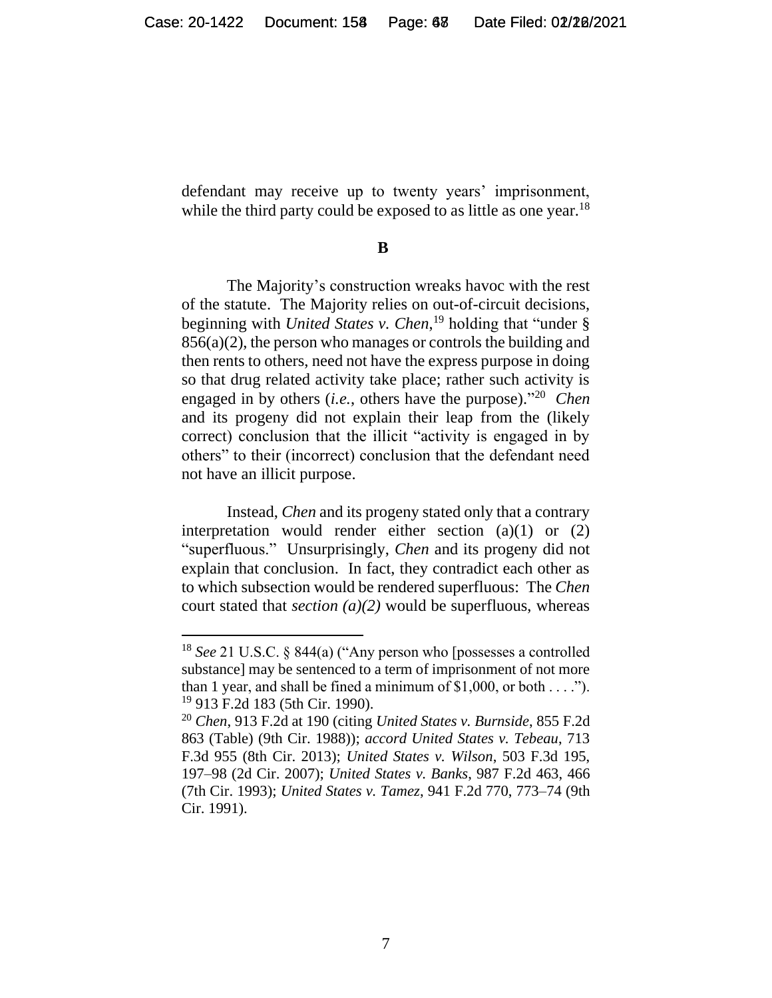defendant may receive up to twenty years' imprisonment, while the third party could be exposed to as little as one year.<sup>18</sup>

**B**

The Majority's construction wreaks havoc with the rest of the statute. The Majority relies on out-of-circuit decisions, beginning with *United States v. Chen*, <sup>19</sup> holding that "under § 856(a)(2), the person who manages or controls the building and then rents to others, need not have the express purpose in doing so that drug related activity take place; rather such activity is engaged in by others (*i.e.*, others have the purpose)."<sup>20</sup> *Chen* and its progeny did not explain their leap from the (likely correct) conclusion that the illicit "activity is engaged in by others" to their (incorrect) conclusion that the defendant need not have an illicit purpose.

Instead, *Chen* and its progeny stated only that a contrary interpretation would render either section (a)(1) or (2) "superfluous." Unsurprisingly, *Chen* and its progeny did not explain that conclusion. In fact, they contradict each other as to which subsection would be rendered superfluous: The *Chen* court stated that *section (a)(2)* would be superfluous, whereas

<sup>18</sup> *See* 21 U.S.C. § 844(a) ("Any person who [possesses a controlled substance] may be sentenced to a term of imprisonment of not more than 1 year, and shall be fined a minimum of  $$1,000$ , or both . . . ."). <sup>19</sup> 913 F.2d 183 (5th Cir. 1990).

<sup>20</sup> *Chen*, 913 F.2d at 190 (citing *United States v. Burnside*, 855 F.2d 863 (Table) (9th Cir. 1988)); *accord United States v. Tebeau*, 713 F.3d 955 (8th Cir. 2013); *United States v. Wilson*, 503 F.3d 195, 197–98 (2d Cir. 2007); *United States v. Banks*, 987 F.2d 463, 466 (7th Cir. 1993); *United States v. Tamez*, 941 F.2d 770, 773–74 (9th Cir. 1991).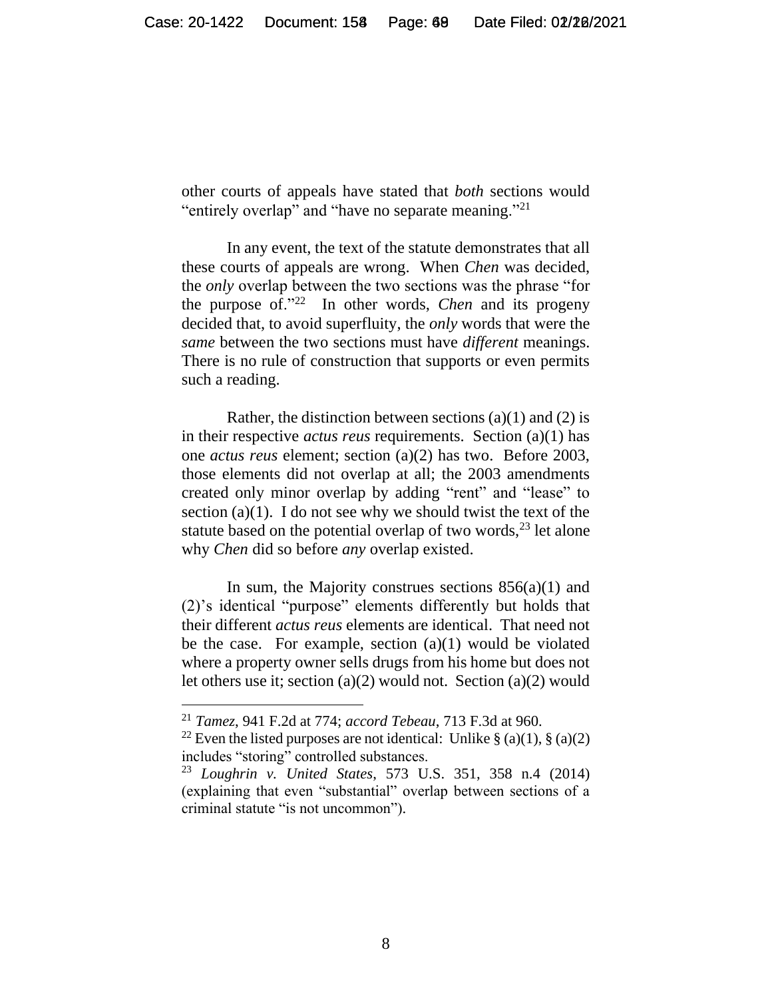other courts of appeals have stated that *both* sections would "entirely overlap" and "have no separate meaning."<sup>21</sup>

In any event, the text of the statute demonstrates that all these courts of appeals are wrong. When *Chen* was decided, the *only* overlap between the two sections was the phrase "for the purpose of."<sup>22</sup> In other words, *Chen* and its progeny decided that, to avoid superfluity, the *only* words that were the *same* between the two sections must have *different* meanings. There is no rule of construction that supports or even permits such a reading.

Rather, the distinction between sections (a)(1) and (2) is in their respective *actus reus* requirements. Section (a)(1) has one *actus reus* element; section (a)(2) has two. Before 2003, those elements did not overlap at all; the 2003 amendments created only minor overlap by adding "rent" and "lease" to section  $(a)(1)$ . I do not see why we should twist the text of the statute based on the potential overlap of two words,  $^{23}$  let alone why *Chen* did so before *any* overlap existed.

In sum, the Majority construes sections  $856(a)(1)$  and (2)'s identical "purpose" elements differently but holds that their different *actus reus* elements are identical. That need not be the case. For example, section  $(a)(1)$  would be violated where a property owner sells drugs from his home but does not let others use it; section (a)(2) would not. Section (a)(2) would

<sup>21</sup> *Tamez*, 941 F.2d at 774; *accord Tebeau*, 713 F.3d at 960.

<sup>&</sup>lt;sup>22</sup> Even the listed purposes are not identical: Unlike  $\S$  (a)(1),  $\S$  (a)(2) includes "storing" controlled substances.

<sup>23</sup> *Loughrin v. United States*, 573 U.S. 351, 358 n.4 (2014) (explaining that even "substantial" overlap between sections of a criminal statute "is not uncommon").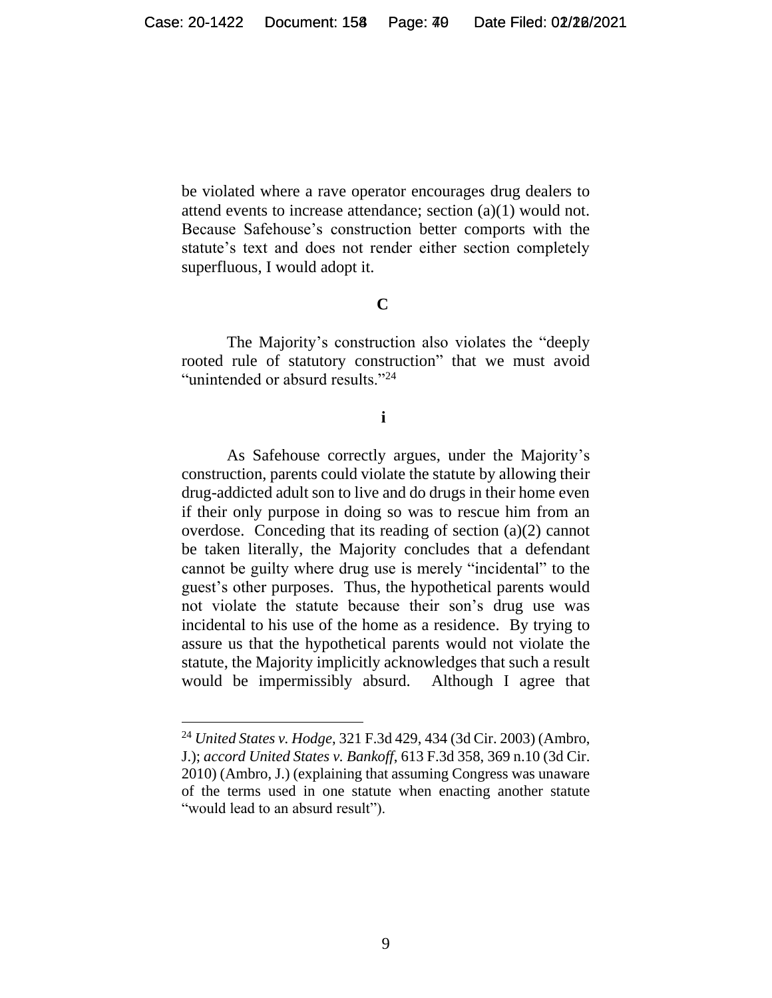be violated where a rave operator encourages drug dealers to attend events to increase attendance; section (a)(1) would not. Because Safehouse's construction better comports with the statute's text and does not render either section completely superfluous, I would adopt it.

#### **C**

The Majority's construction also violates the "deeply rooted rule of statutory construction" that we must avoid "unintended or absurd results."<sup>24</sup>

#### **i**

As Safehouse correctly argues, under the Majority's construction, parents could violate the statute by allowing their drug-addicted adult son to live and do drugs in their home even if their only purpose in doing so was to rescue him from an overdose. Conceding that its reading of section (a)(2) cannot be taken literally, the Majority concludes that a defendant cannot be guilty where drug use is merely "incidental" to the guest's other purposes. Thus, the hypothetical parents would not violate the statute because their son's drug use was incidental to his use of the home as a residence. By trying to assure us that the hypothetical parents would not violate the statute, the Majority implicitly acknowledges that such a result would be impermissibly absurd. Although I agree that

<sup>24</sup> *United States v. Hodge*, 321 F.3d 429, 434 (3d Cir. 2003) (Ambro, J.); *accord United States v. Bankoff*, 613 F.3d 358, 369 n.10 (3d Cir. 2010) (Ambro, J.) (explaining that assuming Congress was unaware of the terms used in one statute when enacting another statute "would lead to an absurd result").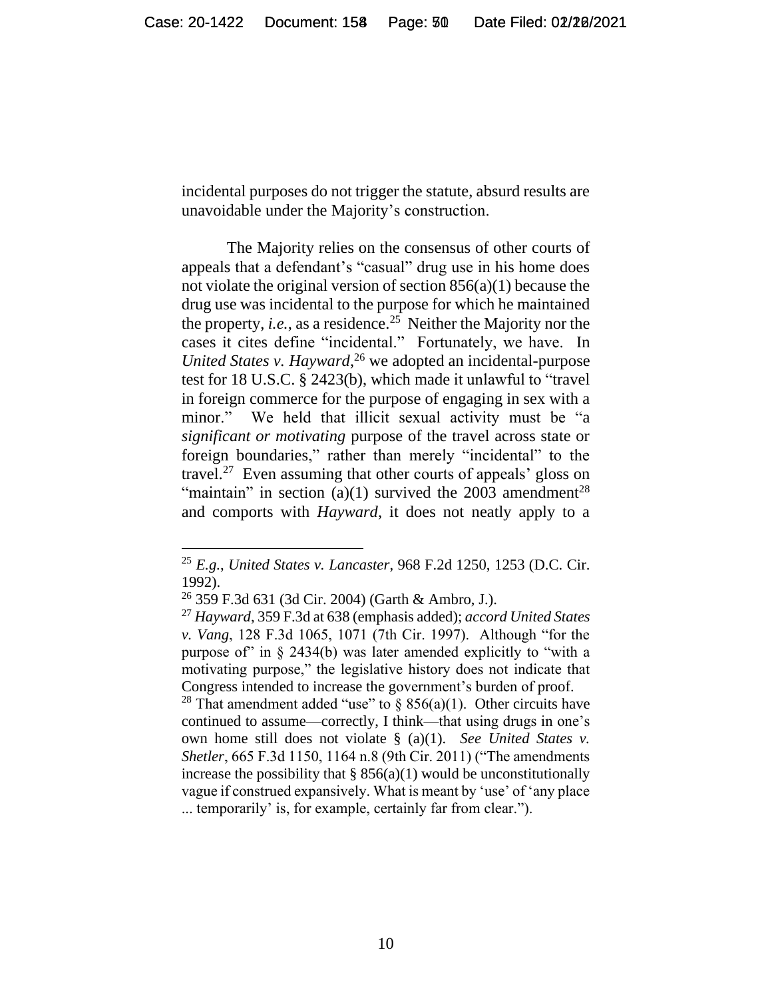incidental purposes do not trigger the statute, absurd results are unavoidable under the Majority's construction.

The Majority relies on the consensus of other courts of appeals that a defendant's "casual" drug use in his home does not violate the original version of section 856(a)(1) because the drug use was incidental to the purpose for which he maintained the property, *i.e.*, as a residence.<sup>25</sup> Neither the Majority nor the cases it cites define "incidental." Fortunately, we have. In *United States v. Hayward*, <sup>26</sup> we adopted an incidental-purpose test for 18 U.S.C. § 2423(b), which made it unlawful to "travel in foreign commerce for the purpose of engaging in sex with a minor." We held that illicit sexual activity must be "a *significant or motivating* purpose of the travel across state or foreign boundaries," rather than merely "incidental" to the travel.<sup>27</sup> Even assuming that other courts of appeals' gloss on "maintain" in section (a)(1) survived the  $2003$  amendment<sup>28</sup> and comports with *Hayward*, it does not neatly apply to a

<sup>25</sup> *E.g.*, *United States v. Lancaster*, 968 F.2d 1250, 1253 (D.C. Cir. 1992).

 $26$  359 F.3d 631 (3d Cir. 2004) (Garth & Ambro, J.).

<sup>27</sup> *Hayward*, 359 F.3d at 638 (emphasis added); *accord United States v. Vang*, 128 F.3d 1065, 1071 (7th Cir. 1997). Although "for the purpose of in  $\S$  2434(b) was later amended explicitly to "with a motivating purpose," the legislative history does not indicate that Congress intended to increase the government's burden of proof.

<sup>&</sup>lt;sup>28</sup> That amendment added "use" to § 856(a)(1). Other circuits have continued to assume—correctly, I think—that using drugs in one's own home still does not violate § (a)(1). *See United States v. Shetler*, 665 F.3d 1150, 1164 n.8 (9th Cir. 2011) ("The amendments increase the possibility that  $\S$  856(a)(1) would be unconstitutionally vague if construed expansively. What is meant by 'use' of 'any place ... temporarily' is, for example, certainly far from clear.").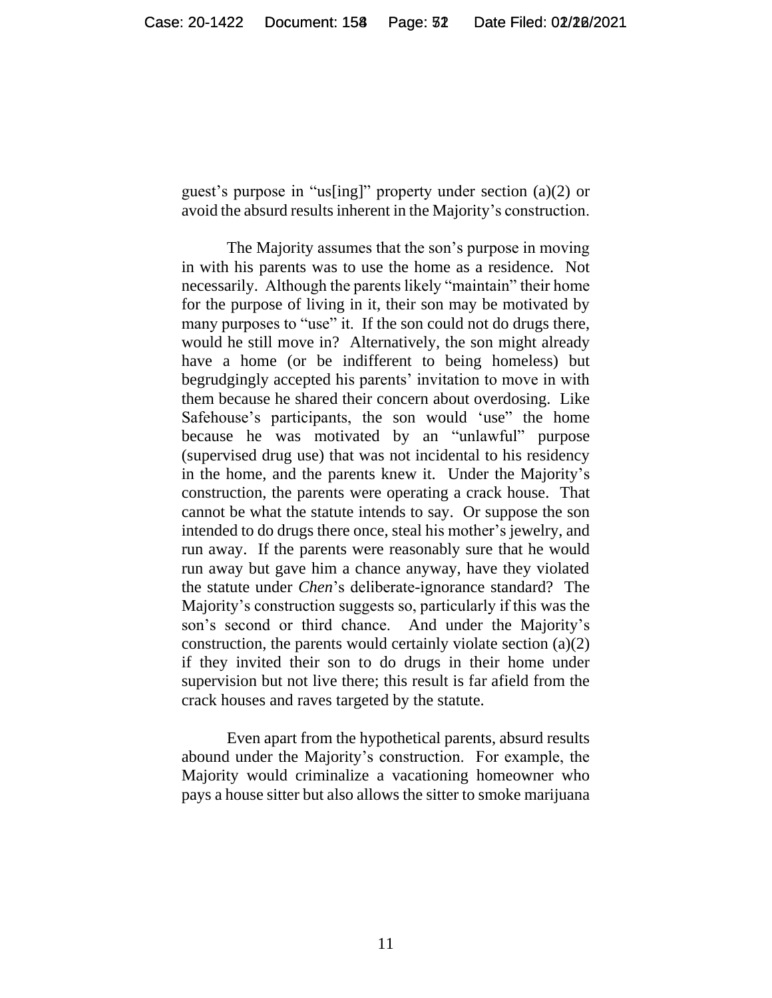guest's purpose in "us[ing]" property under section (a)(2) or avoid the absurd results inherent in the Majority's construction.

The Majority assumes that the son's purpose in moving in with his parents was to use the home as a residence. Not necessarily. Although the parents likely "maintain" their home for the purpose of living in it, their son may be motivated by many purposes to "use" it. If the son could not do drugs there, would he still move in? Alternatively, the son might already have a home (or be indifferent to being homeless) but begrudgingly accepted his parents' invitation to move in with them because he shared their concern about overdosing. Like Safehouse's participants, the son would 'use" the home because he was motivated by an "unlawful" purpose (supervised drug use) that was not incidental to his residency in the home, and the parents knew it. Under the Majority's construction, the parents were operating a crack house. That cannot be what the statute intends to say. Or suppose the son intended to do drugs there once, steal his mother's jewelry, and run away. If the parents were reasonably sure that he would run away but gave him a chance anyway, have they violated the statute under *Chen*'s deliberate-ignorance standard? The Majority's construction suggests so, particularly if this was the son's second or third chance. And under the Majority's construction, the parents would certainly violate section (a)(2) if they invited their son to do drugs in their home under supervision but not live there; this result is far afield from the crack houses and raves targeted by the statute.

Even apart from the hypothetical parents, absurd results abound under the Majority's construction. For example, the Majority would criminalize a vacationing homeowner who pays a house sitter but also allows the sitter to smoke marijuana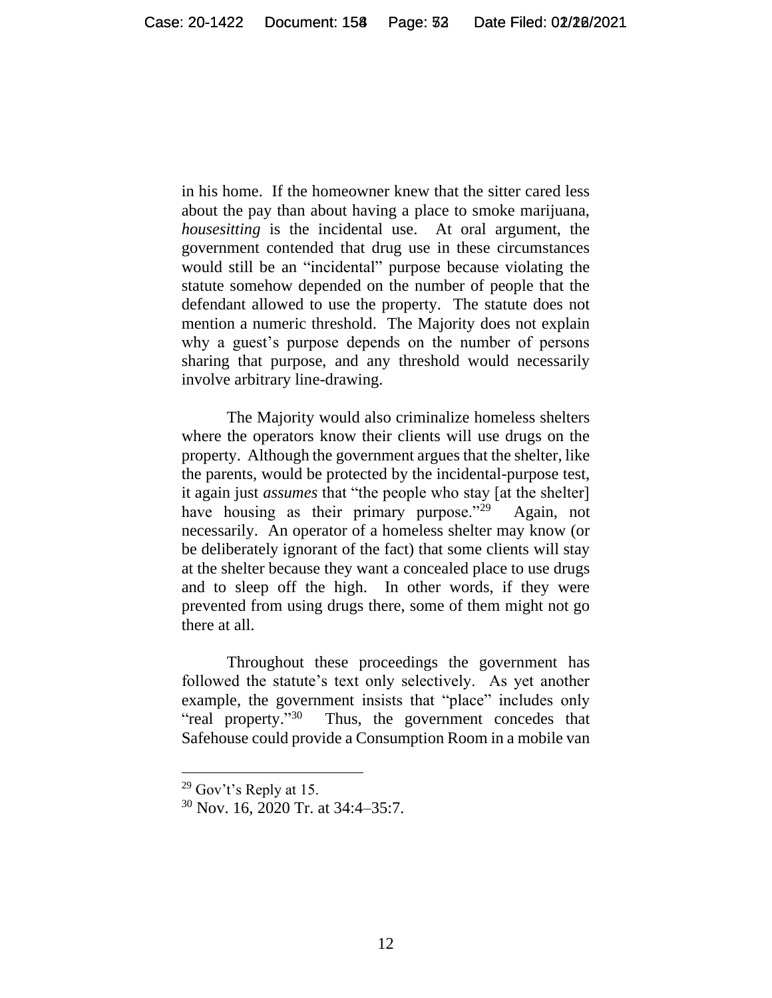in his home. If the homeowner knew that the sitter cared less about the pay than about having a place to smoke marijuana, *housesitting* is the incidental use. At oral argument, the government contended that drug use in these circumstances would still be an "incidental" purpose because violating the statute somehow depended on the number of people that the defendant allowed to use the property. The statute does not mention a numeric threshold. The Majority does not explain why a guest's purpose depends on the number of persons sharing that purpose, and any threshold would necessarily involve arbitrary line-drawing.

The Majority would also criminalize homeless shelters where the operators know their clients will use drugs on the property. Although the government argues that the shelter, like the parents, would be protected by the incidental-purpose test, it again just *assumes* that "the people who stay [at the shelter] have housing as their primary purpose." $^{29}$  Again, not necessarily. An operator of a homeless shelter may know (or be deliberately ignorant of the fact) that some clients will stay at the shelter because they want a concealed place to use drugs and to sleep off the high. In other words, if they were prevented from using drugs there, some of them might not go there at all.

Throughout these proceedings the government has followed the statute's text only selectively. As yet another example, the government insists that "place" includes only "real property."<sup>30</sup> Thus, the government concedes that Safehouse could provide a Consumption Room in a mobile van

<sup>29</sup> Gov't's Reply at 15.

<sup>30</sup> Nov. 16, 2020 Tr. at 34:4–35:7.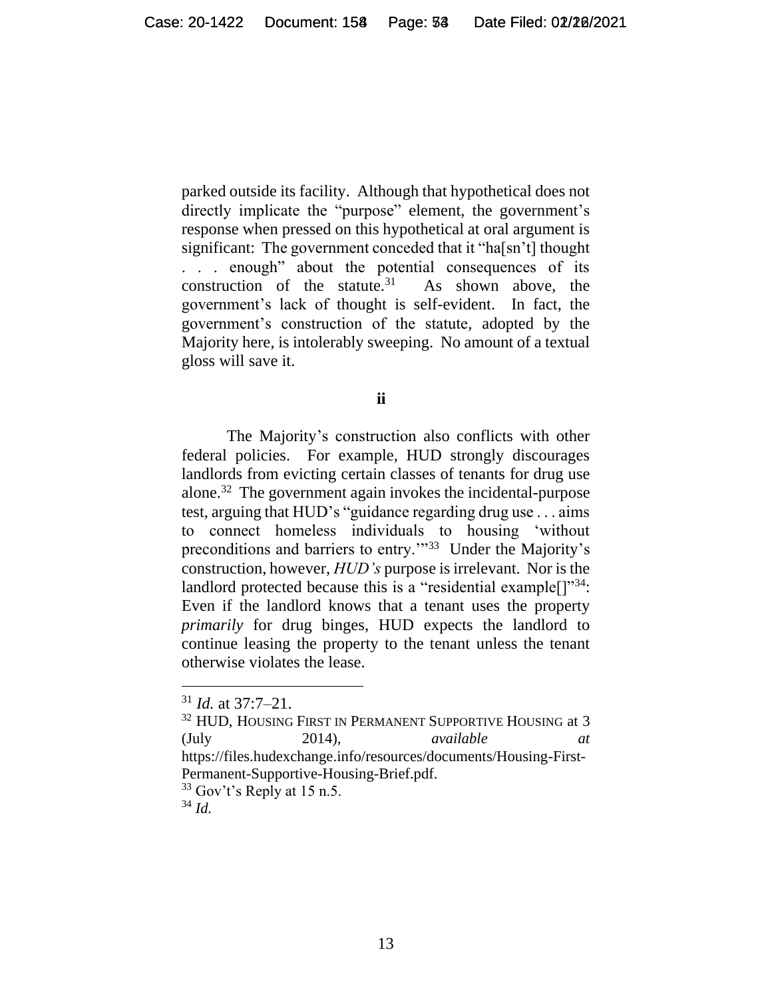parked outside its facility. Although that hypothetical does not directly implicate the "purpose" element, the government's response when pressed on this hypothetical at oral argument is significant: The government conceded that it "ha[sn't] thought . . . enough" about the potential consequences of its construction of the statute. $31$  As shown above, the government's lack of thought is self-evident. In fact, the government's construction of the statute, adopted by the Majority here, is intolerably sweeping. No amount of a textual gloss will save it.

**ii**

The Majority's construction also conflicts with other federal policies. For example, HUD strongly discourages landlords from evicting certain classes of tenants for drug use alone.<sup>32</sup> The government again invokes the incidental-purpose test, arguing that HUD's "guidance regarding drug use . . . aims to connect homeless individuals to housing 'without preconditions and barriers to entry."<sup>33</sup> Under the Majority's construction, however, *HUD's* purpose is irrelevant. Nor is the landlord protected because this is a "residential example<sup>[]"34</sup>: Even if the landlord knows that a tenant uses the property *primarily* for drug binges, HUD expects the landlord to continue leasing the property to the tenant unless the tenant otherwise violates the lease.

<sup>31</sup> *Id.* at 37:7–21.

 $^{32}$  HUD, HOUSING FIRST IN PERMANENT SUPPORTIVE HOUSING at  $3$  $(July 2014),\t\tavailable$ https://files.hudexchange.info/resources/documents/Housing-First-Permanent-Supportive-Housing-Brief.pdf.  $33$  Gov't's Reply at 15 n.5.

<sup>34</sup> *Id.*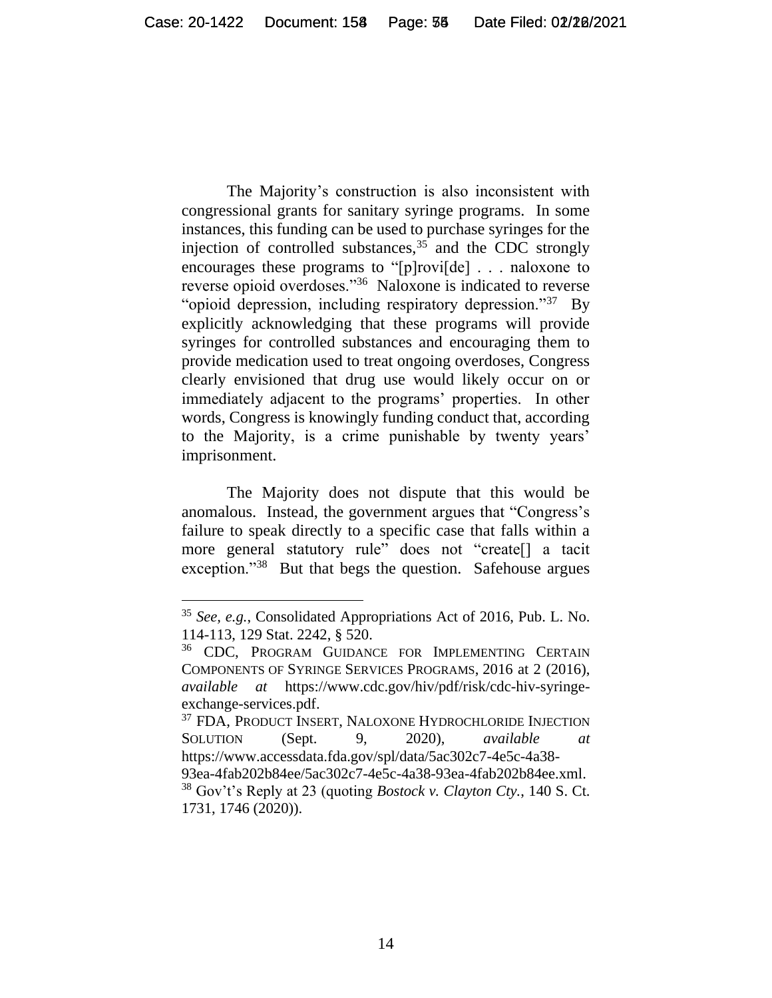The Majority's construction is also inconsistent with congressional grants for sanitary syringe programs. In some instances, this funding can be used to purchase syringes for the injection of controlled substances,  $35$  and the CDC strongly encourages these programs to "[p]rovi[de] . . . naloxone to reverse opioid overdoses."<sup>36</sup> Naloxone is indicated to reverse "opioid depression, including respiratory depression."<sup>37</sup> By explicitly acknowledging that these programs will provide syringes for controlled substances and encouraging them to provide medication used to treat ongoing overdoses, Congress clearly envisioned that drug use would likely occur on or immediately adjacent to the programs' properties. In other words, Congress is knowingly funding conduct that, according to the Majority, is a crime punishable by twenty years' imprisonment.

The Majority does not dispute that this would be anomalous. Instead, the government argues that "Congress's failure to speak directly to a specific case that falls within a more general statutory rule" does not "create[] a tacit exception."<sup>38</sup> But that begs the question. Safehouse argues

<sup>35</sup> *See, e.g.*, Consolidated Appropriations Act of 2016, Pub. L. No. 114-113, 129 Stat. 2242, § 520.

<sup>&</sup>lt;sup>36</sup> CDC, PROGRAM GUIDANCE FOR IMPLEMENTING CERTAIN COMPONENTS OF SYRINGE SERVICES PROGRAMS, 2016 at 2 (2016), *available at* https://www.cdc.gov/hiv/pdf/risk/cdc-hiv-syringeexchange-services.pdf.

<sup>37</sup> FDA, PRODUCT INSERT, NALOXONE HYDROCHLORIDE INJECTION SOLUTION (Sept. 9, 2020), *available at* https://www.accessdata.fda.gov/spl/data/5ac302c7-4e5c-4a38- 93ea-4fab202b84ee/5ac302c7-4e5c-4a38-93ea-4fab202b84ee.xml. <sup>38</sup> Gov't's Reply at 23 (quoting *Bostock v. Clayton Cty.*, 140 S. Ct. 1731, 1746 (2020)).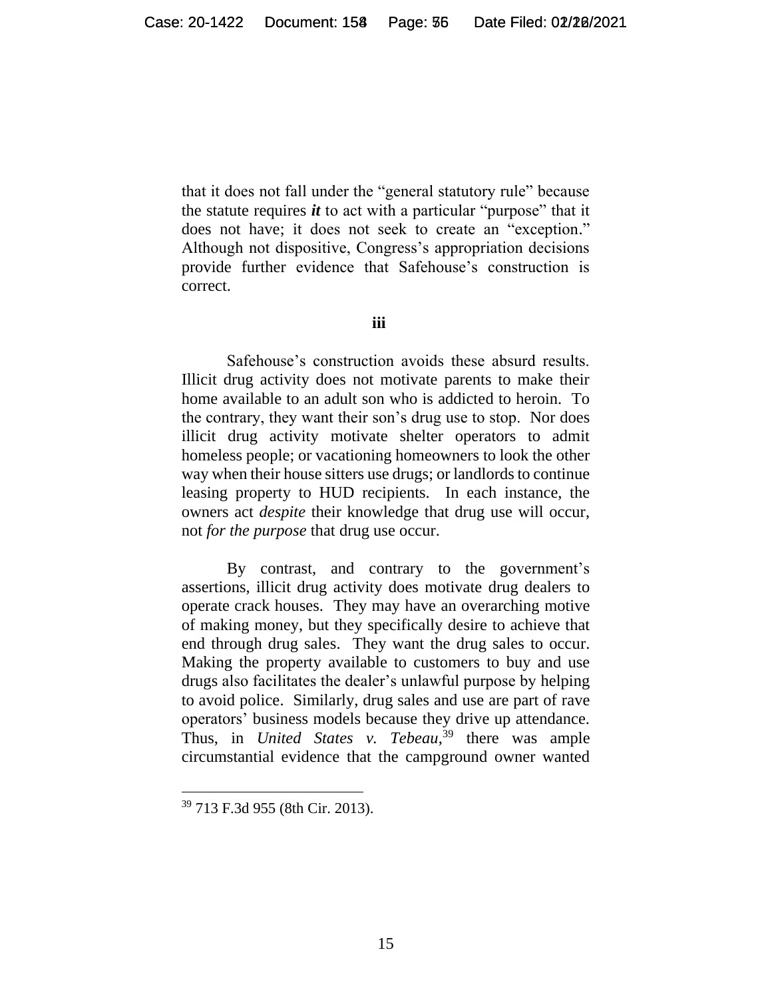that it does not fall under the "general statutory rule" because the statute requires *it* to act with a particular "purpose" that it does not have; it does not seek to create an "exception." Although not dispositive, Congress's appropriation decisions provide further evidence that Safehouse's construction is correct.

#### **iii**

Safehouse's construction avoids these absurd results. Illicit drug activity does not motivate parents to make their home available to an adult son who is addicted to heroin. To the contrary, they want their son's drug use to stop. Nor does illicit drug activity motivate shelter operators to admit homeless people; or vacationing homeowners to look the other way when their house sitters use drugs; or landlords to continue leasing property to HUD recipients. In each instance, the owners act *despite* their knowledge that drug use will occur, not *for the purpose* that drug use occur.

By contrast, and contrary to the government's assertions, illicit drug activity does motivate drug dealers to operate crack houses. They may have an overarching motive of making money, but they specifically desire to achieve that end through drug sales. They want the drug sales to occur. Making the property available to customers to buy and use drugs also facilitates the dealer's unlawful purpose by helping to avoid police. Similarly, drug sales and use are part of rave operators' business models because they drive up attendance. Thus, in *United States v. Tebeau*, <sup>39</sup> there was ample circumstantial evidence that the campground owner wanted

<sup>39</sup> 713 F.3d 955 (8th Cir. 2013).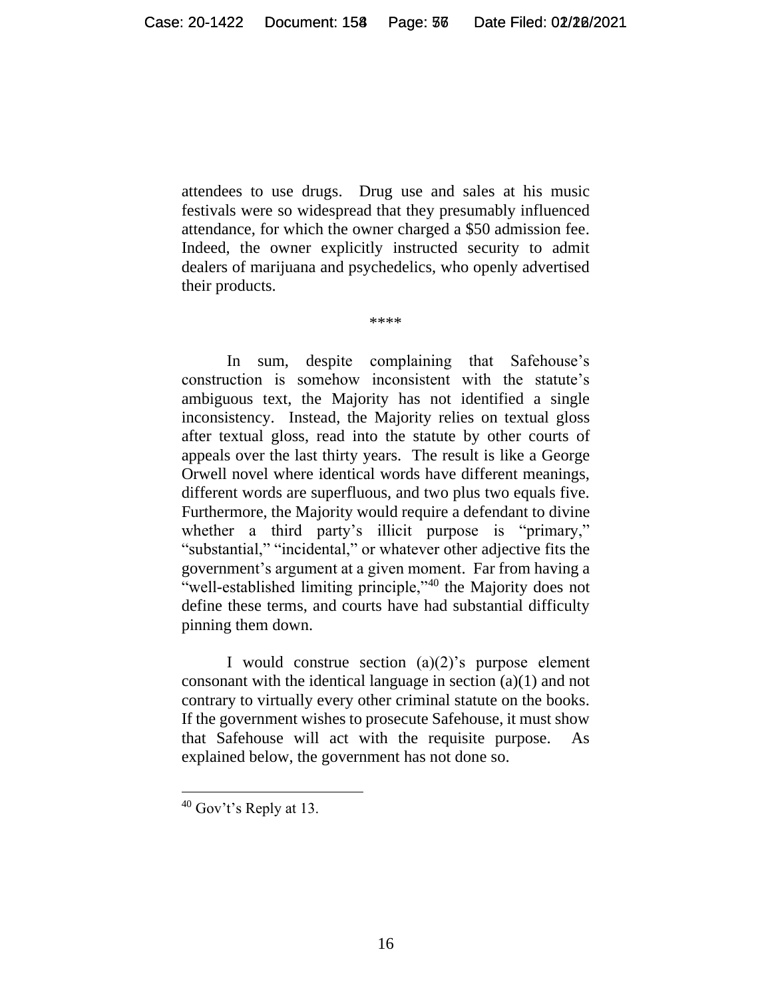attendees to use drugs. Drug use and sales at his music festivals were so widespread that they presumably influenced attendance, for which the owner charged a \$50 admission fee. Indeed, the owner explicitly instructed security to admit dealers of marijuana and psychedelics, who openly advertised their products.

\*\*\*\*

In sum, despite complaining that Safehouse's construction is somehow inconsistent with the statute's ambiguous text, the Majority has not identified a single inconsistency. Instead, the Majority relies on textual gloss after textual gloss, read into the statute by other courts of appeals over the last thirty years. The result is like a George Orwell novel where identical words have different meanings, different words are superfluous, and two plus two equals five. Furthermore, the Majority would require a defendant to divine whether a third party's illicit purpose is "primary," "substantial," "incidental," or whatever other adjective fits the government's argument at a given moment. Far from having a "well-established limiting principle,"<sup>40</sup> the Majority does not define these terms, and courts have had substantial difficulty pinning them down.

I would construe section  $(a)(2)$ 's purpose element consonant with the identical language in section (a)(1) and not contrary to virtually every other criminal statute on the books. If the government wishes to prosecute Safehouse, it must show that Safehouse will act with the requisite purpose. As explained below, the government has not done so.

 $40$  Gov't's Reply at 13.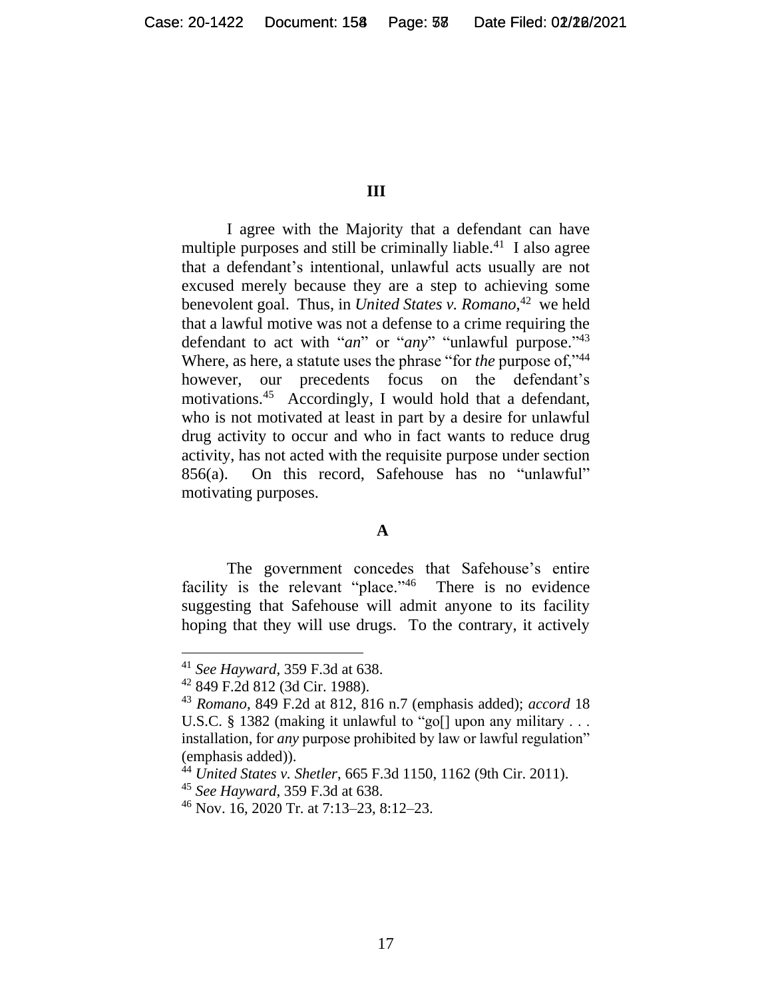#### **III**

I agree with the Majority that a defendant can have multiple purposes and still be criminally liable.<sup>41</sup> I also agree that a defendant's intentional, unlawful acts usually are not excused merely because they are a step to achieving some benevolent goal. Thus, in *United States v. Romano*, <sup>42</sup> we held that a lawful motive was not a defense to a crime requiring the defendant to act with "*an*" or "*any*" "unlawful purpose." 43 Where, as here, a statute uses the phrase "for *the* purpose of,"<sup>44</sup> however, our precedents focus on the defendant's motivations. 45 Accordingly, I would hold that a defendant, who is not motivated at least in part by a desire for unlawful drug activity to occur and who in fact wants to reduce drug activity, has not acted with the requisite purpose under section 856(a). On this record, Safehouse has no "unlawful" motivating purposes.

#### **A**

The government concedes that Safehouse's entire facility is the relevant "place."<sup>46</sup> There is no evidence suggesting that Safehouse will admit anyone to its facility hoping that they will use drugs. To the contrary, it actively

<sup>41</sup> *See Hayward*, 359 F.3d at 638.

<sup>42</sup> 849 F.2d 812 (3d Cir. 1988).

<sup>43</sup> *Romano*, 849 F.2d at 812, 816 n.7 (emphasis added); *accord* 18 U.S.C. § 1382 (making it unlawful to "go[] upon any military . . . installation, for *any* purpose prohibited by law or lawful regulation" (emphasis added)).

<sup>44</sup> *United States v. Shetler*, 665 F.3d 1150, 1162 (9th Cir. 2011).

<sup>45</sup> *See Hayward*, 359 F.3d at 638.

<sup>46</sup> Nov. 16, 2020 Tr. at 7:13–23, 8:12–23.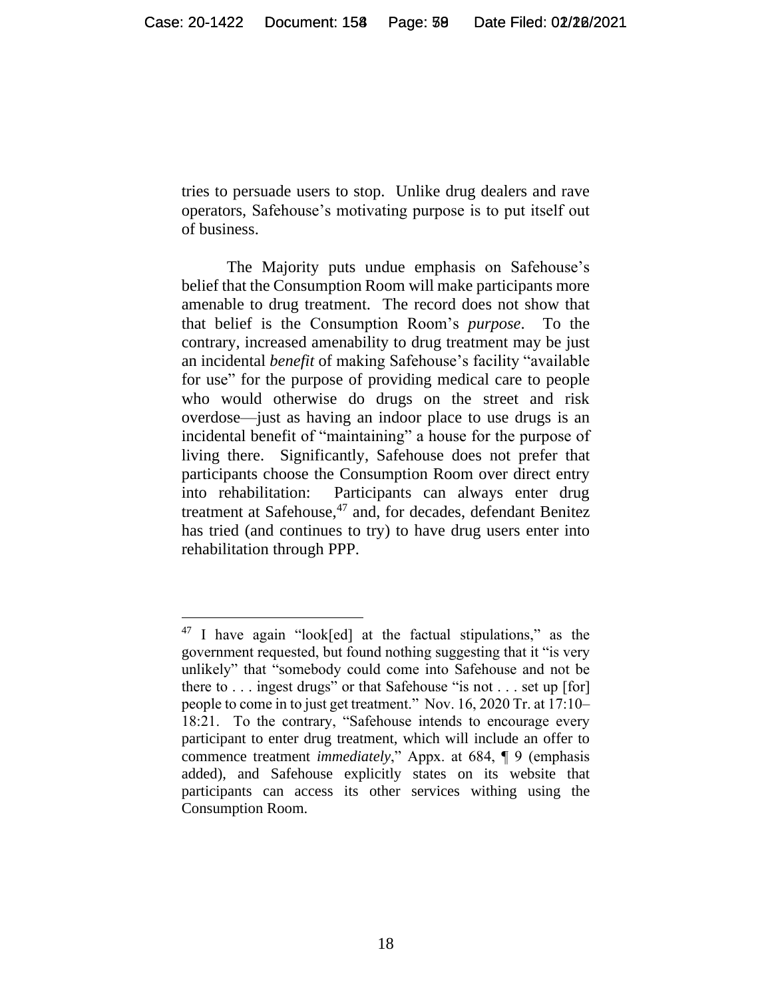tries to persuade users to stop. Unlike drug dealers and rave operators, Safehouse's motivating purpose is to put itself out of business.

The Majority puts undue emphasis on Safehouse's belief that the Consumption Room will make participants more amenable to drug treatment. The record does not show that that belief is the Consumption Room's *purpose*. To the contrary, increased amenability to drug treatment may be just an incidental *benefit* of making Safehouse's facility "available for use" for the purpose of providing medical care to people who would otherwise do drugs on the street and risk overdose—just as having an indoor place to use drugs is an incidental benefit of "maintaining" a house for the purpose of living there. Significantly, Safehouse does not prefer that participants choose the Consumption Room over direct entry into rehabilitation: Participants can always enter drug treatment at Safehouse,<sup>47</sup> and, for decades, defendant Benitez has tried (and continues to try) to have drug users enter into rehabilitation through PPP.

<sup>47</sup> I have again "look[ed] at the factual stipulations," as the government requested, but found nothing suggesting that it "is very unlikely" that "somebody could come into Safehouse and not be there to  $\ldots$  ingest drugs" or that Safehouse "is not  $\ldots$  set up [for] people to come in to just get treatment." Nov. 16, 2020 Tr. at 17:10– 18:21. To the contrary, "Safehouse intends to encourage every participant to enter drug treatment, which will include an offer to commence treatment *immediately*," Appx. at 684, ¶ 9 (emphasis added), and Safehouse explicitly states on its website that participants can access its other services withing using the Consumption Room.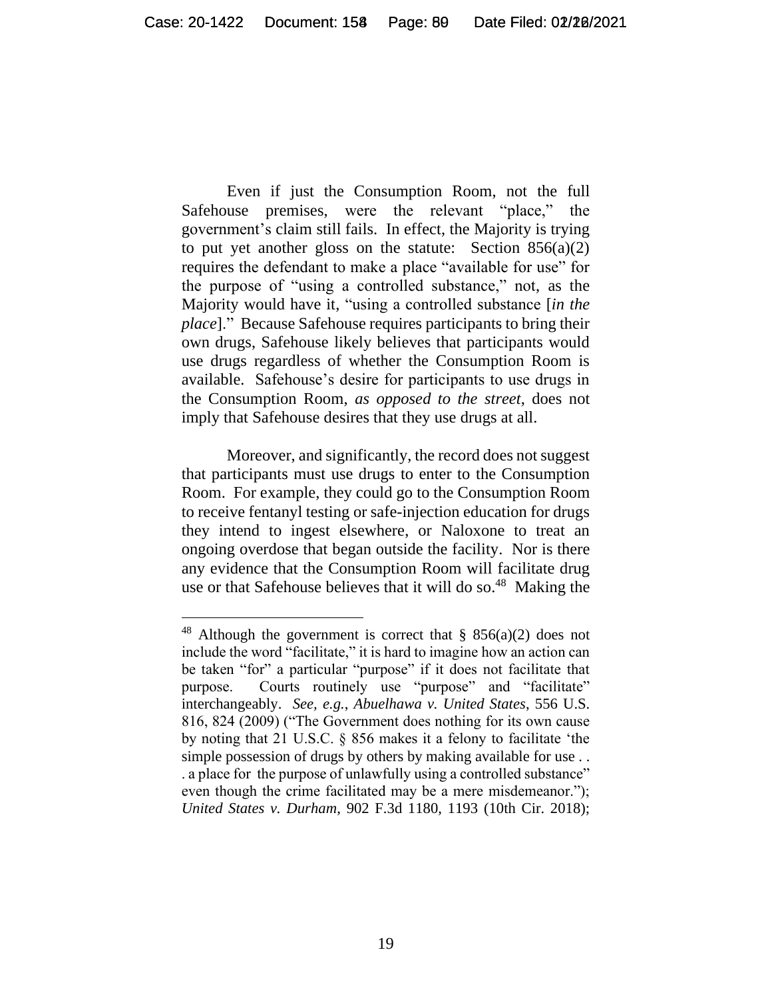Even if just the Consumption Room, not the full Safehouse premises, were the relevant "place," the government's claim still fails. In effect, the Majority is trying to put yet another gloss on the statute: Section  $856(a)(2)$ requires the defendant to make a place "available for use" for the purpose of "using a controlled substance," not, as the Majority would have it, "using a controlled substance [*in the place*]." Because Safehouse requires participants to bring their own drugs, Safehouse likely believes that participants would use drugs regardless of whether the Consumption Room is available. Safehouse's desire for participants to use drugs in the Consumption Room, *as opposed to the street*, does not imply that Safehouse desires that they use drugs at all.

Moreover, and significantly, the record does not suggest that participants must use drugs to enter to the Consumption Room. For example, they could go to the Consumption Room to receive fentanyl testing or safe-injection education for drugs they intend to ingest elsewhere, or Naloxone to treat an ongoing overdose that began outside the facility. Nor is there any evidence that the Consumption Room will facilitate drug use or that Safehouse believes that it will do so.<sup>48</sup> Making the

<sup>&</sup>lt;sup>48</sup> Although the government is correct that § 856(a)(2) does not include the word "facilitate," it is hard to imagine how an action can be taken "for" a particular "purpose" if it does not facilitate that purpose. Courts routinely use "purpose" and "facilitate" interchangeably. *See, e.g.*, *Abuelhawa v. United States*, 556 U.S. 816, 824 (2009) ("The Government does nothing for its own cause by noting that 21 U.S.C. § 856 makes it a felony to facilitate 'the simple possession of drugs by others by making available for use . . . a place for the purpose of unlawfully using a controlled substance" even though the crime facilitated may be a mere misdemeanor."); *United States v. Durham*, 902 F.3d 1180, 1193 (10th Cir. 2018);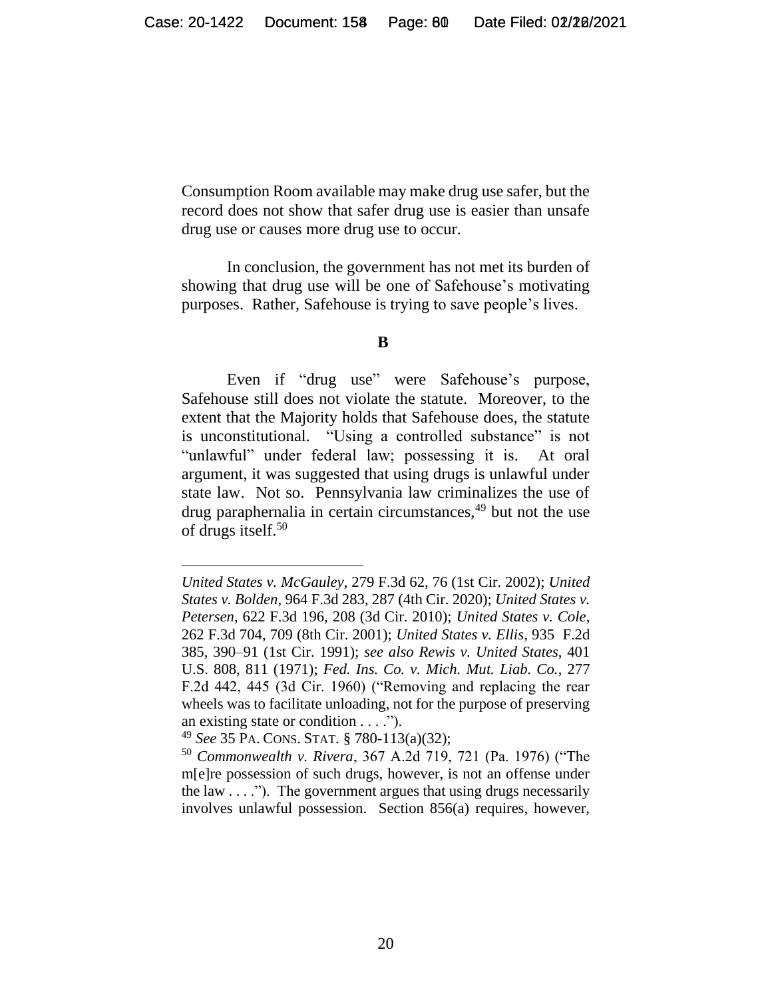Consumption Room available may make drug use safer, but the record does not show that safer drug use is easier than unsafe drug use or causes more drug use to occur.

In conclusion, the government has not met its burden of showing that drug use will be one of Safehouse's motivating purposes. Rather, Safehouse is trying to save people's lives.

#### **B**

Even if "drug use" were Safehouse's purpose, Safehouse still does not violate the statute. Moreover, to the extent that the Majority holds that Safehouse does, the statute is unconstitutional. "Using a controlled substance" is not "unlawful" under federal law; possessing it is. At oral argument, it was suggested that using drugs is unlawful under state law. Not so. Pennsylvania law criminalizes the use of drug paraphernalia in certain circumstances,<sup>49</sup> but not the use of drugs itself. 50

*United States v. McGauley*, 279 F.3d 62, 76 (1st Cir. 2002); *United States v. Bolden*, 964 F.3d 283, 287 (4th Cir. 2020); *United States v. Petersen*, 622 F.3d 196, 208 (3d Cir. 2010); *United States v. Cole*, 262 F.3d 704, 709 (8th Cir. 2001); *United States v. Ellis*, 935 F.2d 385, 390–91 (1st Cir. 1991); *see also Rewis v. United States*, 401 U.S. 808, 811 (1971); *Fed. Ins. Co. v. Mich. Mut. Liab. Co.*, 277 F.2d 442, 445 (3d Cir. 1960) ("Removing and replacing the rear wheels was to facilitate unloading, not for the purpose of preserving an existing state or condition . . . .").

<sup>49</sup> *See* 35 PA. CONS. STAT. § 780-113(a)(32);

<sup>50</sup> *Commonwealth v. Rivera*, 367 A.2d 719, 721 (Pa. 1976) ("The m[e]re possession of such drugs, however, is not an offense under the law  $\dots$ "). The government argues that using drugs necessarily involves unlawful possession. Section 856(a) requires, however,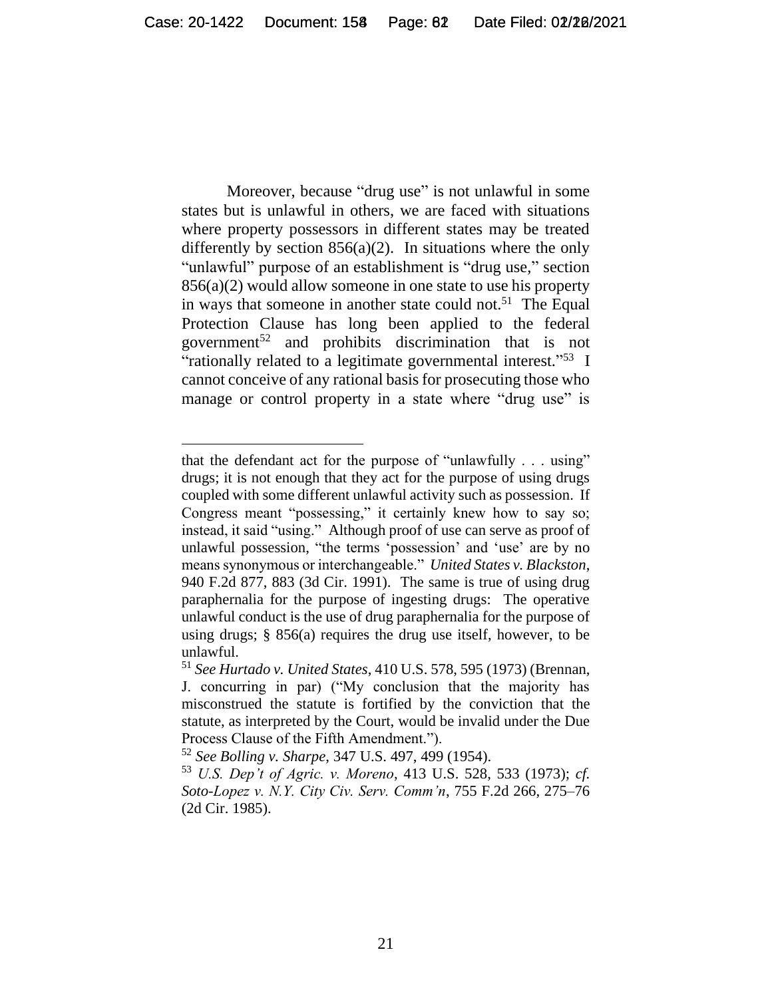Moreover, because "drug use" is not unlawful in some states but is unlawful in others, we are faced with situations where property possessors in different states may be treated differently by section  $856(a)(2)$ . In situations where the only "unlawful" purpose of an establishment is "drug use," section 856(a)(2) would allow someone in one state to use his property in ways that someone in another state could not.<sup>51</sup> The Equal Protection Clause has long been applied to the federal government<sup>52</sup> and prohibits discrimination that is not "rationally related to a legitimate governmental interest."<sup>53</sup> I cannot conceive of any rational basis for prosecuting those who manage or control property in a state where "drug use" is

<sup>52</sup> *See Bolling v. Sharpe*, 347 U.S. 497, 499 (1954).

that the defendant act for the purpose of "unlawfully . . . using" drugs; it is not enough that they act for the purpose of using drugs coupled with some different unlawful activity such as possession. If Congress meant "possessing," it certainly knew how to say so; instead, it said "using." Although proof of use can serve as proof of unlawful possession, "the terms 'possession' and 'use' are by no means synonymous or interchangeable." *United States v. Blackston*, 940 F.2d 877, 883 (3d Cir. 1991). The same is true of using drug paraphernalia for the purpose of ingesting drugs: The operative unlawful conduct is the use of drug paraphernalia for the purpose of using drugs;  $\S$  856(a) requires the drug use itself, however, to be unlawful.

<sup>51</sup> *See Hurtado v. United States*, 410 U.S. 578, 595 (1973) (Brennan, J. concurring in par) ("My conclusion that the majority has misconstrued the statute is fortified by the conviction that the statute, as interpreted by the Court, would be invalid under the Due Process Clause of the Fifth Amendment.").

<sup>53</sup> *U.S. Dep't of Agric. v. Moreno*, 413 U.S. 528, 533 (1973); *cf. Soto-Lopez v. N.Y. City Civ. Serv. Comm'n*, 755 F.2d 266, 275–76 (2d Cir. 1985).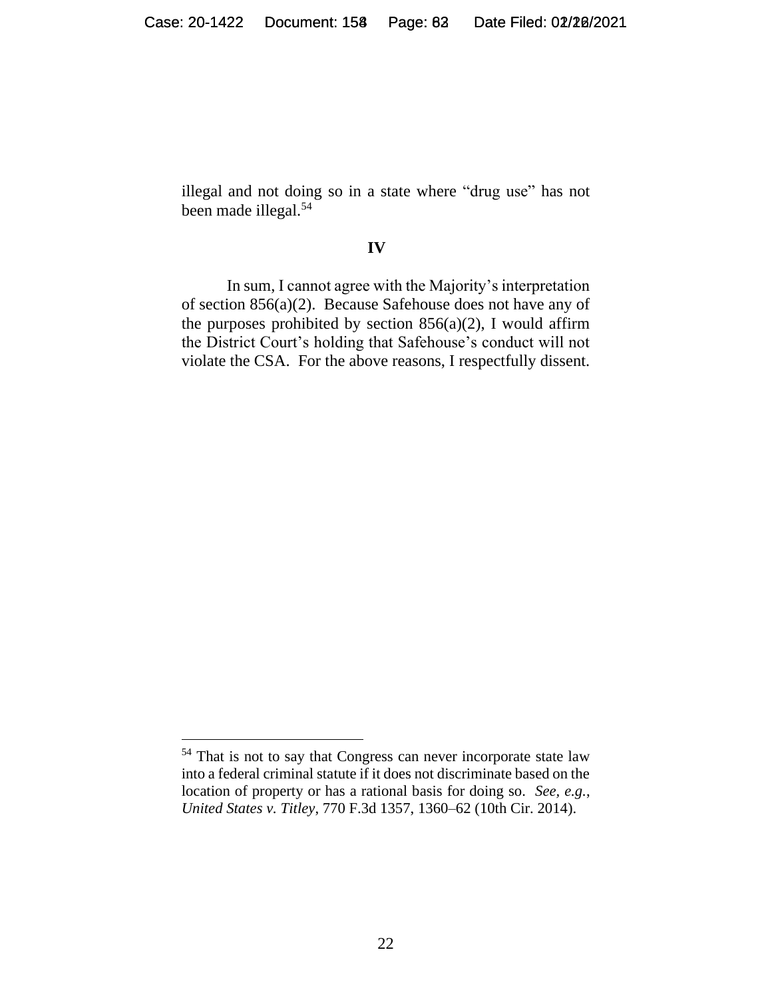illegal and not doing so in a state where "drug use" has not been made illegal. 54

#### **IV**

In sum, I cannot agree with the Majority's interpretation of section 856(a)(2). Because Safehouse does not have any of the purposes prohibited by section  $856(a)(2)$ , I would affirm the District Court's holding that Safehouse's conduct will not violate the CSA. For the above reasons, I respectfully dissent.

<sup>&</sup>lt;sup>54</sup> That is not to say that Congress can never incorporate state law into a federal criminal statute if it does not discriminate based on the location of property or has a rational basis for doing so. *See, e.g.*, *United States v. Titley*, 770 F.3d 1357, 1360–62 (10th Cir. 2014).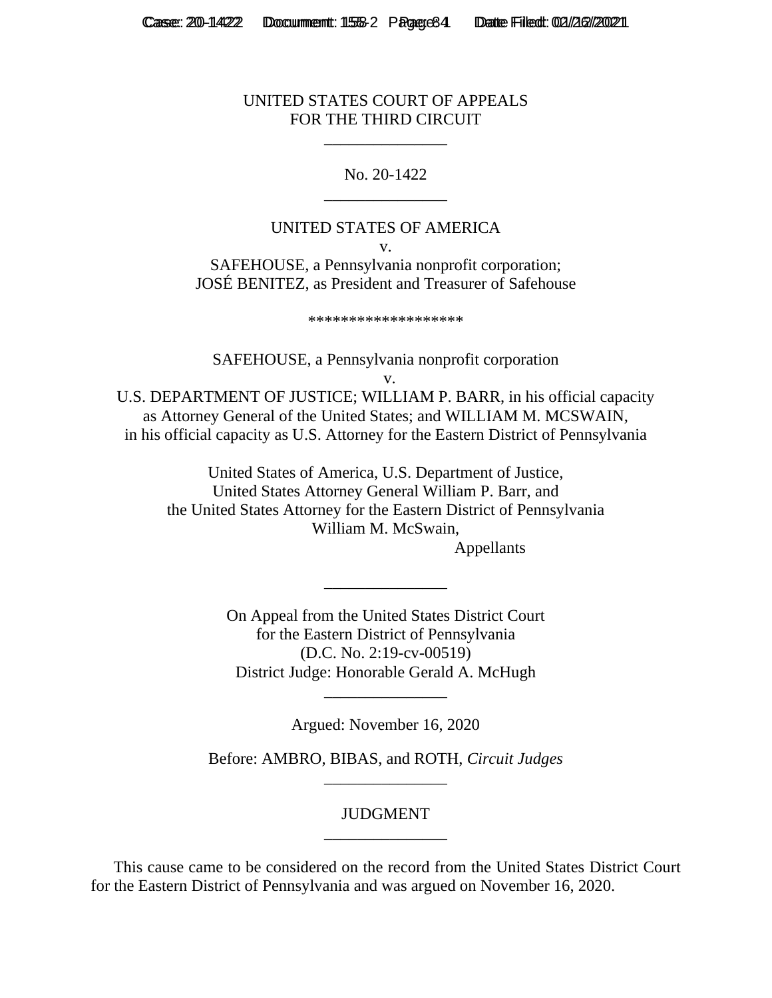#### UNITED STATES COURT OF APPEALS FOR THE THIRD CIRCUIT

\_\_\_\_\_\_\_\_\_\_\_\_\_\_\_

## No. 20-1422 \_\_\_\_\_\_\_\_\_\_\_\_\_\_\_

## UNITED STATES OF AMERICA

v.

SAFEHOUSE, a Pennsylvania nonprofit corporation; JOSÉ BENITEZ, as President and Treasurer of Safehouse

\*\*\*\*\*\*\*\*\*\*\*\*\*\*\*\*\*\*\*

SAFEHOUSE, a Pennsylvania nonprofit corporation

v.

U.S. DEPARTMENT OF JUSTICE; WILLIAM P. BARR, in his official capacity as Attorney General of the United States; and WILLIAM M. MCSWAIN, in his official capacity as U.S. Attorney for the Eastern District of Pennsylvania

United States of America, U.S. Department of Justice, United States Attorney General William P. Barr, and the United States Attorney for the Eastern District of Pennsylvania William M. McSwain,

Appellants

On Appeal from the United States District Court for the Eastern District of Pennsylvania (D.C. No. 2:19-cv-00519) District Judge: Honorable Gerald A. McHugh

\_\_\_\_\_\_\_\_\_\_\_\_\_\_\_

Argued: November 16, 2020

\_\_\_\_\_\_\_\_\_\_\_\_\_\_\_

Before: AMBRO, BIBAS, and ROTH, *Circuit Judges* \_\_\_\_\_\_\_\_\_\_\_\_\_\_\_

## JUDGMENT \_\_\_\_\_\_\_\_\_\_\_\_\_\_\_

This cause came to be considered on the record from the United States District Court for the Eastern District of Pennsylvania and was argued on November 16, 2020.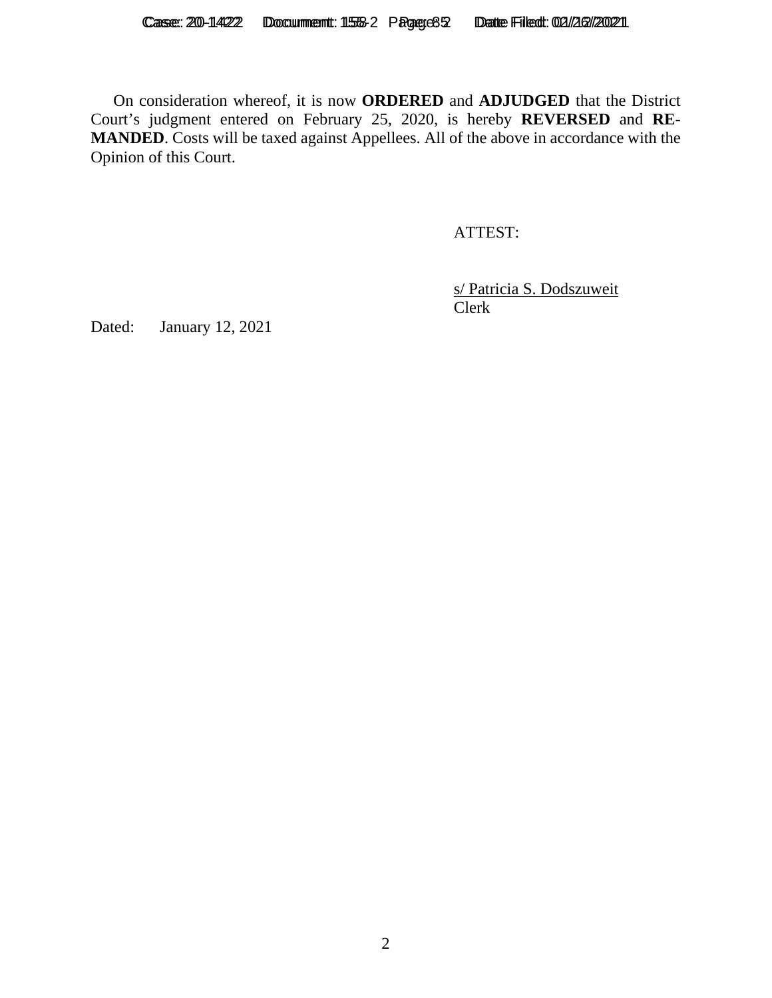On consideration whereof, it is now **ORDERED** and **ADJUDGED** that the District Court's judgment entered on February 25, 2020, is hereby **REVERSED** and **RE-MANDED**. Costs will be taxed against Appellees. All of the above in accordance with the Opinion of this Court.

ATTEST:

s/ Patricia S. Dodszuweit Clerk

Dated: January 12, 2021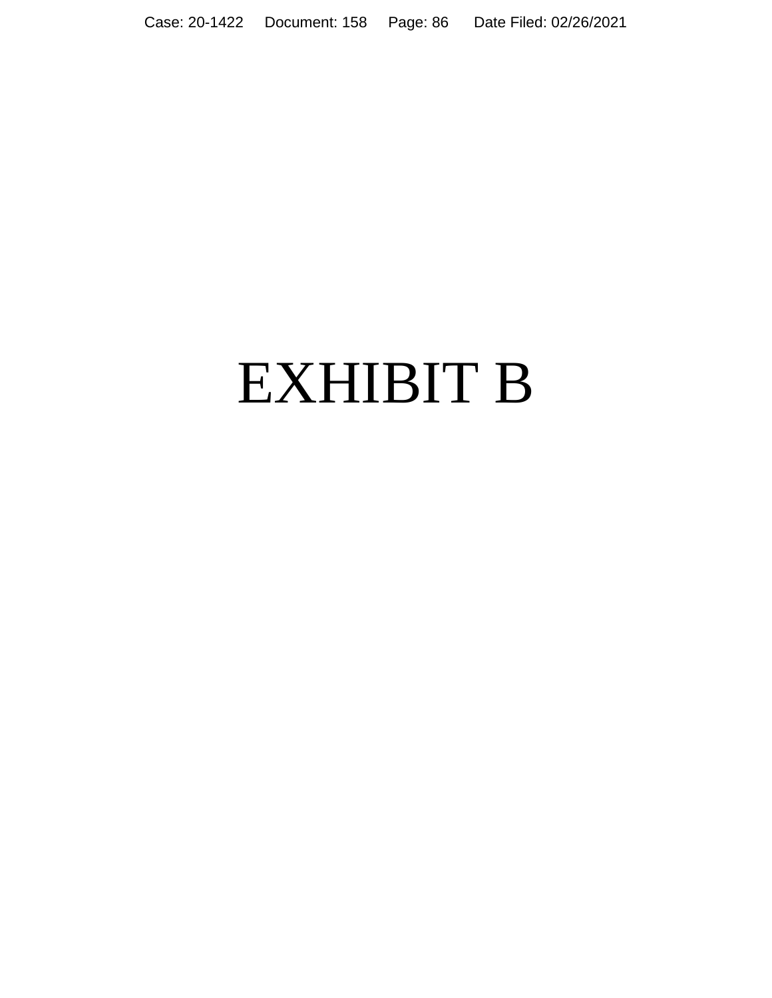Case: 20-1422 Document: 158 Page: 86 Date Filed: 02/26/2021

# EXHIBIT B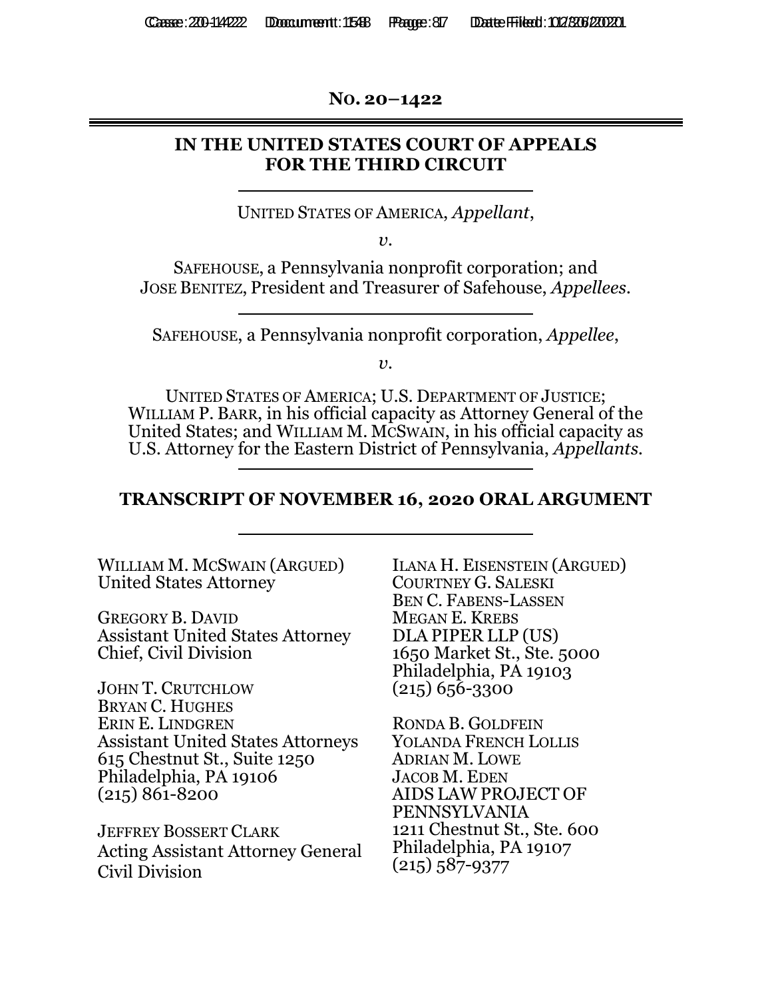**NO. 20–1422** 

# **IN THE UNITED STATES COURT OF APPEALS FOR THE THIRD CIRCUIT**

UNITED STATES OF AMERICA, *Appellant*,

*v.* 

SAFEHOUSE, a Pennsylvania nonprofit corporation; and JOSE BENITEZ, President and Treasurer of Safehouse, *Appellees.* 

SAFEHOUSE, a Pennsylvania nonprofit corporation, *Appellee*,

 $v<sub>i</sub>$ 

UNITED STATES OF AMERICA; U.S. DEPARTMENT OF JUSTICE; WILLIAM P. BARR, in his official capacity as Attorney General of the United States; and WILLIAM M. MCSWAIN, in his official capacity as U.S. Attorney for the Eastern District of Pennsylvania, *Appellants.*

# **TRANSCRIPT OF NOVEMBER 16, 2020 ORAL ARGUMENT**

| WILLIAM M. MCSWAIN (ARGUED)              | <b>ILANA H. EISENSTEIN (ARGUED)</b> |
|------------------------------------------|-------------------------------------|
| <b>United States Attorney</b>            | <b>COURTNEY G. SALESKI</b>          |
|                                          | <b>BEN C. FABENS-LASSEN</b>         |
| <b>GREGORY B. DAVID</b>                  | <b>MEGAN E. KREBS</b>               |
| <b>Assistant United States Attorney</b>  | DLA PIPER LLP (US)                  |
| Chief, Civil Division                    | 1650 Market St., Ste. 5000          |
|                                          | Philadelphia, PA 19103              |
| <b>JOHN T. CRUTCHLOW</b>                 | $(215)$ 656-3300                    |
| <b>BRYAN C. HUGHES</b>                   |                                     |
| ERIN E. LINDGREN                         | RONDA B. GOLDFEIN                   |
| <b>Assistant United States Attorneys</b> | <b>YOLANDA FRENCH LOLLIS</b>        |
| 615 Chestnut St., Suite 1250             | <b>ADRIAN M. LOWE</b>               |
| Philadelphia, PA 19106                   | <b>JACOB M. EDEN</b>                |
| $(215) 861 - 8200$                       | AIDS LAW PROJECT OF                 |
|                                          | PENNSYLVANIA                        |
| <b>JEFFREY BOSSERT CLARK</b>             | 1211 Chestnut St., Ste. 600         |
| <b>Acting Assistant Attorney General</b> | Philadelphia, PA 19107              |
| Civil Division                           | $(215) 587 - 9377$                  |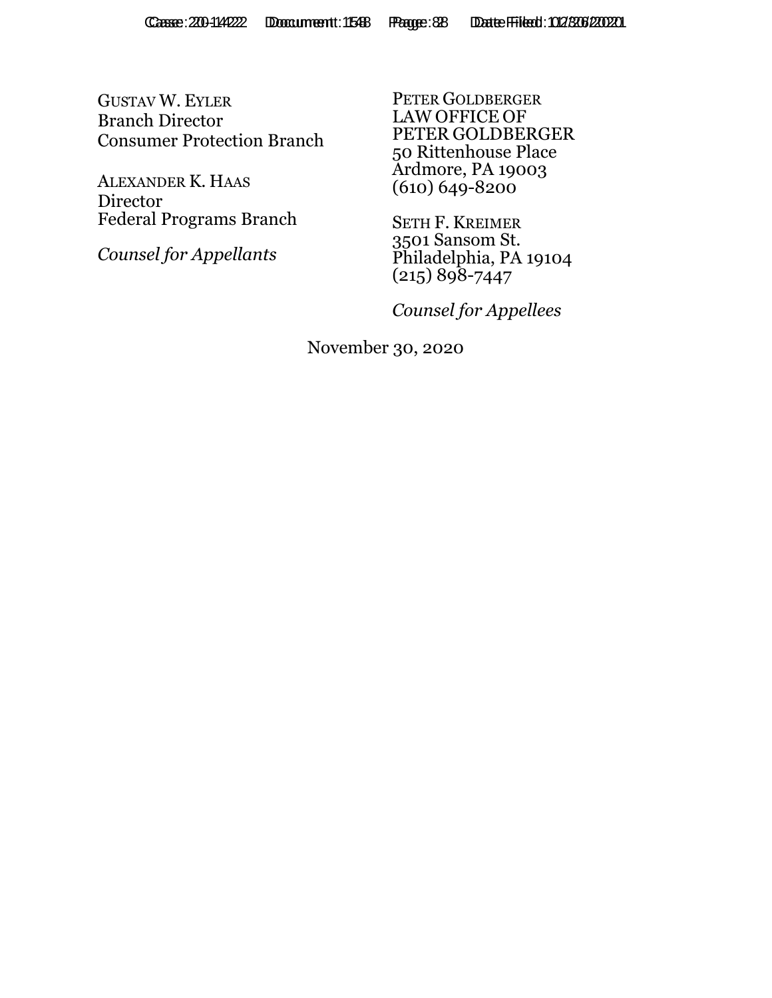GUSTAV W. EYLER Branch Director Consumer Protection Branch

ALEXANDER K. HAAS Director Federal Programs Branch

*Counsel for Appellants* 

PETER GOLDBERGER LAW OFFICE OF PETER GOLDBERGER 50 Rittenhouse Place Ardmore, PA 19003  $(610) 649 - 8200$ 

SETH F. KREIMER 3501 Sansom St. Philadelphia, PA 19104  $(215) 898 - 7447$ 

*Counsel for Appellees* 

November 30, 2020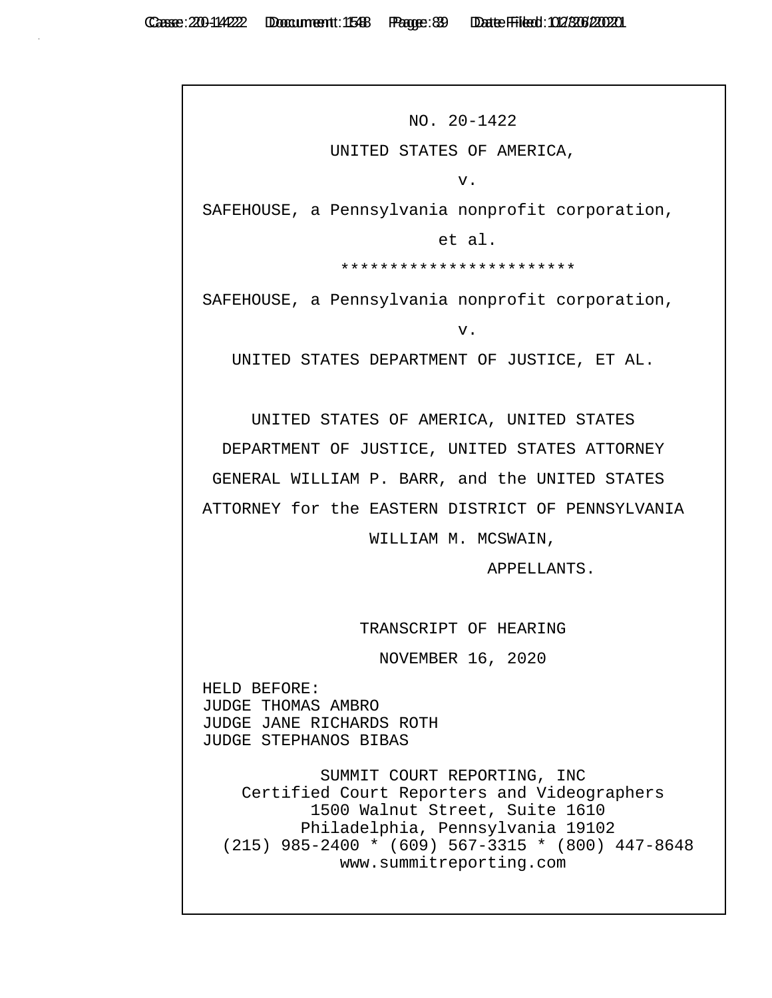NO. 20-1422 UNITED STATES OF AMERICA, v. SAFEHOUSE, a Pennsylvania nonprofit corporation, et al. \*\*\*\*\*\*\*\*\*\*\*\*\*\*\*\*\*\*\*\*\*\*\*\* SAFEHOUSE, a Pennsylvania nonprofit corporation, v. UNITED STATES DEPARTMENT OF JUSTICE, ET AL. UNITED STATES OF AMERICA, UNITED STATES DEPARTMENT OF JUSTICE, UNITED STATES ATTORNEY GENERAL WILLIAM P. BARR, and the UNITED STATES ATTORNEY for the EASTERN DISTRICT OF PENNSYLVANIA WILLIAM M. MCSWAIN, APPELLANTS. TRANSCRIPT OF HEARING NOVEMBER 16, 2020 HELD BEFORE: JUDGE THOMAS AMBRO JUDGE JANE RICHARDS ROTH JUDGE STEPHANOS BIBAS SUMMIT COURT REPORTING, INC Certified Court Reporters and Videographers 1500 Walnut Street, Suite 1610 Philadelphia, Pennsylvania 19102 (215) 985-2400 \* (609) 567-3315 \* (800) 447-8648 www.summitreporting.com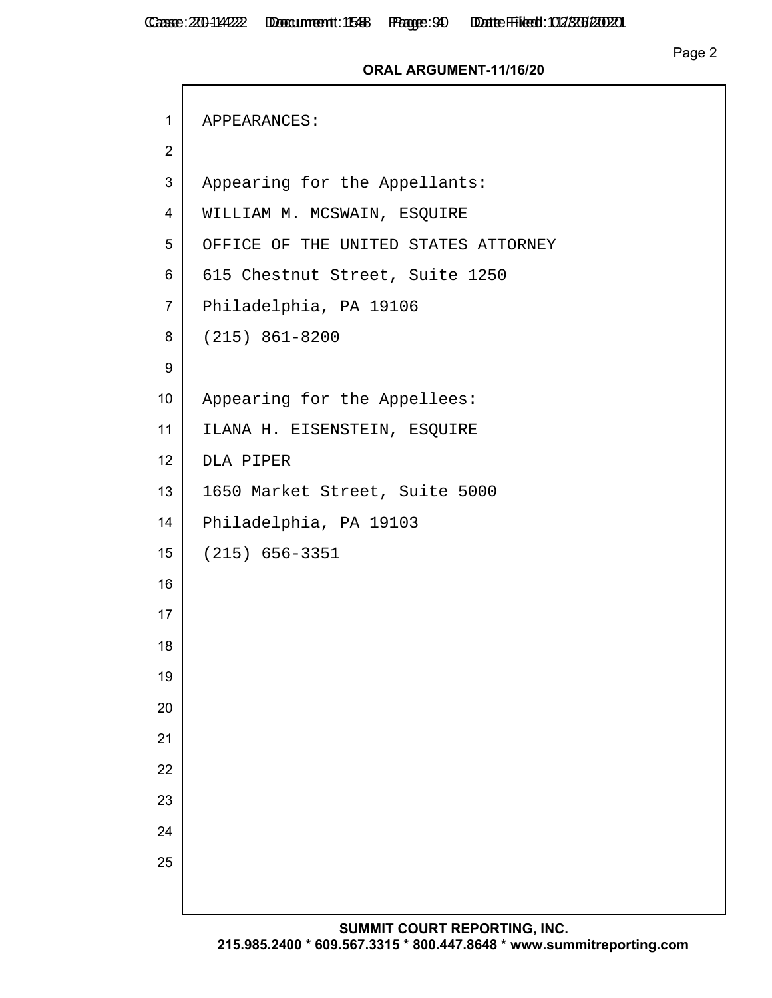$\Gamma$ 

## Page 2

## **ORAL ARGUMENT-11/16/20**

| $\mathbf{1}$     | APPEARANCES:                         |
|------------------|--------------------------------------|
| $\overline{2}$   |                                      |
| $\mathfrak{S}$   | Appearing for the Appellants:        |
| $\overline{4}$   | WILLIAM M. MCSWAIN, ESQUIRE          |
| 5                | OFFICE OF THE UNITED STATES ATTORNEY |
| 6                | 615 Chestnut Street, Suite 1250      |
| $\overline{7}$   | Philadelphia, PA 19106               |
| 8                | $(215) 861 - 8200$                   |
| $\boldsymbol{9}$ |                                      |
| 10               | Appearing for the Appellees:         |
| 11               | ILANA H. EISENSTEIN, ESQUIRE         |
| 12               | DLA PIPER                            |
| 13               | 1650 Market Street, Suite 5000       |
| 14               | Philadelphia, PA 19103               |
| 15               | $(215) 656 - 3351$                   |
| 16               |                                      |
| 17               |                                      |
| 18               |                                      |
| 19               |                                      |
| 20               |                                      |
| 21               |                                      |
| 22               |                                      |
| 23               |                                      |
| 24               |                                      |
| 25               |                                      |
|                  |                                      |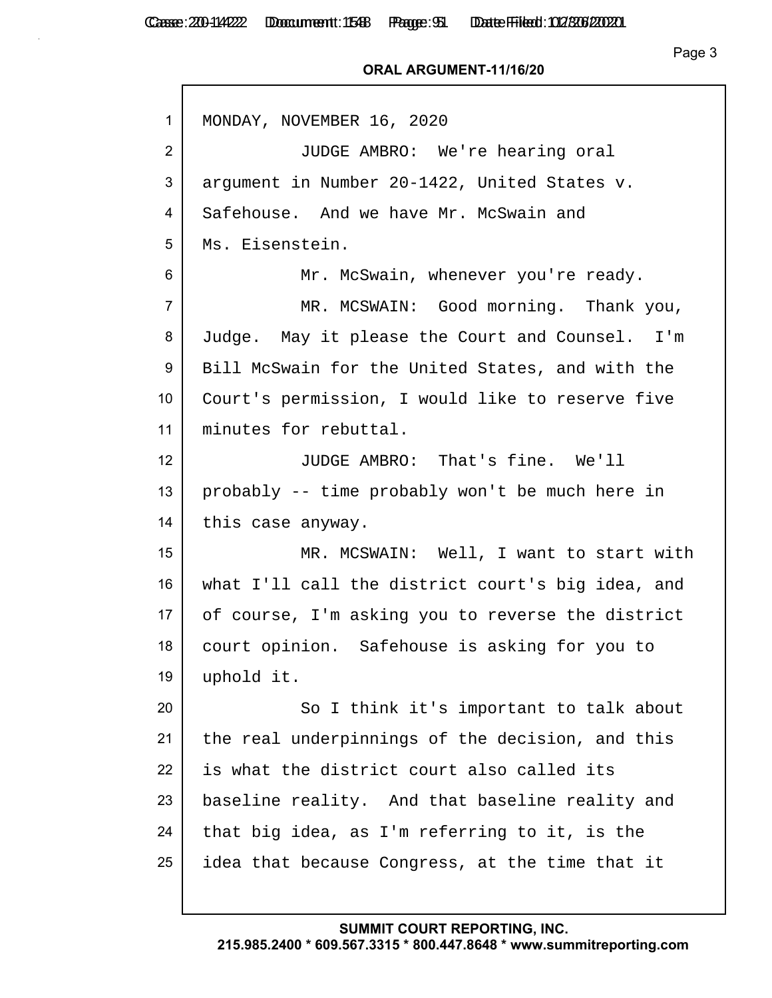#### **ORAL ARGUMENT-11/16/20**

| $\mathbf{1}$    | MONDAY, NOVEMBER 16, 2020                         |
|-----------------|---------------------------------------------------|
| $\overline{2}$  | JUDGE AMBRO: We're hearing oral                   |
| 3               | argument in Number 20-1422, United States v.      |
| 4               | Safehouse. And we have Mr. McSwain and            |
| 5               | Ms. Eisenstein.                                   |
| 6               | Mr. McSwain, whenever you're ready.               |
| $\overline{7}$  | MR. MCSWAIN: Good morning. Thank you,             |
| 8               | Judge. May it please the Court and Counsel. I'm   |
| 9               | Bill McSwain for the United States, and with the  |
| 10 <sup>°</sup> | Court's permission, I would like to reserve five  |
| 11              | minutes for rebuttal.                             |
| 12 <sup>2</sup> | JUDGE AMBRO: That's fine. We'll                   |
| 13              | probably -- time probably won't be much here in   |
| 14              | this case anyway.                                 |
| 15              | MR. MCSWAIN: Well, I want to start with           |
| 16              | what I'll call the district court's big idea, and |
| 17              | of course, I'm asking you to reverse the district |
| 18              | court opinion. Safehouse is asking for you to     |
| 19              | uphold it.                                        |
| 20              | So I think it's important to talk about           |
| 21              | the real underpinnings of the decision, and this  |
| 22              | is what the district court also called its        |
| 23              | baseline reality. And that baseline reality and   |
| 24              | that big idea, as I'm referring to it, is the     |
| 25              | idea that because Congress, at the time that it   |
|                 |                                                   |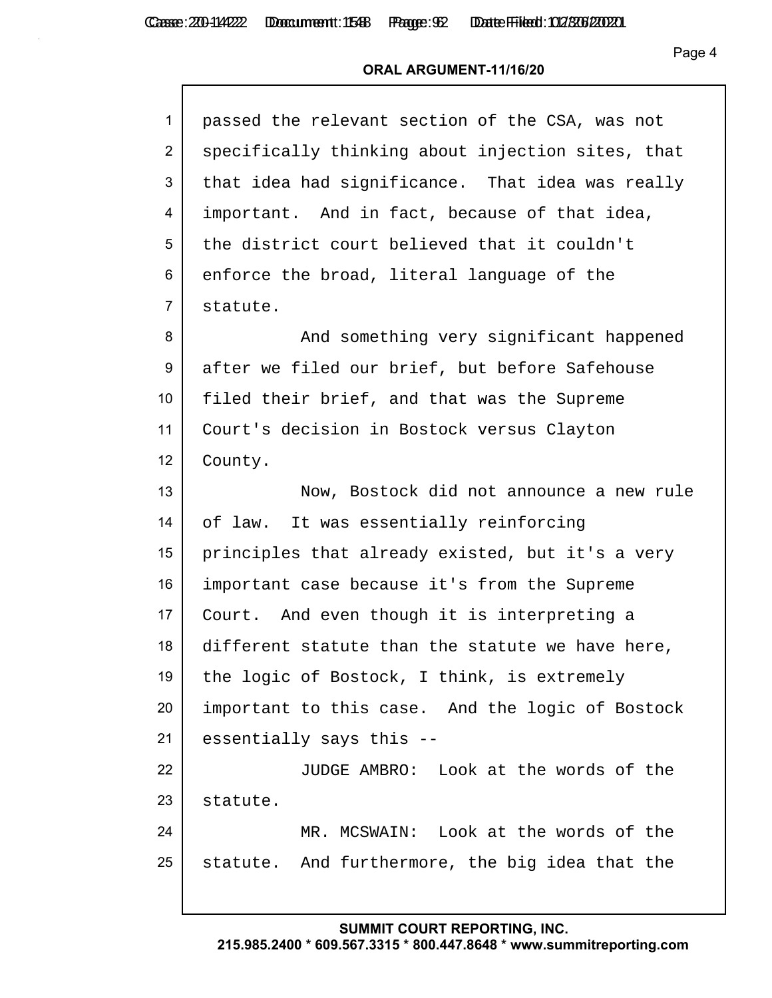### **ORAL ARGUMENT-11/16/20**

| passed the relevant section of the CSA, was not   |
|---------------------------------------------------|
| specifically thinking about injection sites, that |
| that idea had significance. That idea was really  |
| important. And in fact, because of that idea,     |
| the district court believed that it couldn't      |
| enforce the broad, literal language of the        |
| statute.                                          |
| And something very significant happened           |
| after we filed our brief, but before Safehouse    |
| filed their brief, and that was the Supreme       |
| Court's decision in Bostock versus Clayton        |
| County.                                           |
| Now, Bostock did not announce a new rule          |
| of law. It was essentially reinforcing            |
| principles that already existed, but it's a very  |
| important case because it's from the Supreme      |
| Court. And even though it is interpreting a       |
| different statute than the statute we have here,  |
| the logic of Bostock, I think, is extremely       |
| important to this case. And the logic of Bostock  |
| essentially says this --                          |
| JUDGE AMBRO: Look at the words of the             |
| statute.                                          |
| MR. MCSWAIN: Look at the words of the             |
| statute. And furthermore, the big idea that the   |
|                                                   |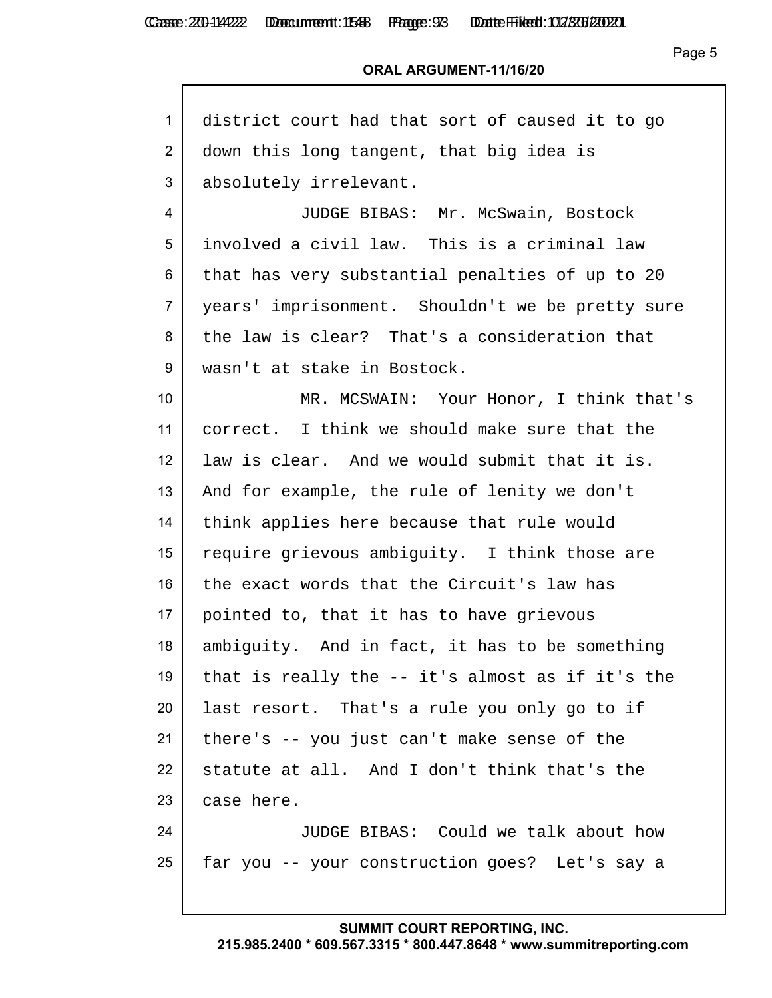## Page 5

## **ORAL ARGUMENT-11/16/20**

| 1               | district court had that sort of caused it to go  |
|-----------------|--------------------------------------------------|
| $\overline{2}$  | down this long tangent, that big idea is         |
| 3               | absolutely irrelevant.                           |
| 4               | JUDGE BIBAS: Mr. McSwain, Bostock                |
| 5               | involved a civil law. This is a criminal law     |
| 6               | that has very substantial penalties of up to 20  |
| $\overline{7}$  | years' imprisonment. Shouldn't we be pretty sure |
| 8               | the law is clear? That's a consideration that    |
| 9               | wasn't at stake in Bostock.                      |
| 10 <sup>°</sup> | MR. MCSWAIN: Your Honor, I think that's          |
| 11              | correct. I think we should make sure that the    |
| 12 <sup>2</sup> | law is clear. And we would submit that it is.    |
| 13              | And for example, the rule of lenity we don't     |
| 14              | think applies here because that rule would       |
| 15              | require grievous ambiguity. I think those are    |
| 16              | the exact words that the Circuit's law has       |
| 17              | pointed to, that it has to have grievous         |
| 18              | ambiguity. And in fact, it has to be something   |
| 19              | that is really the -- it's almost as if it's the |
| 20              | last resort. That's a rule you only go to if     |
| 21              | there's -- you just can't make sense of the      |
| 22              | statute at all. And I don't think that's the     |
| 23              | case here.                                       |
| 24              | JUDGE BIBAS: Could we talk about how             |
| 25              | far you -- your construction goes? Let's say a   |
|                 |                                                  |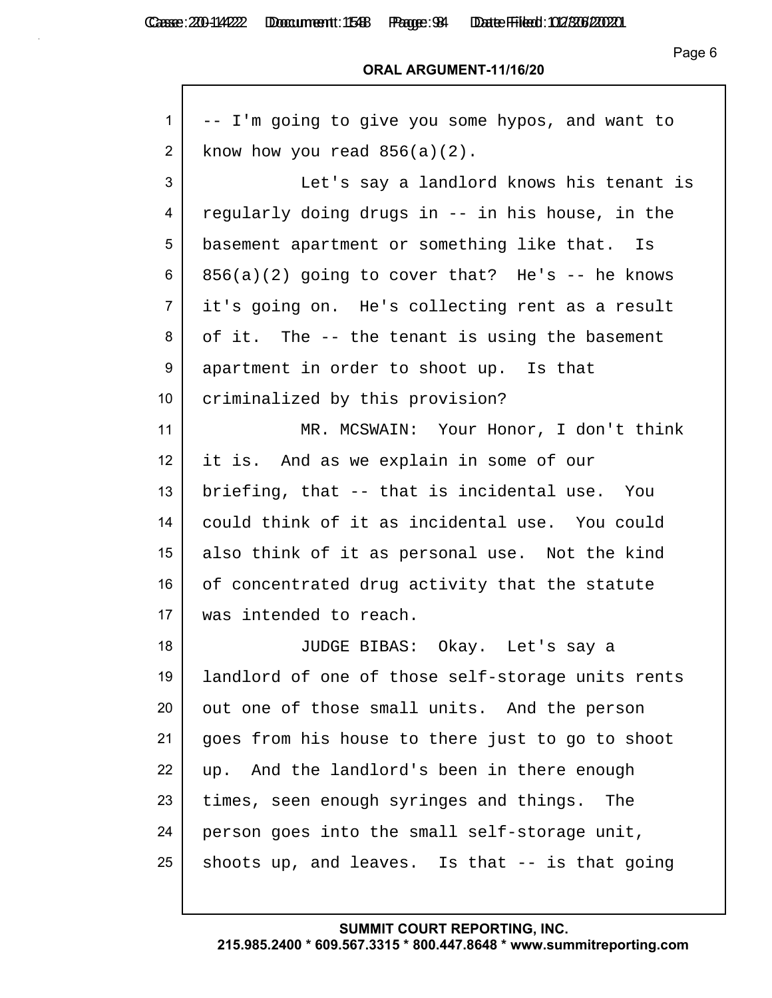Page 6

#### **ORAL ARGUMENT-11/16/20**

| 1              | -- I'm going to give you some hypos, and want to  |
|----------------|---------------------------------------------------|
| $\overline{2}$ | know how you read $856(a)(2)$ .                   |
| 3              | Let's say a landlord knows his tenant is          |
| 4              | regularly doing drugs in -- in his house, in the  |
| 5              | basement apartment or something like that. Is     |
| 6              | $856(a)(2)$ going to cover that? He's -- he knows |
| $\overline{7}$ | it's going on. He's collecting rent as a result   |
| 8              | of it. The -- the tenant is using the basement    |
| 9              | apartment in order to shoot up. Is that           |
| 10             | criminalized by this provision?                   |
| 11             | MR. MCSWAIN: Your Honor, I don't think            |
| 12             | it is. And as we explain in some of our           |
| 13             | briefing, that -- that is incidental use. You     |
| 14             | could think of it as incidental use. You could    |
| 15             | also think of it as personal use. Not the kind    |
| 16             | of concentrated drug activity that the statute    |
| 17             | was intended to reach.                            |
| 18             | JUDGE BIBAS: Okay. Let's say a                    |
| 19             | landlord of one of those self-storage units rents |
| 20             | out one of those small units. And the person      |
| 21             | goes from his house to there just to go to shoot  |
| 22             | up. And the landlord's been in there enough       |
| 23             | times, seen enough syringes and things. The       |
| 24             | person goes into the small self-storage unit,     |
| 25             | shoots up, and leaves. Is that -- is that going   |
|                |                                                   |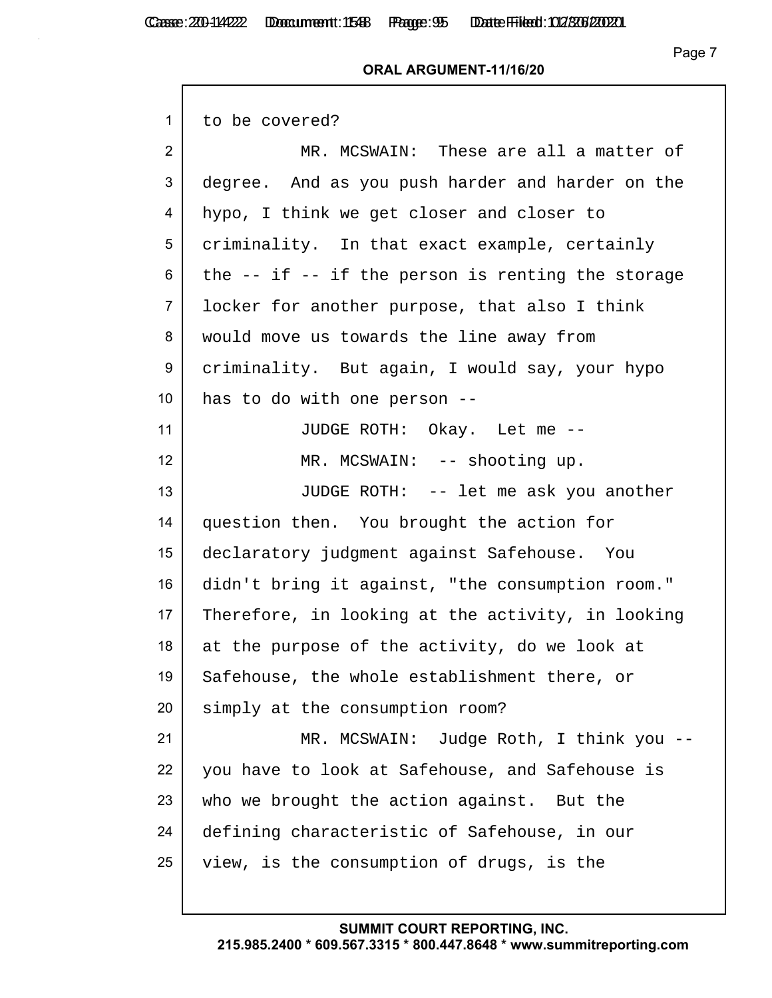$\mathsf{r}$ 

#### **ORAL ARGUMENT-11/16/20**

| to be covered?                                        |
|-------------------------------------------------------|
| MR. MCSWAIN: These are all a matter of                |
| degree. And as you push harder and harder on the      |
| hypo, I think we get closer and closer to             |
| criminality. In that exact example, certainly         |
| the $--$ if $--$ if the person is renting the storage |
| locker for another purpose, that also I think         |
| would move us towards the line away from              |
| criminality. But again, I would say, your hypo        |
| has to do with one person --                          |
| JUDGE ROTH: Okay. Let me --                           |
| MR. MCSWAIN: -- shooting up.                          |
| JUDGE ROTH: -- let me ask you another                 |
| question then. You brought the action for             |
| declaratory judgment against Safehouse. You           |
| didn't bring it against, "the consumption room."      |
| Therefore, in looking at the activity, in looking     |
| at the purpose of the activity, do we look at         |
| Safehouse, the whole establishment there, or          |
| simply at the consumption room?                       |
| MR. MCSWAIN: Judge Roth, I think you --               |
| you have to look at Safehouse, and Safehouse is       |
| who we brought the action against. But the            |
| defining characteristic of Safehouse, in our          |
| view, is the consumption of drugs, is the             |
|                                                       |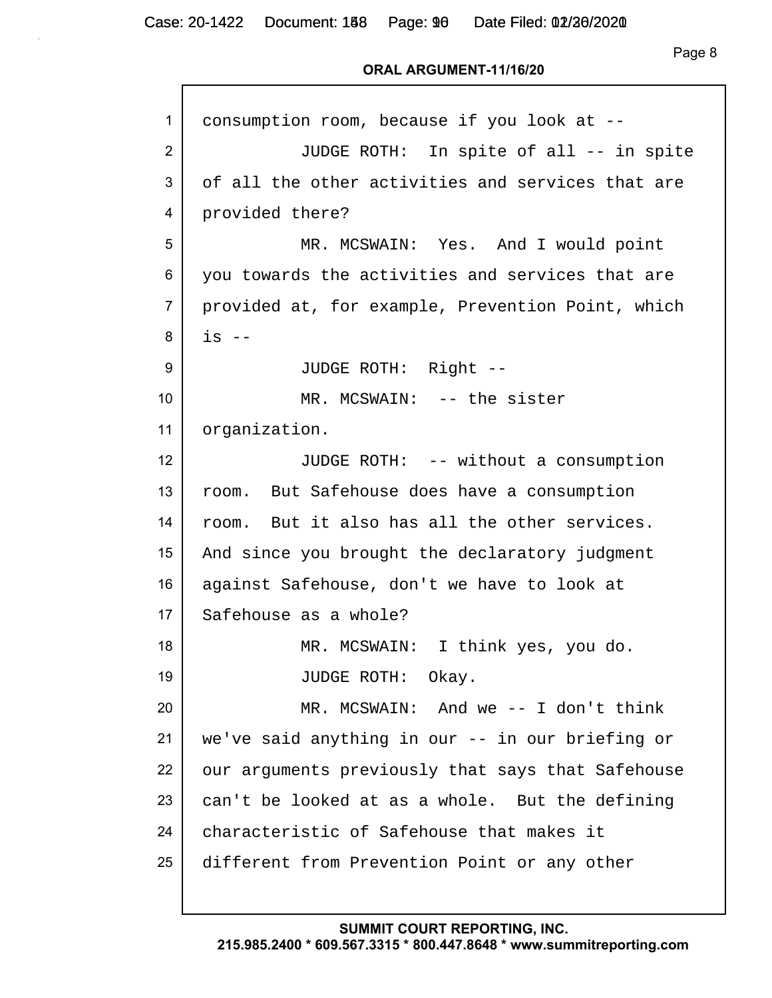Page 8

### **ORAL ARGUMENT-11/16/20**

| 1              | consumption room, because if you look at --       |
|----------------|---------------------------------------------------|
| 2              | JUDGE ROTH: In spite of all -- in spite           |
| 3              | of all the other activities and services that are |
| 4              | provided there?                                   |
| 5              | MR. MCSWAIN: Yes. And I would point               |
| 6              | you towards the activities and services that are  |
| $\overline{7}$ | provided at, for example, Prevention Point, which |
| 8              | $is$ $--$                                         |
| 9              | JUDGE ROTH: Right --                              |
| 10             | MR. MCSWAIN: -- the sister                        |
| 11             | organization.                                     |
| 12             | JUDGE ROTH: -- without a consumption              |
| 13             | room. But Safehouse does have a consumption       |
| 14             | room. But it also has all the other services.     |
| 15             | And since you brought the declaratory judgment    |
| 16             | against Safehouse, don't we have to look at       |
| 17             | Safehouse as a whole?                             |
| 18             | MR. MCSWAIN: I think yes, you do.                 |
| 19             | JUDGE ROTH: Okay.                                 |
| 20             | MR. MCSWAIN: And we $-$ I don't think             |
| 21             | we've said anything in our -- in our briefing or  |
| 22             | our arguments previously that says that Safehouse |
| 23             | can't be looked at as a whole. But the defining   |
| 24             | characteristic of Safehouse that makes it         |
| 25             | different from Prevention Point or any other      |
|                |                                                   |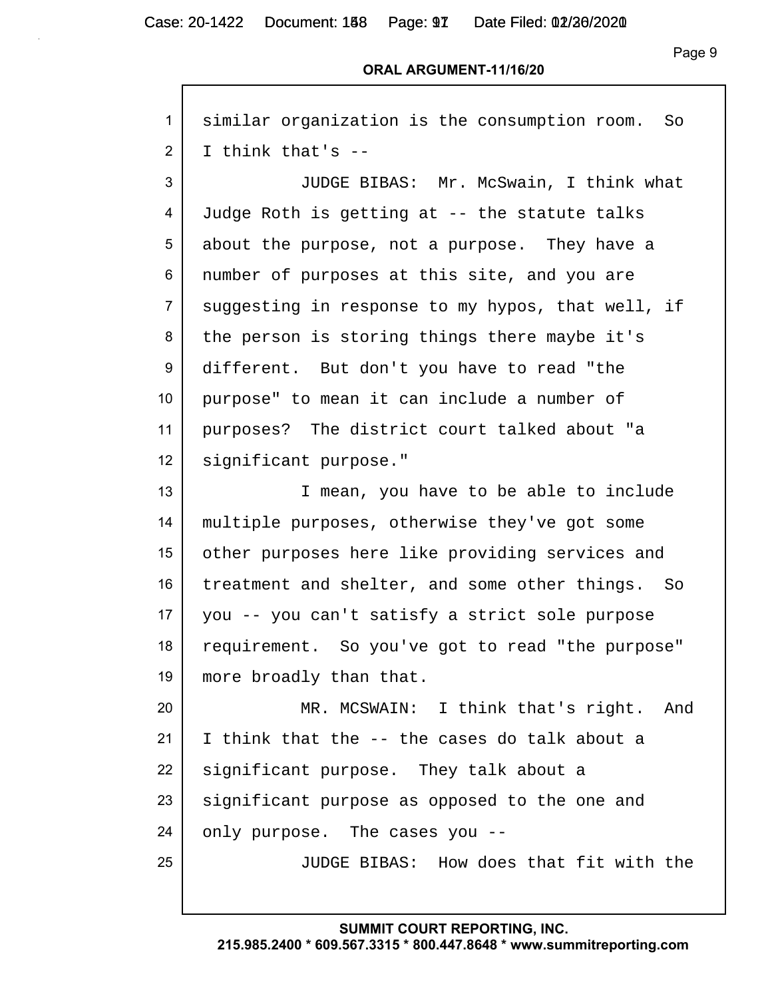Page 9

#### **ORAL ARGUMENT-11/16/20**

| $\mathbf{1}$    | similar organization is the consumption room.<br>So |
|-----------------|-----------------------------------------------------|
| $\overline{2}$  | I think that's --                                   |
| 3               | JUDGE BIBAS: Mr. McSwain, I think what              |
| 4               | Judge Roth is getting at -- the statute talks       |
| 5               | about the purpose, not a purpose. They have a       |
| 6               | number of purposes at this site, and you are        |
| $\overline{7}$  | suggesting in response to my hypos, that well, if   |
| 8               | the person is storing things there maybe it's       |
| 9               | different. But don't you have to read "the          |
| 10              | purpose" to mean it can include a number of         |
| 11              | purposes? The district court talked about "a        |
| 12 <sup>2</sup> | significant purpose."                               |
| 13              | I mean, you have to be able to include              |
| 14              | multiple purposes, otherwise they've got some       |
| 15              | other purposes here like providing services and     |
| 16              | treatment and shelter, and some other things. So    |
| 17              | you -- you can't satisfy a strict sole purpose      |
| 18              | requirement. So you've got to read "the purpose"    |
| 19              | more broadly than that.                             |
| 20              | MR. MCSWAIN: I think that's right. And              |
| 21              | I think that the -- the cases do talk about a       |
| 22              | significant purpose. They talk about a              |
| 23              | significant purpose as opposed to the one and       |
| 24              | only purpose. The cases you --                      |
| 25              | JUDGE BIBAS: How does that fit with the             |
|                 |                                                     |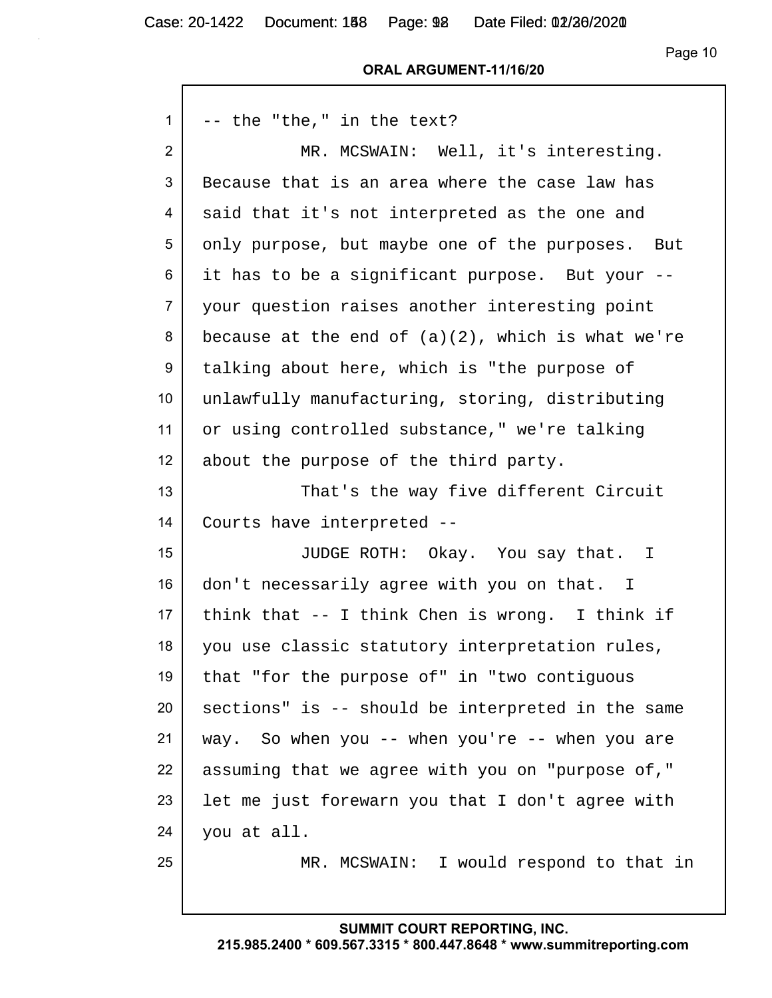Case: 20-1422 Document: 188 Page: 98 Date Filed: 02/26/2020

 $\mathsf{r}$ 

Page 10

#### **ORAL ARGUMENT-11/16/20**

| 1               | -- the "the," in the text?                           |
|-----------------|------------------------------------------------------|
| $\overline{2}$  | MR. MCSWAIN: Well, it's interesting.                 |
| 3               | Because that is an area where the case law has       |
| 4               | said that it's not interpreted as the one and        |
| 5               | only purpose, but maybe one of the purposes. But     |
| 6               | it has to be a significant purpose. But your --      |
| $\overline{7}$  | your question raises another interesting point       |
| 8               | because at the end of $(a)(2)$ , which is what we're |
| 9               | talking about here, which is "the purpose of         |
| 10 <sup>°</sup> | unlawfully manufacturing, storing, distributing      |
| 11              | or using controlled substance," we're talking        |
| 12 <sup>2</sup> | about the purpose of the third party.                |
| 13              | That's the way five different Circuit                |
| 14              | Courts have interpreted --                           |
| 15              | JUDGE ROTH: Okay. You say that. I                    |
| 16              | don't necessarily agree with you on that. I          |
| 17 <sub>2</sub> | think that $-$ - I think Chen is wrong. I think if   |
| 18              | you use classic statutory interpretation rules,      |
| 19              | that "for the purpose of" in "two contiguous         |
| 20              | sections" is -- should be interpreted in the same    |
| 21              | way. So when you -- when you're -- when you are      |
| 22              | assuming that we agree with you on "purpose of,"     |
| 23              | let me just forewarn you that I don't agree with     |
| 24              | you at all.                                          |
| 25              | MR. MCSWAIN: I would respond to that in              |
|                 |                                                      |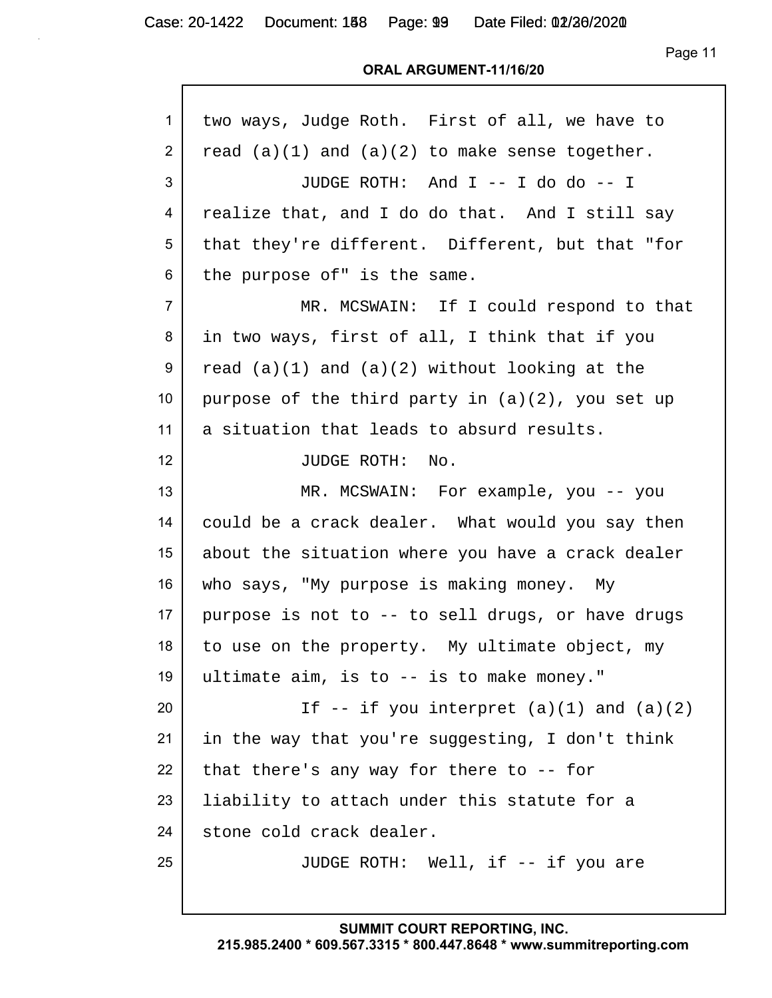Page 11

#### **ORAL ARGUMENT-11/16/20**

| $\mathbf{1}$    | two ways, Judge Roth. First of all, we have to      |
|-----------------|-----------------------------------------------------|
| $\overline{2}$  | read $(a)(1)$ and $(a)(2)$ to make sense together.  |
| 3               | JUDGE ROTH: And I -- I do do -- I                   |
| 4               | realize that, and I do do that. And I still say     |
| 5               | that they're different. Different, but that "for    |
| 6               | the purpose of" is the same.                        |
| $\overline{7}$  | MR. MCSWAIN: If I could respond to that             |
| 8               | in two ways, first of all, I think that if you      |
| 9               | read $(a)(1)$ and $(a)(2)$ without looking at the   |
| 10 <sup>°</sup> | purpose of the third party in $(a)(2)$ , you set up |
| 11              | a situation that leads to absurd results.           |
| 12 <sup>2</sup> | JUDGE ROTH:<br>No.                                  |
| 13              | MR. MCSWAIN: For example, you -- you                |
| 14              | could be a crack dealer. What would you say then    |
| 15              | about the situation where you have a crack dealer   |
| 16              | who says, "My purpose is making money. My           |
| 17 <sup>2</sup> | purpose is not to -- to sell drugs, or have drugs   |
| 18              | to use on the property. My ultimate object, my      |
| 19              | ultimate aim, is to -- is to make money."           |
| 20              | If $--$ if you interpret $(a)(1)$ and $(a)(2)$      |
| 21              | in the way that you're suggesting, I don't think    |
| 22              | that there's any way for there to $-$ - for         |
| 23              | liability to attach under this statute for a        |
| 24              | stone cold crack dealer.                            |
| 25              | JUDGE ROTH: Well, if -- if you are                  |
|                 |                                                     |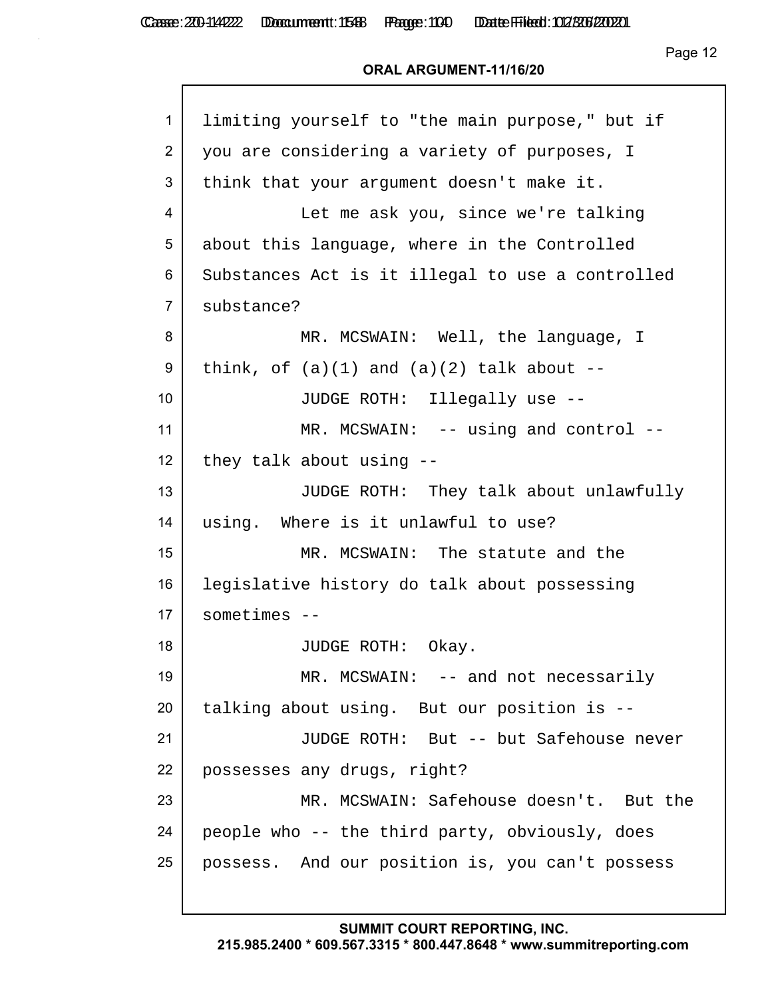Page 12

## **ORAL ARGUMENT-11/16/20**

| $\mathbf{1}$   | limiting yourself to "the main purpose," but if  |
|----------------|--------------------------------------------------|
| $\overline{2}$ | you are considering a variety of purposes, I     |
| 3              | think that your argument doesn't make it.        |
| 4              | Let me ask you, since we're talking              |
| 5              | about this language, where in the Controlled     |
| 6              | Substances Act is it illegal to use a controlled |
| $\overline{7}$ | substance?                                       |
| 8              | MR. MCSWAIN: Well, the language, I               |
| 9              | think, of $(a)(1)$ and $(a)(2)$ talk about $-$   |
| 10             | JUDGE ROTH: Illegally use --                     |
| 11             | MR. MCSWAIN: -- using and control --             |
| 12             | they talk about using --                         |
| 13             | JUDGE ROTH: They talk about unlawfully           |
| 14             | using. Where is it unlawful to use?              |
| 15             | MR. MCSWAIN: The statute and the                 |
| 16             | legislative history do talk about possessing     |
| 17             | $sometimes --$                                   |
| 18             | JUDGE ROTH: Okay.                                |
| 19             | MR. MCSWAIN: -- and not necessarily              |
| 20             | talking about using. But our position is --      |
| 21             | JUDGE ROTH: But -- but Safehouse never           |
| 22             | possesses any drugs, right?                      |
| 23             | MR. MCSWAIN: Safehouse doesn't. But the          |
| 24             | people who -- the third party, obviously, does   |
| 25             | possess. And our position is, you can't possess  |
|                |                                                  |

**SUMMIT COURT REPORTING, INC.**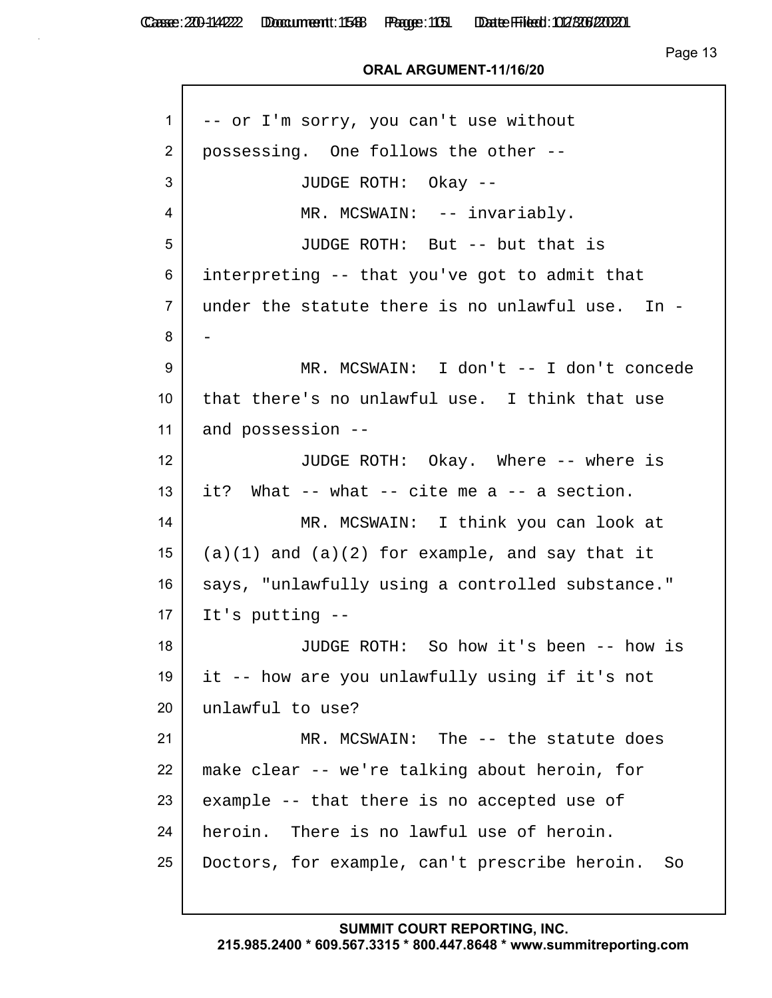Casse: 200-114222 Doccument: 1588 Page: 1051 Date Filed: 02/306/2020

Page 13

### **ORAL ARGUMENT-11/16/20**

| $\mathbf{1}$    | -- or I'm sorry, you can't use without              |
|-----------------|-----------------------------------------------------|
| $\overline{2}$  | possessing. One follows the other --                |
| 3               | JUDGE ROTH: Okay --                                 |
| 4               | MR. MCSWAIN: -- invariably.                         |
| 5               | JUDGE ROTH: But -- but that is                      |
| 6               | interpreting -- that you've got to admit that       |
| $\overline{7}$  | under the statute there is no unlawful use. In -    |
| 8               |                                                     |
| 9               | MR. MCSWAIN: I don't -- I don't concede             |
| 10 <sup>°</sup> | that there's no unlawful use. I think that use      |
| 11              | and possession --                                   |
| 12              | JUDGE ROTH: Okay. Where -- where is                 |
| 13              | it? What -- what -- cite me a -- a section.         |
| 14              | MR. MCSWAIN: I think you can look at                |
| 15              | $(a)(1)$ and $(a)(2)$ for example, and say that it  |
| 16              | says, "unlawfully using a controlled substance."    |
| 17              | It's putting --                                     |
| 18              | JUDGE ROTH: So how it's been -- how is              |
| 19              | it -- how are you unlawfully using if it's not      |
| 20              | unlawful to use?                                    |
| 21              | MR. MCSWAIN: The -- the statute does                |
| 22              | make clear -- we're talking about heroin, for       |
| 23              | example -- that there is no accepted use of         |
| 24              | heroin. There is no lawful use of heroin.           |
| 25              | Doctors, for example, can't prescribe heroin.<br>So |
|                 |                                                     |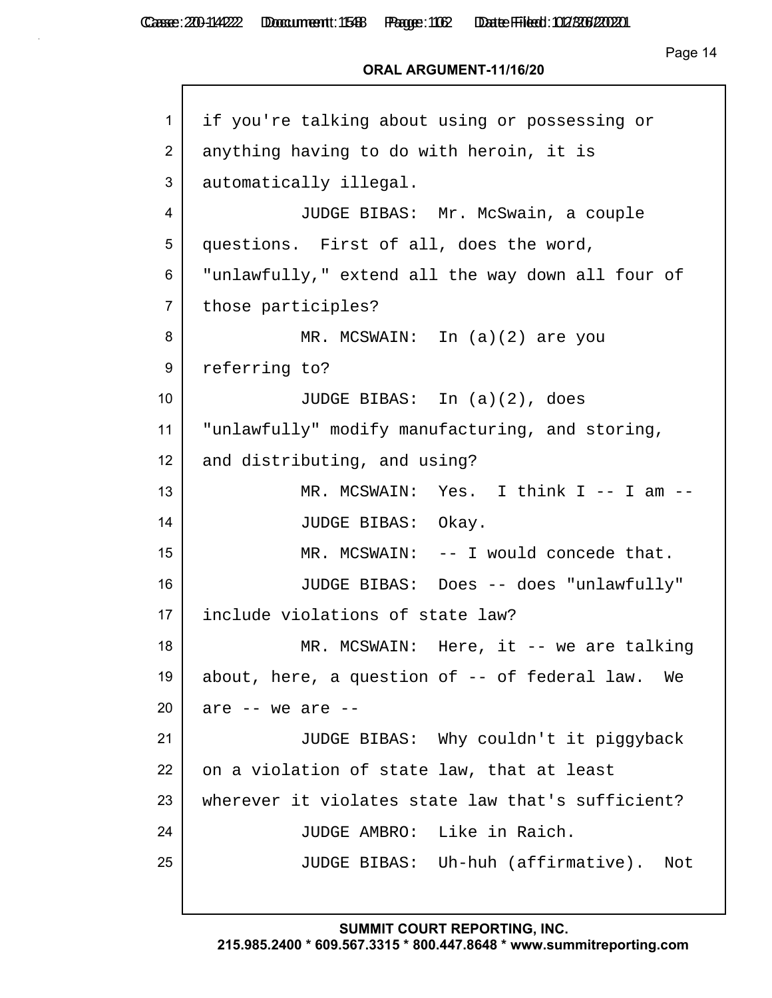Casse: 200-114222 Doccument: 1588 Page: 1062 Date Filed: 02/306/2020

```
Page 14
```
### **ORAL ARGUMENT-11/16/20**

| $\mathbf{1}$   | if you're talking about using or possessing or    |
|----------------|---------------------------------------------------|
| $\overline{2}$ | anything having to do with heroin, it is          |
| 3              | automatically illegal.                            |
| 4              | JUDGE BIBAS: Mr. McSwain, a couple                |
| 5              | questions. First of all, does the word,           |
| 6              | "unlawfully," extend all the way down all four of |
| $\overline{7}$ | those participles?                                |
| 8              | MR. MCSWAIN: In (a)(2) are you                    |
| 9              | referring to?                                     |
| 10             | JUDGE BIBAS: In $(a)(2)$ , does                   |
| 11             | "unlawfully" modify manufacturing, and storing,   |
| 12             | and distributing, and using?                      |
| 13             | MR. MCSWAIN: Yes. I think I -- I am -             |
| 14             | JUDGE BIBAS: Okay.                                |
| 15             | MR. MCSWAIN: -- I would concede that.             |
| 16             | JUDGE BIBAS: Does -- does "unlawfully"            |
| 17             | include violations of state law?                  |
| 18             | MR. MCSWAIN: Here, it -- we are talking           |
| 19             | about, here, a question of -- of federal law. We  |
| 20             | are $--$ we are $--$                              |
| 21             | JUDGE BIBAS: Why couldn't it piggyback            |
| 22             | on a violation of state law, that at least        |
| 23             | wherever it violates state law that's sufficient? |
| 24             | JUDGE AMBRO: Like in Raich.                       |
| 25             | JUDGE BIBAS: Uh-huh (affirmative).<br>Not         |
|                |                                                   |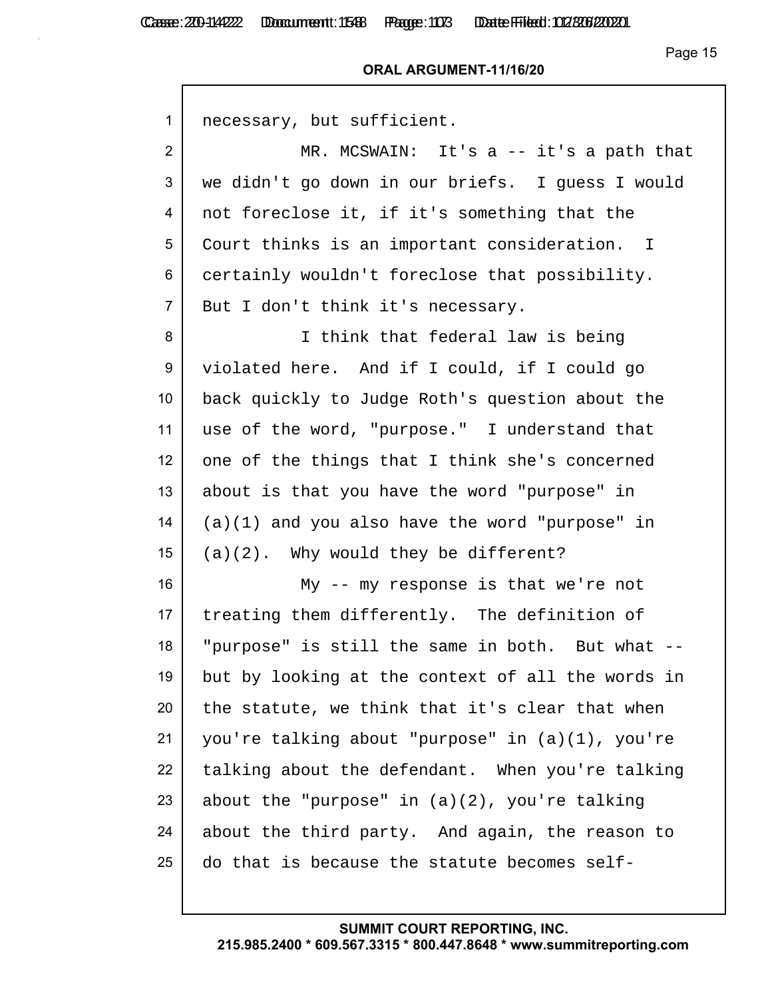## **ORAL ARGUMENT-11/16/20**

| $\mathbf{1}$     | necessary, but sufficient.                        |
|------------------|---------------------------------------------------|
| $\overline{2}$   | MR. MCSWAIN: It's $a$ -- it's a path that         |
| 3                | we didn't go down in our briefs. I guess I would  |
| 4                | not foreclose it, if it's something that the      |
| 5                | Court thinks is an important consideration. I     |
| 6                | certainly wouldn't foreclose that possibility.    |
| $\overline{7}$   | But I don't think it's necessary.                 |
| 8                | I think that federal law is being                 |
| 9                | violated here. And if I could, if I could go      |
| 10 <sup>1</sup>  | back quickly to Judge Roth's question about the   |
| 11               | use of the word, "purpose." I understand that     |
| 12               | one of the things that I think she's concerned    |
| 13               | about is that you have the word "purpose" in      |
| 14               | $(a)(1)$ and you also have the word "purpose" in  |
| 15 <sub>15</sub> | $(a)(2)$ . Why would they be different?           |
| 16               | My -- my response is that we're not               |
| 17               | treating them differently. The definition of      |
| 18               | "purpose" is still the same in both. But what --  |
| 19               | but by looking at the context of all the words in |
| 20               | the statute, we think that it's clear that when   |
| 21               | you're talking about "purpose" in (a)(1), you're  |
| 22               | talking about the defendant. When you're talking  |
| 23               | about the "purpose" in $(a)(2)$ , you're talking  |
| 24               | about the third party. And again, the reason to   |
| 25               | do that is because the statute becomes self-      |
|                  |                                                   |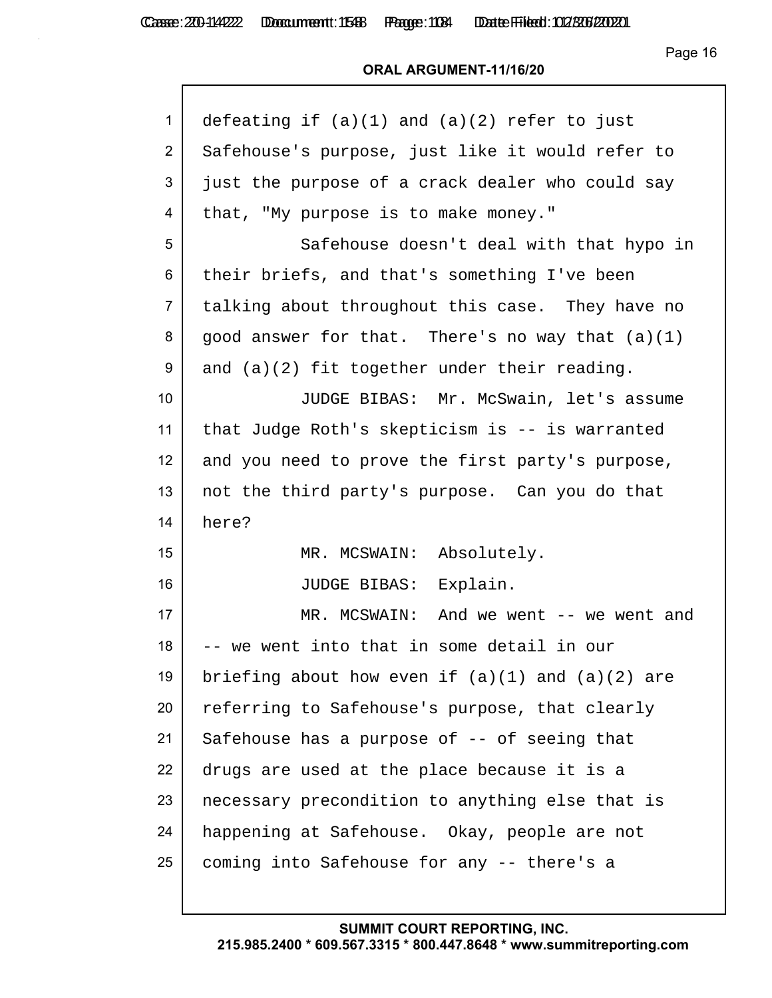Page 16

## **ORAL ARGUMENT-11/16/20**

| $\mathbf{1}$    | defeating if $(a)(1)$ and $(a)(2)$ refer to just     |
|-----------------|------------------------------------------------------|
| $\overline{2}$  | Safehouse's purpose, just like it would refer to     |
| 3               | just the purpose of a crack dealer who could say     |
| 4               | that, "My purpose is to make money."                 |
| 5               | Safehouse doesn't deal with that hypo in             |
| 6               | their briefs, and that's something I've been         |
| $\overline{7}$  | talking about throughout this case. They have no     |
| 8               | good answer for that. There's no way that (a)(1)     |
| 9               | and $(a)(2)$ fit together under their reading.       |
| 10 <sup>°</sup> | JUDGE BIBAS: Mr. McSwain, let's assume               |
| 11              | that Judge Roth's skepticism is -- is warranted      |
| 12              | and you need to prove the first party's purpose,     |
| 13              | not the third party's purpose. Can you do that       |
| 14              | here?                                                |
| 15              | MR. MCSWAIN: Absolutely.                             |
| 16              | JUDGE BIBAS: Explain.                                |
| 17              | MR. MCSWAIN: And we went -- we went and              |
| 18              | we went into that in some detail in our              |
| 19              | briefing about how even if $(a)(1)$ and $(a)(2)$ are |
| 20              | referring to Safehouse's purpose, that clearly       |
| 21              | Safehouse has a purpose of -- of seeing that         |
| 22              | drugs are used at the place because it is a          |
| 23              | necessary precondition to anything else that is      |
| 24              | happening at Safehouse. Okay, people are not         |
| 25              | coming into Safehouse for any -- there's a           |
|                 |                                                      |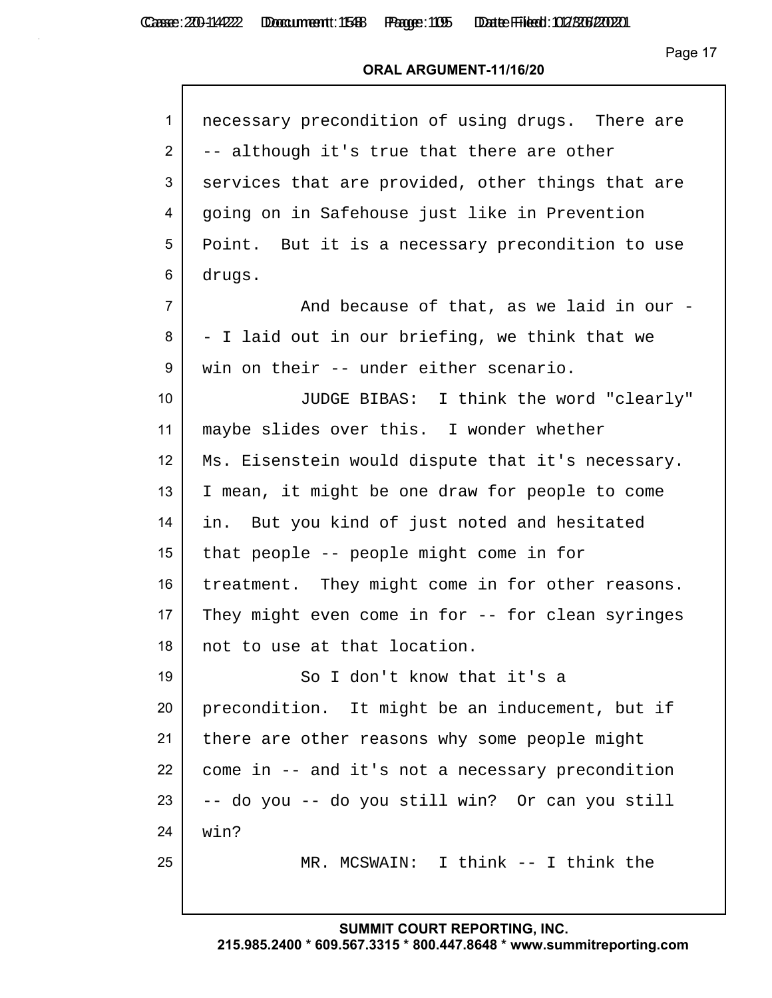## **ORAL ARGUMENT-11/16/20**

| $\mathbf{1}$   | necessary precondition of using drugs. There are  |
|----------------|---------------------------------------------------|
| $\overline{2}$ | -- although it's true that there are other        |
| 3              | services that are provided, other things that are |
| 4              | going on in Safehouse just like in Prevention     |
| 5              | Point. But it is a necessary precondition to use  |
| 6              | drugs.                                            |
| $\overline{7}$ | And because of that, as we laid in our -          |
| 8              | - I laid out in our briefing, we think that we    |
| 9              | win on their -- under either scenario.            |
| 10             | JUDGE BIBAS: I think the word "clearly"           |
| 11             | maybe slides over this. I wonder whether          |
| 12             | Ms. Eisenstein would dispute that it's necessary. |
| 13             | I mean, it might be one draw for people to come   |
| 14             | in. But you kind of just noted and hesitated      |
| 15             | that people -- people might come in for           |
| 16             | treatment. They might come in for other reasons.  |
| 17             | They might even come in for -- for clean syringes |
| 18             | not to use at that location.                      |
| 19             | So I don't know that it's a                       |
| 20             | precondition. It might be an inducement, but if   |
| 21             | there are other reasons why some people might     |
| 22             | come in -- and it's not a necessary precondition  |
| 23             | -- do you -- do you still win? Or can you still   |
| 24             | win?                                              |
| 25             | MR. MCSWAIN: I think -- I think the               |
|                |                                                   |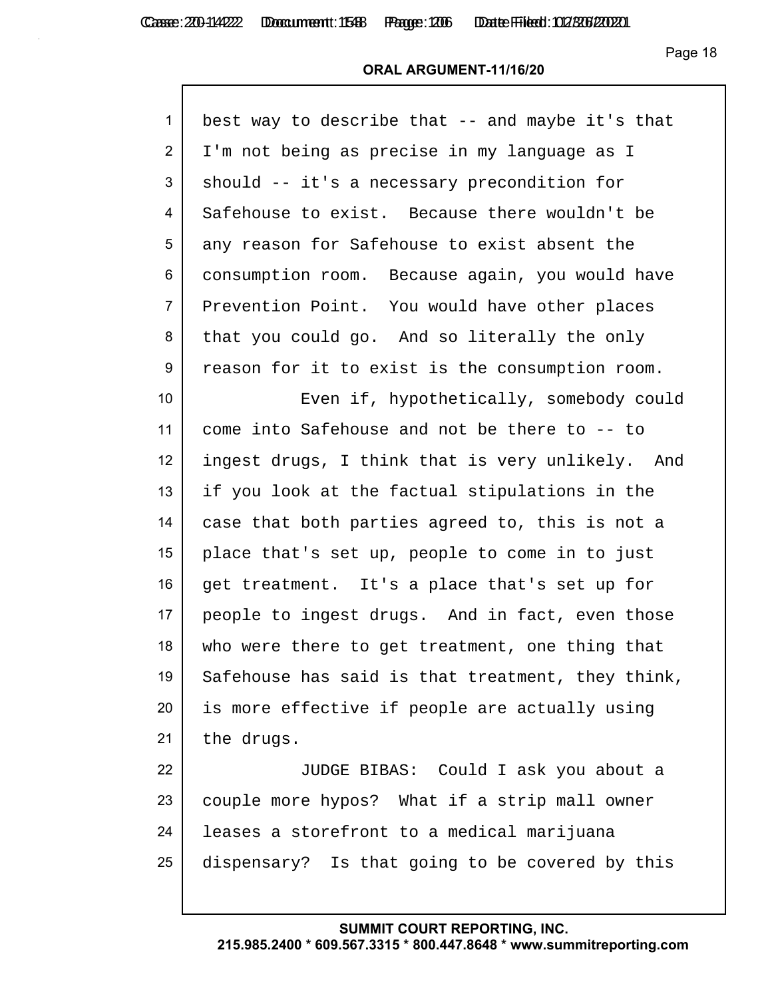Page 18

## **ORAL ARGUMENT-11/16/20**

| $\mathbf{1}$   | best way to describe that -- and maybe it's that  |
|----------------|---------------------------------------------------|
| $\overline{2}$ | I'm not being as precise in my language as I      |
| 3              | should -- it's a necessary precondition for       |
| 4              | Safehouse to exist. Because there wouldn't be     |
| 5              | any reason for Safehouse to exist absent the      |
| 6              | consumption room. Because again, you would have   |
| $\overline{7}$ | Prevention Point. You would have other places     |
| 8              | that you could go. And so literally the only      |
| 9              | reason for it to exist is the consumption room.   |
| 10             | Even if, hypothetically, somebody could           |
| 11             | come into Safehouse and not be there to -- to     |
| 12             | ingest drugs, I think that is very unlikely. And  |
| 13             | if you look at the factual stipulations in the    |
| 14             | case that both parties agreed to, this is not a   |
| 15             | place that's set up, people to come in to just    |
| 16             | get treatment. It's a place that's set up for     |
| 17             | people to ingest drugs. And in fact, even those   |
| 18             | who were there to get treatment, one thing that   |
| 19             | Safehouse has said is that treatment, they think, |
| 20             | is more effective if people are actually using    |
| 21             | the drugs.                                        |
| 22             | JUDGE BIBAS: Could I ask you about a              |
| 23             | couple more hypos? What if a strip mall owner     |
| 24             | leases a storefront to a medical marijuana        |
| 25             | dispensary? Is that going to be covered by this   |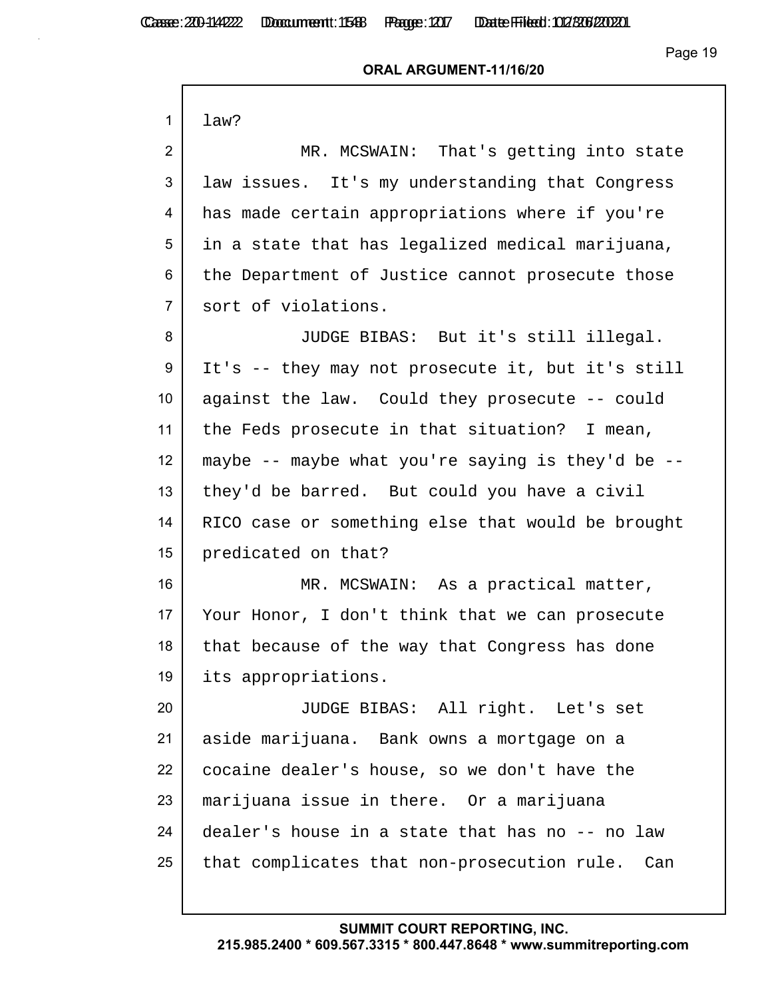## **ORAL ARGUMENT-11/16/20**

| 1               | law?                                              |
|-----------------|---------------------------------------------------|
| $\overline{2}$  | MR. MCSWAIN: That's getting into state            |
| 3               | law issues. It's my understanding that Congress   |
| 4               | has made certain appropriations where if you're   |
| 5               | in a state that has legalized medical marijuana,  |
| 6               | the Department of Justice cannot prosecute those  |
| $\overline{7}$  | sort of violations.                               |
| 8               | JUDGE BIBAS: But it's still illegal.              |
| 9               |                                                   |
|                 | It's -- they may not prosecute it, but it's still |
| 10 <sup>°</sup> | against the law. Could they prosecute -- could    |
| 11              | the Feds prosecute in that situation? I mean,     |
| 12              | maybe -- maybe what you're saying is they'd be -- |
| 13              | they'd be barred. But could you have a civil      |
| 14              | RICO case or something else that would be brought |
| 15              | predicated on that?                               |
| 16              | MR. MCSWAIN: As a practical matter,               |
| 17              | Your Honor, I don't think that we can prosecute   |
| 18              | that because of the way that Congress has done    |
| 19              | its appropriations.                               |
| 20              | JUDGE BIBAS: All right. Let's set                 |
| 21              | aside marijuana. Bank owns a mortgage on a        |
| 22              | cocaine dealer's house, so we don't have the      |
| 23              | marijuana issue in there. Or a marijuana          |
| 24              | dealer's house in a state that has no -- no law   |
| 25              | that complicates that non-prosecution rule. Can   |
|                 |                                                   |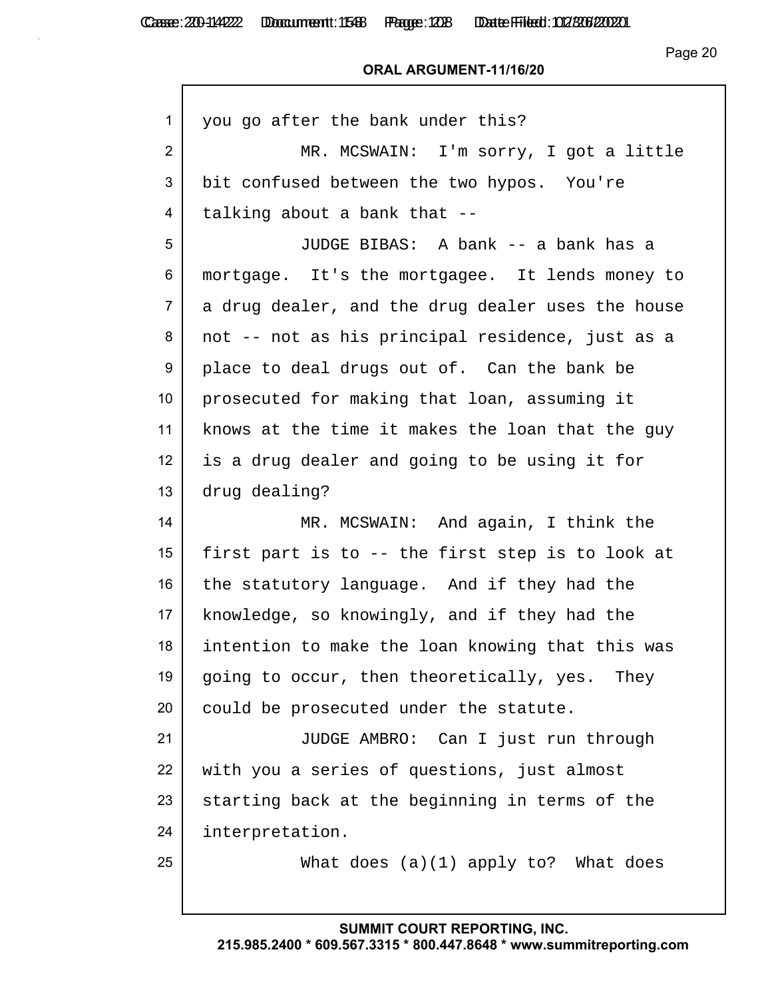## **ORAL ARGUMENT-11/16/20**

| 1               | you go after the bank under this?                 |
|-----------------|---------------------------------------------------|
| $\overline{2}$  | MR. MCSWAIN: I'm sorry, I got a little            |
| 3               | bit confused between the two hypos. You're        |
| 4               | talking about a bank that --                      |
| 5               | JUDGE BIBAS: A bank -- a bank has a               |
| 6               | mortgage. It's the mortgagee. It lends money to   |
| $\overline{7}$  | a drug dealer, and the drug dealer uses the house |
| 8               | not -- not as his principal residence, just as a  |
| 9               | place to deal drugs out of. Can the bank be       |
| 10              | prosecuted for making that loan, assuming it      |
| 11              | knows at the time it makes the loan that the guy  |
| 12 <sup>2</sup> | is a drug dealer and going to be using it for     |
| 13              | drug dealing?                                     |
| 14              | MR. MCSWAIN: And again, I think the               |
| 15              | first part is to -- the first step is to look at  |
| 16              | the statutory language. And if they had the       |
| 17 <sub>2</sub> | knowledge, so knowingly, and if they had the      |
| 18              | intention to make the loan knowing that this was  |
| 19              | going to occur, then theoretically, yes. They     |
| 20              | could be prosecuted under the statute.            |
| 21              | JUDGE AMBRO: Can I just run through               |
| 22              | with you a series of questions, just almost       |
| 23              | starting back at the beginning in terms of the    |
| 24              | interpretation.                                   |
| 25              | What does $(a)(1)$ apply to? What does            |
|                 |                                                   |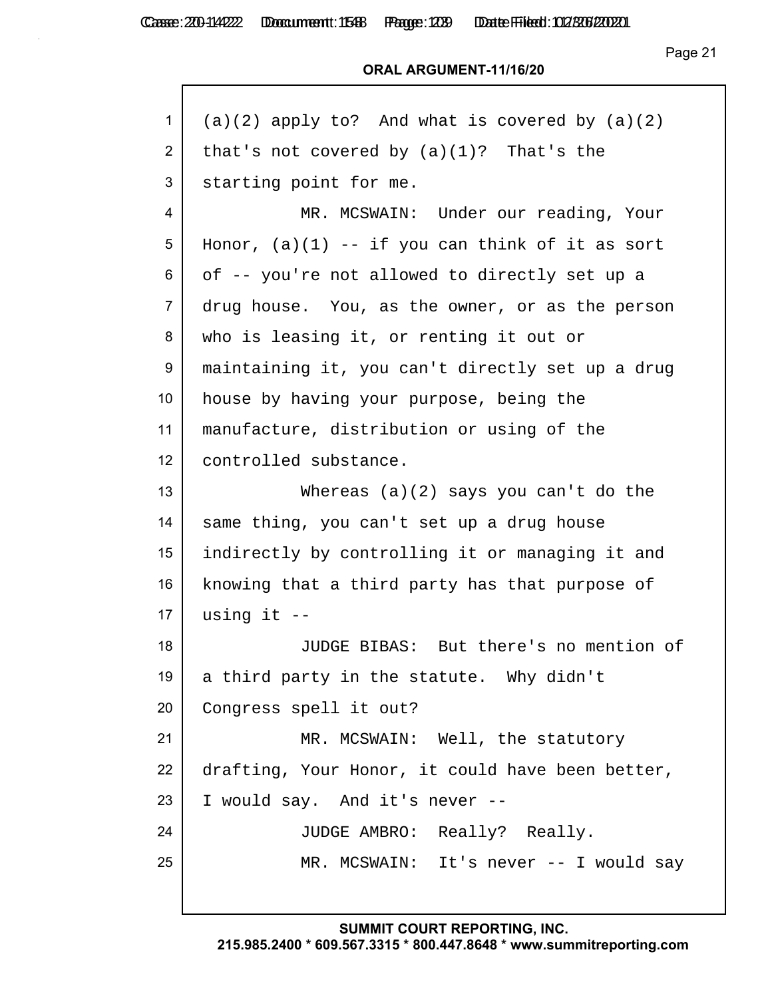Casse: 200-114222 Doccument: 1588 Page: 1239 Date Filed: 012/306/2020

Page 21

#### **ORAL ARGUMENT-11/16/20**

| 1              | $(a)(2)$ apply to? And what is covered by $(a)(2)$ |
|----------------|----------------------------------------------------|
| $\overline{2}$ | that's not covered by $(a)(1)$ ? That's the        |
| 3              | starting point for me.                             |
| 4              | MR. MCSWAIN: Under our reading, Your               |
| 5              | Honor, $(a)(1)$ -- if you can think of it as sort  |
| 6              | of -- you're not allowed to directly set up a      |
| $\overline{7}$ | drug house. You, as the owner, or as the person    |
| 8              | who is leasing it, or renting it out or            |
| 9              | maintaining it, you can't directly set up a drug   |
| 10             | house by having your purpose, being the            |
| 11             | manufacture, distribution or using of the          |
| 12             | controlled substance.                              |
| 13             | Whereas $(a)(2)$ says you can't do the             |
| 14             | same thing, you can't set up a drug house          |
| 15             | indirectly by controlling it or managing it and    |
| 16             | knowing that a third party has that purpose of     |
| 17             | using it $-$                                       |
| 18             | JUDGE BIBAS: But there's no mention of             |
| 19             | a third party in the statute. Why didn't           |
| 20             | Congress spell it out?                             |
| 21             | MR. MCSWAIN: Well, the statutory                   |
| 22             | drafting, Your Honor, it could have been better,   |
| 23             | I would say. And it's never --                     |
| 24             | JUDGE AMBRO: Really? Really.                       |
| 25             | MR. MCSWAIN: It's never -- I would say             |
|                |                                                    |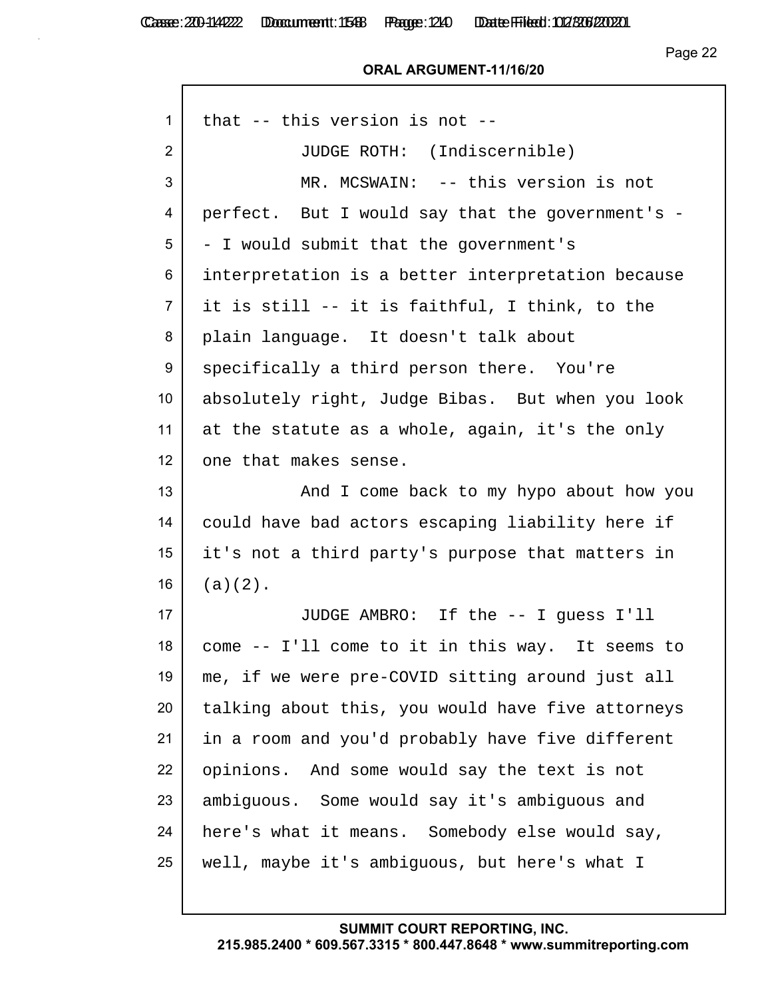#### **ORAL ARGUMENT-11/16/20**

| $\mathbf{1}$   | that $--$ this version is not $--$                |
|----------------|---------------------------------------------------|
| $\overline{2}$ | JUDGE ROTH: (Indiscernible)                       |
| 3              | MR. MCSWAIN: -- this version is not               |
| 4              | perfect. But I would say that the government's -  |
| 5              | - I would submit that the government's            |
| 6              | interpretation is a better interpretation because |
| $\overline{7}$ | it is still -- it is faithful, I think, to the    |
| 8              | plain language. It doesn't talk about             |
| 9              | specifically a third person there. You're         |
| 10             | absolutely right, Judge Bibas. But when you look  |
| 11             | at the statute as a whole, again, it's the only   |
| 12             | one that makes sense.                             |
| 13             | And I come back to my hypo about how you          |
| 14             | could have bad actors escaping liability here if  |
| 15             | it's not a third party's purpose that matters in  |
| 16             | $(a)(2)$ .                                        |
| 17             | JUDGE AMBRO: If the -- I guess I'll               |
| 18             | come -- I'll come to it in this way. It seems to  |
| 19             | me, if we were pre-COVID sitting around just all  |
| 20             | talking about this, you would have five attorneys |
| 21             | in a room and you'd probably have five different  |
| 22             | opinions. And some would say the text is not      |
| 23             | ambiguous. Some would say it's ambiguous and      |
| 24             | here's what it means. Somebody else would say,    |
| 25             | well, maybe it's ambiguous, but here's what I     |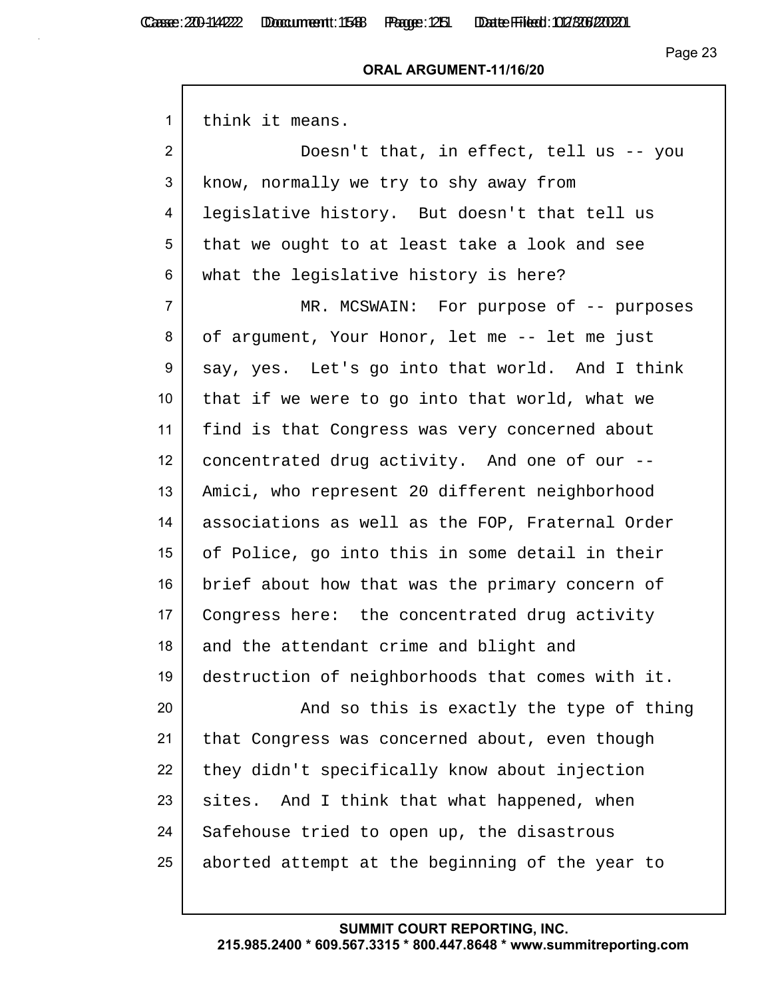#### **ORAL ARGUMENT-11/16/20**

| 1               | think it means.                                  |
|-----------------|--------------------------------------------------|
| $\overline{2}$  | Doesn't that, in effect, tell us -- you          |
| 3               | know, normally we try to shy away from           |
| 4               | legislative history. But doesn't that tell us    |
| 5               | that we ought to at least take a look and see    |
| 6               | what the legislative history is here?            |
| $\overline{7}$  | MR. MCSWAIN: For purpose of -- purposes          |
| 8               | of argument, Your Honor, let me -- let me just   |
| 9               | say, yes. Let's go into that world. And I think  |
| 10 <sup>°</sup> | that if we were to go into that world, what we   |
| 11              | find is that Congress was very concerned about   |
| 12 <sup>2</sup> | concentrated drug activity. And one of our --    |
| 13              | Amici, who represent 20 different neighborhood   |
| 14              | associations as well as the FOP, Fraternal Order |
| 15 <sub>1</sub> | of Police, go into this in some detail in their  |
| 16              | brief about how that was the primary concern of  |
| 17              | Congress here: the concentrated drug activity    |
| 18              | and the attendant crime and blight and           |
| 19              | destruction of neighborhoods that comes with it. |
| 20              | And so this is exactly the type of thing         |
| 21              | that Congress was concerned about, even though   |
| 22              | they didn't specifically know about injection    |
| 23              | And I think that what happened, when<br>sites.   |
| 24              | Safehouse tried to open up, the disastrous       |
| 25              | aborted attempt at the beginning of the year to  |
|                 |                                                  |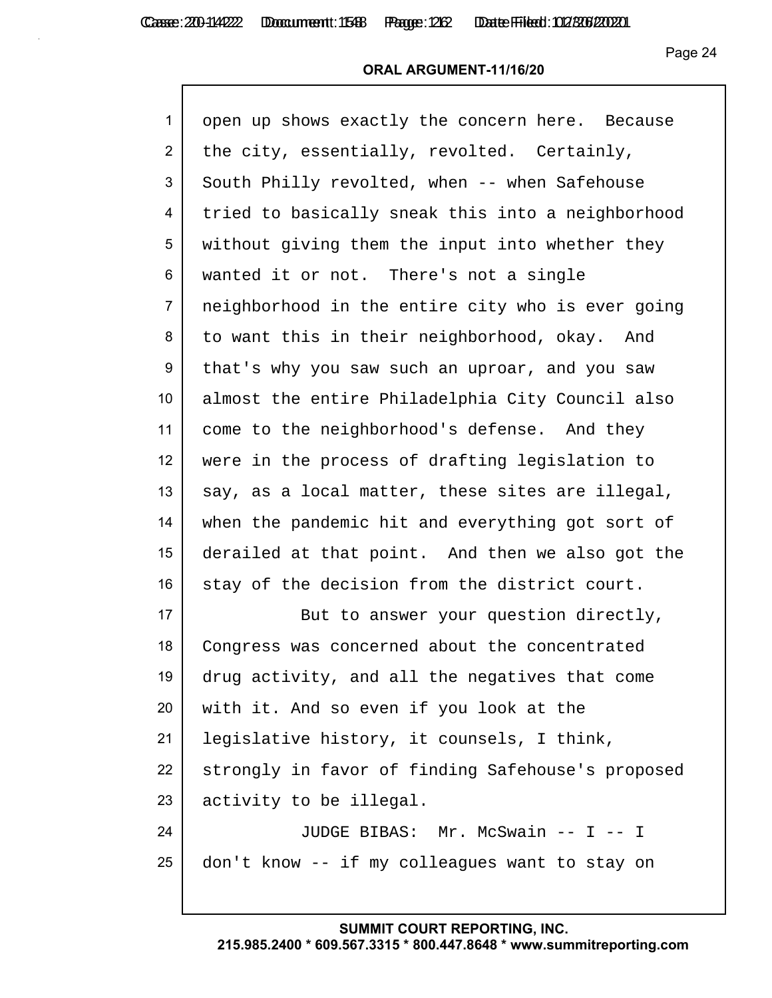### **ORAL ARGUMENT-11/16/20**

| $\mathbf{1}$   | open up shows exactly the concern here. Because   |
|----------------|---------------------------------------------------|
| $\overline{2}$ | the city, essentially, revolted. Certainly,       |
| 3              | South Philly revolted, when -- when Safehouse     |
| 4              | tried to basically sneak this into a neighborhood |
| 5              | without giving them the input into whether they   |
| 6              | wanted it or not. There's not a single            |
| $\overline{7}$ | neighborhood in the entire city who is ever going |
| 8              | to want this in their neighborhood, okay. And     |
| 9              | that's why you saw such an uproar, and you saw    |
| 10             | almost the entire Philadelphia City Council also  |
| 11             | come to the neighborhood's defense. And they      |
| 12             | were in the process of drafting legislation to    |
| 13             | say, as a local matter, these sites are illegal,  |
| 14             | when the pandemic hit and everything got sort of  |
| 15             | derailed at that point. And then we also got the  |
| 16             | stay of the decision from the district court.     |
| 17             | But to answer your question directly,             |
| 18             | Congress was concerned about the concentrated     |
| 19             | drug activity, and all the negatives that come    |
| 20             | with it. And so even if you look at the           |
| 21             | legislative history, it counsels, I think,        |
| 22             | strongly in favor of finding Safehouse's proposed |
| 23             | activity to be illegal.                           |
| 24             | JUDGE BIBAS: Mr. McSwain -- I -- I                |
| 25             | don't know -- if my colleagues want to stay on    |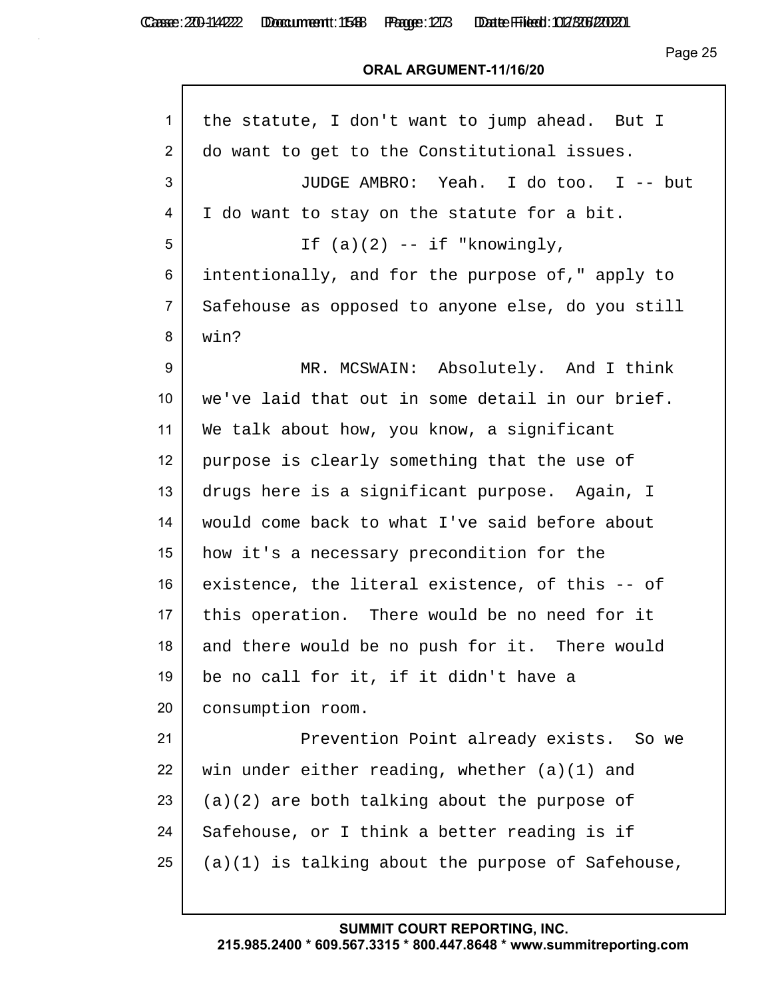Casse: 200-114222 Doccument: 1588 Page: 213 Date Filed: 02/306/2020

Page 25

| the statute, I don't want to jump ahead. But I    |
|---------------------------------------------------|
| do want to get to the Constitutional issues.      |
| JUDGE AMBRO: Yeah. I do too. I -- but             |
| I do want to stay on the statute for a bit.       |
| If $(a)(2)$ -- if "knowingly,                     |
| intentionally, and for the purpose of," apply to  |
| Safehouse as opposed to anyone else, do you still |
| win?                                              |
| MR. MCSWAIN: Absolutely. And I think              |
| we've laid that out in some detail in our brief.  |
| We talk about how, you know, a significant        |
| purpose is clearly something that the use of      |
| drugs here is a significant purpose. Again, I     |
| would come back to what I've said before about    |
| how it's a necessary precondition for the         |
| existence, the literal existence, of this -- of   |
| this operation. There would be no need for it     |
| and there would be no push for it. There would    |
|                                                   |
| be no call for it, if it didn't have a            |
| consumption room.                                 |
| Prevention Point already exists. So we            |
| win under either reading, whether $(a)(1)$ and    |
| $(a)(2)$ are both talking about the purpose of    |
| Safehouse, or I think a better reading is if      |
|                                                   |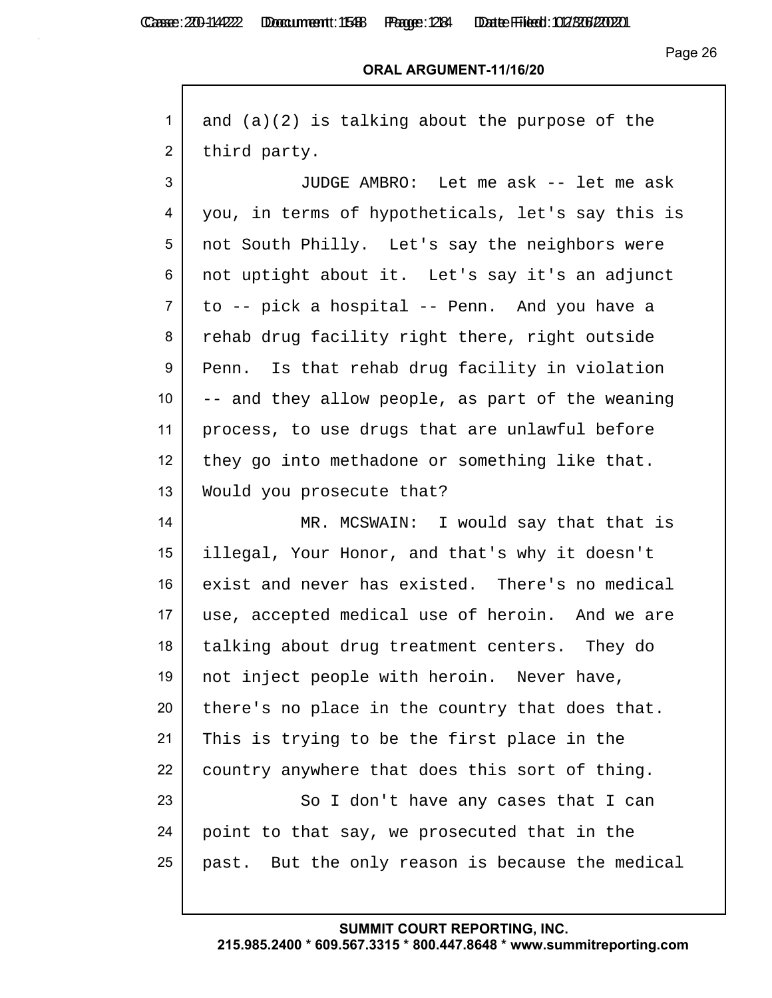Casse: 200-114222 Doccument: 1588 Page: 1284 Date Filed: 02/306/2020

Page 26

# **ORAL ARGUMENT-11/16/20**

| 1               | and $(a)(2)$ is talking about the purpose of the  |
|-----------------|---------------------------------------------------|
| $\overline{2}$  | third party.                                      |
| 3               | JUDGE AMBRO: Let me ask -- let me ask             |
| 4               | you, in terms of hypotheticals, let's say this is |
| 5               | not South Philly. Let's say the neighbors were    |
| 6               | not uptight about it. Let's say it's an adjunct   |
| $\overline{7}$  | to -- pick a hospital -- Penn. And you have a     |
| 8               | rehab drug facility right there, right outside    |
| 9               | Penn. Is that rehab drug facility in violation    |
| 10 <sup>°</sup> | -- and they allow people, as part of the weaning  |
| 11              | process, to use drugs that are unlawful before    |
| 12              | they go into methadone or something like that.    |
| 13              | Would you prosecute that?                         |
| 14              | MR. MCSWAIN: I would say that that is             |
| 15              | illegal, Your Honor, and that's why it doesn't    |
| 16              | exist and never has existed. There's no medical   |
| 17              | use, accepted medical use of heroin. And we are   |
| 18              | talking about drug treatment centers. They do     |
| 19              | not inject people with heroin. Never have,        |
| 20              | there's no place in the country that does that.   |
| 21              | This is trying to be the first place in the       |
| 22              | country anywhere that does this sort of thing.    |
| 23              | So I don't have any cases that I can              |
| 24              | point to that say, we prosecuted that in the      |
| 25              | past. But the only reason is because the medical  |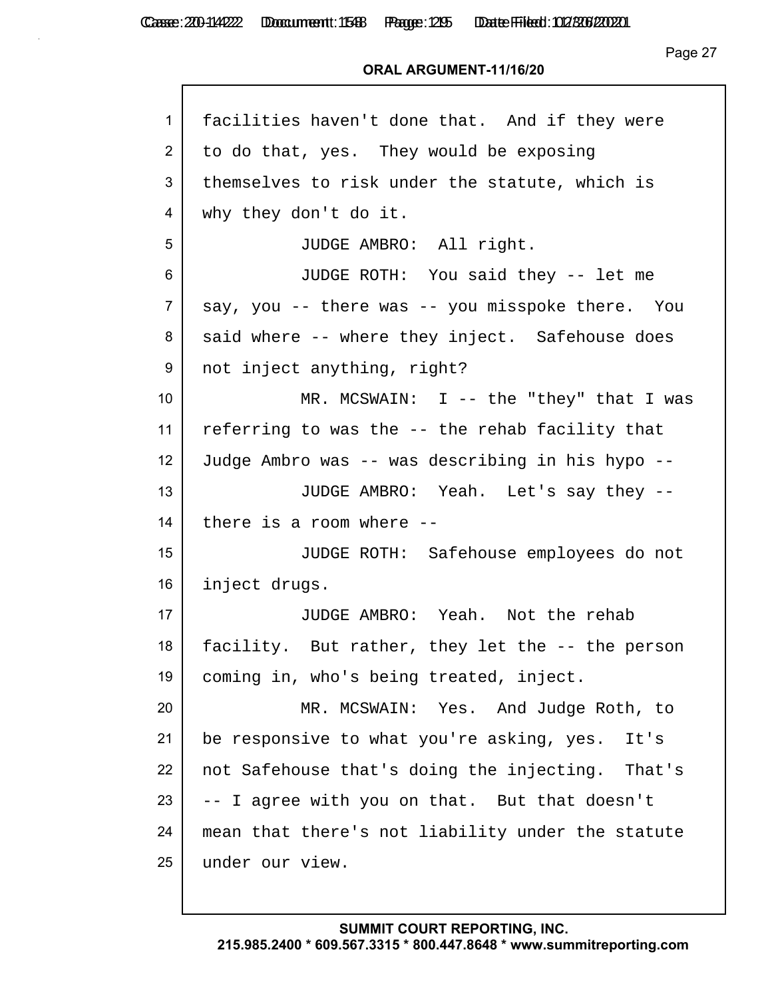Casse: 200-114222 Doccument: 1586 Page: 295 Date Filed: 02/306/2020

Page 27

| 1               | facilities haven't done that. And if they were    |
|-----------------|---------------------------------------------------|
| $\overline{2}$  | to do that, yes. They would be exposing           |
| 3               | themselves to risk under the statute, which is    |
| 4               | why they don't do it.                             |
| 5               | JUDGE AMBRO: All right.                           |
| 6               | JUDGE ROTH: You said they -- let me               |
| $\overline{7}$  | say, you -- there was -- you misspoke there. You  |
| 8               | said where -- where they inject. Safehouse does   |
| 9               | not inject anything, right?                       |
| 10 <sup>°</sup> | MR. MCSWAIN: I -- the "they" that I was           |
| 11              | referring to was the -- the rehab facility that   |
| 12              | Judge Ambro was -- was describing in his hypo --  |
| 13              | JUDGE AMBRO: Yeah. Let's say they --              |
| 14              | there is a room where --                          |
| 15              | JUDGE ROTH: Safehouse employees do not            |
| 16              | inject drugs.                                     |
| 17              | JUDGE AMBRO: Yeah. Not the rehab                  |
| 18              | facility. But rather, they let the -- the person  |
| 19              | coming in, who's being treated, inject.           |
| 20              | MR. MCSWAIN: Yes. And Judge Roth, to              |
| 21              | be responsive to what you're asking, yes.<br>It's |
| 22              | not Safehouse that's doing the injecting. That's  |
| 23              | -- I agree with you on that. But that doesn't     |
| 24              | mean that there's not liability under the statute |
| 25              | under our view.                                   |
|                 |                                                   |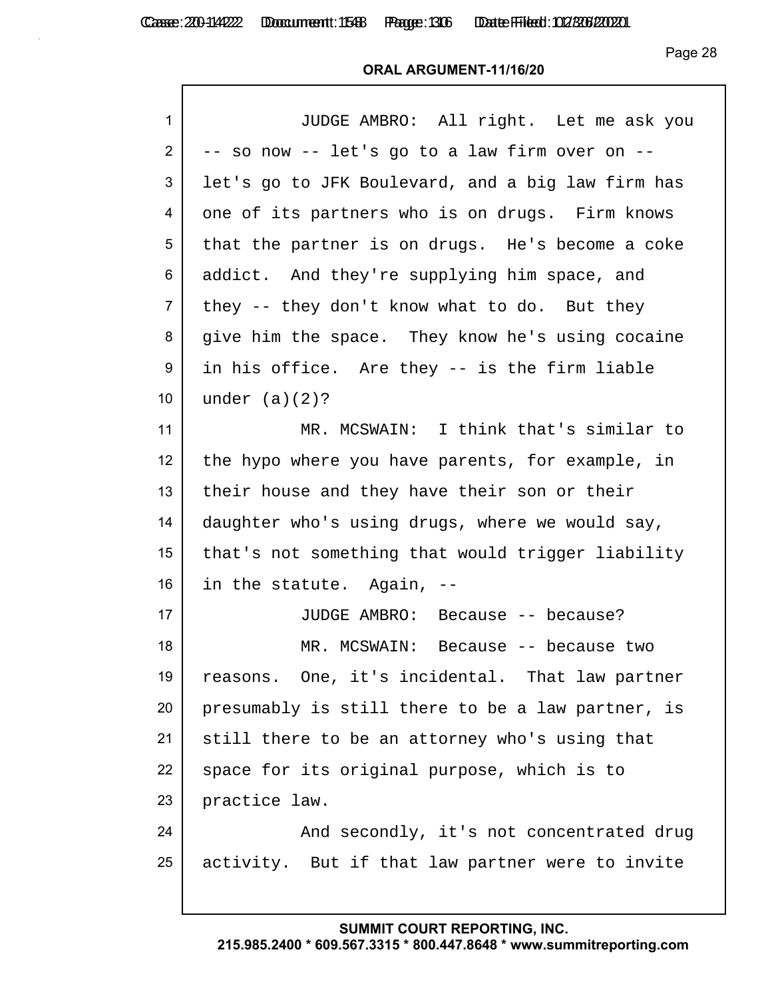Casse: 200-114222 Doccument: 1586 Page: 306 Date Filed: 02/306/2020

Page 28

#### **ORAL ARGUMENT-11/16/20**

| 1               | JUDGE AMBRO: All right. Let me ask you            |
|-----------------|---------------------------------------------------|
| $\overline{2}$  | -- so now -- let's go to a law firm over on --    |
| 3               | let's go to JFK Boulevard, and a big law firm has |
| 4               | one of its partners who is on drugs. Firm knows   |
| 5               | that the partner is on drugs. He's become a coke  |
| 6               | addict. And they're supplying him space, and      |
| $\overline{7}$  | they -- they don't know what to do. But they      |
| 8               | give him the space. They know he's using cocaine  |
| 9               | in his office. Are they -- is the firm liable     |
| 10 <sup>°</sup> | under $(a)(2)?$                                   |
| 11              | MR. MCSWAIN: I think that's similar to            |
| 12 <sup>2</sup> | the hypo where you have parents, for example, in  |
| 13              | their house and they have their son or their      |
| 14              | daughter who's using drugs, where we would say,   |
| 15              | that's not something that would trigger liability |
| 16              | in the statute. Again, --                         |
| 17              | JUDGE AMBRO: Because -- because?                  |
| 18              | MR. MCSWAIN:<br>Because -- because two            |
| 19              | reasons. One, it's incidental. That law partner   |
| 20              | presumably is still there to be a law partner, is |
| 21              | still there to be an attorney who's using that    |
| 22              | space for its original purpose, which is to       |
| 23              | practice law.                                     |
| 24              | And secondly, it's not concentrated drug          |
| 25              | activity. But if that law partner were to invite  |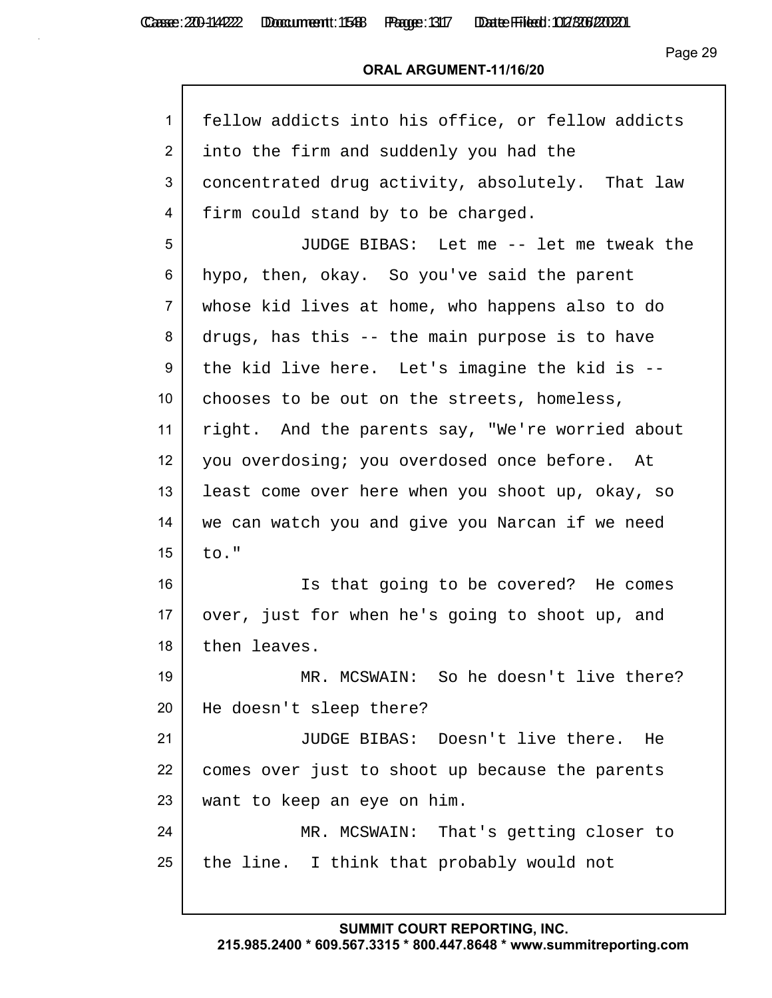Casse: 200-114222 Doccument: 1588 Page: 1317 Date Filed: 02/306/2020

Page 29

#### **ORAL ARGUMENT-11/16/20**

| 1               | fellow addicts into his office, or fellow addicts |
|-----------------|---------------------------------------------------|
| $\overline{2}$  | into the firm and suddenly you had the            |
| 3               | concentrated drug activity, absolutely. That law  |
| 4               | firm could stand by to be charged.                |
| 5               | JUDGE BIBAS: Let me -- let me tweak the           |
| 6               | hypo, then, okay. So you've said the parent       |
| $\overline{7}$  | whose kid lives at home, who happens also to do   |
| 8               | drugs, has this -- the main purpose is to have    |
| 9               | the kid live here. Let's imagine the kid is --    |
| 10 <sub>1</sub> | chooses to be out on the streets, homeless,       |
| 11              | right. And the parents say, "We're worried about  |
| 12 <sub>2</sub> | you overdosing; you overdosed once before. At     |
| 13              | least come over here when you shoot up, okay, so  |
| 14              | we can watch you and give you Narcan if we need   |
| 15              | to."                                              |
| 16              | Is that going to be covered? He comes             |
| 17 <sub>2</sub> | over, just for when he's going to shoot up, and   |
| 18              | then leaves.                                      |
| 19              | MR. MCSWAIN: So he doesn't live there?            |
| 20              | He doesn't sleep there?                           |
| 21              | JUDGE BIBAS: Doesn't live there. He               |
| 22              | comes over just to shoot up because the parents   |
| 23              | want to keep an eye on him.                       |
| 24              | MR. MCSWAIN: That's getting closer to             |
| 25              | the line. I think that probably would not         |
|                 |                                                   |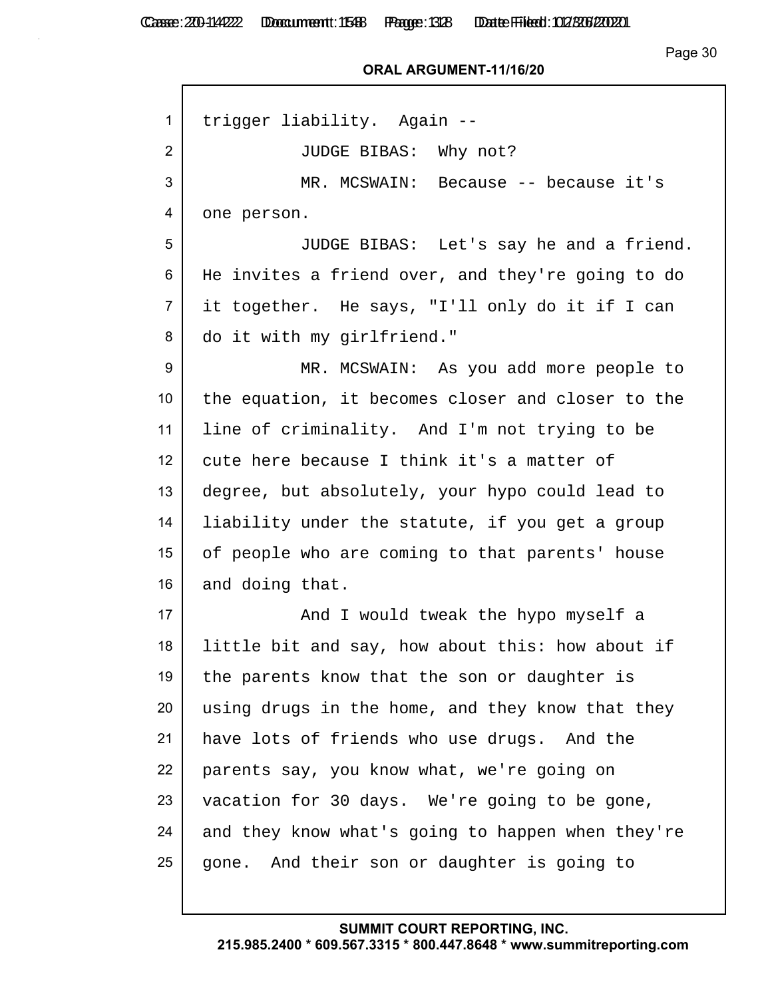#### **ORAL ARGUMENT-11/16/20**

| 1               | trigger liability. Again --                       |
|-----------------|---------------------------------------------------|
| $\overline{2}$  | JUDGE BIBAS: Why not?                             |
| 3               | MR. MCSWAIN: Because -- because it's              |
| 4               | one person.                                       |
| 5               | JUDGE BIBAS: Let's say he and a friend.           |
| 6               | He invites a friend over, and they're going to do |
| $\overline{7}$  | it together. He says, "I'll only do it if I can   |
| 8               | do it with my girlfriend."                        |
| 9               | MR. MCSWAIN: As you add more people to            |
| 10 <sup>°</sup> | the equation, it becomes closer and closer to the |
| 11              | line of criminality. And I'm not trying to be     |
| 12              | cute here because I think it's a matter of        |
| 13              | degree, but absolutely, your hypo could lead to   |
| 14              | liability under the statute, if you get a group   |
| 15              | of people who are coming to that parents' house   |
| 16              | and doing that.                                   |
| 17              | And I would tweak the hypo myself a               |
| 18              | little bit and say, how about this: how about if  |
| 19              | the parents know that the son or daughter is      |
| 20              | using drugs in the home, and they know that they  |
| 21              | have lots of friends who use drugs. And the       |
| 22              | parents say, you know what, we're going on        |
| 23              | vacation for 30 days. We're going to be gone,     |
| 24              | and they know what's going to happen when they're |
| 25              | gone. And their son or daughter is going to       |
|                 |                                                   |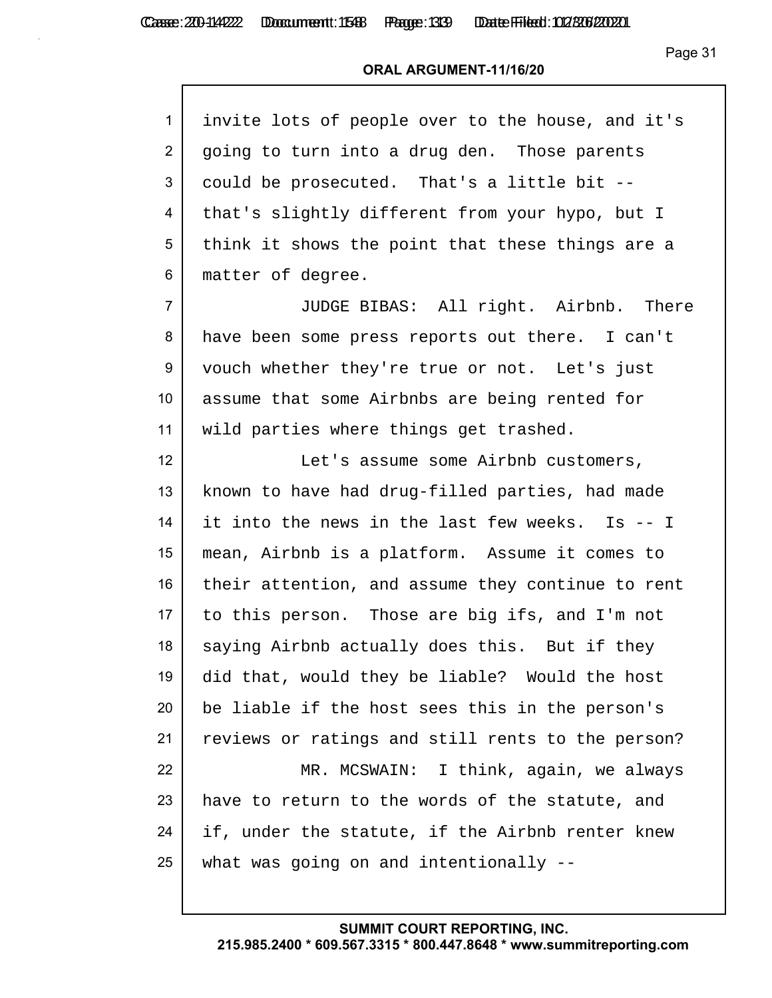| invite lots of people over to the house, and it's |
|---------------------------------------------------|
| going to turn into a drug den. Those parents      |
| could be prosecuted. That's a little bit --       |
| that's slightly different from your hypo, but I   |
| think it shows the point that these things are a  |
| matter of degree.                                 |
| JUDGE BIBAS: All right. Airbnb. There             |
| have been some press reports out there. I can't   |
| vouch whether they're true or not. Let's just     |
| assume that some Airbnbs are being rented for     |
| wild parties where things get trashed.            |
| Let's assume some Airbnb customers,               |
| known to have had drug-filled parties, had made   |
| it into the news in the last few weeks. Is -- I   |
| mean, Airbnb is a platform. Assume it comes to    |
| their attention, and assume they continue to rent |
| to this person. Those are big ifs, and I'm not    |
| saying Airbnb actually does this. But if they     |
| did that, would they be liable? Would the host    |
| be liable if the host sees this in the person's   |
| reviews or ratings and still rents to the person? |
| MR. MCSWAIN: I think, again, we always            |
| have to return to the words of the statute, and   |
| if, under the statute, if the Airbnb renter knew  |
| what was going on and intentionally --            |
|                                                   |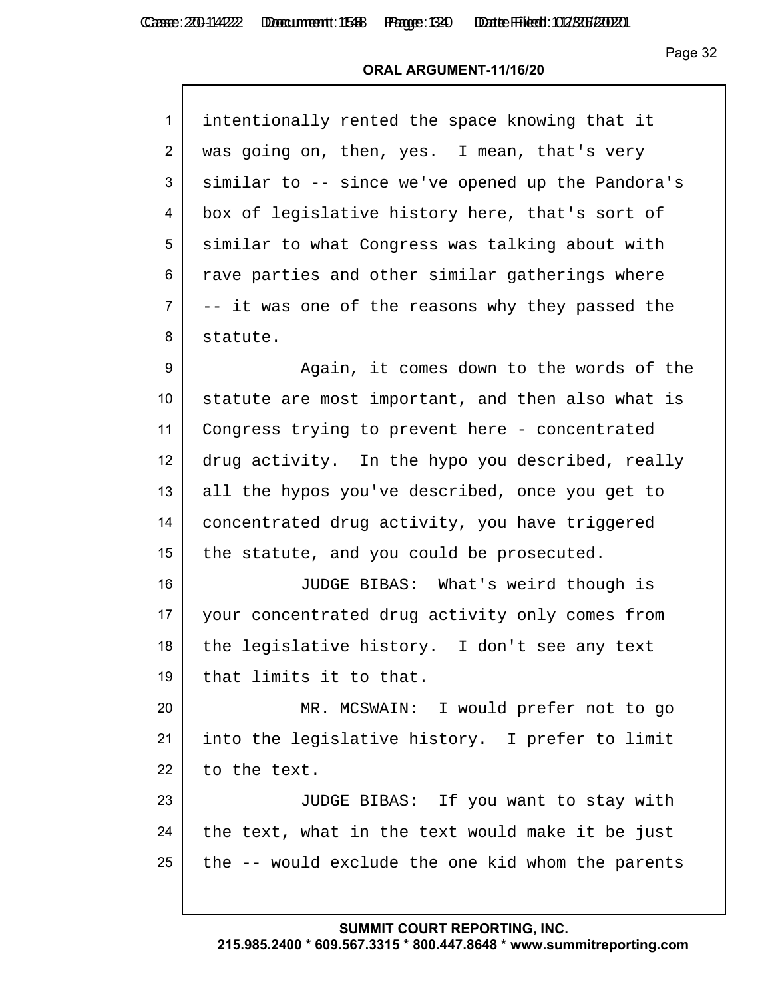#### **ORAL ARGUMENT-11/16/20**

| $\mathbf{1}$   | intentionally rented the space knowing that it    |
|----------------|---------------------------------------------------|
| $\overline{2}$ | was going on, then, yes. I mean, that's very      |
| 3              | similar to -- since we've opened up the Pandora's |
| 4              | box of legislative history here, that's sort of   |
| 5              | similar to what Congress was talking about with   |
| 6              | rave parties and other similar gatherings where   |
| $\overline{7}$ | -- it was one of the reasons why they passed the  |
| 8              | statute.                                          |
|                |                                                   |

9 Again, it comes down to the words of the statute are most important, and then also what is Congress trying to prevent here - concentrated drug activity. In the hypo you described, really all the hypos you've described, once you get to concentrated drug activity, you have triggered 15 the statute, and you could be prosecuted.

 JUDGE BIBAS: What's weird though is your concentrated drug activity only comes from 18 the legislative history. I don't see any text that limits it to that.

 MR. MCSWAIN: I would prefer not to go into the legislative history. I prefer to limit 22 to the text.

 JUDGE BIBAS: If you want to stay with 24 the text, what in the text would make it be just the  $-$  would exclude the one kid whom the parents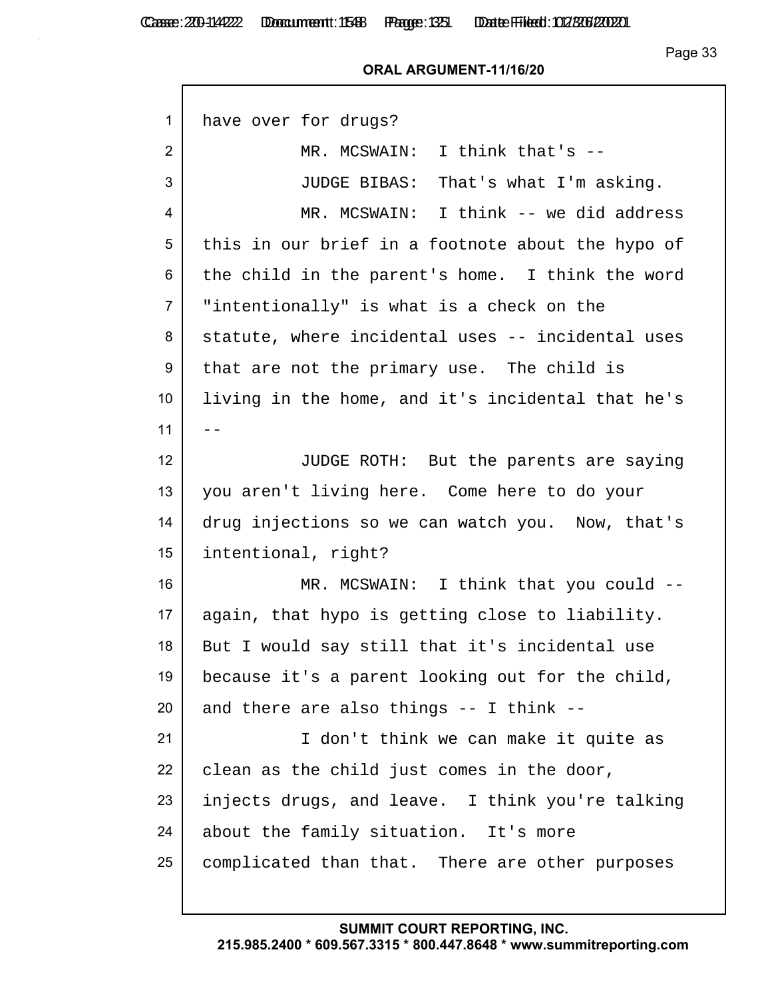#### **ORAL ARGUMENT-11/16/20**

| 1              | have over for drugs?                              |
|----------------|---------------------------------------------------|
| $\overline{2}$ | MR. MCSWAIN: I think that's --                    |
| 3              | JUDGE BIBAS: That's what I'm asking.              |
| 4              | MR. MCSWAIN: I think -- we did address            |
| 5              | this in our brief in a footnote about the hypo of |
| 6              | the child in the parent's home. I think the word  |
| $\overline{7}$ | "intentionally" is what is a check on the         |
| 8              | statute, where incidental uses -- incidental uses |
| 9              | that are not the primary use. The child is        |
| 10             | living in the home, and it's incidental that he's |
| 11             | $- -$                                             |
| 12             | JUDGE ROTH: But the parents are saying            |
| 13             | you aren't living here. Come here to do your      |
| 14             | drug injections so we can watch you. Now, that's  |
| 15             | intentional, right?                               |
| 16             | MR. MCSWAIN: I think that you could --            |
| 17             | again, that hypo is getting close to liability.   |
| 18             | But I would say still that it's incidental use    |
| 19             | because it's a parent looking out for the child,  |
| 20             | and there are also things -- I think --           |
| 21             | I don't think we can make it quite as             |
| 22             | clean as the child just comes in the door,        |
| 23             | injects drugs, and leave. I think you're talking  |
| 24             | about the family situation. It's more             |
| 25             | complicated than that. There are other purposes   |
|                |                                                   |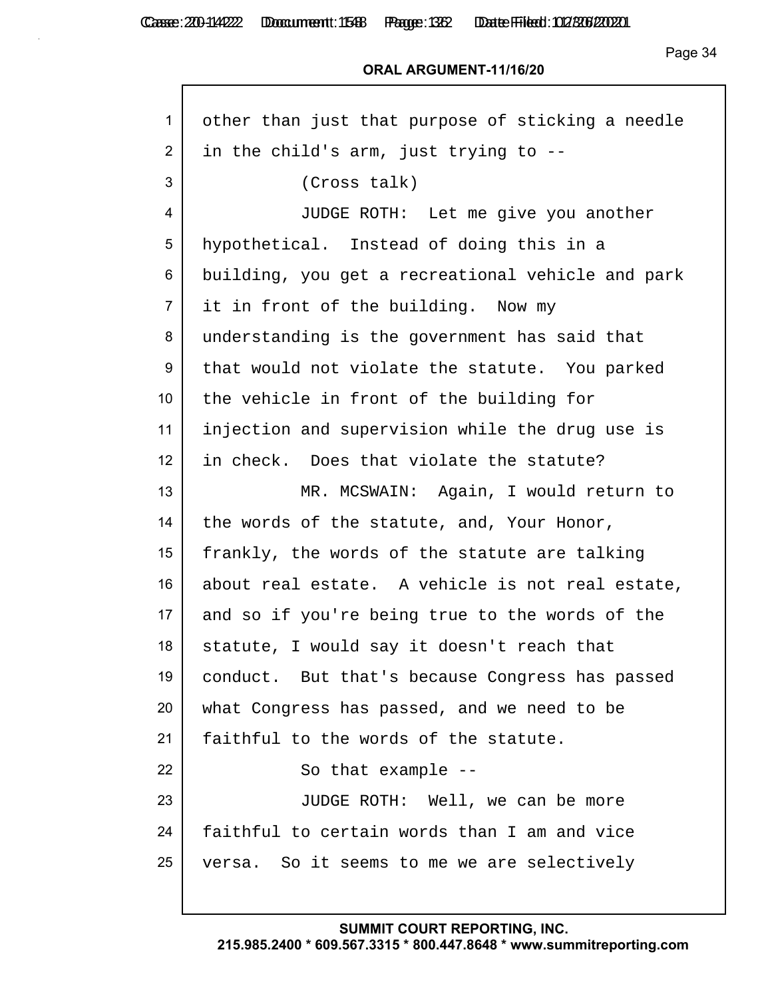Casse: 200-114222 Doccument: 1588 Page: 1382 Date Filed: 02/306/2020

Page 34

### **ORAL ARGUMENT-11/16/20**

| $\mathbf{1}$    | other than just that purpose of sticking a needle |
|-----------------|---------------------------------------------------|
| $\overline{2}$  | in the child's arm, just trying to --             |
| 3               | (Cross talk)                                      |
| 4               | JUDGE ROTH: Let me give you another               |
| 5               | hypothetical. Instead of doing this in a          |
| 6               | building, you get a recreational vehicle and park |
| $\overline{7}$  | it in front of the building. Now my               |
| 8               | understanding is the government has said that     |
| 9               | that would not violate the statute. You parked    |
| 10 <sup>°</sup> | the vehicle in front of the building for          |
| 11              | injection and supervision while the drug use is   |
| 12              | in check. Does that violate the statute?          |
| 13              | MR. MCSWAIN: Again, I would return to             |
| 14              | the words of the statute, and, Your Honor,        |
| 15              | frankly, the words of the statute are talking     |
| 16              | about real estate. A vehicle is not real estate,  |
| 17              | and so if you're being true to the words of the   |
| 18              | statute, I would say it doesn't reach that        |
| 19              | conduct. But that's because Congress has passed   |
| 20              | what Congress has passed, and we need to be       |
| 21              | faithful to the words of the statute.             |
| 22              | So that example --                                |
| 23              | JUDGE ROTH: Well, we can be more                  |
| 24              | faithful to certain words than I am and vice      |
| 25              | versa. So it seems to me we are selectively       |
|                 |                                                   |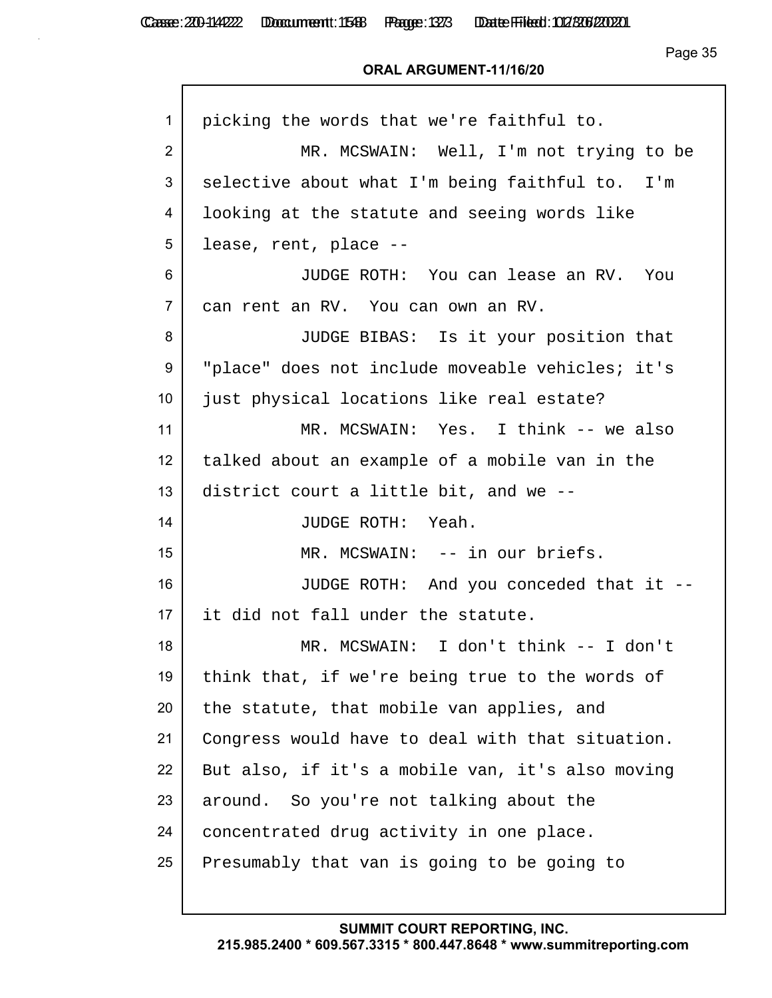| 1               | picking the words that we're faithful to.        |
|-----------------|--------------------------------------------------|
| $\overline{2}$  | MR. MCSWAIN: Well, I'm not trying to be          |
| 3               | selective about what I'm being faithful to. I'm  |
| 4               | looking at the statute and seeing words like     |
| 5               | lease, rent, place --                            |
| 6               | JUDGE ROTH: You can lease an RV. You             |
| $\overline{7}$  | can rent an RV. You can own an RV.               |
| 8               | JUDGE BIBAS: Is it your position that            |
| 9               | "place" does not include moveable vehicles; it's |
| 10 <sup>°</sup> | just physical locations like real estate?        |
| 11              | MR. MCSWAIN: Yes. I think -- we also             |
| 12              | talked about an example of a mobile van in the   |
| 13              | district court a little bit, and we --           |
| 14              | JUDGE ROTH: Yeah.                                |
| 15              | MR. MCSWAIN: -- in our briefs.                   |
| 16              | JUDGE ROTH: And you conceded that it --          |
| 17 <sub>2</sub> | it did not fall under the statute.               |
| 18              | MR. MCSWAIN: I don't think -- I don't            |
| 19              | think that, if we're being true to the words of  |
| 20              | the statute, that mobile van applies, and        |
| 21              | Congress would have to deal with that situation. |
| 22              | But also, if it's a mobile van, it's also moving |
| 23              | around. So you're not talking about the          |
| 24              | concentrated drug activity in one place.         |
| 25              | Presumably that van is going to be going to      |
|                 |                                                  |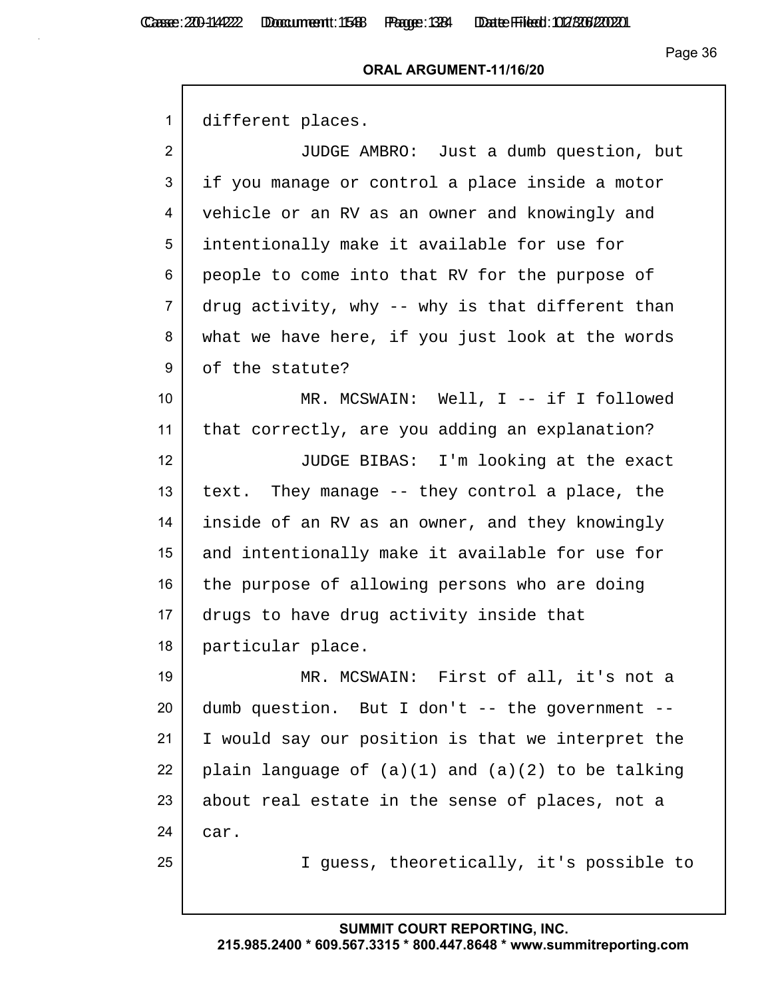#### **ORAL ARGUMENT-11/16/20**

1 different places.

 JUDGE AMBRO: Just a dumb question, but if you manage or control a place inside a motor vehicle or an RV as an owner and knowingly and intentionally make it available for use for people to come into that RV for the purpose of drug activity, why -- why is that different than 8 what we have here, if you just look at the words 9 of the statute?

10 MR. MCSWAIN: Well, I -- if I followed 11 that correctly, are you adding an explanation?

12 JUDGE BIBAS: I'm looking at the exact 13 text. They manage  $-$  they control a place, the 14 inside of an RV as an owner, and they knowingly 15 and intentionally make it available for use for 16 the purpose of allowing persons who are doing 17 drugs to have drug activity inside that 18 particular place.

 MR. MCSWAIN: First of all, it's not a dumb question. But I don't  $-$  the government  $-$  I would say our position is that we interpret the 22 plain language of  $(a)(1)$  and  $(a)(2)$  to be talking about real estate in the sense of places, not a 24 car.

25 I guess, theoretically, it's possible to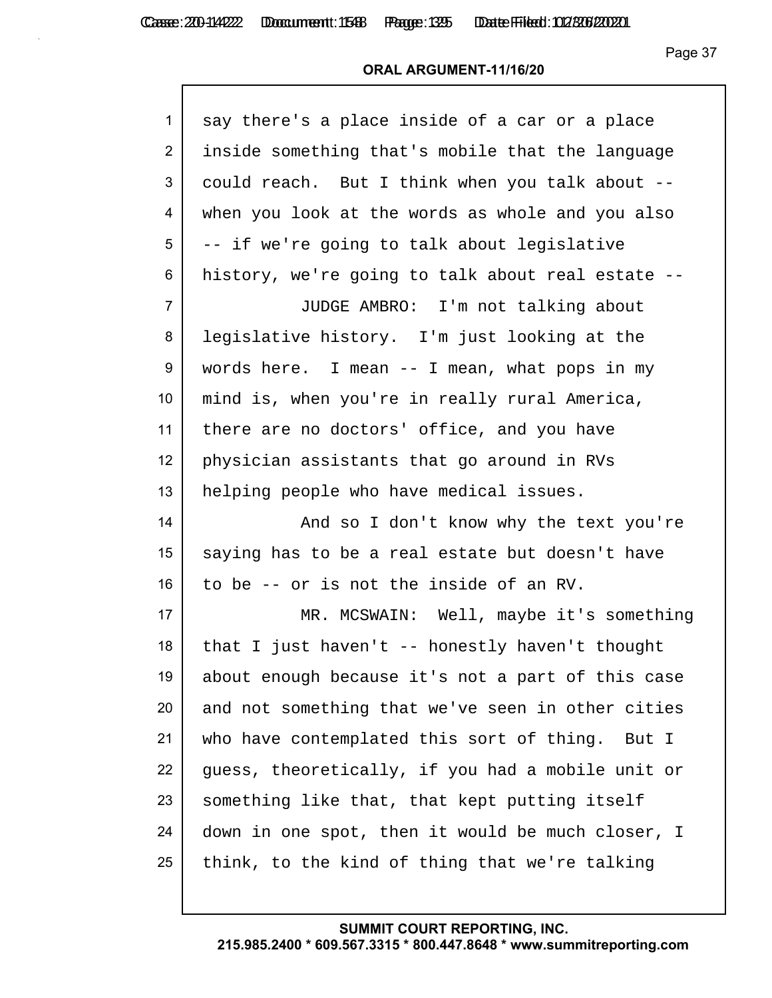Casse: 200-114222 Doccument: 1588 Page: 1325 Date Filed: 02/306/2020

Page 37

| 1              | say there's a place inside of a car or a place    |
|----------------|---------------------------------------------------|
| $\overline{2}$ | inside something that's mobile that the language  |
| 3              |                                                   |
|                | could reach. But I think when you talk about --   |
| 4              | when you look at the words as whole and you also  |
| 5              | -- if we're going to talk about legislative       |
| 6              | history, we're going to talk about real estate -- |
| $\overline{7}$ | JUDGE AMBRO: I'm not talking about                |
| 8              | legislative history. I'm just looking at the      |
| 9              | words here. I mean $-$ I mean, what pops in my    |
| 10             | mind is, when you're in really rural America,     |
| 11             | there are no doctors' office, and you have        |
| 12             | physician assistants that go around in RVs        |
| 13             | helping people who have medical issues.           |
| 14             | And so I don't know why the text you're           |
| 15             | saying has to be a real estate but doesn't have   |
| 16             | to be -- or is not the inside of an RV.           |
| 17             | MR. MCSWAIN: Well, maybe it's something           |
| 18             | that I just haven't -- honestly haven't thought   |
| 19             | about enough because it's not a part of this case |
| 20             | and not something that we've seen in other cities |
| 21             | who have contemplated this sort of thing. But I   |
| 22             | guess, theoretically, if you had a mobile unit or |
| 23             | something like that, that kept putting itself     |
| 24             | down in one spot, then it would be much closer, I |
| 25             | think, to the kind of thing that we're talking    |
|                |                                                   |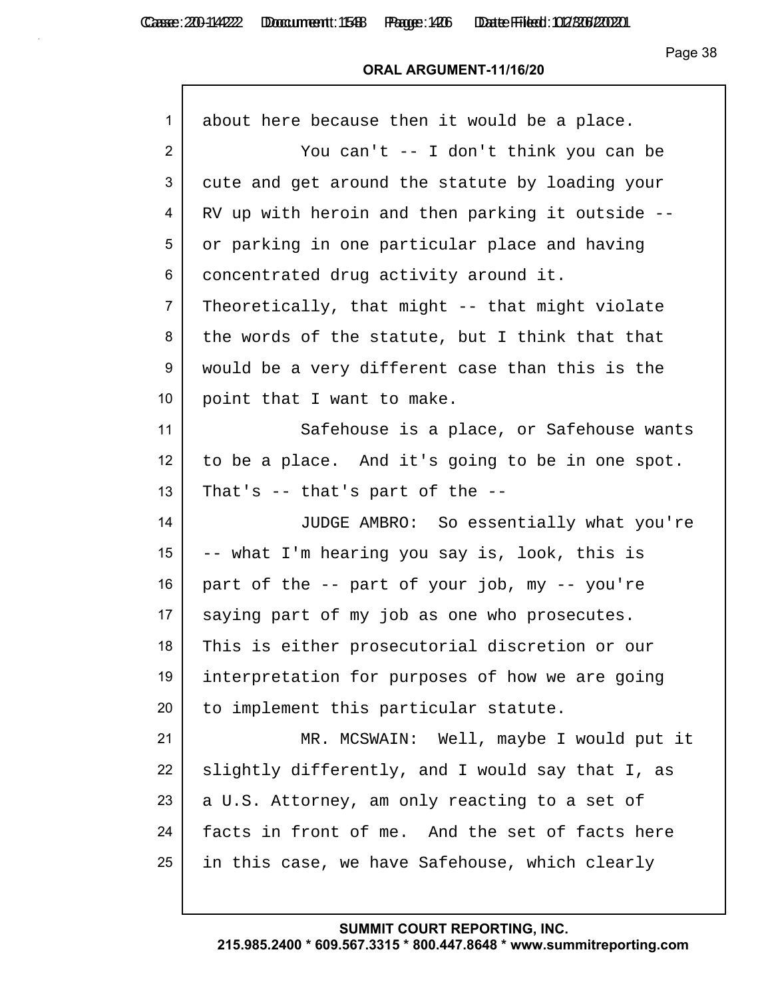## **ORAL ARGUMENT-11/16/20**

| about here because then it would be a place.     |
|--------------------------------------------------|
| You can't -- I don't think you can be            |
| cute and get around the statute by loading your  |
| RV up with heroin and then parking it outside -- |
| or parking in one particular place and having    |
| concentrated drug activity around it.            |
| Theoretically, that might -- that might violate  |
| the words of the statute, but I think that that  |
| would be a very different case than this is the  |
| point that I want to make.                       |
| Safehouse is a place, or Safehouse wants         |
| to be a place. And it's going to be in one spot. |
| That's $-$ that's part of the $-$                |
| JUDGE AMBRO: So essentially what you're          |
| -- what I'm hearing you say is, look, this is    |
| part of the -- part of your job, my -- you're    |
| saying part of my job as one who prosecutes.     |
| This is either prosecutorial discretion or our   |
| interpretation for purposes of how we are going  |
| to implement this particular statute.            |
| MR. MCSWAIN: Well, maybe I would put it          |
| slightly differently, and I would say that I, as |
| a U.S. Attorney, am only reacting to a set of    |
| facts in front of me. And the set of facts here  |
| in this case, we have Safehouse, which clearly   |
|                                                  |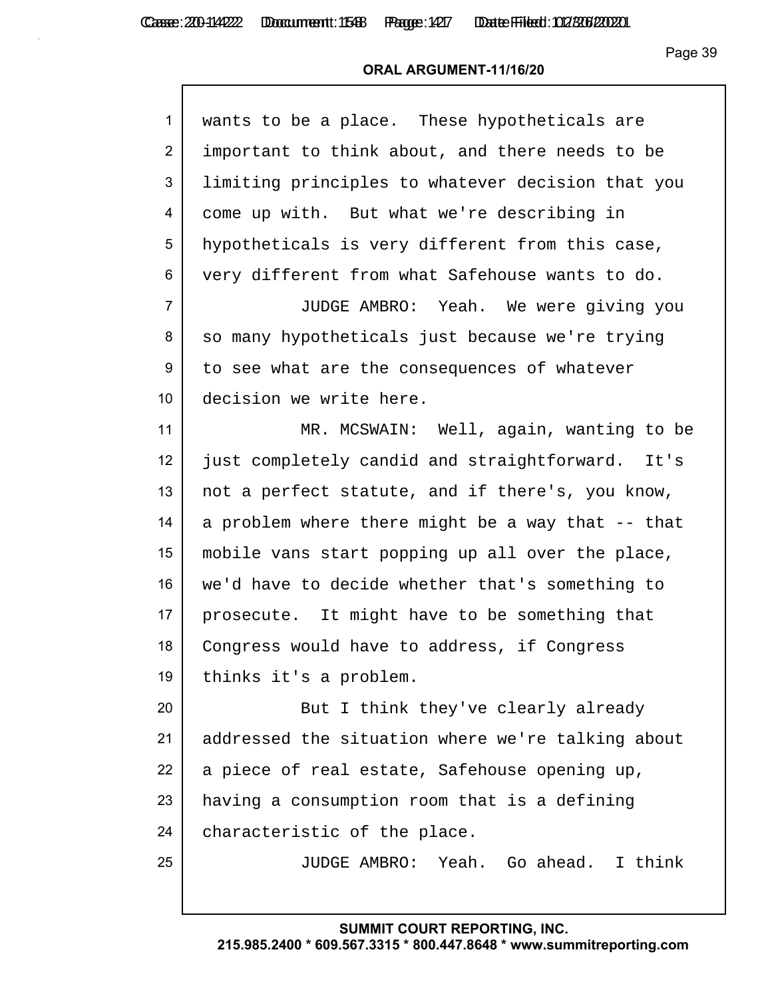| $\mathbf{1}$   | wants to be a place. These hypotheticals are      |
|----------------|---------------------------------------------------|
| $\overline{2}$ | important to think about, and there needs to be   |
| 3              | limiting principles to whatever decision that you |
| 4              | come up with. But what we're describing in        |
| 5              | hypotheticals is very different from this case,   |
| 6              | very different from what Safehouse wants to do.   |
| $\overline{7}$ | JUDGE AMBRO: Yeah. We were giving you             |
| 8              | so many hypotheticals just because we're trying   |
| 9              | to see what are the consequences of whatever      |
| 10             | decision we write here.                           |
| 11             | MR. MCSWAIN: Well, again, wanting to be           |
| 12             | just completely candid and straightforward. It's  |
| 13             | not a perfect statute, and if there's, you know,  |
| 14             | a problem where there might be a way that -- that |
| 15             | mobile vans start popping up all over the place,  |
| 16             | we'd have to decide whether that's something to   |
| 17             | prosecute. It might have to be something that     |
| 18             | Congress would have to address, if Congress       |
| 19             | thinks it's a problem.                            |
| 20             | But I think they've clearly already               |
| 21             | addressed the situation where we're talking about |
| 22             | a piece of real estate, Safehouse opening up,     |
| 23             | having a consumption room that is a defining      |
| 24             | characteristic of the place.                      |
| 25             | JUDGE AMBRO: Yeah. Go ahead. I think              |
|                |                                                   |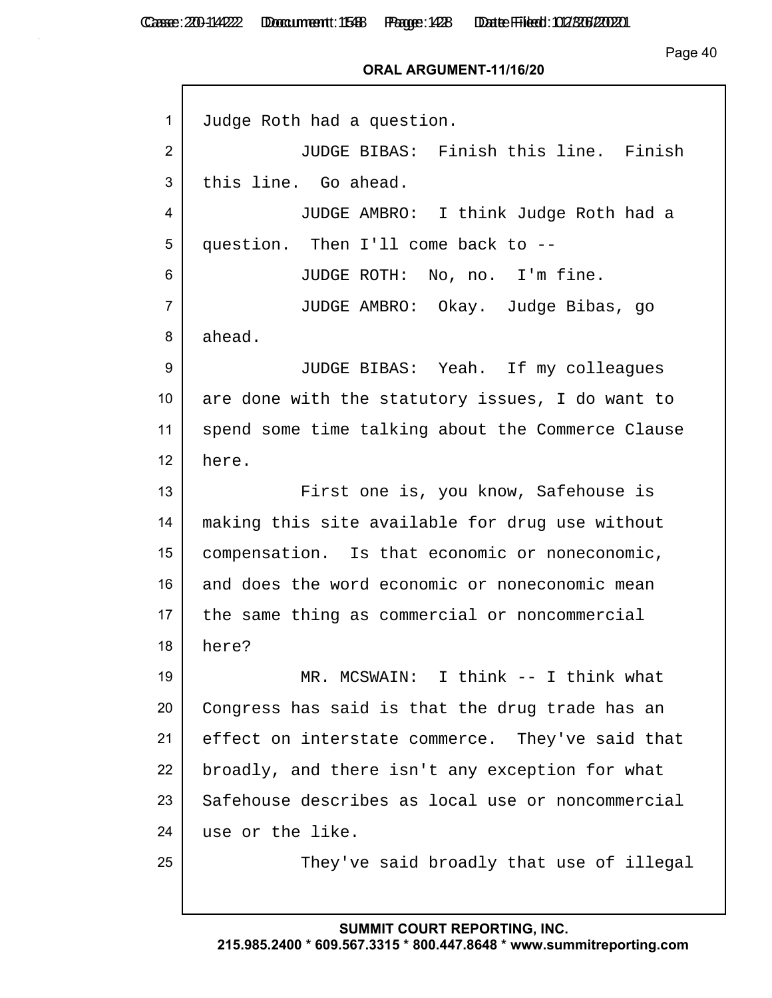Page 40

| $\mathbf{1}$   | Judge Roth had a question.                        |
|----------------|---------------------------------------------------|
| 2              | JUDGE BIBAS: Finish this line. Finish             |
| 3              | this line. Go ahead.                              |
| 4              | JUDGE AMBRO: I think Judge Roth had a             |
| 5              | question. Then I'll come back to --               |
| 6              | JUDGE ROTH: No, no. I'm fine.                     |
| $\overline{7}$ | JUDGE AMBRO: Okay. Judge Bibas, go                |
| 8              | ahead.                                            |
| 9              | JUDGE BIBAS: Yeah. If my colleagues               |
| 10             | are done with the statutory issues, I do want to  |
| 11             | spend some time talking about the Commerce Clause |
| 12             | here.                                             |
| 13             | First one is, you know, Safehouse is              |
| 14             | making this site available for drug use without   |
| 15             | compensation. Is that economic or noneconomic,    |
| 16             | and does the word economic or noneconomic mean    |
| 17             | the same thing as commercial or noncommercial     |
| 18             | here?                                             |
| 19             | MR. MCSWAIN: I think -- I think what              |
| 20             | Congress has said is that the drug trade has an   |
| 21             | effect on interstate commerce. They've said that  |
| 22             | broadly, and there isn't any exception for what   |
| 23             | Safehouse describes as local use or noncommercial |
| 24             | use or the like.                                  |
| 25             | They've said broadly that use of illegal          |
|                |                                                   |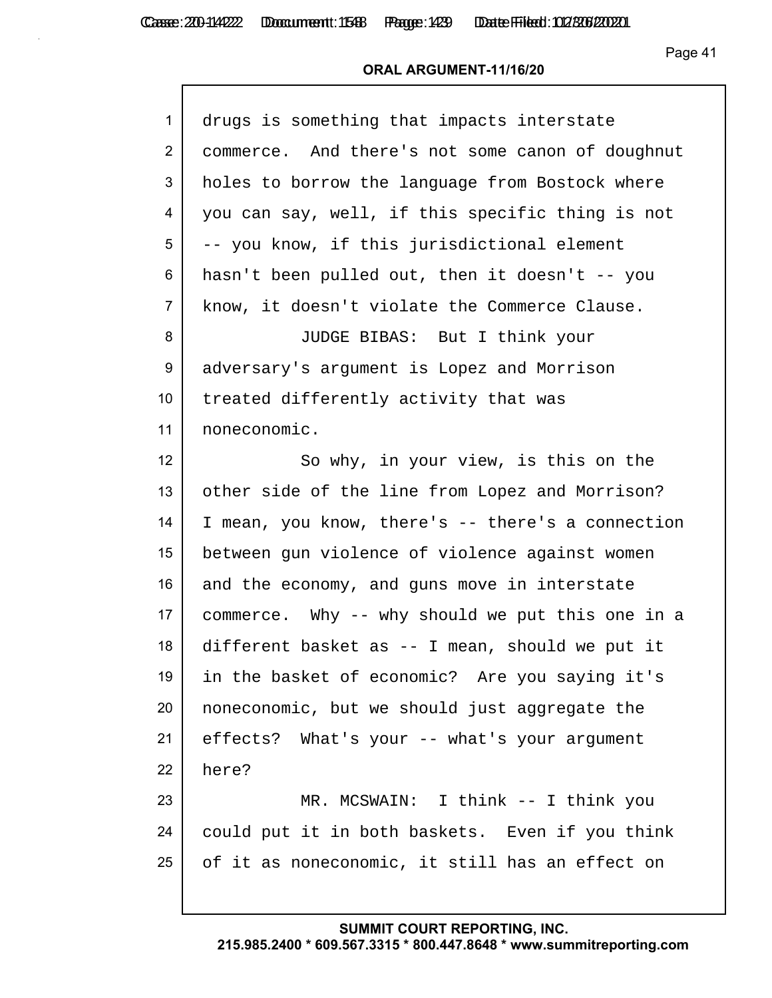Casse: 200-114222 Doccument: 1588 Page: 1429 Date Filed: 02/306/2020

Page 41

#### **ORAL ARGUMENT-11/16/20**

| $\mathbf{1}$     | drugs is something that impacts interstate        |
|------------------|---------------------------------------------------|
| $\overline{2}$   | commerce. And there's not some canon of doughnut  |
| 3                | holes to borrow the language from Bostock where   |
| 4                | you can say, well, if this specific thing is not  |
| 5                | -- you know, if this jurisdictional element       |
| 6                | hasn't been pulled out, then it doesn't -- you    |
| $\overline{7}$   | know, it doesn't violate the Commerce Clause.     |
| 8                | JUDGE BIBAS: But I think your                     |
| $\boldsymbol{9}$ | adversary's argument is Lopez and Morrison        |
| 10               | treated differently activity that was             |
| 11               | noneconomic.                                      |
| 12               | So why, in your view, is this on the              |
| 13               | other side of the line from Lopez and Morrison?   |
| 14               | I mean, you know, there's -- there's a connection |
| 15               | between gun violence of violence against women    |
| 16               | and the economy, and guns move in interstate      |
| 17               | commerce. Why -- why should we put this one in a  |
| 18               | different basket as -- I mean, should we put it   |
| 19               | in the basket of economic? Are you saying it's    |
| 20               | noneconomic, but we should just aggregate the     |
| 21               | effects? What's your -- what's your argument      |
| 22               | here?                                             |
| 23               | MR. MCSWAIN: I think -- I think you               |
| 24               | could put it in both baskets. Even if you think   |
| 25               | of it as noneconomic, it still has an effect on   |
|                  |                                                   |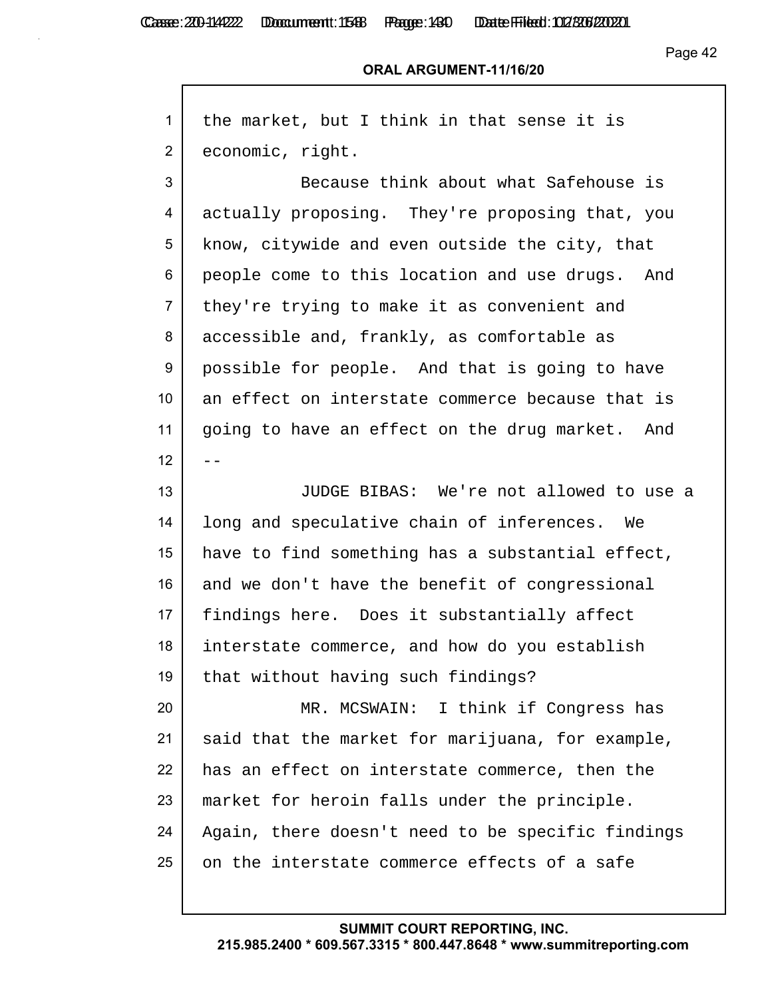$\mathsf{r}$ 

Casse: 200-114222 Doccument: 1548 Page: 1430 Date Filed: 02/306/2020

#### **ORAL ARGUMENT-11/16/20**

| 1              | the market, but I think in that sense it is       |
|----------------|---------------------------------------------------|
| $\overline{2}$ | economic, right.                                  |
| 3              | Because think about what Safehouse is             |
| 4              | actually proposing. They're proposing that, you   |
| 5              | know, citywide and even outside the city, that    |
| 6              | people come to this location and use drugs. And   |
| $\overline{7}$ | they're trying to make it as convenient and       |
| 8              | accessible and, frankly, as comfortable as        |
| 9              | possible for people. And that is going to have    |
| 10             | an effect on interstate commerce because that is  |
| 11             | going to have an effect on the drug market. And   |
| 12             |                                                   |
| 13             | JUDGE BIBAS: We're not allowed to use a           |
| 14             | long and speculative chain of inferences. We      |
| 15             | have to find something has a substantial effect,  |
| 16             | and we don't have the benefit of congressional    |
| 17             | findings here. Does it substantially affect       |
| 18             | interstate commerce, and how do you establish     |
| 19             | that without having such findings?                |
| 20             | MR. MCSWAIN: I think if Congress has              |
| 21             | said that the market for marijuana, for example,  |
| 22             | has an effect on interstate commerce, then the    |
| 23             | market for heroin falls under the principle.      |
| 24             | Again, there doesn't need to be specific findings |
| 25             | on the interstate commerce effects of a safe      |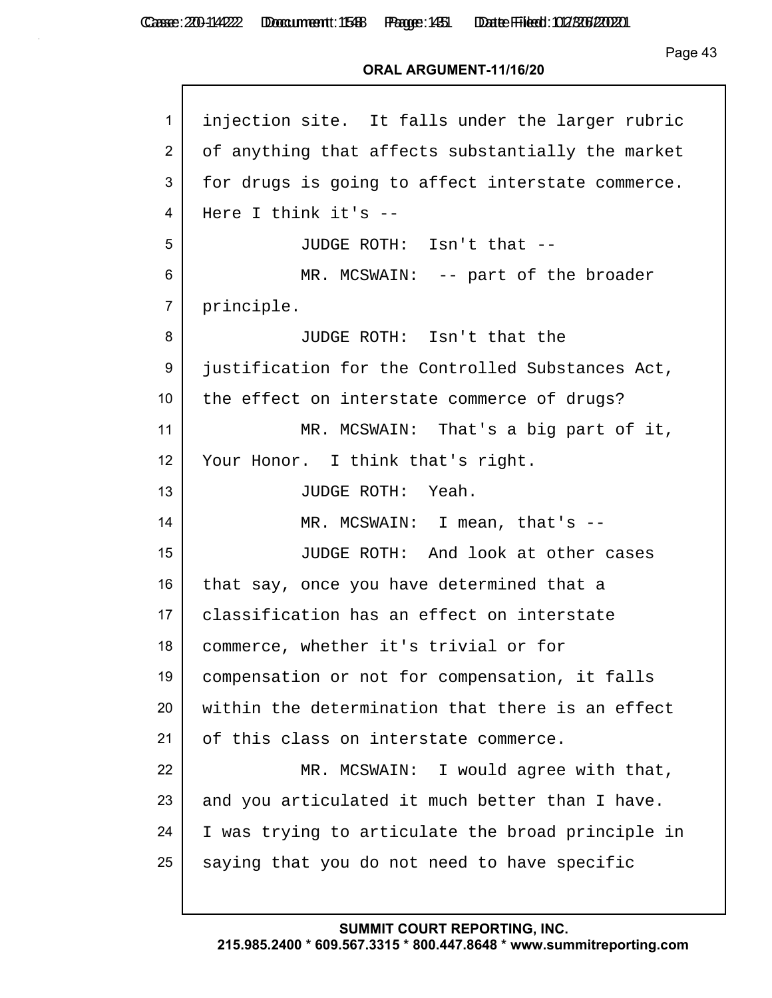Casse: 200-114222 Doccument: 1588 Page: 1431 Date Filed: 02/306/2020

Page 43

#### **ORAL ARGUMENT-11/16/20**

| $\mathbf{1}$    | injection site. It falls under the larger rubric  |
|-----------------|---------------------------------------------------|
| $\overline{2}$  | of anything that affects substantially the market |
| 3               | for drugs is going to affect interstate commerce. |
| 4               | Here I think it's --                              |
| 5               | JUDGE ROTH: Isn't that --                         |
| 6               | MR. MCSWAIN: -- part of the broader               |
| $\overline{7}$  | principle.                                        |
| 8               | JUDGE ROTH: Isn't that the                        |
| 9               | justification for the Controlled Substances Act,  |
| 10 <sup>°</sup> | the effect on interstate commerce of drugs?       |
| 11              | MR. MCSWAIN: That's a big part of it,             |
| 12              | Your Honor. I think that's right.                 |
| 13              | JUDGE ROTH: Yeah.                                 |
| 14              | MR. MCSWAIN: I mean, that's --                    |
| 15              | JUDGE ROTH: And look at other cases               |
| 16              | that say, once you have determined that a         |
| 17 <sup>2</sup> | classification has an effect on interstate        |
| 18              | commerce, whether it's trivial or for             |
| 19              | compensation or not for compensation, it falls    |
| 20              | within the determination that there is an effect  |
| 21              | of this class on interstate commerce.             |
| 22              | MR. MCSWAIN: I would agree with that,             |
| 23              | and you articulated it much better than I have.   |
| 24              | I was trying to articulate the broad principle in |
| 25              | saying that you do not need to have specific      |
|                 |                                                   |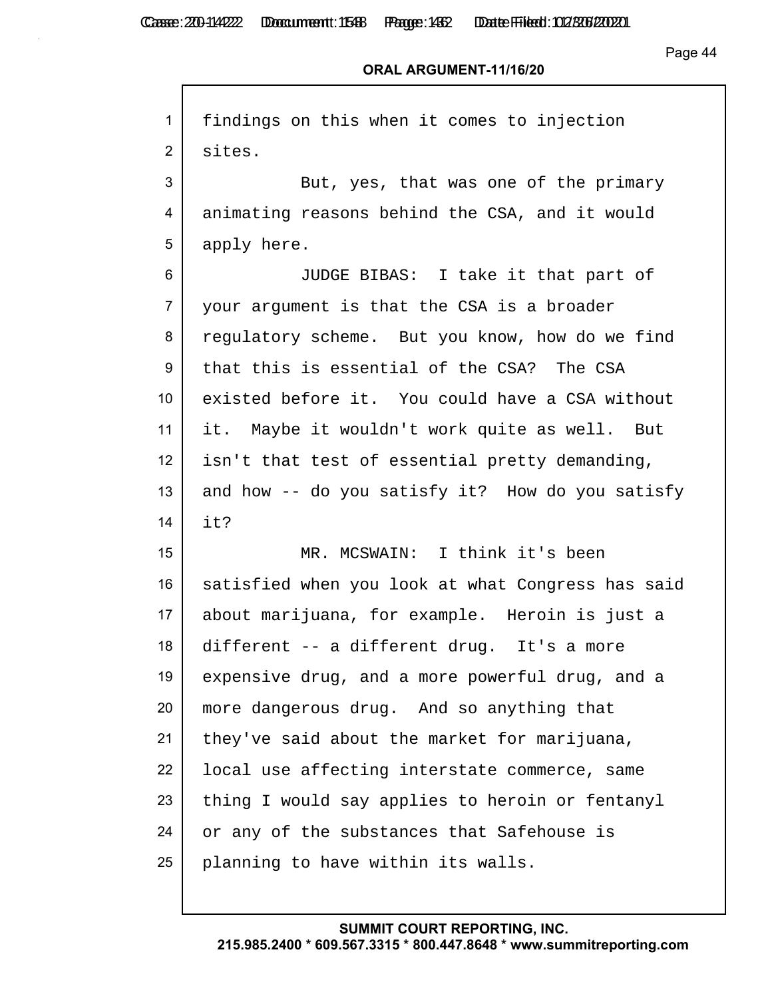Casse: 200-114222 Doccument: 1588 Page: 1432 Date Filed: 02/306/2020

Page 44

| $\mathbf{1}$   | findings on this when it comes to injection       |
|----------------|---------------------------------------------------|
| 2              | sites.                                            |
| 3              | But, yes, that was one of the primary             |
| 4              | animating reasons behind the CSA, and it would    |
| 5              | apply here.                                       |
| 6              | JUDGE BIBAS: I take it that part of               |
| $\overline{7}$ | your argument is that the CSA is a broader        |
| 8              | regulatory scheme. But you know, how do we find   |
| 9              | that this is essential of the CSA? The CSA        |
| 10             | existed before it. You could have a CSA without   |
| 11             | it. Maybe it wouldn't work quite as well. But     |
| 12             | isn't that test of essential pretty demanding,    |
| 13             | and how -- do you satisfy it? How do you satisfy  |
| 14             | it?                                               |
| 15             | MR. MCSWAIN: I think it's been                    |
| 16             | satisfied when you look at what Congress has said |
| 17             | about marijuana, for example. Heroin is just a    |
| 18             | different -- a different drug. It's a more        |
| 19             | expensive drug, and a more powerful drug, and a   |
| 20             | more dangerous drug. And so anything that         |
| 21             | they've said about the market for marijuana,      |
| 22             | local use affecting interstate commerce, same     |
| 23             | thing I would say applies to heroin or fentanyl   |
| 24             | or any of the substances that Safehouse is        |
| 25             | planning to have within its walls.                |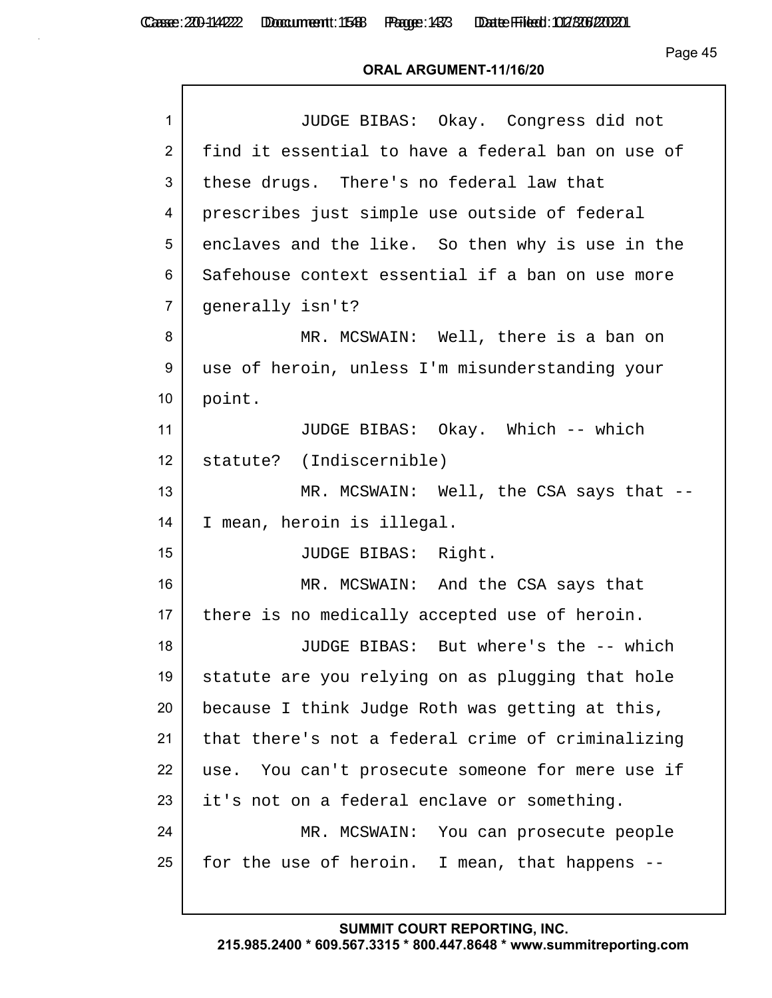Casse: 200-114222 Doccument: 1588 Page: 1433 Date Filed: 02/306/2020

Page 45

#### **ORAL ARGUMENT-11/16/20**

| $\mathbf{1}$    | JUDGE BIBAS: Okay. Congress did not               |
|-----------------|---------------------------------------------------|
| $\overline{2}$  | find it essential to have a federal ban on use of |
| 3               | these drugs. There's no federal law that          |
| 4               | prescribes just simple use outside of federal     |
| 5               | enclaves and the like. So then why is use in the  |
| 6               | Safehouse context essential if a ban on use more  |
| $\overline{7}$  | qenerally isn't?                                  |
| 8               | MR. MCSWAIN: Well, there is a ban on              |
| 9               | use of heroin, unless I'm misunderstanding your   |
| 10 <sup>°</sup> | point.                                            |
| 11              | JUDGE BIBAS: Okay. Which -- which                 |
| 12              | statute? (Indiscernible)                          |
| 13              | MR. MCSWAIN: Well, the CSA says that --           |
| 14              | I mean, heroin is illegal.                        |
| 15              | JUDGE BIBAS: Right.                               |
| 16              | MR. MCSWAIN: And the CSA says that                |
| 17              | there is no medically accepted use of heroin.     |
| 18              | JUDGE BIBAS: But where's the -- which             |
| 19              | statute are you relying on as plugging that hole  |
| 20              | because I think Judge Roth was getting at this,   |
| 21              | that there's not a federal crime of criminalizing |
| 22              | use. You can't prosecute someone for mere use if  |
| 23              | it's not on a federal enclave or something.       |
| 24              | MR. MCSWAIN: You can prosecute people             |
| 25              | for the use of heroin. I mean, that happens --    |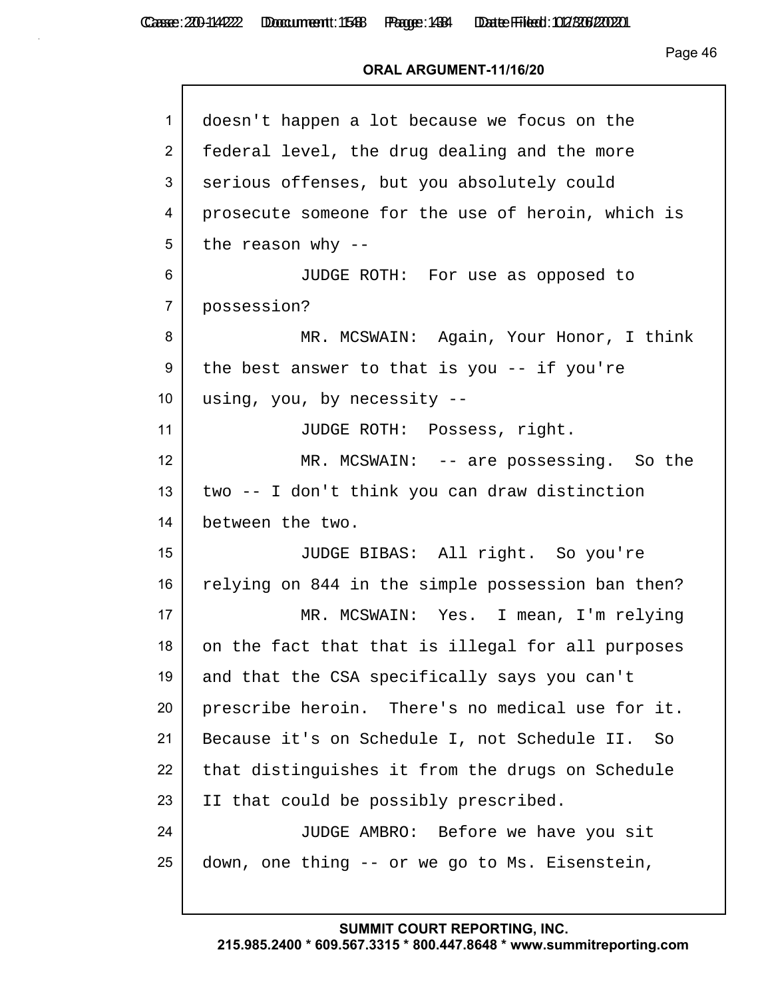Casse: 200-114222 Doccument: 1548 Page: 1484 Date Filed: 02/306/2020

Page 46

## **ORAL ARGUMENT-11/16/20**

| 1                | doesn't happen a lot because we focus on the      |
|------------------|---------------------------------------------------|
| $\overline{2}$   | federal level, the drug dealing and the more      |
| 3                | serious offenses, but you absolutely could        |
| 4                | prosecute someone for the use of heroin, which is |
| 5                | the reason why $-$                                |
| 6                | JUDGE ROTH: For use as opposed to                 |
| $\overline{7}$   | possession?                                       |
| 8                | MR. MCSWAIN: Again, Your Honor, I think           |
| 9                | the best answer to that is you -- if you're       |
| 10 <sup>°</sup>  | using, you, by necessity --                       |
| 11               | JUDGE ROTH: Possess, right.                       |
| 12 <sup>°</sup>  | MR. MCSWAIN: -- are possessing. So the            |
| 13               | two -- I don't think you can draw distinction     |
| 14               | between the two.                                  |
| 15 <sub>15</sub> | JUDGE BIBAS: All right. So you're                 |
| 16               | relying on 844 in the simple possession ban then? |
| 17               | MR. MCSWAIN: Yes. I mean, I'm relying             |
| 18               | on the fact that that is illegal for all purposes |
| 19               | and that the CSA specifically says you can't      |
| 20               | prescribe heroin. There's no medical use for it.  |
| 21               | Because it's on Schedule I, not Schedule II. So   |
| 22               | that distinguishes it from the drugs on Schedule  |
| 23               | II that could be possibly prescribed.             |
| 24               | JUDGE AMBRO: Before we have you sit               |
| 25               | down, one thing -- or we go to Ms. Eisenstein,    |
|                  |                                                   |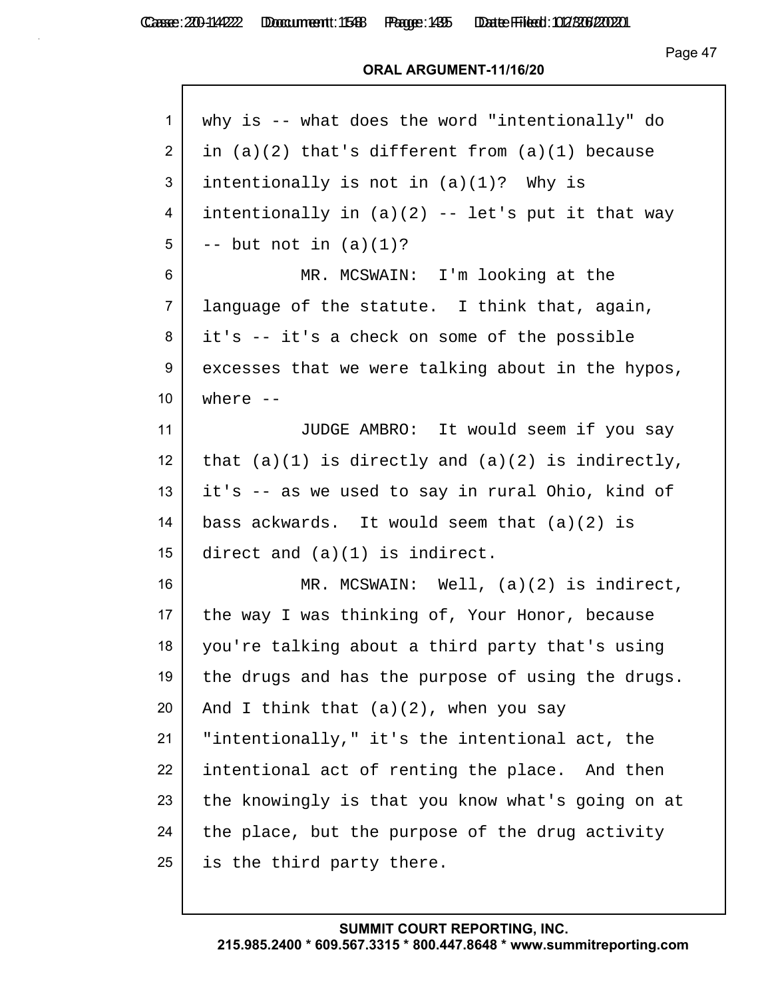Page 47

| 1                | why is -- what does the word "intentionally" do       |
|------------------|-------------------------------------------------------|
| $\overline{2}$   | in $(a)(2)$ that's different from $(a)(1)$ because    |
| 3                | intentionally is not in $(a)(1)$ ? Why is             |
| 4                | intentionally in $(a)(2)$ -- let's put it that way    |
| 5                | $--$ but not in $(a)(1)?$                             |
| 6                | MR. MCSWAIN: I'm looking at the                       |
| $\overline{7}$   | language of the statute. I think that, again,         |
| 8                | it's -- it's a check on some of the possible          |
| 9                | excesses that we were talking about in the hypos,     |
| 10               | where $--$                                            |
| 11               | JUDGE AMBRO: It would seem if you say                 |
| 12 <sup>2</sup>  | that $(a)(1)$ is directly and $(a)(2)$ is indirectly, |
| 13               | it's -- as we used to say in rural Ohio, kind of      |
| 14               | bass ackwards. It would seem that $(a)(2)$ is         |
| 15 <sub>15</sub> | direct and $(a)(1)$ is indirect.                      |
| 16               | MR. MCSWAIN: Well, $(a)(2)$ is indirect,              |
| 17 <sub>2</sub>  | the way I was thinking of, Your Honor, because        |
| 18               | you're talking about a third party that's using       |
| 19               | the drugs and has the purpose of using the drugs.     |
| 20               | And I think that $(a)(2)$ , when you say              |
| 21               | "intentionally," it's the intentional act, the        |
| 22               | intentional act of renting the place. And then        |
| 23               | the knowingly is that you know what's going on at     |
| 24               | the place, but the purpose of the drug activity       |
| 25               | is the third party there.                             |
|                  |                                                       |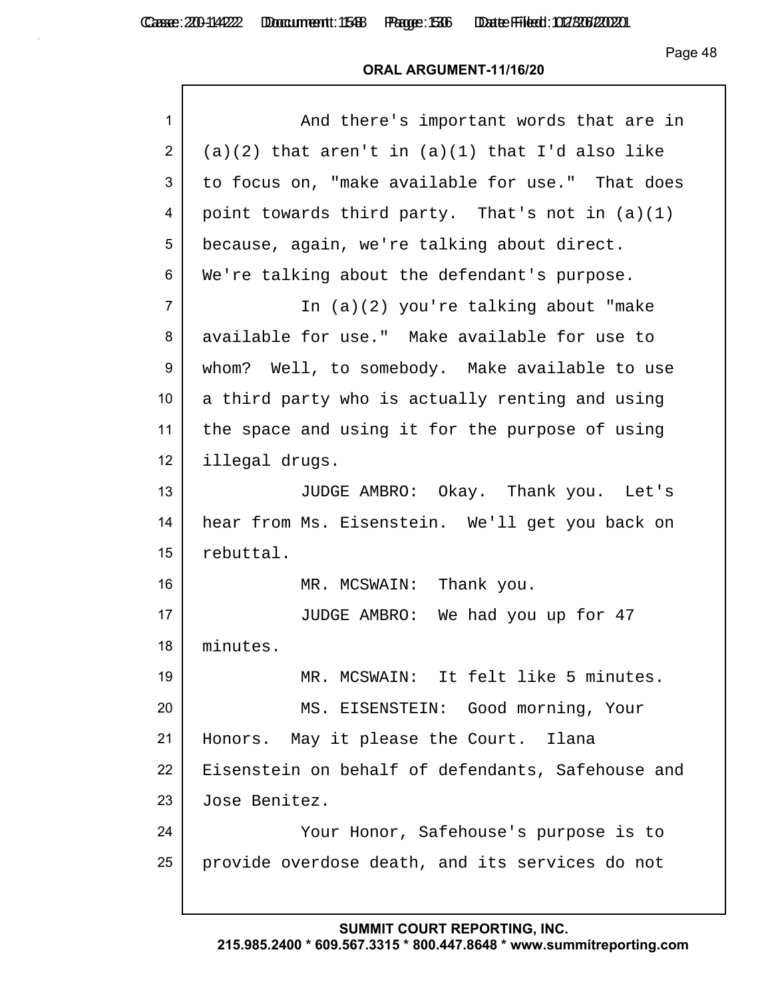Casse: 200-114222 Doccument: 1588 Page: 1536 Date Filed: 02/306/2020

Page 48

### **ORAL ARGUMENT-11/16/20**

| $\mathbf{1}$   | And there's important words that are in             |
|----------------|-----------------------------------------------------|
| 2              | $(a)(2)$ that aren't in $(a)(1)$ that I'd also like |
| 3              | to focus on, "make available for use." That does    |
| 4              | point towards third party. That's not in $(a)(1)$   |
| 5              | because, again, we're talking about direct.         |
| 6              | We're talking about the defendant's purpose.        |
| $\overline{7}$ | In (a)(2) you're talking about "make                |
| 8              | available for use." Make available for use to       |
| 9              | whom? Well, to somebody. Make available to use      |
| 10             | a third party who is actually renting and using     |
| 11             | the space and using it for the purpose of using     |
| 12             | illegal drugs.                                      |
| 13             | JUDGE AMBRO: Okay. Thank you. Let's                 |
| 14             | hear from Ms. Eisenstein. We'll get you back on     |
| 15             | rebuttal.                                           |
| 16             | MR. MCSWAIN: Thank you.                             |
| 17             | JUDGE AMBRO: We had you up for 47                   |
| 18             | minutes.                                            |
| 19             | MR. MCSWAIN: It felt like 5 minutes.                |
| 20             | MS. EISENSTEIN: Good morning, Your                  |
| 21             | Honors. May it please the Court. Ilana              |
| 22             | Eisenstein on behalf of defendants, Safehouse and   |
| 23             | Jose Benitez.                                       |
| 24             | Your Honor, Safehouse's purpose is to               |
| 25             |                                                     |
|                | provide overdose death, and its services do not     |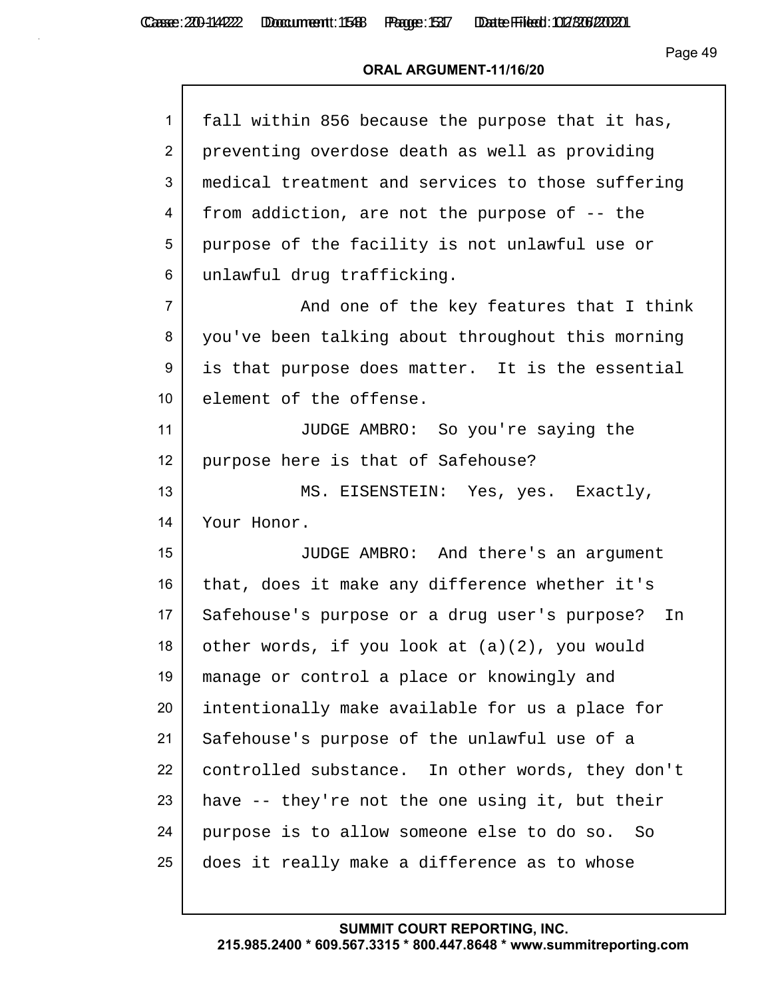Casse: 200-114222 Doccument: 1588 Page: 1537 Date Filed: 02/306/2020

Page 49

| $\mathbf{1}$    | fall within 856 because the purpose that it has,  |
|-----------------|---------------------------------------------------|
| $\overline{2}$  | preventing overdose death as well as providing    |
| 3               | medical treatment and services to those suffering |
| 4               | from addiction, are not the purpose of -- the     |
| 5               | purpose of the facility is not unlawful use or    |
| 6               | unlawful drug trafficking.                        |
| $\overline{7}$  | And one of the key features that I think          |
| 8               | you've been talking about throughout this morning |
| 9               | is that purpose does matter. It is the essential  |
| 10 <sup>°</sup> | element of the offense.                           |
| 11              | JUDGE AMBRO: So you're saying the                 |
| 12 <sup>2</sup> | purpose here is that of Safehouse?                |
| 13              | MS. EISENSTEIN: Yes, yes. Exactly,                |
| 14              | Your Honor.                                       |
| 15              | JUDGE AMBRO: And there's an argument              |
| 16              | that, does it make any difference whether it's    |
| 17              | Safehouse's purpose or a drug user's purpose? In  |
| 18              | other words, if you look at $(a)(2)$ , you would  |
| 19              | manage or control a place or knowingly and        |
| 20              | intentionally make available for us a place for   |
| 21              | Safehouse's purpose of the unlawful use of a      |
| 22              | controlled substance. In other words, they don't  |
| 23              | have -- they're not the one using it, but their   |
| 24              | purpose is to allow someone else to do so. So     |
| 25              | does it really make a difference as to whose      |
|                 |                                                   |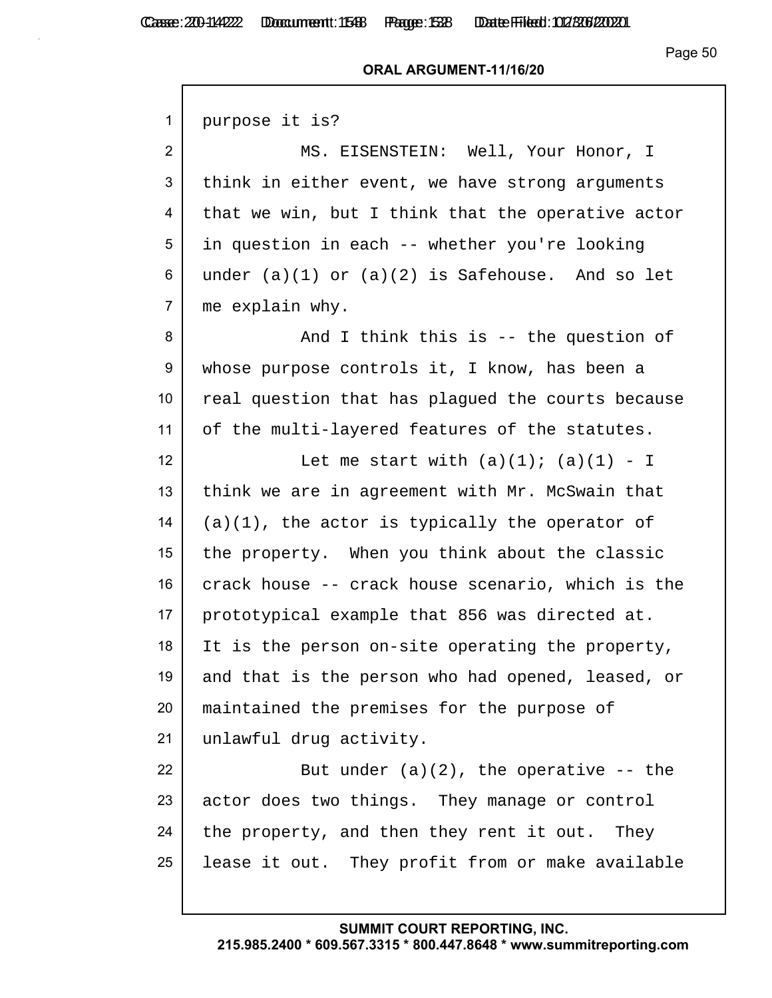$\mathsf{r}$ 

#### **ORAL ARGUMENT-11/16/20**

| 1               | purpose it is?                                      |
|-----------------|-----------------------------------------------------|
| $\overline{2}$  | MS. EISENSTEIN: Well, Your Honor, I                 |
| 3               | think in either event, we have strong arguments     |
| 4               | that we win, but I think that the operative actor   |
| 5               | in question in each -- whether you're looking       |
| 6               | under $(a)(1)$ or $(a)(2)$ is Safehouse. And so let |
| $\overline{7}$  | me explain why.                                     |
| 8               | And I think this is -- the question of              |
| 9               | whose purpose controls it, I know, has been a       |
| 10 <sup>°</sup> | real question that has plaqued the courts because   |
| 11              | of the multi-layered features of the statutes.      |
| 12              | Let me start with $(a)(1)$ ; $(a)(1) - I$           |
| 13              | think we are in agreement with Mr. McSwain that     |
| 14              | $(a)(1)$ , the actor is typically the operator of   |
| 15              | the property. When you think about the classic      |
| 16              | crack house -- crack house scenario, which is the   |
| 17              | prototypical example that 856 was directed at.      |
| 18              | It is the person on-site operating the property,    |
| 19              | and that is the person who had opened, leased, or   |
| 20              | maintained the premises for the purpose of          |
| 21              | unlawful drug activity.                             |
| 22              | But under $(a)(2)$ , the operative $-$ the          |
| 23              | actor does two things. They manage or control       |
| 24              | the property, and then they rent it out. They       |
| 25              | lease it out. They profit from or make available    |
|                 |                                                     |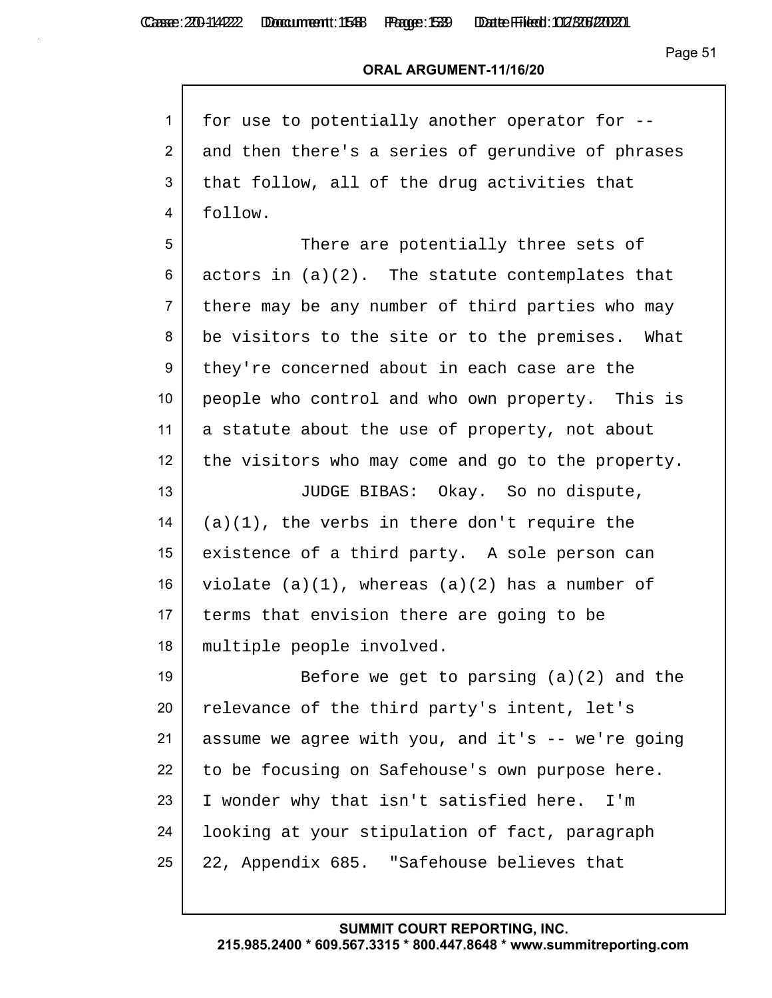Casse: 200-114222 Doccument: 1588 Page: 1539 Date Filed: 02/306/2020

Page 51

| 1               | for use to potentially another operator for --      |
|-----------------|-----------------------------------------------------|
| 2               | and then there's a series of gerundive of phrases   |
| 3               | that follow, all of the drug activities that        |
| 4               | follow.                                             |
| 5               | There are potentially three sets of                 |
| 6               | actors in $(a)(2)$ . The statute contemplates that  |
| $\overline{7}$  | there may be any number of third parties who may    |
| 8               | be visitors to the site or to the premises. What    |
| 9               | they're concerned about in each case are the        |
| 10 <sup>°</sup> | people who control and who own property. This is    |
| 11              | a statute about the use of property, not about      |
| 12 <sub>2</sub> | the visitors who may come and go to the property.   |
| 13              | JUDGE BIBAS: Okay. So no dispute,                   |
| 14              | $(a)(1)$ , the verbs in there don't require the     |
| 15              | existence of a third party. A sole person can       |
| 16              | violate $(a)(1)$ , whereas $(a)(2)$ has a number of |
| 17              | terms that envision there are going to be           |
| 18              | multiple people involved.                           |
| 19              | Before we get to parsing $(a)(2)$ and the           |
| 20              | relevance of the third party's intent, let's        |
| 21              | assume we agree with you, and it's -- we're going   |
| 22              | to be focusing on Safehouse's own purpose here.     |
| 23              | I wonder why that isn't satisfied here.<br>I'm      |
| 24              | looking at your stipulation of fact, paragraph      |
| 25              | 22, Appendix 685. "Safehouse believes that          |
|                 |                                                     |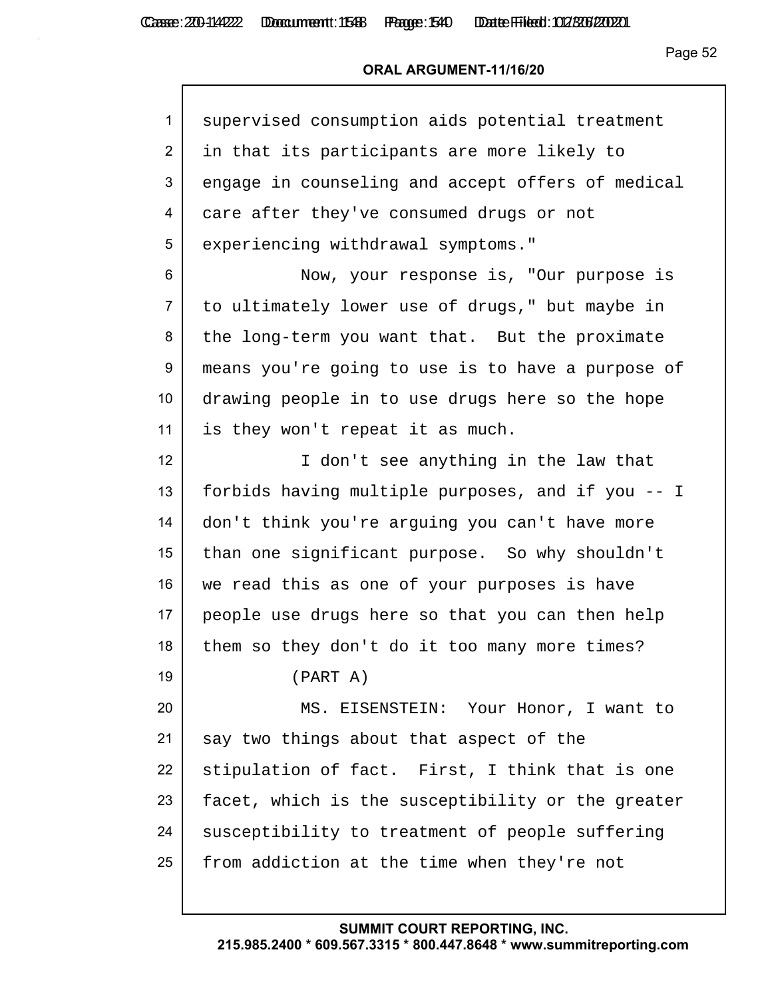## **ORAL ARGUMENT-11/16/20**

| $\mathbf{1}$    | supervised consumption aids potential treatment   |
|-----------------|---------------------------------------------------|
| $\overline{2}$  | in that its participants are more likely to       |
| 3               | engage in counseling and accept offers of medical |
| 4               | care after they've consumed drugs or not          |
| 5               | experiencing withdrawal symptoms."                |
| 6               | Now, your response is, "Our purpose is            |
| $\overline{7}$  | to ultimately lower use of drugs," but maybe in   |
| 8               | the long-term you want that. But the proximate    |
| 9               | means you're going to use is to have a purpose of |
| 10 <sup>°</sup> | drawing people in to use drugs here so the hope   |
| 11              | is they won't repeat it as much.                  |
| 12              | I don't see anything in the law that              |
| 13              | forbids having multiple purposes, and if you -- I |
| 14              | don't think you're arguing you can't have more    |
| 15              | than one significant purpose. So why shouldn't    |
| 16              | we read this as one of your purposes is have      |
| 17              | people use drugs here so that you can then help   |
| 18              | them so they don't do it too many more times?     |
| 19              | (PART A)                                          |
| 20              | MS. EISENSTEIN: Your Honor, I want to             |
| 21              | say two things about that aspect of the           |
| 22              | stipulation of fact. First, I think that is one   |
| 23              | facet, which is the susceptibility or the greater |
| 24              | susceptibility to treatment of people suffering   |
| 25              | from addiction at the time when they're not       |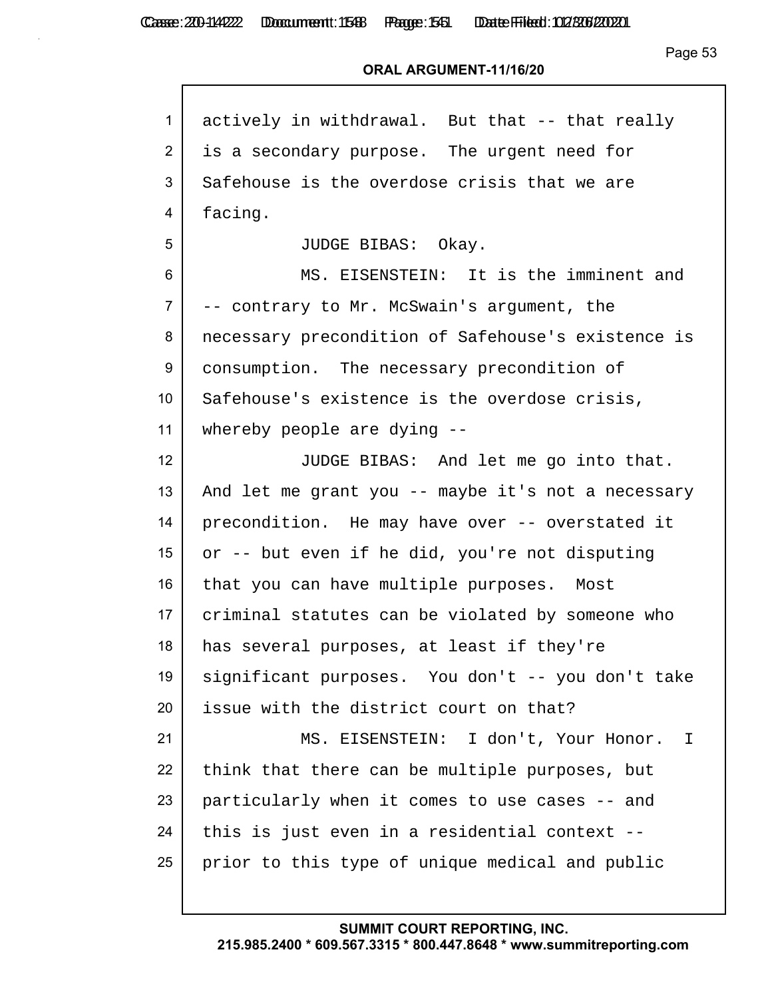| $\mathbf{1}$   | actively in withdrawal. But that -- that really    |
|----------------|----------------------------------------------------|
| 2              | is a secondary purpose. The urgent need for        |
| 3              | Safehouse is the overdose crisis that we are       |
| 4              | facing.                                            |
| 5              | JUDGE BIBAS: Okay.                                 |
| 6              | MS. EISENSTEIN: It is the imminent and             |
| $\overline{7}$ | -- contrary to Mr. McSwain's argument, the         |
| 8              | necessary precondition of Safehouse's existence is |
| 9              | consumption. The necessary precondition of         |
| 10             | Safehouse's existence is the overdose crisis,      |
| 11             | whereby people are dying --                        |
| 12             | JUDGE BIBAS: And let me go into that.              |
| 13             | And let me grant you -- maybe it's not a necessary |
| 14             | precondition. He may have over -- overstated it    |
| 15             | or -- but even if he did, you're not disputing     |
| 16             | that you can have multiple purposes. Most          |
| 17             | criminal statutes can be violated by someone who   |
| 18             | has several purposes, at least if they're          |
| 19             | significant purposes. You don't -- you don't take  |
| 20             | issue with the district court on that?             |
| 21             | MS. EISENSTEIN: I don't, Your Honor. I             |
| 22             | think that there can be multiple purposes, but     |
| 23             | particularly when it comes to use cases -- and     |
| 24             | this is just even in a residential context --      |
| 25             | prior to this type of unique medical and public    |
|                |                                                    |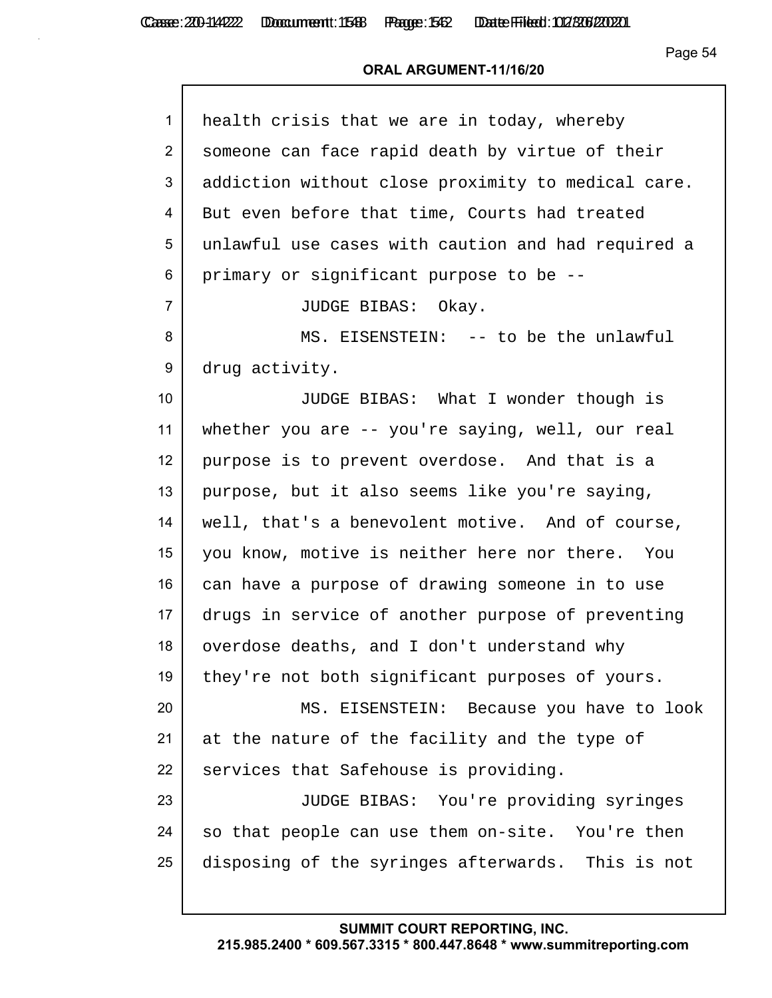| $\mathbf{1}$     | health crisis that we are in today, whereby        |
|------------------|----------------------------------------------------|
| $\overline{2}$   | someone can face rapid death by virtue of their    |
| 3                | addiction without close proximity to medical care. |
| 4                | But even before that time, Courts had treated      |
| 5                | unlawful use cases with caution and had required a |
| 6                | primary or significant purpose to be --            |
| $\overline{7}$   | JUDGE BIBAS: Okay.                                 |
| 8                | MS. EISENSTEIN: -- to be the unlawful              |
| 9                | drug activity.                                     |
| 10               | JUDGE BIBAS: What I wonder though is               |
| 11               | whether you are -- you're saying, well, our real   |
| 12 <sup>2</sup>  | purpose is to prevent overdose. And that is a      |
| 13               | purpose, but it also seems like you're saying,     |
| 14               | well, that's a benevolent motive. And of course,   |
| 15 <sub>15</sub> | you know, motive is neither here nor there. You    |
| 16               | can have a purpose of drawing someone in to use    |
| 17               | drugs in service of another purpose of preventing  |
| 18               | overdose deaths, and I don't understand why        |
| 19               | they're not both significant purposes of yours.    |
| 20               | MS. EISENSTEIN: Because you have to look           |
| 21               | at the nature of the facility and the type of      |
| 22               | services that Safehouse is providing.              |
| 23               | JUDGE BIBAS: You're providing syringes             |
| 24               | so that people can use them on-site. You're then   |
| 25               | disposing of the syringes afterwards. This is not  |
|                  |                                                    |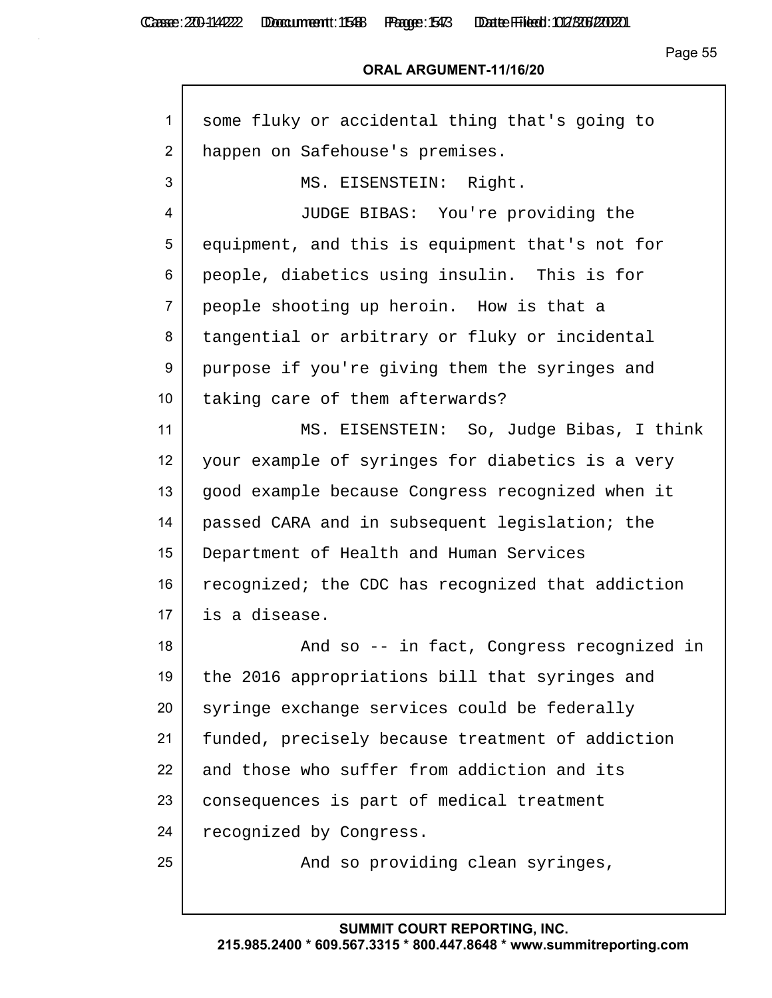| $\mathbf{1}$    | some fluky or accidental thing that's going to    |
|-----------------|---------------------------------------------------|
| 2               | happen on Safehouse's premises.                   |
| 3               | MS. EISENSTEIN: Right.                            |
| 4               | JUDGE BIBAS: You're providing the                 |
| 5               | equipment, and this is equipment that's not for   |
| 6               | people, diabetics using insulin. This is for      |
| $\overline{7}$  | people shooting up heroin. How is that a          |
| 8               | tangential or arbitrary or fluky or incidental    |
| 9               | purpose if you're giving them the syringes and    |
| 10              | taking care of them afterwards?                   |
| 11              | MS. EISENSTEIN: So, Judge Bibas, I think          |
| 12 <sup>2</sup> | your example of syringes for diabetics is a very  |
| 13              | good example because Congress recognized when it  |
| 14              | passed CARA and in subsequent legislation; the    |
| 15              | Department of Health and Human Services           |
| 16              | recognized; the CDC has recognized that addiction |
| 17              | is a disease.                                     |
| 18              | And so -- in fact, Congress recognized in         |
| 19              | the 2016 appropriations bill that syringes and    |
| 20              | syringe exchange services could be federally      |
| 21              | funded, precisely because treatment of addiction  |
| 22              | and those who suffer from addiction and its       |
| 23              | consequences is part of medical treatment         |
| 24              | recognized by Congress.                           |
| 25              | And so providing clean syringes,                  |
|                 |                                                   |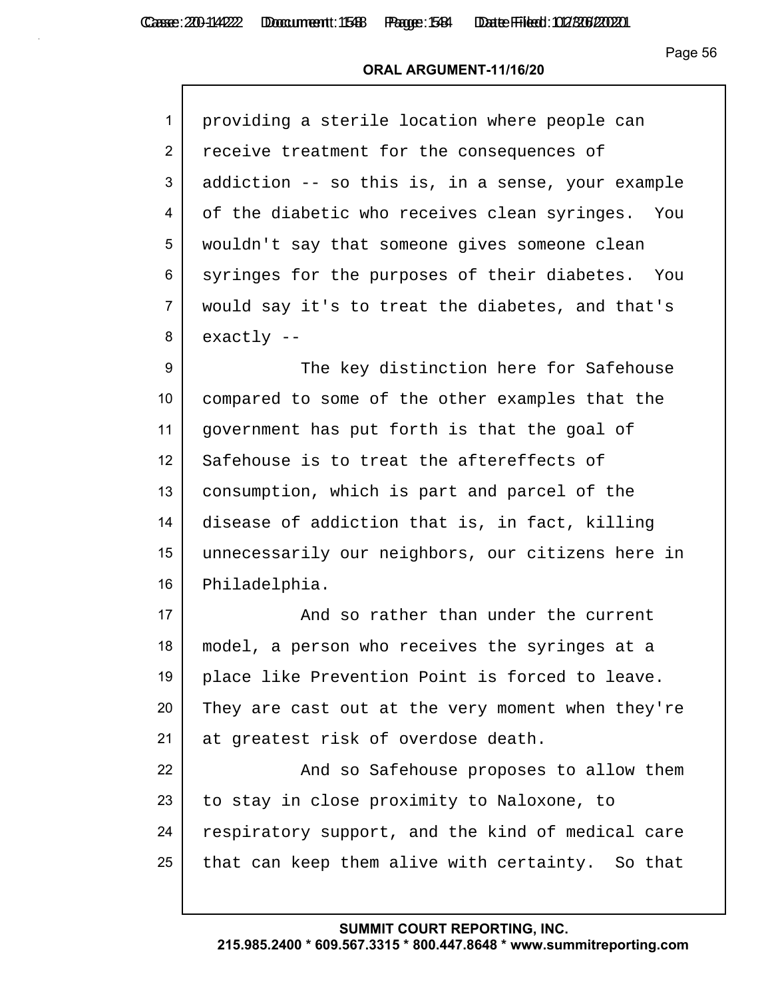#### **ORAL ARGUMENT-11/16/20**

| $\mathbf{1}$   | providing a sterile location where people can     |
|----------------|---------------------------------------------------|
| $\overline{2}$ | receive treatment for the consequences of         |
| 3              | addiction -- so this is, in a sense, your example |
| 4              | of the diabetic who receives clean syringes. You  |
| 5              | wouldn't say that someone gives someone clean     |
| 6              | syringes for the purposes of their diabetes. You  |
| $\overline{7}$ | would say it's to treat the diabetes, and that's  |
| 8              | $exactly --$                                      |

9 The key distinction here for Safehouse compared to some of the other examples that the government has put forth is that the goal of 12 Safehouse is to treat the aftereffects of consumption, which is part and parcel of the disease of addiction that is, in fact, killing unnecessarily our neighbors, our citizens here in Philadelphia.

17 and so rather than under the current 18 model, a person who receives the syringes at a 19 place like Prevention Point is forced to leave. 20 They are cast out at the very moment when they're 21 at greatest risk of overdose death.

22 **And so Safehouse proposes to allow them** 23 to stay in close proximity to Naloxone, to 24 respiratory support, and the kind of medical care  $25$  that can keep them alive with certainty. So that

#### **SUMMIT COURT REPORTING, INC.**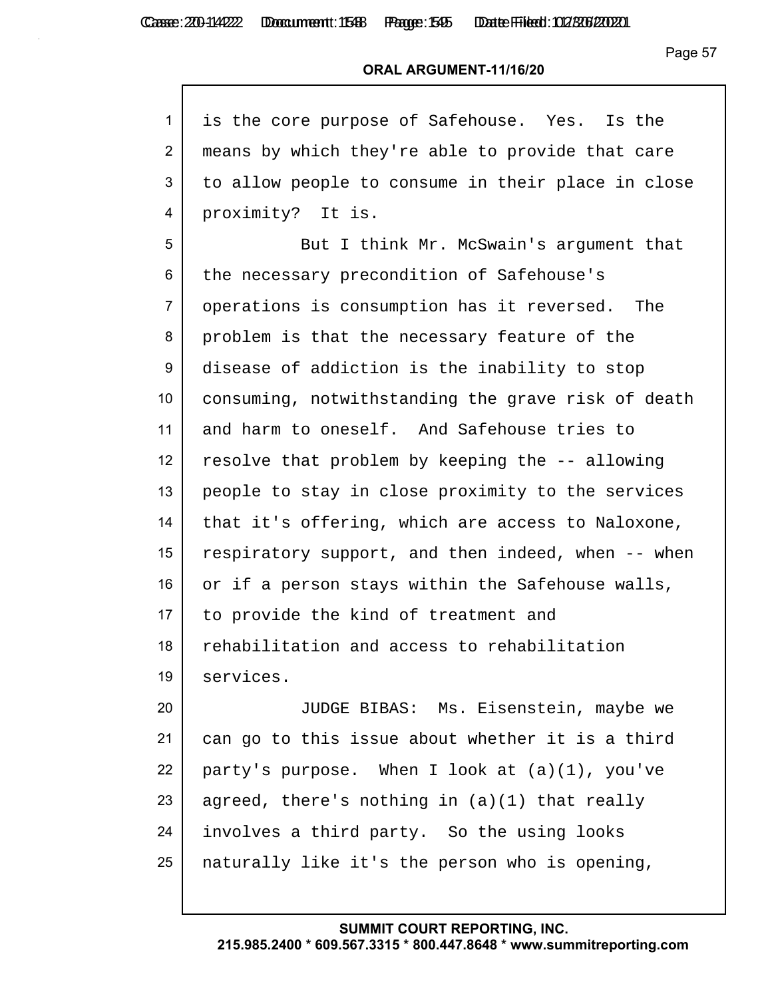Casse: 200-114222 Domcument: 1546 Page: 1545 Date Filed: 02/306/2020

Page 57

#### **ORAL ARGUMENT-11/16/20**

| 1 is the core purpose of Safehouse. Yes. Is the        |
|--------------------------------------------------------|
| 2   means by which they're able to provide that care   |
| 3   to allow people to consume in their place in close |
| 4   proximity? It is.                                  |

5 But I think Mr. McSwain's argument that 6 the necessary precondition of Safehouse's 7 operations is consumption has it reversed. The 8 problem is that the necessary feature of the 9 disease of addiction is the inability to stop 10 consuming, notwithstanding the grave risk of death 11 and harm to oneself. And Safehouse tries to 12 resolve that problem by keeping the  $-$ - allowing 13 people to stay in close proximity to the services 14 that it's offering, which are access to Naloxone, 15 respiratory support, and then indeed, when  $-$ - when 16 or if a person stays within the Safehouse walls, 17 to provide the kind of treatment and 18 rehabilitation and access to rehabilitation 19 services.

 JUDGE BIBAS: Ms. Eisenstein, maybe we can go to this issue about whether it is a third 22 | party's purpose. When I look at  $(a)(1)$ , you've 23 agreed, there's nothing in  $(a)(1)$  that really involves a third party. So the using looks naturally like it's the person who is opening,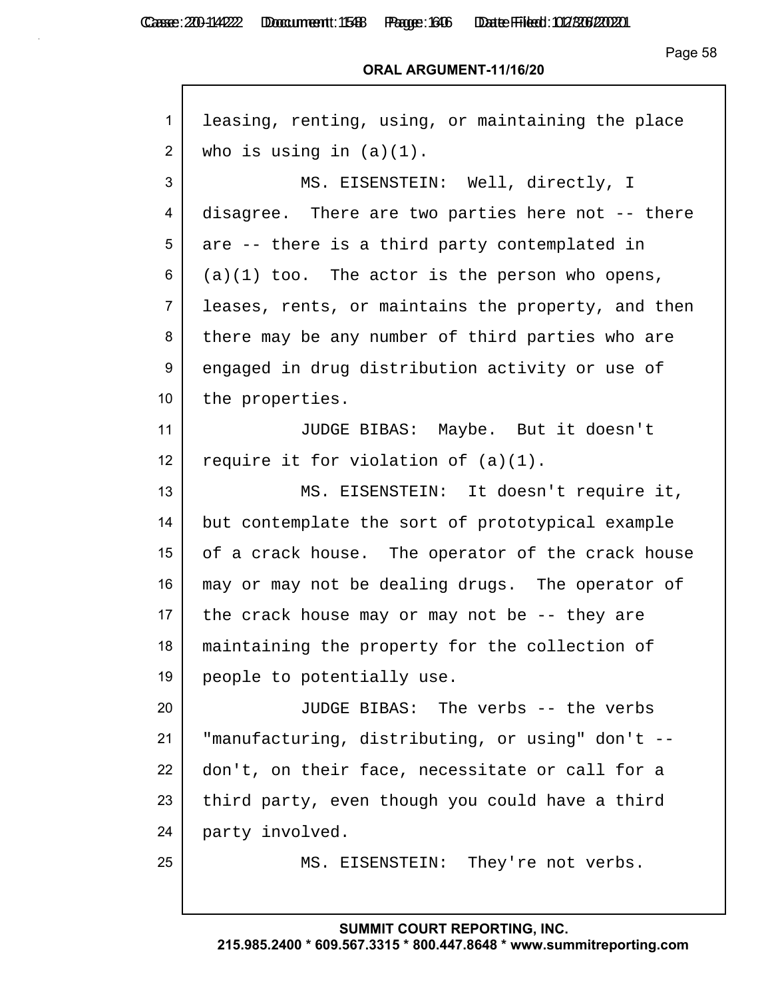Г

Casse: 200-114222 Doccument: 1588 Page: 1646 Date Filed: 02/306/2020

Page 58

| $\mathbf{1}$    | leasing, renting, using, or maintaining the place  |
|-----------------|----------------------------------------------------|
| 2               | who is using in $(a)(1)$ .                         |
| 3               | MS. EISENSTEIN: Well, directly, I                  |
| 4               | disagree. There are two parties here not -- there  |
| 5               | are -- there is a third party contemplated in      |
| 6               | $(a)(1)$ too. The actor is the person who opens,   |
| $\overline{7}$  | leases, rents, or maintains the property, and then |
| 8               | there may be any number of third parties who are   |
| 9               | engaged in drug distribution activity or use of    |
| 10 <sup>°</sup> | the properties.                                    |
| 11              | JUDGE BIBAS: Maybe. But it doesn't                 |
| 12              | require it for violation of $(a)(1)$ .             |
| 13              | MS. EISENSTEIN: It doesn't require it,             |
| 14              | but contemplate the sort of prototypical example   |
| 15              | of a crack house. The operator of the crack house  |
| 16              | may or may not be dealing drugs. The operator of   |
| 17              | the crack house may or may not be $-$ - they are   |
| 18              | maintaining the property for the collection of     |
| 19              | people to potentially use.                         |
| 20              | JUDGE BIBAS: The verbs -- the verbs                |
| 21              | "manufacturing, distributing, or using" don't --   |
| 22              | don't, on their face, necessitate or call for a    |
| 23              | third party, even though you could have a third    |
| 24              | party involved.                                    |
| 25              | MS. EISENSTEIN: They're not verbs.                 |
|                 |                                                    |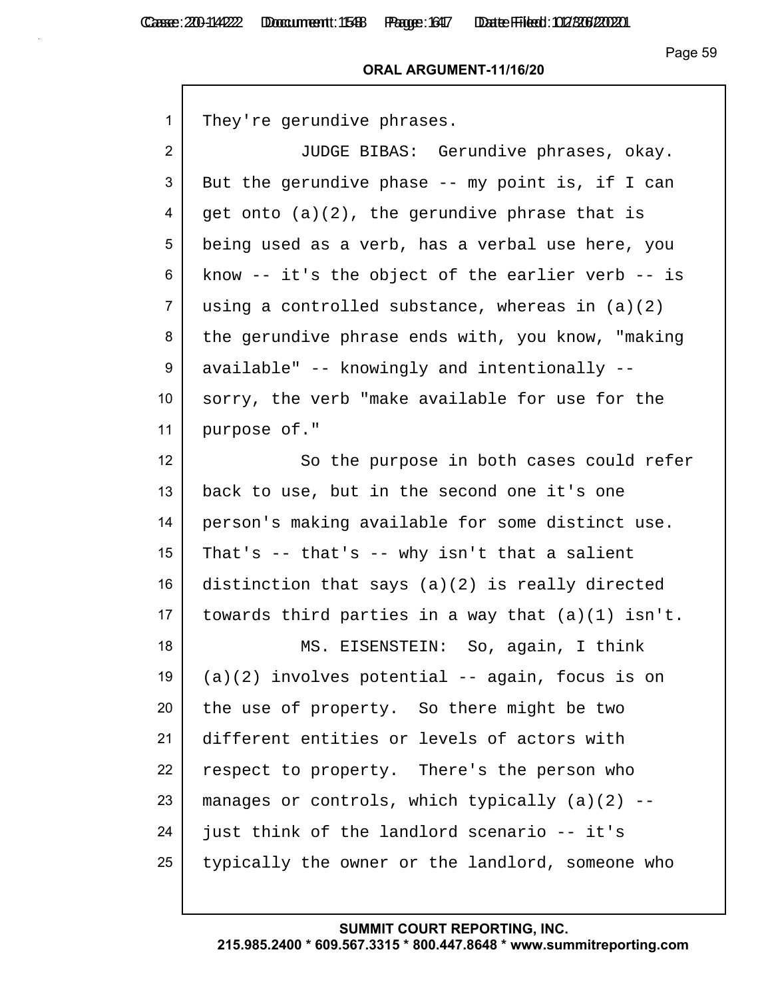#### **ORAL ARGUMENT-11/16/20**

1 They're gerundive phrases.

2 JUDGE BIBAS: Gerundive phrases, okay. 3 But the gerundive phase -- my point is, if I can  $4 \mid$  get onto (a)(2), the gerundive phrase that is 5 being used as a verb, has a verbal use here, you  $6$  know -- it's the object of the earlier verb -- is  $7$  using a controlled substance, whereas in  $(a)(2)$ 8 the gerundive phrase ends with, you know, "making" 9 available" -- knowingly and intentionally --10 sorry, the verb "make available for use for the 11 purpose of."

12 So the purpose in both cases could refer 13 back to use, but in the second one it's one 14 person's making available for some distinct use. 15 | That's  $-$  that's  $-$  why isn't that a salient 16 distinction that says  $(a)(2)$  is really directed 17 | towards third parties in a way that  $(a)(1)$  isn't. 18 MS. EISENSTEIN: So, again, I think 19  $(a)(2)$  involves potential -- again, focus is on 20 the use of property. So there might be two 21 different entities or levels of actors with 22 respect to property. There's the person who 23 | manages or controls, which typically  $(a)(2)$  -- $24$  just think of the landlord scenario -- it's 25 typically the owner or the landlord, someone who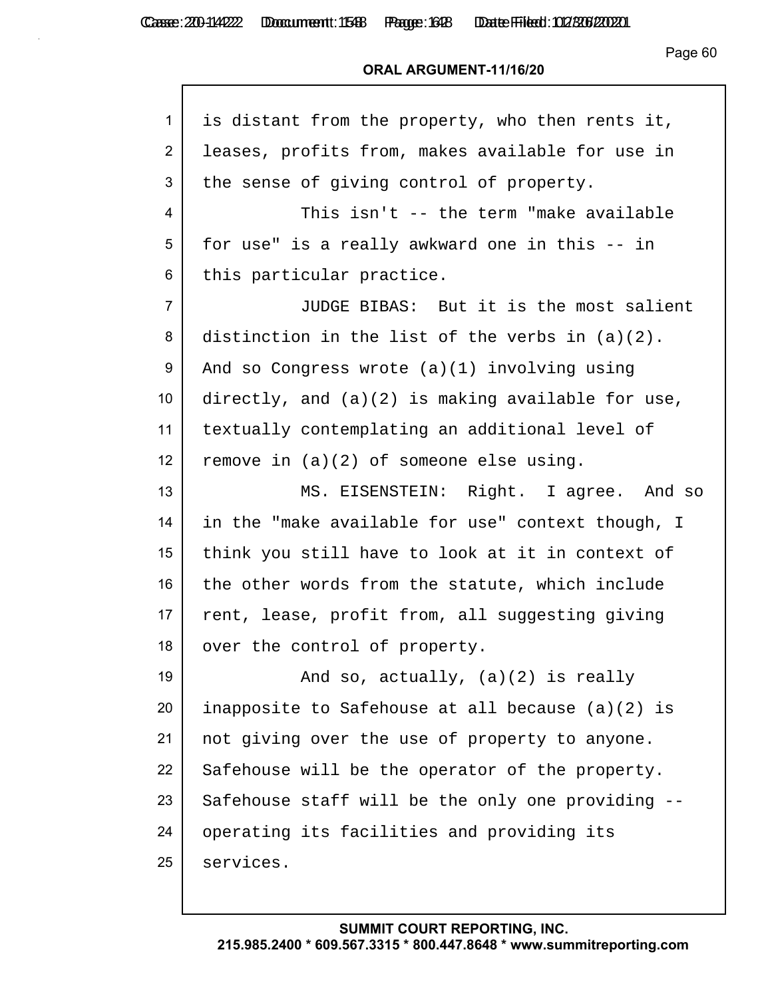Casse: 200-114222 Doccument: 1588 Page: 1648 Date Filed: 02/306/2020

Page 60

| 1               | is distant from the property, who then rents it,   |
|-----------------|----------------------------------------------------|
| $\overline{2}$  | leases, profits from, makes available for use in   |
| 3               | the sense of giving control of property.           |
| 4               | This isn't -- the term "make available             |
| 5               | for use" is a really awkward one in this -- in     |
| 6               | this particular practice.                          |
| $\overline{7}$  | JUDGE BIBAS: But it is the most salient            |
| 8               | distinction in the list of the verbs in $(a)(2)$ . |
| 9               | And so Congress wrote (a)(1) involving using       |
| 10 <sub>1</sub> | directly, and (a)(2) is making available for use,  |
| 11              | textually contemplating an additional level of     |
| 12 <sub>2</sub> | remove in $(a)(2)$ of someone else using.          |
| 13              | MS. EISENSTEIN: Right. I agree. And so             |
| 14              | in the "make available for use" context though, I  |
| 15              | think you still have to look at it in context of   |
| 16              | the other words from the statute, which include    |
| 17 <sub>2</sub> | rent, lease, profit from, all suggesting giving    |
| 18              | over the control of property.                      |
| 19              | And so, actually, $(a)(2)$ is really               |
| 20              | inapposite to Safehouse at all because (a)(2) is   |
| 21              | not giving over the use of property to anyone.     |
| 22              | Safehouse will be the operator of the property.    |
| 23              | Safehouse staff will be the only one providing --  |
| 24              | operating its facilities and providing its         |
| 25              | services.                                          |
|                 |                                                    |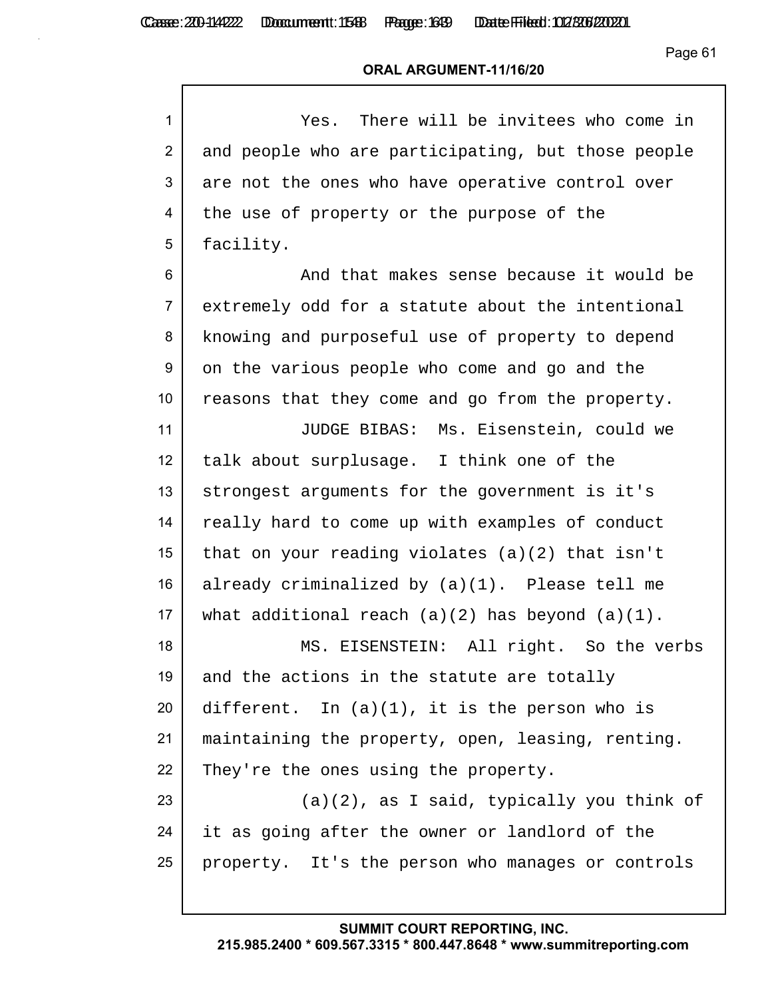Г

Casse: 200-114222 Doccument: 1588 Page: 1699 Date Filed: 02/306/2020

Page 61

#### **ORAL ARGUMENT-11/16/20**

| $\mathbf{1}$    | Yes. There will be invitees who come in              |
|-----------------|------------------------------------------------------|
| $\overline{2}$  | and people who are participating, but those people   |
| 3               | are not the ones who have operative control over     |
| 4               | the use of property or the purpose of the            |
| 5               | facility.                                            |
| 6               | And that makes sense because it would be             |
| $\overline{7}$  | extremely odd for a statute about the intentional    |
| 8               | knowing and purposeful use of property to depend     |
| 9               | on the various people who come and go and the        |
| 10              | reasons that they come and go from the property.     |
| 11              | JUDGE BIBAS: Ms. Eisenstein, could we                |
| 12 <sub>2</sub> | talk about surplusage. I think one of the            |
| 13              | strongest arguments for the government is it's       |
| 14              | really hard to come up with examples of conduct      |
| 15              | that on your reading violates $(a)(2)$ that isn't    |
| 16              | already criminalized by (a)(1). Please tell me       |
| 17              | what additional reach $(a)(2)$ has beyond $(a)(1)$ . |
| 18              | MS. EISENSTEIN: All right. So the verbs              |
| 19              | and the actions in the statute are totally           |
| 20              | different. In $(a)(1)$ , it is the person who is     |
| 21              | maintaining the property, open, leasing, renting.    |
| 22              | They're the ones using the property.                 |
| 23              | $(a)(2)$ , as I said, typically you think of         |
| 24              | it as going after the owner or landlord of the       |
| 25              | property. It's the person who manages or controls    |
|                 |                                                      |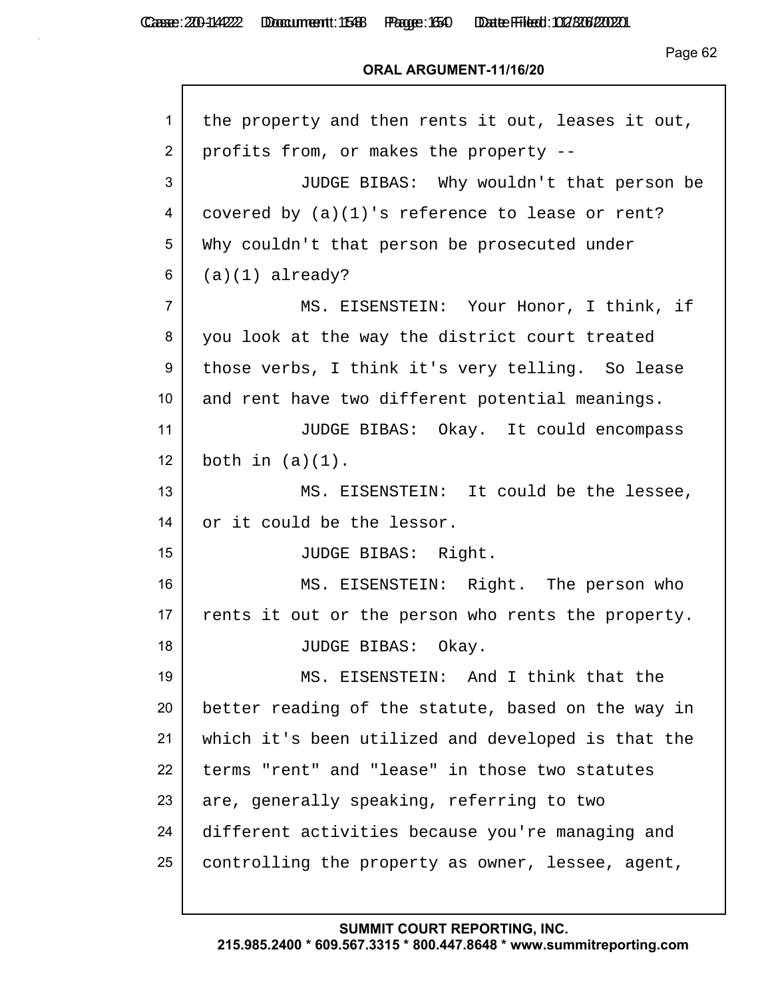Г

Page 62

#### **ORAL ARGUMENT-11/16/20**

| $\mathbf 1$    | the property and then rents it out, leases it out, |
|----------------|----------------------------------------------------|
| 2              | profits from, or makes the property --             |
| 3              | JUDGE BIBAS: Why wouldn't that person be           |
| 4              | covered by $(a)(1)$ 's reference to lease or rent? |
| 5              | Why couldn't that person be prosecuted under       |
| 6              | $(a)(1)$ already?                                  |
| $\overline{7}$ | MS. EISENSTEIN: Your Honor, I think, if            |
| 8              | you look at the way the district court treated     |
| 9              | those verbs, I think it's very telling. So lease   |
| 10             | and rent have two different potential meanings.    |
| 11             | JUDGE BIBAS: Okay. It could encompass              |
| 12             | both in $(a)(1)$ .                                 |
| 13             | MS. EISENSTEIN: It could be the lessee,            |
| 14             | or it could be the lessor.                         |
| 15             | JUDGE BIBAS: Right.                                |
| 16             | MS. EISENSTEIN: Right. The person who              |
| 17             | rents it out or the person who rents the property. |
| 18             | JUDGE BIBAS: Okay.                                 |
| 19             | MS. EISENSTEIN: And I think that the               |
| 20             | better reading of the statute, based on the way in |
| 21             | which it's been utilized and developed is that the |
| 22             | terms "rent" and "lease" in those two statutes     |
| 23             | are, generally speaking, referring to two          |
| 24             | different activities because you're managing and   |
| 25             | controlling the property as owner, lessee, agent,  |
|                |                                                    |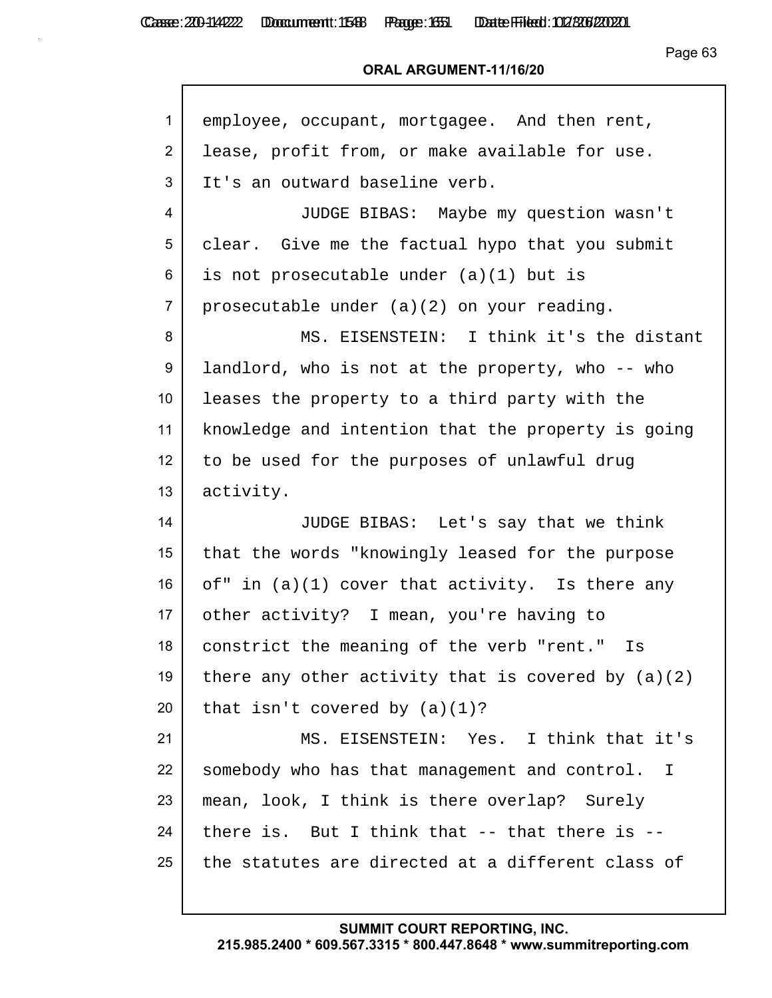#### **ORAL ARGUMENT-11/16/20**

| 1               | employee, occupant, mortgagee. And then rent,                 |
|-----------------|---------------------------------------------------------------|
| $\overline{2}$  | lease, profit from, or make available for use.                |
| 3               | It's an outward baseline verb.                                |
| 4               | JUDGE BIBAS: Maybe my question wasn't                         |
| 5               | clear. Give me the factual hypo that you submit               |
| 6               | is not prosecutable under (a)(1) but is                       |
| $\overline{7}$  | prosecutable under (a)(2) on your reading.                    |
| 8               | MS. EISENSTEIN: I think it's the distant                      |
| 9               | landlord, who is not at the property, who -- who              |
| 10 <sup>°</sup> | leases the property to a third party with the                 |
| 11              | knowledge and intention that the property is going            |
| 12              | to be used for the purposes of unlawful drug                  |
| 13              | activity.                                                     |
| 14              | JUDGE BIBAS: Let's say that we think                          |
| 15 <sub>2</sub> | that the words "knowingly leased for the purpose              |
| 16              | of" in $(a)(1)$ cover that activity. Is there any             |
| 17              | other activity? I mean, you're having to                      |
| 18              | constrict the meaning of the verb "rent." Is                  |
| 19              | there any other activity that is covered by $(a)(2)$          |
| 20              | that isn't covered by $(a)(1)$ ?                              |
| 21              | MS. EISENSTEIN: Yes. I think that it's                        |
| 22              | somebody who has that management and control.<br>$\mathbf{I}$ |
| 23              | mean, look, I think is there overlap? Surely                  |
| 24              | there is. But I think that $--$ that there is $--$            |
| 25              | the statutes are directed at a different class of             |
|                 |                                                               |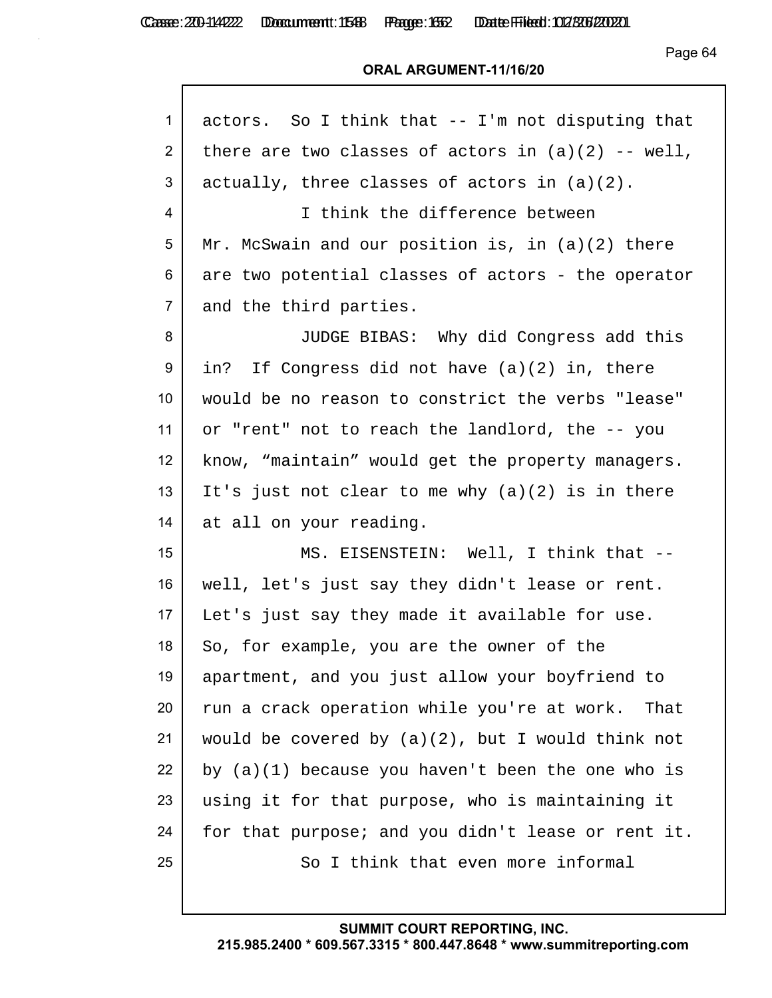Casse: 200-114222 Doccument: 1588 Page: 1552 Date Filed: 02/306/2020

Page 64

#### **ORAL ARGUMENT-11/16/20**

| actors. So I think that -- I'm not disputing that    |
|------------------------------------------------------|
| there are two classes of actors in $(a)(2)$ -- well, |
| actually, three classes of actors in $(a)(2)$ .      |
| I think the difference between                       |
| Mr. McSwain and our position is, in $(a)(2)$ there   |
| are two potential classes of actors - the operator   |
| and the third parties.                               |
| JUDGE BIBAS: Why did Congress add this               |
| in? If Congress did not have (a)(2) in, there        |
| would be no reason to constrict the verbs "lease"    |
| or "rent" not to reach the landlord, the -- you      |
| know, "maintain" would get the property managers.    |
| It's just not clear to me why $(a)(2)$ is in there   |
| at all on your reading.                              |
| MS. EISENSTEIN: Well, I think that --                |
| well, let's just say they didn't lease or rent.      |
| Let's just say they made it available for use.       |
| So, for example, you are the owner of the            |
| apartment, and you just allow your boyfriend to      |
| run a crack operation while you're at work. That     |
| would be covered by $(a)(2)$ , but I would think not |
| by $(a)(1)$ because you haven't been the one who is  |
| using it for that purpose, who is maintaining it     |
| for that purpose; and you didn't lease or rent it.   |
| So I think that even more informal                   |
|                                                      |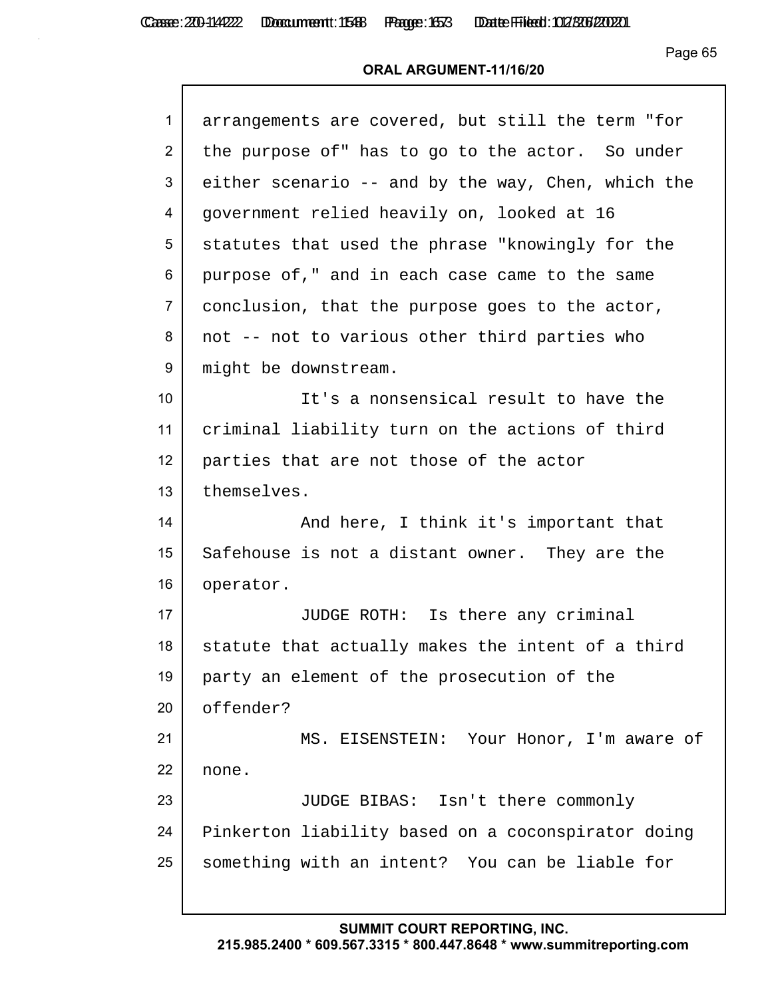#### **ORAL ARGUMENT-11/16/20**

| $\mathbf{1}$    | arrangements are covered, but still the term "for  |
|-----------------|----------------------------------------------------|
| 2               | the purpose of" has to go to the actor. So under   |
| 3               | either scenario -- and by the way, Chen, which the |
| 4               | government relied heavily on, looked at 16         |
| 5               | statutes that used the phrase "knowingly for the   |
| 6               | purpose of," and in each case came to the same     |
| $\overline{7}$  | conclusion, that the purpose goes to the actor,    |
| 8               | not -- not to various other third parties who      |
| 9               | might be downstream.                               |
| 10 <sup>°</sup> | It's a nonsensical result to have the              |
| 11              | criminal liability turn on the actions of third    |
| 12 <sup>2</sup> | parties that are not those of the actor            |
| 13              | themselves.                                        |
| 14              | And here, I think it's important that              |
| 15              | Safehouse is not a distant owner. They are the     |
| 16              | operator.                                          |
| 17              | JUDGE ROTH: Is there any criminal                  |
| 18              | statute that actually makes the intent of a third  |
| 19              | party an element of the prosecution of the         |
| 20              | offender?                                          |
| 21              | MS. EISENSTEIN: Your Honor, I'm aware of           |
| 22              | none.                                              |
| 23              | JUDGE BIBAS: Isn't there commonly                  |
| 24              | Pinkerton liability based on a coconspirator doing |
| 25              | something with an intent? You can be liable for    |
|                 |                                                    |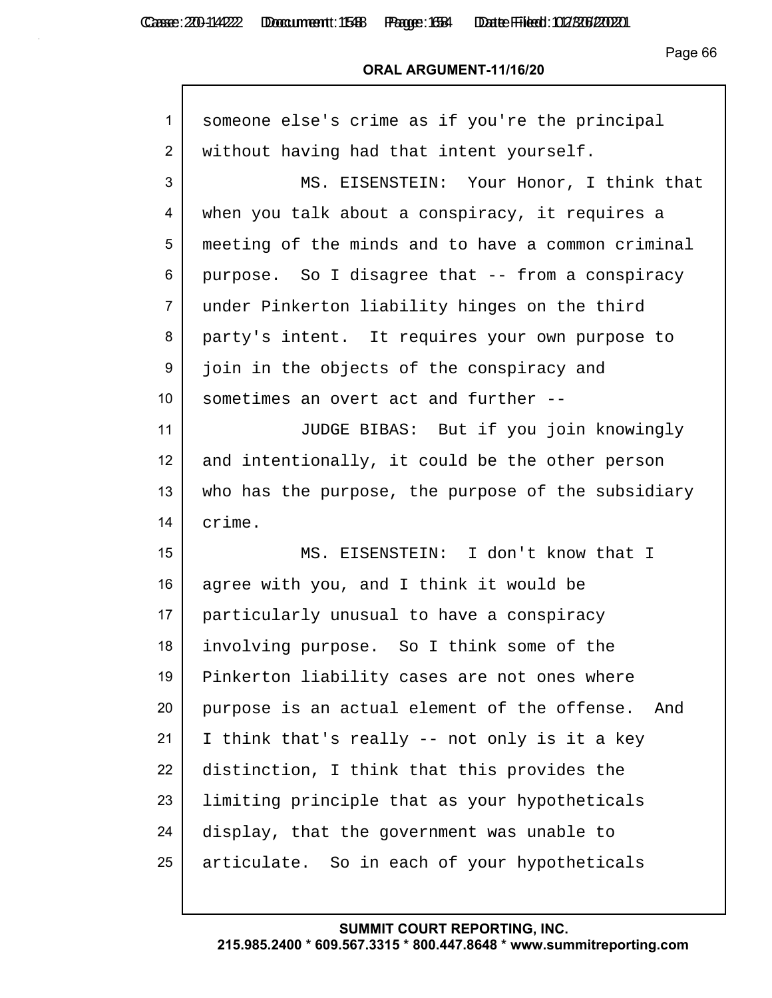| someone else's crime as if you're the principal    |
|----------------------------------------------------|
| without having had that intent yourself.           |
| MS. EISENSTEIN: Your Honor, I think that           |
| when you talk about a conspiracy, it requires a    |
| meeting of the minds and to have a common criminal |
| purpose. So I disagree that -- from a conspiracy   |
| under Pinkerton liability hinges on the third      |
| party's intent. It requires your own purpose to    |
| join in the objects of the conspiracy and          |
| sometimes an overt act and further --              |
| JUDGE BIBAS: But if you join knowingly             |
| and intentionally, it could be the other person    |
| who has the purpose, the purpose of the subsidiary |
| crime.                                             |
| MS. EISENSTEIN: I don't know that I                |
| agree with you, and I think it would be            |
| particularly unusual to have a conspiracy          |
| involving purpose. So I think some of the          |
| Pinkerton liability cases are not ones where       |
| purpose is an actual element of the offense. And   |
| I think that's really -- not only is it a key      |
|                                                    |
| distinction, I think that this provides the        |
| limiting principle that as your hypotheticals      |
| display, that the government was unable to         |
|                                                    |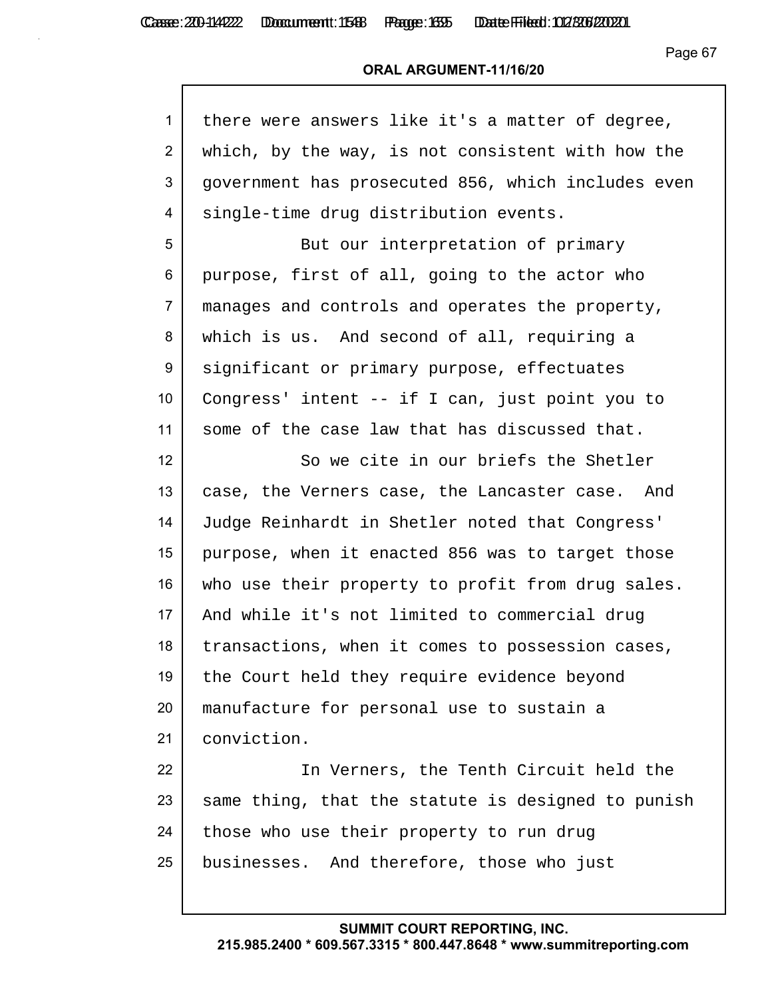| $\mathbf{1}$ | there were answers like it's a matter of degree,   |
|--------------|----------------------------------------------------|
| 2            | which, by the way, is not consistent with how the  |
| 3            | government has prosecuted 856, which includes even |
| 4            | single-time drug distribution events.              |
| 5            | But our interpretation of primary                  |
| 6            | purpose, first of all, going to the actor who      |
| 7            | manages and controls and operates the property,    |
| 8            | which is us. And second of all, requiring a        |
| 9            | significant or primary purpose, effectuates        |
| 10           | Congress' intent -- if I can, just point you to    |
| 11           | some of the case law that has discussed that.      |
| 12           | So we cite in our briefs the Shetler               |
| 13           | case, the Verners case, the Lancaster case. And    |
| 14           | Judge Reinhardt in Shetler noted that Congress'    |
| 15           | purpose, when it enacted 856 was to target those   |
| 16           | who use their property to profit from drug sales.  |
| 17           | And while it's not limited to commercial drug      |
| 18           | transactions, when it comes to possession cases,   |
| 19           | the Court held they require evidence beyond        |
| 20           | manufacture for personal use to sustain a          |
| 21           | conviction.                                        |
| 22           | In Verners, the Tenth Circuit held the             |
| 23           | same thing, that the statute is designed to punish |
| 24           | those who use their property to run drug           |
| 25           | businesses. And therefore, those who just          |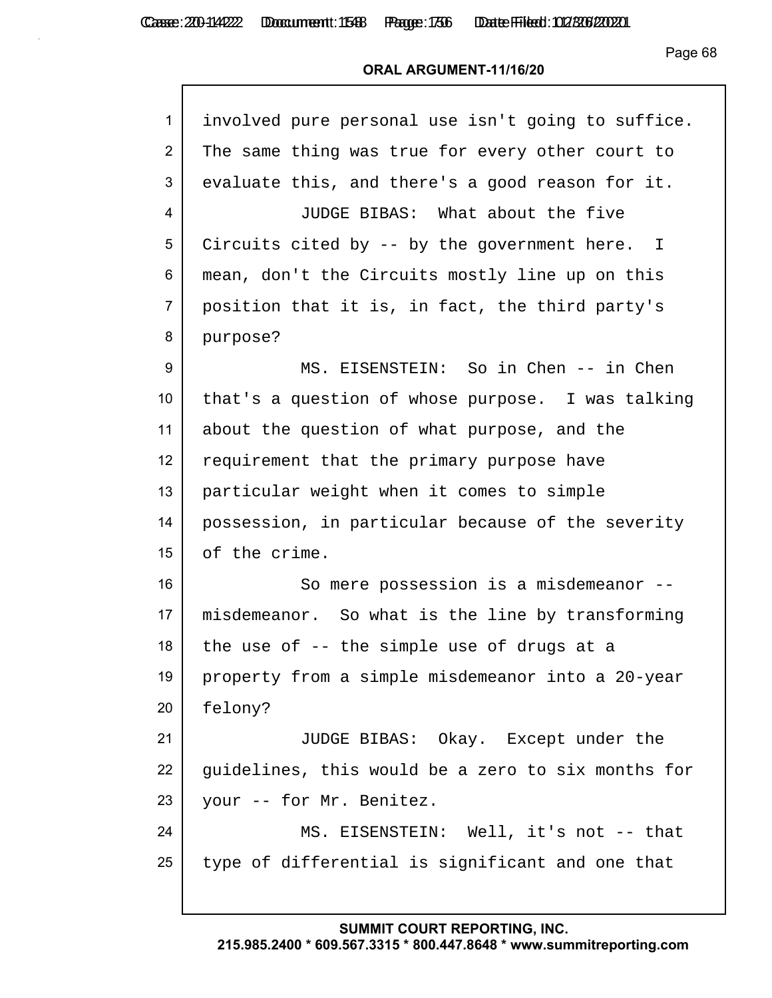Casse: 200-114222 Doccument: 1588 Page: 1736 Date Filed: 02/306/2020

Page 68

#### **ORAL ARGUMENT-11/16/20**

| $\mathbf{1}$    | involved pure personal use isn't going to suffice. |
|-----------------|----------------------------------------------------|
| $\overline{2}$  | The same thing was true for every other court to   |
| 3               | evaluate this, and there's a good reason for it.   |
| 4               | JUDGE BIBAS: What about the five                   |
| 5               | Circuits cited by -- by the government here. I     |
| 6               | mean, don't the Circuits mostly line up on this    |
| $\overline{7}$  | position that it is, in fact, the third party's    |
| 8               | purpose?                                           |
| 9               | MS. EISENSTEIN: So in Chen -- in Chen              |
| 10 <sup>°</sup> | that's a question of whose purpose. I was talking  |
| 11              | about the question of what purpose, and the        |
| 12              | requirement that the primary purpose have          |
| 13              | particular weight when it comes to simple          |
| 14              | possession, in particular because of the severity  |
| 15              | of the crime.                                      |
| 16              | So mere possession is a misdemeanor --             |
| 17              | misdemeanor. So what is the line by transforming   |
| 18              | the use of -- the simple use of drugs at a         |
| 19              | property from a simple misdemeanor into a 20-year  |
| 20              | felony?                                            |
| 21              | JUDGE BIBAS: Okay. Except under the                |
| 22              | guidelines, this would be a zero to six months for |
| 23              | your -- for Mr. Benitez.                           |
| 24              | MS. EISENSTEIN: Well, it's not -- that             |
| 25              | type of differential is significant and one that   |
|                 |                                                    |

# **SUMMIT COURT REPORTING, INC.**

**215.985.2400 \* 609.567.3315 \* 800.447.8648 \* www.summitreporting.com**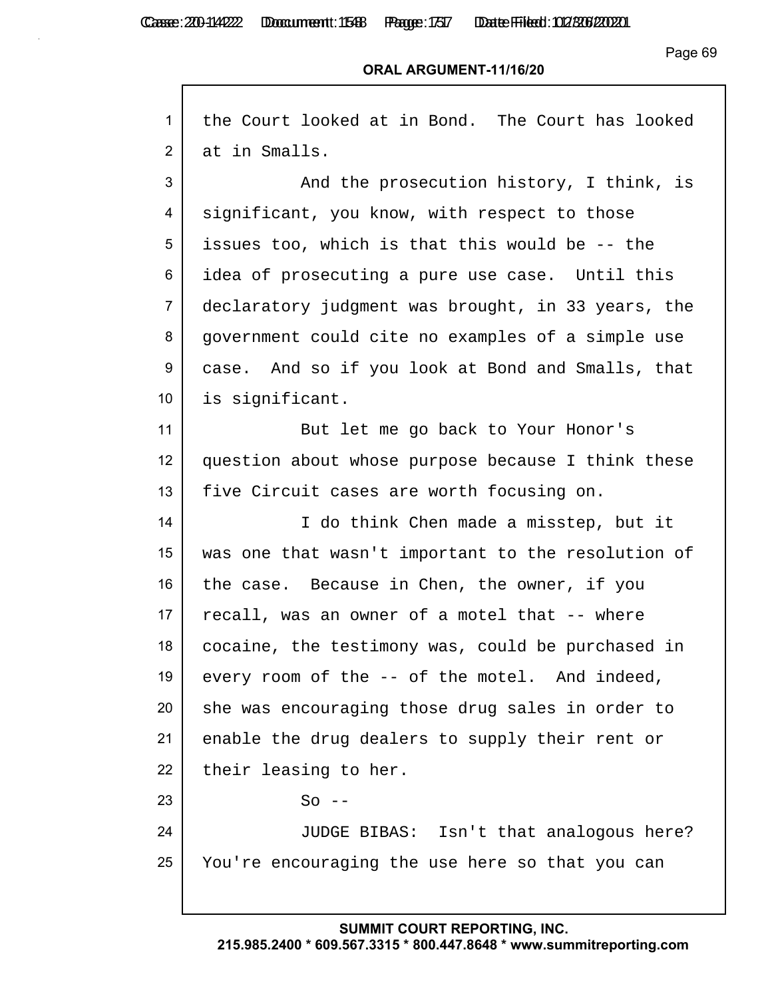Г

Casse: 200-114222 Doccument: 1588 Page: 1517 Date Filed: 02/306/2020

Page 69

#### **ORAL ARGUMENT-11/16/20**

| $\mathbf{1}$    | the Court looked at in Bond. The Court has looked  |
|-----------------|----------------------------------------------------|
| 2               | at in Smalls.                                      |
| 3               | And the prosecution history, I think, is           |
| 4               | significant, you know, with respect to those       |
| 5               | issues too, which is that this would be -- the     |
| 6               | idea of prosecuting a pure use case.  Until this   |
| $\overline{7}$  | declaratory judgment was brought, in 33 years, the |
| 8               | government could cite no examples of a simple use  |
| 9               | case. And so if you look at Bond and Smalls, that  |
| 10 <sup>1</sup> | is significant.                                    |
| 11              | But let me go back to Your Honor's                 |
| 12              | question about whose purpose because I think these |
| 13              | five Circuit cases are worth focusing on.          |
| 14              | I do think Chen made a misstep, but it             |
| 15              | was one that wasn't important to the resolution of |
| 16              | the case. Because in Chen, the owner, if you       |
| 17              | recall, was an owner of a motel that -- where      |
| 18              | cocaine, the testimony was, could be purchased in  |
| 19              | every room of the -- of the motel. And indeed,     |
| 20              | she was encouraging those drug sales in order to   |
| 21              | enable the drug dealers to supply their rent or    |
| 22              | their leasing to her.                              |
| 23              | $So$ --                                            |
| 24              | JUDGE BIBAS: Isn't that analogous here?            |
| 25              | You're encouraging the use here so that you can    |
|                 |                                                    |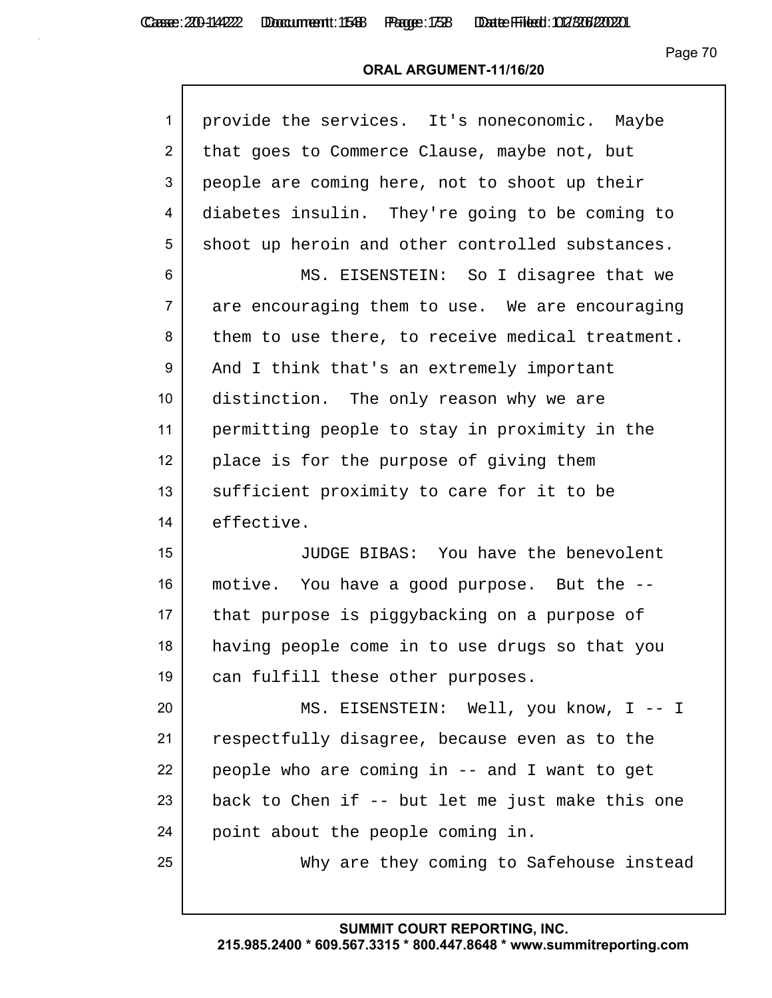| $\mathbf{1}$    | provide the services. It's noneconomic. Maybe    |
|-----------------|--------------------------------------------------|
| $\overline{2}$  | that goes to Commerce Clause, maybe not, but     |
| 3               | people are coming here, not to shoot up their    |
| 4               | diabetes insulin. They're going to be coming to  |
| 5               | shoot up heroin and other controlled substances. |
| 6               | MS. EISENSTEIN: So I disagree that we            |
| $\overline{7}$  | are encouraging them to use. We are encouraging  |
| 8               | them to use there, to receive medical treatment. |
| 9               | And I think that's an extremely important        |
| 10 <sup>°</sup> | distinction. The only reason why we are          |
| 11              | permitting people to stay in proximity in the    |
| 12 <sup>2</sup> | place is for the purpose of giving them          |
| 13              | sufficient proximity to care for it to be        |
| 14              | effective.                                       |
| 15              | JUDGE BIBAS: You have the benevolent             |
| 16              | motive. You have a good purpose. But the --      |
| 17              | that purpose is piggybacking on a purpose of     |
| 18              | having people come in to use drugs so that you   |
| 19              | can fulfill these other purposes.                |
| 20              | MS. EISENSTEIN: Well, you know, I -- I           |
| 21              | respectfully disagree, because even as to the    |
| 22              | people who are coming in -- and I want to get    |
| 23              | back to Chen if -- but let me just make this one |
| 24              | point about the people coming in.                |
| 25              | Why are they coming to Safehouse instead         |
|                 |                                                  |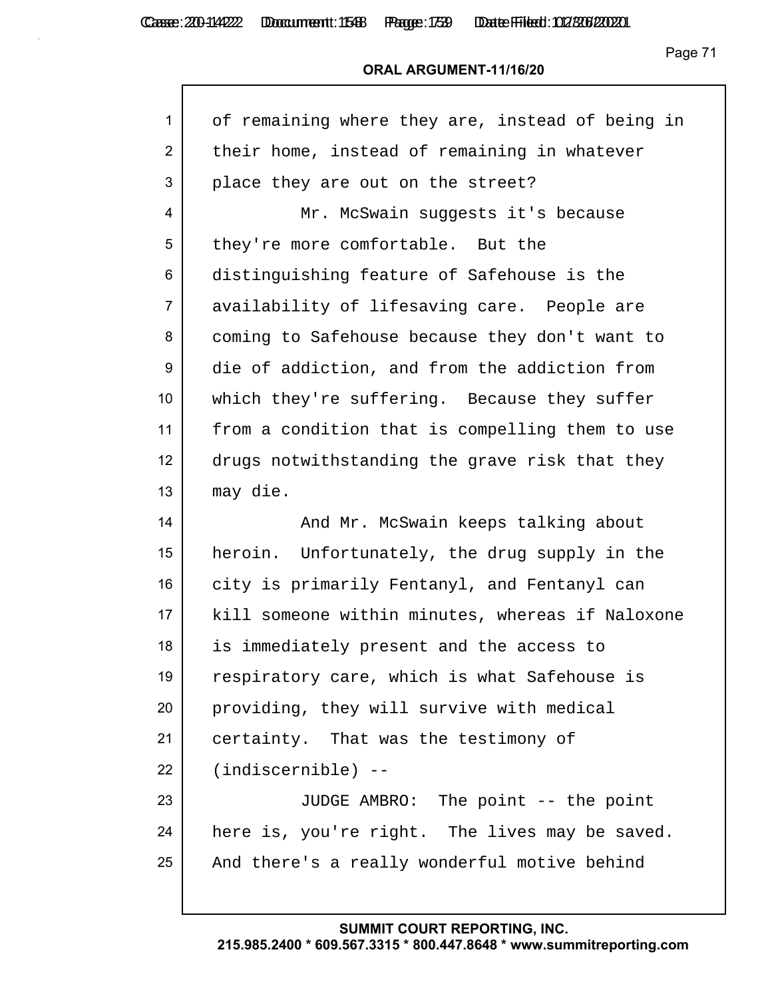# **ORAL ARGUMENT-11/16/20**

| 1               | of remaining where they are, instead of being in |
|-----------------|--------------------------------------------------|
| $\overline{2}$  | their home, instead of remaining in whatever     |
| 3               | place they are out on the street?                |
| 4               | Mr. McSwain suggests it's because                |
| 5               | they're more comfortable. But the                |
| 6               | distinguishing feature of Safehouse is the       |
| $\overline{7}$  | availability of lifesaving care. People are      |
| 8               | coming to Safehouse because they don't want to   |
| 9               | die of addiction, and from the addiction from    |
| 10 <sup>°</sup> | which they're suffering. Because they suffer     |
| 11              | from a condition that is compelling them to use  |
| 12              | drugs notwithstanding the grave risk that they   |
| 13              | may die.                                         |
| 14              | And Mr. McSwain keeps talking about              |
| 15              | heroin. Unfortunately, the drug supply in the    |
| 16              | city is primarily Fentanyl, and Fentanyl can     |
| 17              |                                                  |
|                 | kill someone within minutes, whereas if Naloxone |
| 18              | is immediately present and the access to         |
| 19              | respiratory care, which is what Safehouse is     |
| 20              | providing, they will survive with medical        |
| 21              | certainty. That was the testimony of             |
| 22              | $(indiscernible)$ --                             |
|                 | JUDGE AMBRO: The point -- the point              |
| 23<br>24        | here is, you're right. The lives may be saved.   |
| 25              | And there's a really wonderful motive behind     |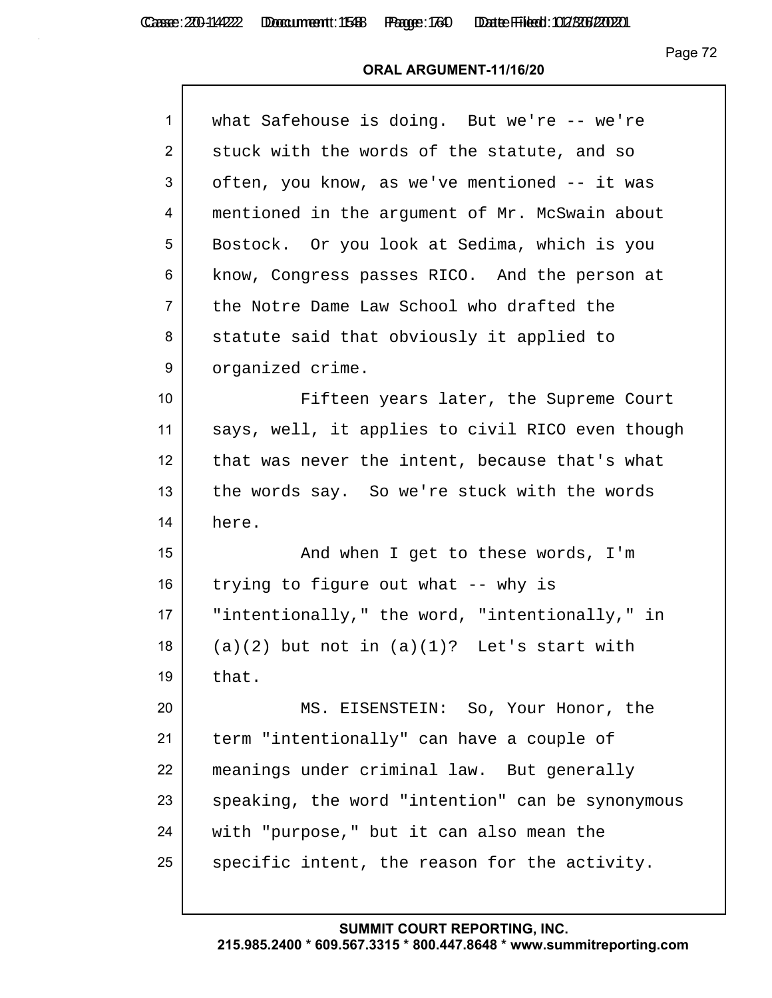Casse: 200-114222 Doccument: 1588 Page: 1760 Date Filed: 02/306/2020

Page 72

| $\mathbf{1}$    | what Safehouse is doing. But we're -- we're      |
|-----------------|--------------------------------------------------|
| $\overline{2}$  | stuck with the words of the statute, and so      |
| 3               | often, you know, as we've mentioned -- it was    |
| 4               | mentioned in the argument of Mr. McSwain about   |
| 5               | Bostock. Or you look at Sedima, which is you     |
| 6               | know, Congress passes RICO. And the person at    |
| $\overline{7}$  | the Notre Dame Law School who drafted the        |
| 8               | statute said that obviously it applied to        |
| 9               | organized crime.                                 |
| 10 <sup>1</sup> | Fifteen years later, the Supreme Court           |
| 11              | says, well, it applies to civil RICO even though |
| 12              | that was never the intent, because that's what   |
| 13              | the words say. So we're stuck with the words     |
| 14              | here.                                            |
| 15              | And when I get to these words, I'm               |
| 16              | trying to figure out what -- why is              |
| 17              | "intentionally," the word, "intentionally," in   |
| 18              | $(a)(2)$ but not in $(a)(1)$ ? Let's start with  |
| 19              | that.                                            |
| 20              | MS. EISENSTEIN: So, Your Honor, the              |
| 21              | term "intentionally" can have a couple of        |
| 22              | meanings under criminal law. But generally       |
| 23              | speaking, the word "intention" can be synonymous |
| 24              | with "purpose," but it can also mean the         |
| 25              | specific intent, the reason for the activity.    |
|                 |                                                  |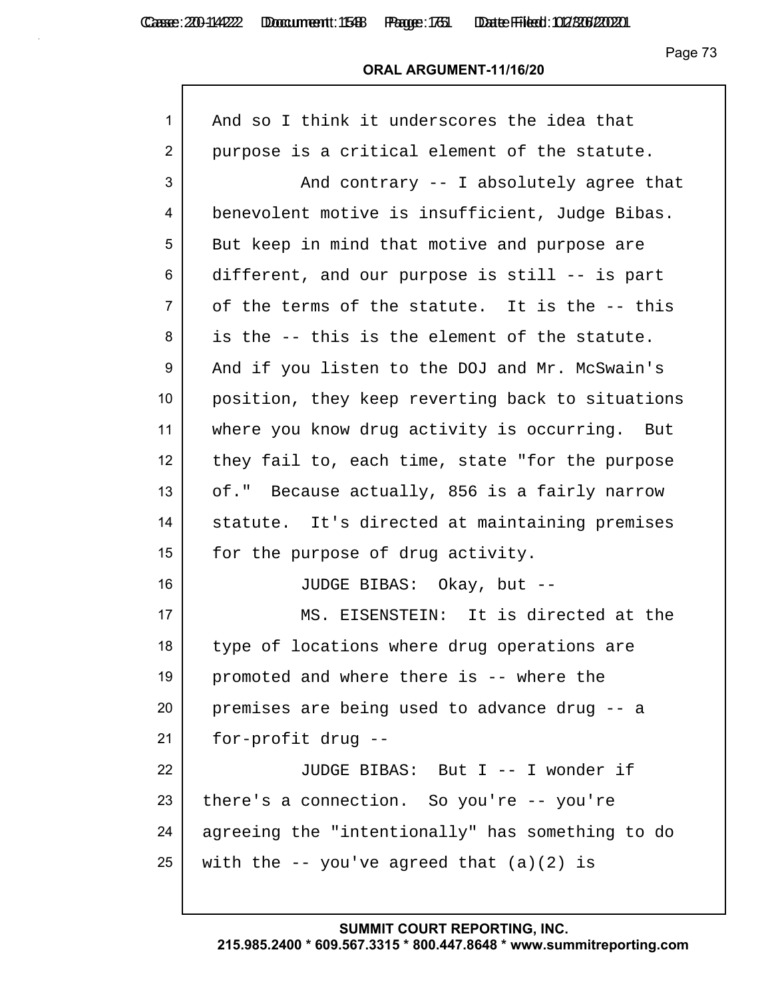Casse: 200-114222 Doccument: 1588 Page: 1751 Date Filed: 02/306/2020

Page 73

#### **ORAL ARGUMENT-11/16/20**

| 1              | And so I think it underscores the idea that      |
|----------------|--------------------------------------------------|
| $\overline{2}$ | purpose is a critical element of the statute.    |
| 3              | And contrary -- I absolutely agree that          |
| 4              | benevolent motive is insufficient, Judge Bibas.  |
| 5              | But keep in mind that motive and purpose are     |
| 6              | different, and our purpose is still -- is part   |
| 7              | of the terms of the statute. It is the -- this   |
| 8              | is the -- this is the element of the statute.    |
| 9              | And if you listen to the DOJ and Mr. McSwain's   |
| 10             | position, they keep reverting back to situations |
| 11             | where you know drug activity is occurring. But   |
| 12             | they fail to, each time, state "for the purpose  |
| 13             | of." Because actually, 856 is a fairly narrow    |
| 14             | statute. It's directed at maintaining premises   |
| 15             | for the purpose of drug activity.                |
| 16             | JUDGE BIBAS: Okay, but --                        |
| 17             | MS. EISENSTEIN: It is directed at the            |
| 18             | type of locations where drug operations are      |
| 19             | promoted and where there is -- where the         |
| 20             | premises are being used to advance drug -- a     |
| 21             | for-profit drug --                               |
| 22             | JUDGE BIBAS: But I -- I wonder if                |
| 23             | there's a connection. So you're -- you're        |
| 24             | agreeing the "intentionally" has something to do |
| 25             | with the $-$ you've agreed that $(a)(2)$ is      |
|                |                                                  |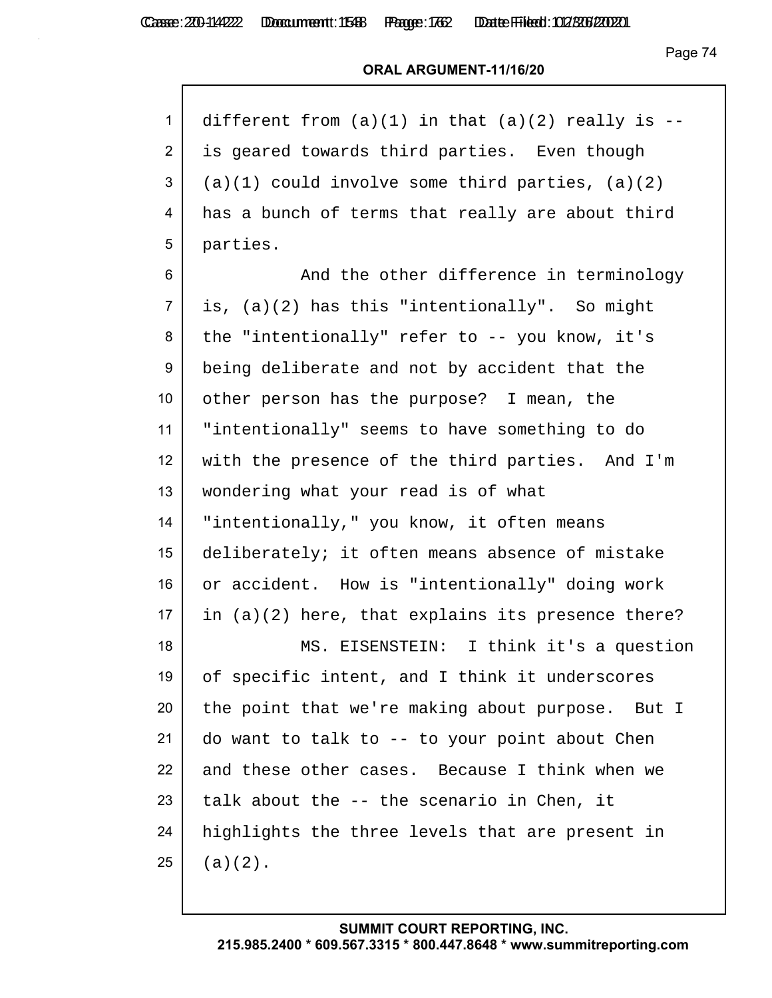#### **ORAL ARGUMENT-11/16/20**

| 1 different from $(a)(1)$ in that $(a)(2)$ really is --   |
|-----------------------------------------------------------|
| 2 is geared towards third parties. Even though            |
| $3$ (a)(1) could involve some third parties, (a)(2)       |
| $4 \mid$ has a bunch of terms that really are about third |
| $5$   parties.                                            |

6 And the other difference in terminology is, (a)(2) has this "intentionally". So might the "intentionally" refer to -- you know, it's being deliberate and not by accident that the other person has the purpose? I mean, the "intentionally" seems to have something to do with the presence of the third parties. And I'm wondering what your read is of what "intentionally," you know, it often means deliberately; it often means absence of mistake 16 or accident. How is "intentionally" doing work in (a)(2) here, that explains its presence there? MS. EISENSTEIN: I think it's a question of specific intent, and I think it underscores

20 the point that we're making about purpose. But I 21 do want to talk to  $-$ - to your point about Chen 22 and these other cases. Because I think when we talk about the  $-$  the scenario in Chen, it 24 | highlights the three levels that are present in (a)(2).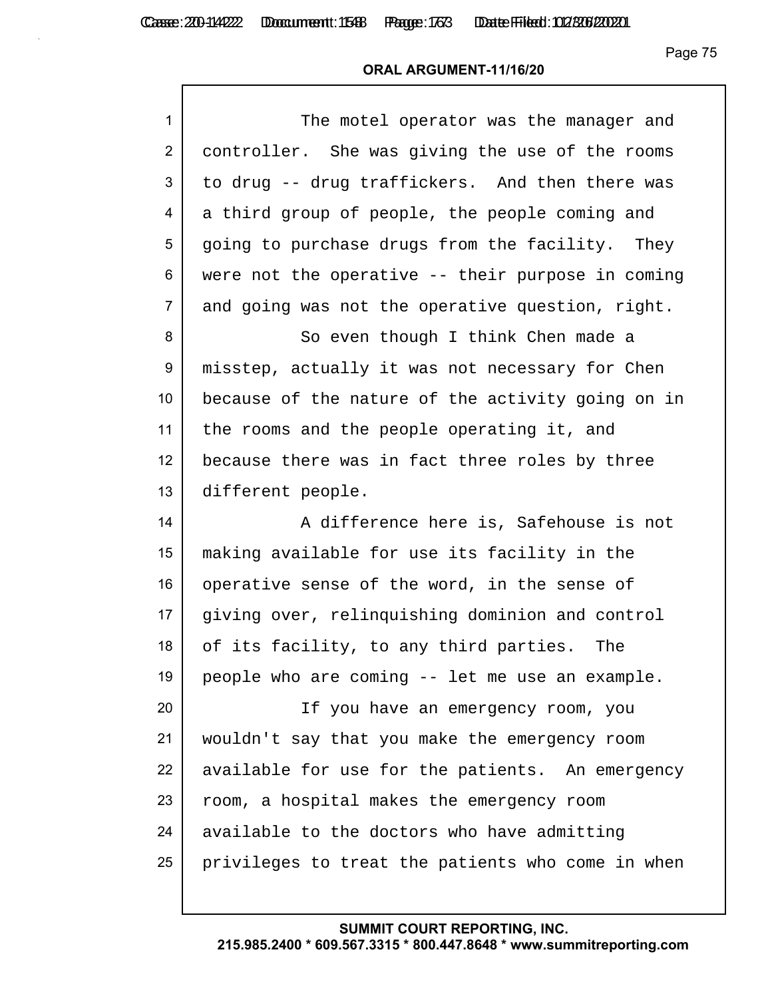# **ORAL ARGUMENT-11/16/20**

| $\mathbf{1}$   | The motel operator was the manager and            |
|----------------|---------------------------------------------------|
| $\overline{2}$ | controller. She was giving the use of the rooms   |
| 3              | to drug -- drug traffickers. And then there was   |
| 4              | a third group of people, the people coming and    |
| 5              | going to purchase drugs from the facility. They   |
| 6              | were not the operative -- their purpose in coming |
| $\overline{7}$ | and going was not the operative question, right.  |
| 8              | So even though I think Chen made a                |
| 9              | misstep, actually it was not necessary for Chen   |
| 10             | because of the nature of the activity going on in |
| 11             | the rooms and the people operating it, and        |
| 12             | because there was in fact three roles by three    |
| 13             | different people.                                 |
| 14             | A difference here is, Safehouse is not            |
| 15             | making available for use its facility in the      |
| 16             | operative sense of the word, in the sense of      |
| 17             | giving over, relinquishing dominion and control   |
| 18             | of its facility, to any third parties.<br>The     |
| 19             | people who are coming -- let me use an example.   |
| 20             | If you have an emergency room, you                |
| 21             | wouldn't say that you make the emergency room     |
| 22             | available for use for the patients. An emergency  |
| 23             | room, a hospital makes the emergency room         |
| 24             | available to the doctors who have admitting       |
| 25             | privileges to treat the patients who come in when |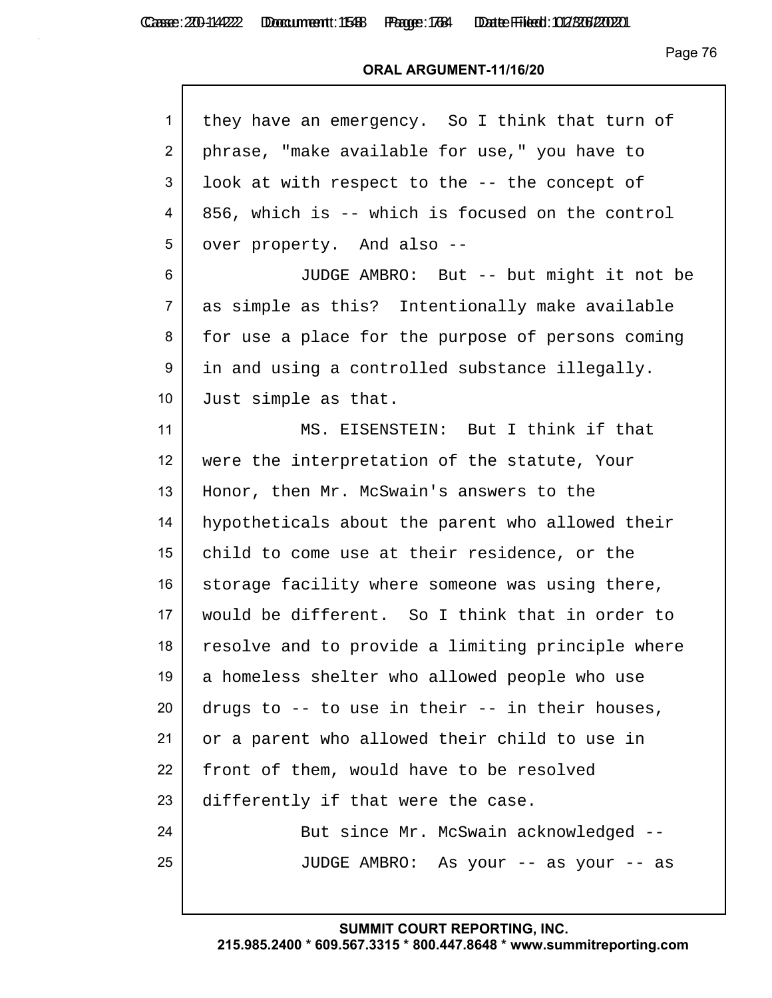| $\mathbf{1}$   | they have an emergency. So I think that turn of   |
|----------------|---------------------------------------------------|
| $\overline{2}$ | phrase, "make available for use," you have to     |
| 3              | look at with respect to the -- the concept of     |
| 4              | 856, which is -- which is focused on the control  |
| 5              | over property. And also --                        |
| 6              | JUDGE AMBRO: But -- but might it not be           |
| $\overline{7}$ | as simple as this? Intentionally make available   |
| 8              | for use a place for the purpose of persons coming |
| 9              | in and using a controlled substance illegally.    |
| 10             | Just simple as that.                              |
| 11             | MS. EISENSTEIN: But I think if that               |
| 12             | were the interpretation of the statute, Your      |
| 13             | Honor, then Mr. McSwain's answers to the          |
| 14             | hypotheticals about the parent who allowed their  |
| 15             | child to come use at their residence, or the      |
| 16             | storage facility where someone was using there,   |
| 17             | would be different. So I think that in order to   |
| 18             | resolve and to provide a limiting principle where |
| 19             | a homeless shelter who allowed people who use     |
| 20             | drugs to -- to use in their -- in their houses,   |
| 21             | or a parent who allowed their child to use in     |
| 22             | front of them, would have to be resolved          |
| 23             | differently if that were the case.                |
| 24             | But since Mr. McSwain acknowledged --             |
| 25             | JUDGE AMBRO: As your -- as your -- as             |
|                |                                                   |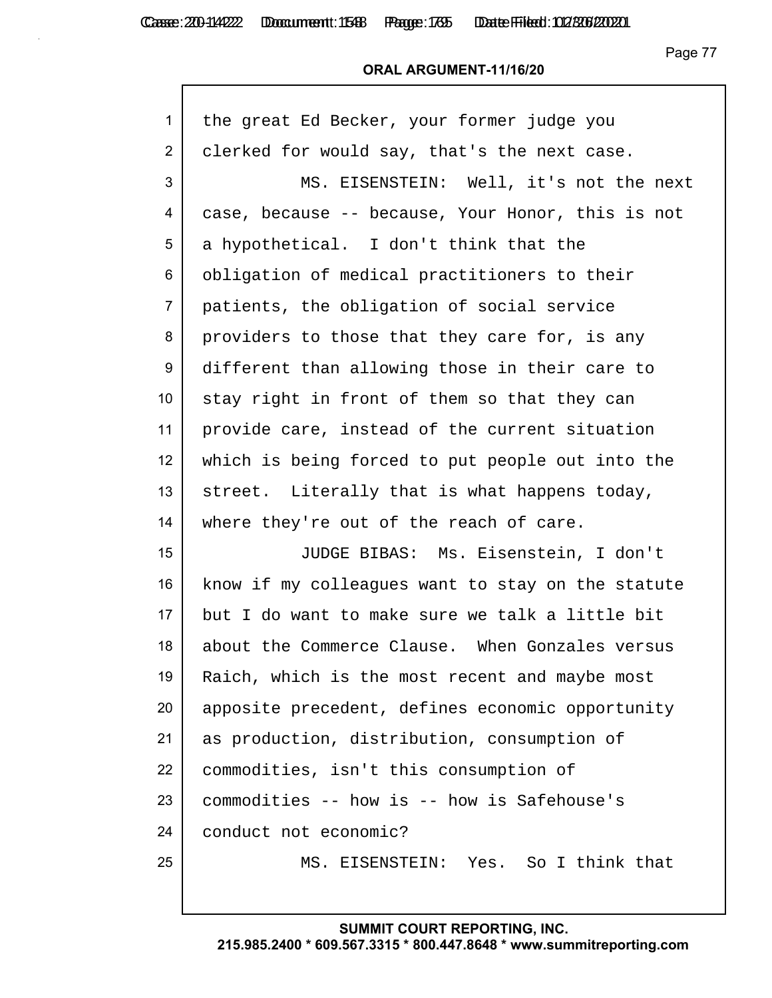#### **ORAL ARGUMENT-11/16/20**

| 1              | the great Ed Becker, your former judge you        |
|----------------|---------------------------------------------------|
| 2              | clerked for would say, that's the next case.      |
| 3              | MS. EISENSTEIN: Well, it's not the next           |
| 4              | case, because -- because, Your Honor, this is not |
| 5              | a hypothetical. I don't think that the            |
| 6              | obligation of medical practitioners to their      |
| $\overline{7}$ | patients, the obligation of social service        |
| 8              | providers to those that they care for, is any     |
| 9              | different than allowing those in their care to    |
| 10             | stay right in front of them so that they can      |
| 11             | provide care, instead of the current situation    |
| 12             | which is being forced to put people out into the  |
| 13             | street. Literally that is what happens today,     |
| 14             | where they're out of the reach of care.           |
| 15             | JUDGE BIBAS: Ms. Eisenstein, I don't              |
| 16             | know if my colleagues want to stay on the statute |
| 17             | but I do want to make sure we talk a little bit   |
| 18             | about the Commerce Clause. When Gonzales versus   |
| 19             | Raich, which is the most recent and maybe most    |
| 20             | apposite precedent, defines economic opportunity  |
| 21             | as production, distribution, consumption of       |
| 22             | commodities, isn't this consumption of            |
| 23             | commodities -- how is -- how is Safehouse's       |
| 24             | conduct not economic?                             |
| 25             | MS. EISENSTEIN: Yes. So I think that              |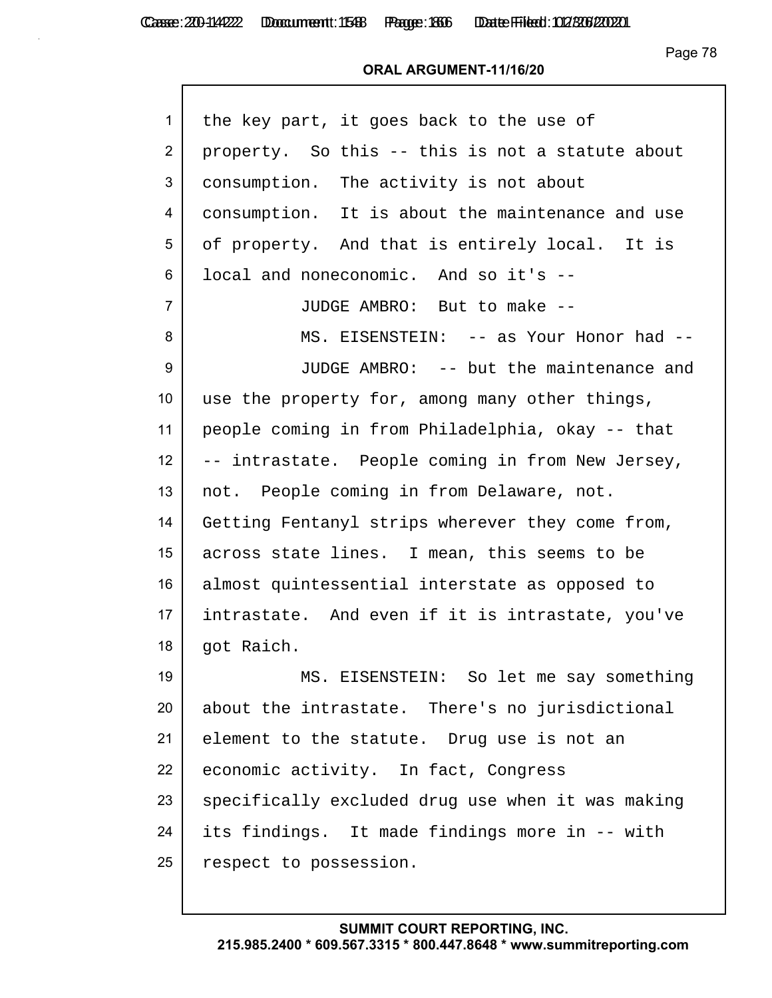| $\mathbf{1}$     | the key part, it goes back to the use of          |
|------------------|---------------------------------------------------|
| $\overline{2}$   | property. So this -- this is not a statute about  |
| 3                | consumption. The activity is not about            |
| 4                | consumption. It is about the maintenance and use  |
| 5                | of property. And that is entirely local. It is    |
| 6                | local and noneconomic. And so it's --             |
| $\overline{7}$   | JUDGE AMBRO: But to make --                       |
| 8                | MS. EISENSTEIN: -- as Your Honor had --           |
| 9                | JUDGE AMBRO: -- but the maintenance and           |
| 10               | use the property for, among many other things,    |
| 11               | people coming in from Philadelphia, okay -- that  |
| 12 <sub>2</sub>  | -- intrastate. People coming in from New Jersey,  |
| 13               | not. People coming in from Delaware, not.         |
| 14               | Getting Fentanyl strips wherever they come from,  |
| 15 <sub>15</sub> | across state lines. I mean, this seems to be      |
| 16               | almost quintessential interstate as opposed to    |
| 17               | intrastate. And even if it is intrastate, you've  |
| 18               | got Raich.                                        |
| 19               | MS. EISENSTEIN: So let me say something           |
| 20               | about the intrastate. There's no jurisdictional   |
| 21               | element to the statute. Drug use is not an        |
| 22               | economic activity. In fact, Congress              |
| 23               | specifically excluded drug use when it was making |
| 24               | its findings. It made findings more in -- with    |
| 25               | respect to possession.                            |
|                  |                                                   |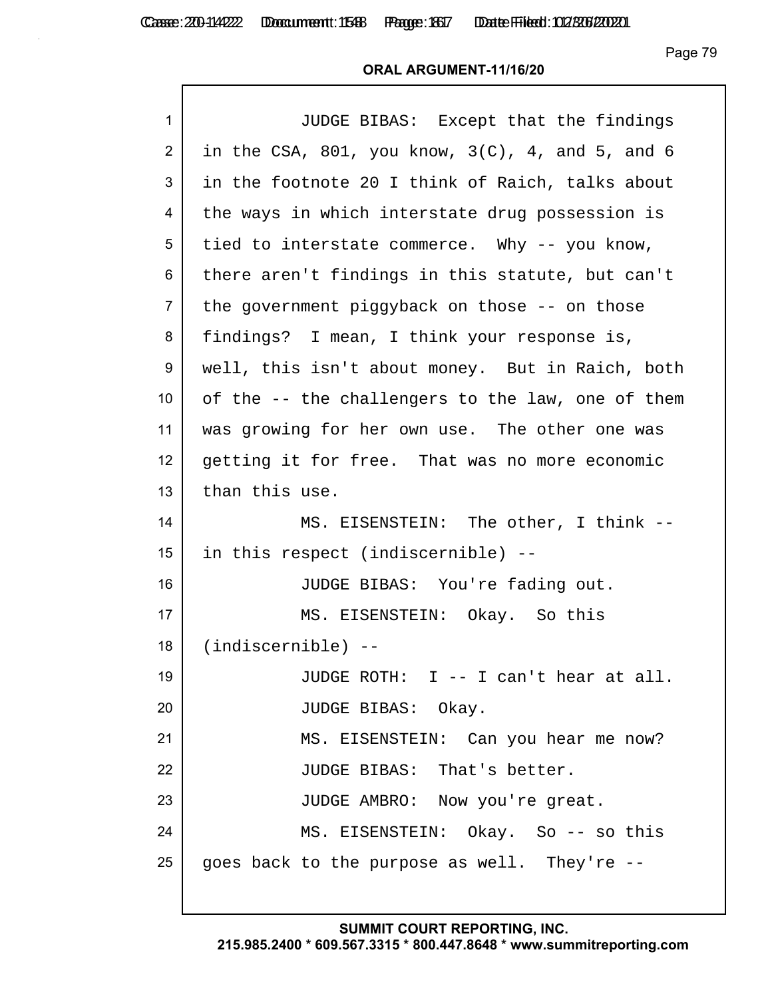Casse: 200-114222 Doccument: 1588 Page: 1667 Date Filed: 02/306/2020

Page 79

#### **ORAL ARGUMENT-11/16/20**

| $\mathbf{1}$   | JUDGE BIBAS: Except that the findings               |
|----------------|-----------------------------------------------------|
| $\overline{2}$ | in the CSA, 801, you know, $3(C)$ , 4, and 5, and 6 |
| 3              | in the footnote 20 I think of Raich, talks about    |
| 4              | the ways in which interstate drug possession is     |
| 5              | tied to interstate commerce. Why -- you know,       |
| 6              | there aren't findings in this statute, but can't    |
| $\overline{7}$ | the government piggyback on those -- on those       |
| 8              | findings? I mean, I think your response is,         |
| 9              | well, this isn't about money. But in Raich, both    |
| 10             | of the -- the challengers to the law, one of them   |
| 11             | was growing for her own use. The other one was      |
| 12             | getting it for free. That was no more economic      |
| 13             | than this use.                                      |
| 14             | MS. EISENSTEIN: The other, I think --               |
| 15             | in this respect (indiscernible) --                  |
| 16             | JUDGE BIBAS: You're fading out.                     |
| 17             | MS. EISENSTEIN: Okay. So this                       |
| 18             | $(indiscernible)$ --                                |
| 19             | JUDGE ROTH: I -- I can't hear at all.               |
| 20             | JUDGE BIBAS: Okay.                                  |
| 21             | MS. EISENSTEIN: Can you hear me now?                |
| 22             | JUDGE BIBAS: That's better.                         |
| 23             | JUDGE AMBRO: Now you're great.                      |
| 24             | MS. EISENSTEIN: Okay. So -- so this                 |
| 25             | goes back to the purpose as well. They're --        |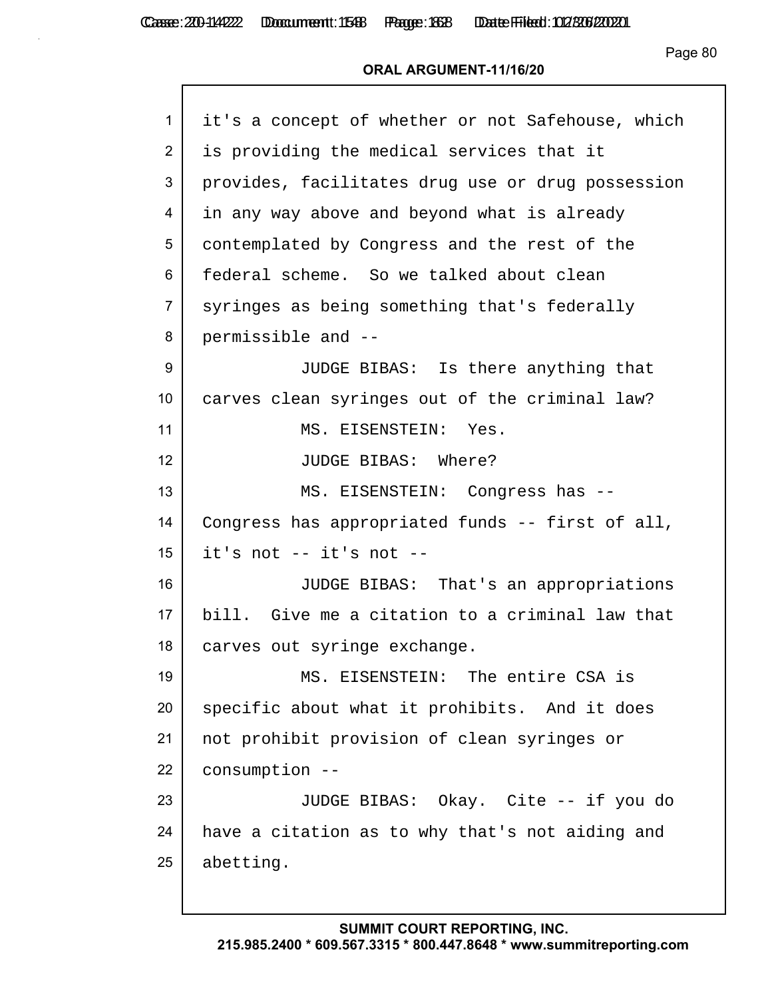| $\mathbf{1}$    | it's a concept of whether or not Safehouse, which |
|-----------------|---------------------------------------------------|
| $\overline{2}$  | is providing the medical services that it         |
| 3               | provides, facilitates drug use or drug possession |
| 4               | in any way above and beyond what is already       |
| 5               | contemplated by Congress and the rest of the      |
| 6               | federal scheme. So we talked about clean          |
| $\overline{7}$  | syringes as being something that's federally      |
| 8               | permissible and --                                |
| 9               | JUDGE BIBAS: Is there anything that               |
| 10 <sup>°</sup> | carves clean syringes out of the criminal law?    |
| 11              | MS. EISENSTEIN: Yes.                              |
| 12 <sub>2</sub> | JUDGE BIBAS: Where?                               |
| 13              | MS. EISENSTEIN: Congress has --                   |
| 14              | Congress has appropriated funds -- first of all,  |
| 15              | it's not -- it's not --                           |
| 16              | JUDGE BIBAS: That's an appropriations             |
| 17              | bill. Give me a citation to a criminal law that   |
| 18              | carves out syringe exchange.                      |
| 19              | MS. EISENSTEIN: The entire CSA is                 |
| 20              | specific about what it prohibits. And it does     |
| 21              | not prohibit provision of clean syringes or       |
| 22              | consumption --                                    |
| 23              | JUDGE BIBAS: Okay. Cite -- if you do              |
| 24              | have a citation as to why that's not aiding and   |
| 25              | abetting.                                         |
|                 |                                                   |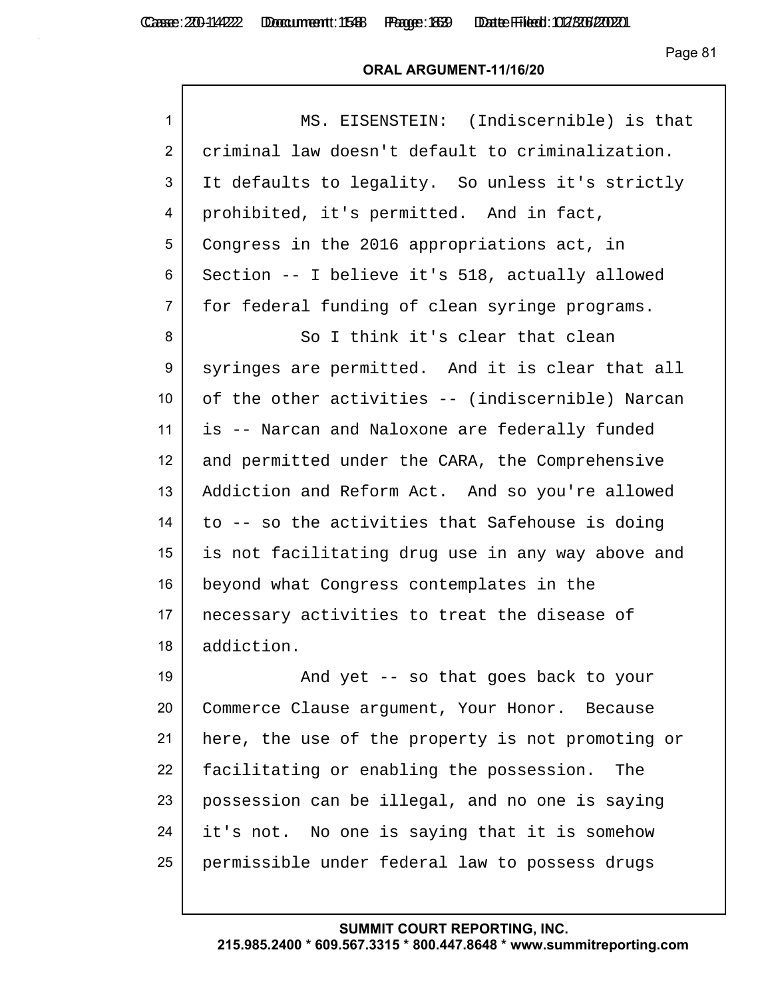# **ORAL ARGUMENT-11/16/20**

| $\mathbf{1}$     | MS. EISENSTEIN: (Indiscernible) is that           |
|------------------|---------------------------------------------------|
| $\overline{2}$   | criminal law doesn't default to criminalization.  |
| 3                | It defaults to legality. So unless it's strictly  |
| 4                | prohibited, it's permitted. And in fact,          |
| 5                | Congress in the 2016 appropriations act, in       |
| 6                | Section -- I believe it's 518, actually allowed   |
| $\overline{7}$   | for federal funding of clean syringe programs.    |
| 8                | So I think it's clear that clean                  |
| $\boldsymbol{9}$ | syringes are permitted. And it is clear that all  |
| 10               | of the other activities -- (indiscernible) Narcan |
| 11               | is -- Narcan and Naloxone are federally funded    |
| 12               | and permitted under the CARA, the Comprehensive   |
| 13               | Addiction and Reform Act. And so you're allowed   |
| 14               | to -- so the activities that Safehouse is doing   |
| 15               | is not facilitating drug use in any way above and |
| 16               | beyond what Congress contemplates in the          |
| 17               | necessary activities to treat the disease of      |
| 18               | addiction.                                        |
| 19               | And yet -- so that goes back to your              |
| 20               | Commerce Clause argument, Your Honor. Because     |
| 21               | here, the use of the property is not promoting or |
| 22               | facilitating or enabling the possession.<br>The   |
| 23               | possession can be illegal, and no one is saying   |
| 24               | it's not. No one is saying that it is somehow     |
| 25               | permissible under federal law to possess drugs    |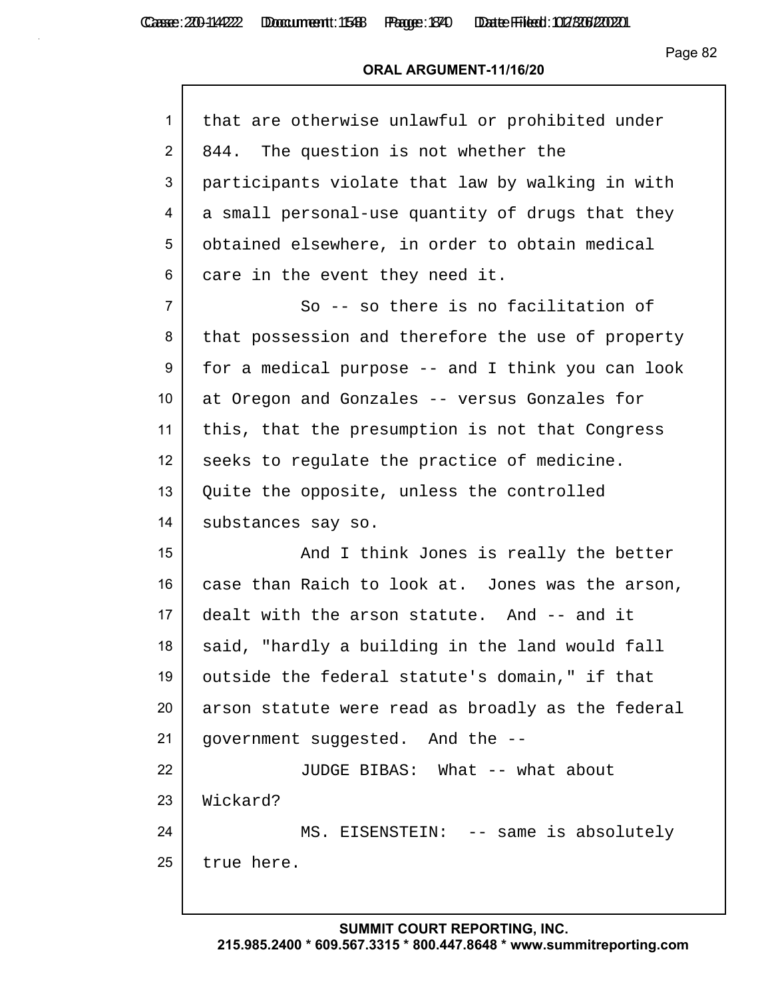| 1                | that are otherwise unlawful or prohibited under   |
|------------------|---------------------------------------------------|
| $\overline{2}$   | 844. The question is not whether the              |
| 3                | participants violate that law by walking in with  |
| 4                | a small personal-use quantity of drugs that they  |
| 5                | obtained elsewhere, in order to obtain medical    |
| 6                | care in the event they need it.                   |
| $\overline{7}$   | So -- so there is no facilitation of              |
| 8                | that possession and therefore the use of property |
| 9                | for a medical purpose -- and I think you can look |
| 10 <sup>°</sup>  | at Oregon and Gonzales -- versus Gonzales for     |
| 11               | this, that the presumption is not that Congress   |
| 12 <sup>2</sup>  | seeks to regulate the practice of medicine.       |
| 13               | Quite the opposite, unless the controlled         |
| 14               | substances say so.                                |
| 15 <sub>15</sub> | And I think Jones is really the better            |
| 16               | case than Raich to look at. Jones was the arson,  |
| 17               | dealt with the arson statute. And -- and it       |
| 18               | said, "hardly a building in the land would fall   |
| 19               | outside the federal statute's domain," if that    |
| 20               | arson statute were read as broadly as the federal |
| 21               | government suggested. And the --                  |
| 22               | JUDGE BIBAS: What -- what about                   |
| 23               | Wickard?                                          |
| 24               | MS. EISENSTEIN: -- same is absolutely             |
| 25               | true here.                                        |
|                  |                                                   |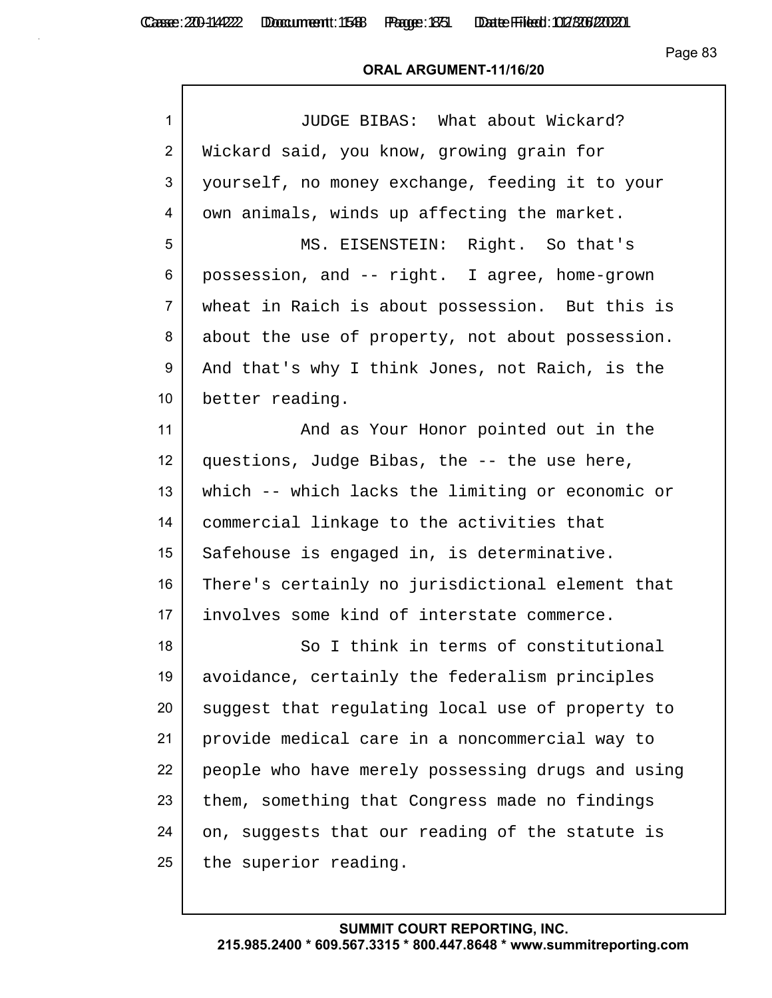| $\mathbf{1}$   | JUDGE BIBAS: What about Wickard?                  |
|----------------|---------------------------------------------------|
| $\overline{2}$ | Wickard said, you know, growing grain for         |
| 3              | yourself, no money exchange, feeding it to your   |
| 4              | own animals, winds up affecting the market.       |
| 5              | MS. EISENSTEIN: Right. So that's                  |
| 6              | possession, and -- right. I agree, home-grown     |
| 7              | wheat in Raich is about possession. But this is   |
| 8              | about the use of property, not about possession.  |
| 9              | And that's why I think Jones, not Raich, is the   |
| 10             | better reading.                                   |
| 11             | And as Your Honor pointed out in the              |
| 12             | questions, Judge Bibas, the -- the use here,      |
| 13             | which -- which lacks the limiting or economic or  |
| 14             | commercial linkage to the activities that         |
| 15             | Safehouse is engaged in, is determinative.        |
| 16             | There's certainly no jurisdictional element that  |
| 17             | involves some kind of interstate commerce.        |
| 18             | So I think in terms of constitutional             |
| 19             | avoidance, certainly the federalism principles    |
| 20             | suggest that regulating local use of property to  |
| 21             | provide medical care in a noncommercial way to    |
| 22             | people who have merely possessing drugs and using |
| 23             | them, something that Congress made no findings    |
| 24             | on, suggests that our reading of the statute is   |
| 25             | the superior reading.                             |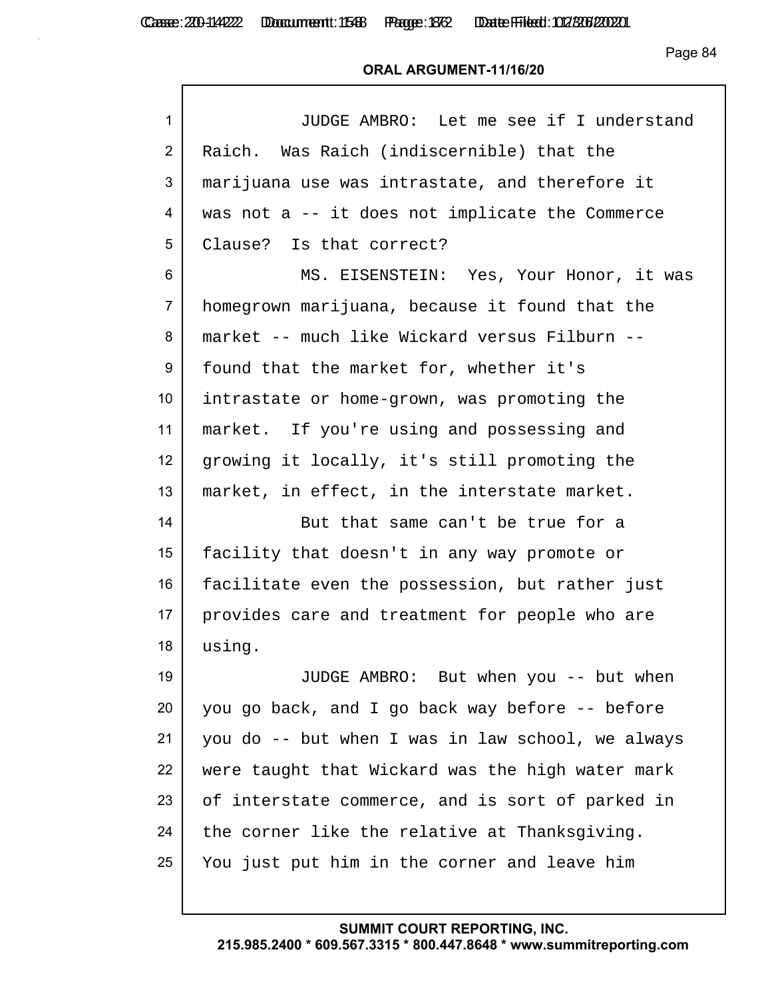Casse: 200-114222 Doccument: 1588 Page: 1372 Date Filed: 02/306/2020

Page 84

#### **ORAL ARGUMENT-11/16/20**

| $\mathbf{1}$   | JUDGE AMBRO: Let me see if I understand           |
|----------------|---------------------------------------------------|
| $\overline{2}$ | Raich. Was Raich (indiscernible) that the         |
| 3              | marijuana use was intrastate, and therefore it    |
| 4              | was not a -- it does not implicate the Commerce   |
| 5              | Clause? Is that correct?                          |
| 6              | MS. EISENSTEIN: Yes, Your Honor, it was           |
| $\overline{7}$ | homegrown marijuana, because it found that the    |
| 8              | market -- much like Wickard versus Filburn --     |
| 9              | found that the market for, whether it's           |
| 10             | intrastate or home-grown, was promoting the       |
| 11             | market. If you're using and possessing and        |
| 12             | growing it locally, it's still promoting the      |
| 13             | market, in effect, in the interstate market.      |
| 14             | But that same can't be true for a                 |
| 15             | facility that doesn't in any way promote or       |
| 16             | facilitate even the possession, but rather just   |
| 17             | provides care and treatment for people who are    |
| 18             | using.                                            |
| 19             | JUDGE AMBRO: But when you -- but when             |
| 20             | you go back, and I go back way before -- before   |
| 21             | you do -- but when I was in law school, we always |
| 22             | were taught that Wickard was the high water mark  |
| 23             | of interstate commerce, and is sort of parked in  |
| 24             | the corner like the relative at Thanksgiving.     |
| 25             | You just put him in the corner and leave him      |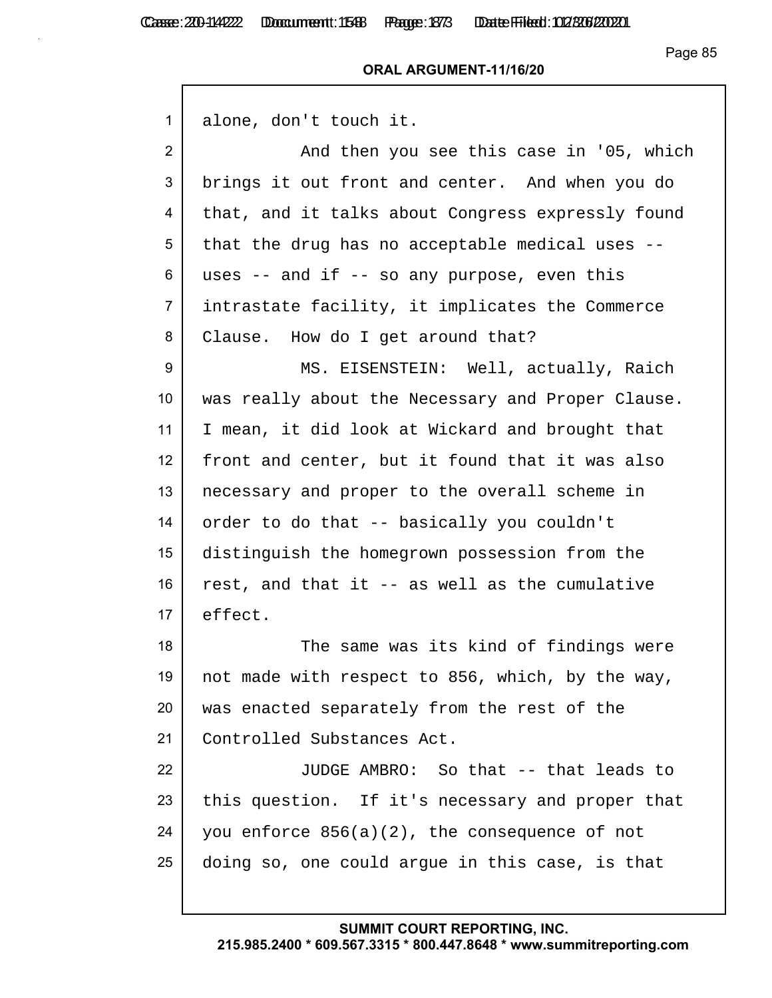| $\mathbf{1}$    | alone, don't touch it.                            |
|-----------------|---------------------------------------------------|
| $\overline{2}$  | And then you see this case in '05, which          |
| 3               | brings it out front and center. And when you do   |
| 4               | that, and it talks about Congress expressly found |
| 5               | that the drug has no acceptable medical uses --   |
| 6               | uses $-$ and if $-$ so any purpose, even this     |
| $\overline{7}$  | intrastate facility, it implicates the Commerce   |
| 8               | Clause. How do I get around that?                 |
| 9               | MS. EISENSTEIN: Well, actually, Raich             |
| 10 <sup>°</sup> | was really about the Necessary and Proper Clause. |
| 11              | I mean, it did look at Wickard and brought that   |
| 12              | front and center, but it found that it was also   |
| 13              | necessary and proper to the overall scheme in     |
| 14              | order to do that -- basically you couldn't        |
| 15              | distinguish the homegrown possession from the     |
| 16              | rest, and that it -- as well as the cumulative    |
| 17              | effect.                                           |
| 18              | The same was its kind of findings were            |
| 19              | not made with respect to 856, which, by the way,  |
| 20              | was enacted separately from the rest of the       |
| 21              | Controlled Substances Act.                        |
| 22              | JUDGE AMBRO: So that -- that leads to             |
| 23              | this question. If it's necessary and proper that  |
| 24              | you enforce $856(a)(2)$ , the consequence of not  |
| 25              | doing so, one could argue in this case, is that   |
|                 |                                                   |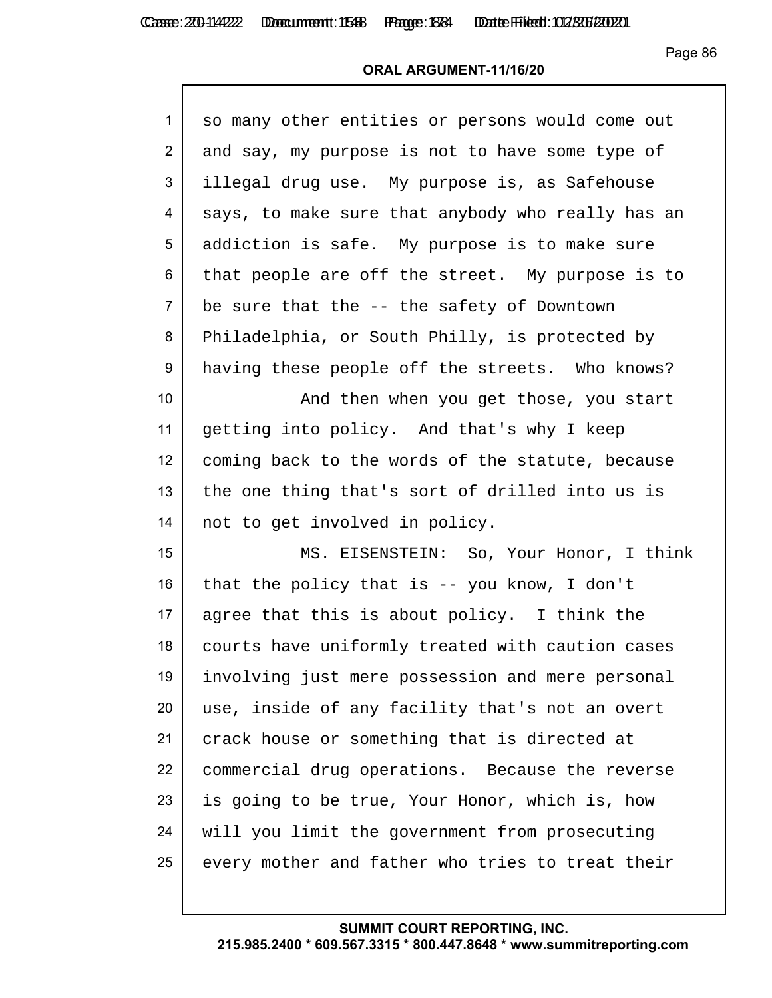| 1               |                                                   |
|-----------------|---------------------------------------------------|
|                 | so many other entities or persons would come out  |
| $\overline{2}$  | and say, my purpose is not to have some type of   |
| 3               | illegal drug use. My purpose is, as Safehouse     |
| 4               | says, to make sure that anybody who really has an |
| 5               | addiction is safe. My purpose is to make sure     |
| 6               | that people are off the street. My purpose is to  |
| $\overline{7}$  | be sure that the -- the safety of Downtown        |
| 8               | Philadelphia, or South Philly, is protected by    |
| 9               | having these people off the streets. Who knows?   |
| 10 <sup>°</sup> | And then when you get those, you start            |
| 11              | getting into policy. And that's why I keep        |
| 12              | coming back to the words of the statute, because  |
| 13              | the one thing that's sort of drilled into us is   |
| 14              | not to get involved in policy.                    |
| 15              | MS. EISENSTEIN: So, Your Honor, I think           |
| 16              | that the policy that is $-$ you know, I don't     |
| 17              | agree that this is about policy. I think the      |
| 18              | courts have uniformly treated with caution cases  |
| 19              | involving just mere possession and mere personal  |
| 20              | use, inside of any facility that's not an overt   |
| 21              | crack house or something that is directed at      |
| 22              | commercial drug operations. Because the reverse   |
| 23              | is going to be true, Your Honor, which is, how    |
| 24              | will you limit the government from prosecuting    |
| 25              | every mother and father who tries to treat their  |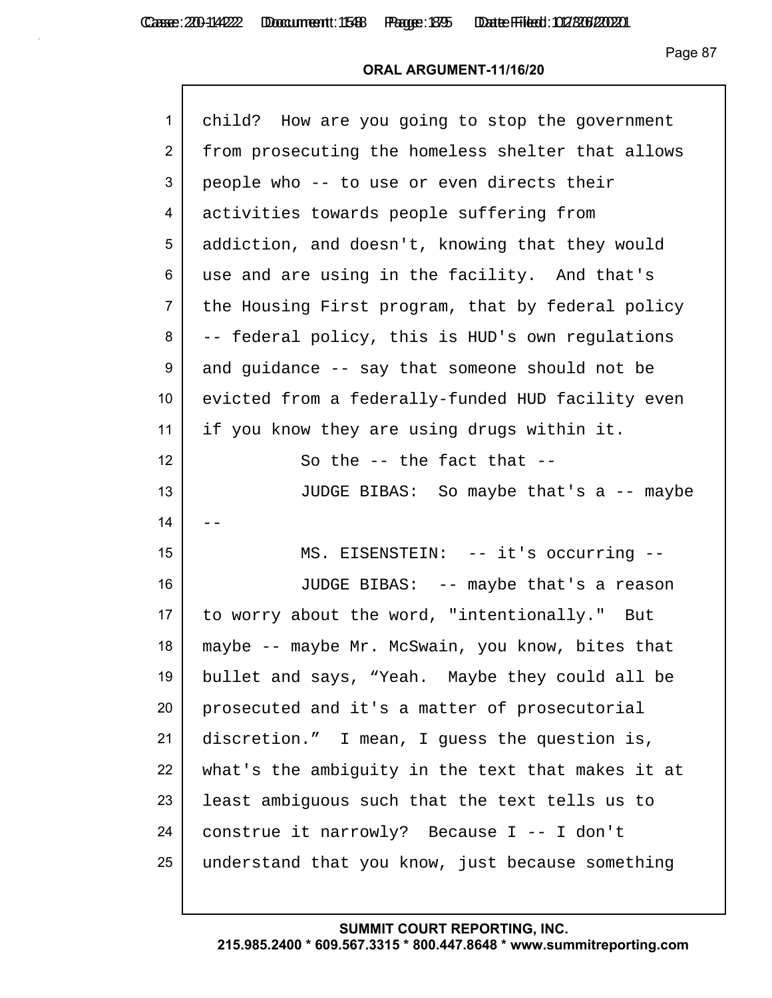| $\mathbf{1}$     | child? How are you going to stop the government   |
|------------------|---------------------------------------------------|
| $\overline{2}$   | from prosecuting the homeless shelter that allows |
| 3                | people who -- to use or even directs their        |
| 4                | activities towards people suffering from          |
| 5                | addiction, and doesn't, knowing that they would   |
| 6                | use and are using in the facility. And that's     |
| $\overline{7}$   | the Housing First program, that by federal policy |
| 8                | -- federal policy, this is HUD's own regulations  |
| 9                | and guidance -- say that someone should not be    |
| 10 <sup>°</sup>  | evicted from a federally-funded HUD facility even |
| 11               | if you know they are using drugs within it.       |
| 12 <sup>2</sup>  | So the $-$ the fact that $-$                      |
| 13               | JUDGE BIBAS: So maybe that's a -- maybe           |
| 14               |                                                   |
| 15 <sub>15</sub> | MS. EISENSTEIN: -- it's occurring --              |
| 16               | JUDGE BIBAS: -- maybe that's a reason             |
| 17 <sub>1</sub>  | to worry about the word, "intentionally." But     |
| 18               | maybe -- maybe Mr. McSwain, you know, bites that  |
| 19               | bullet and says, "Yeah. Maybe they could all be   |
| 20               | prosecuted and it's a matter of prosecutorial     |
| 21               | discretion." I mean, I guess the question is,     |
| 22               | what's the ambiguity in the text that makes it at |
| 23               | least ambiguous such that the text tells us to    |
| 24               | construe it narrowly? Because I -- I don't        |
| 25               | understand that you know, just because something  |
|                  |                                                   |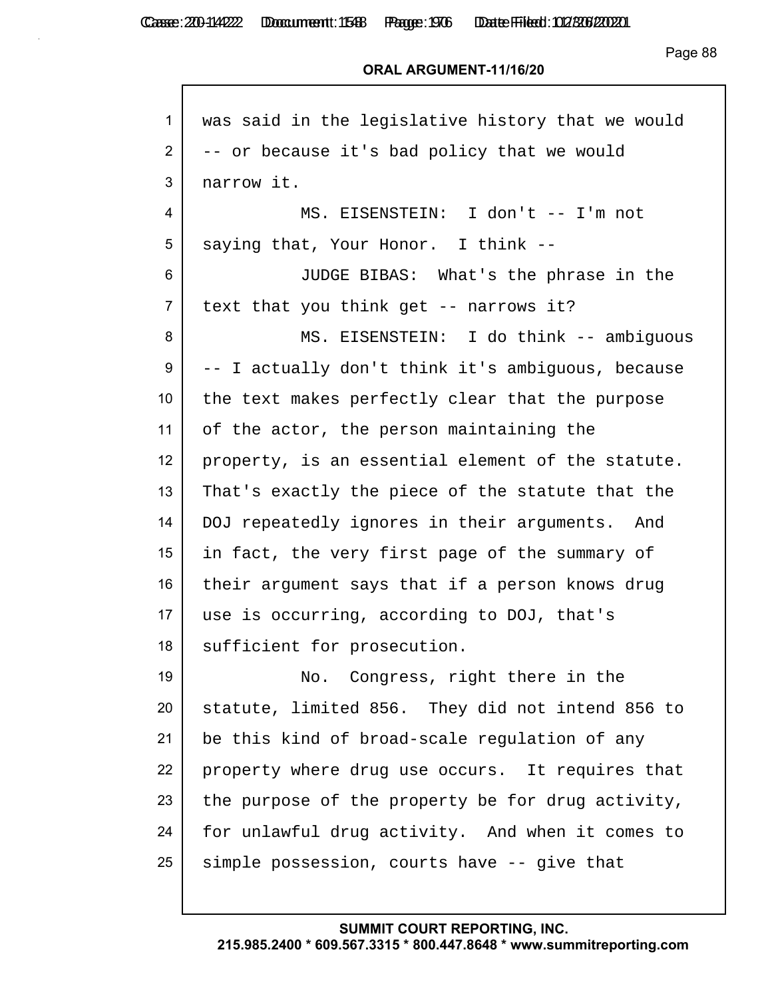Casse: 200-114222 Doccument: 1588 Page: 1976 Date Filed: 02/306/2020

Page 88

#### **ORAL ARGUMENT-11/16/20**

| $\mathbf{1}$    | was said in the legislative history that we would |
|-----------------|---------------------------------------------------|
| $\overline{2}$  | -- or because it's bad policy that we would       |
| 3               | narrow it.                                        |
| 4               | MS. EISENSTEIN: I don't -- I'm not                |
| 5               | saying that, Your Honor. I think --               |
| 6               | JUDGE BIBAS: What's the phrase in the             |
| $\overline{7}$  | text that you think get -- narrows it?            |
| 8               | MS. EISENSTEIN: I do think -- ambiguous           |
| 9               | -- I actually don't think it's ambiquous, because |
| 10 <sup>°</sup> | the text makes perfectly clear that the purpose   |
| 11              | of the actor, the person maintaining the          |
| 12              | property, is an essential element of the statute. |
| 13              | That's exactly the piece of the statute that the  |
| 14              | DOJ repeatedly ignores in their arguments. And    |
| 15              | in fact, the very first page of the summary of    |
| 16              | their argument says that if a person knows drug   |
| 17              | use is occurring, according to DOJ, that's        |
| 18              | sufficient for prosecution.                       |
| 19              | Congress, right there in the<br>No.               |
| 20              | statute, limited 856. They did not intend 856 to  |
| 21              | be this kind of broad-scale regulation of any     |
| 22              | property where drug use occurs. It requires that  |
| 23              | the purpose of the property be for drug activity, |
| 24              | for unlawful drug activity. And when it comes to  |
| 25              | simple possession, courts have -- give that       |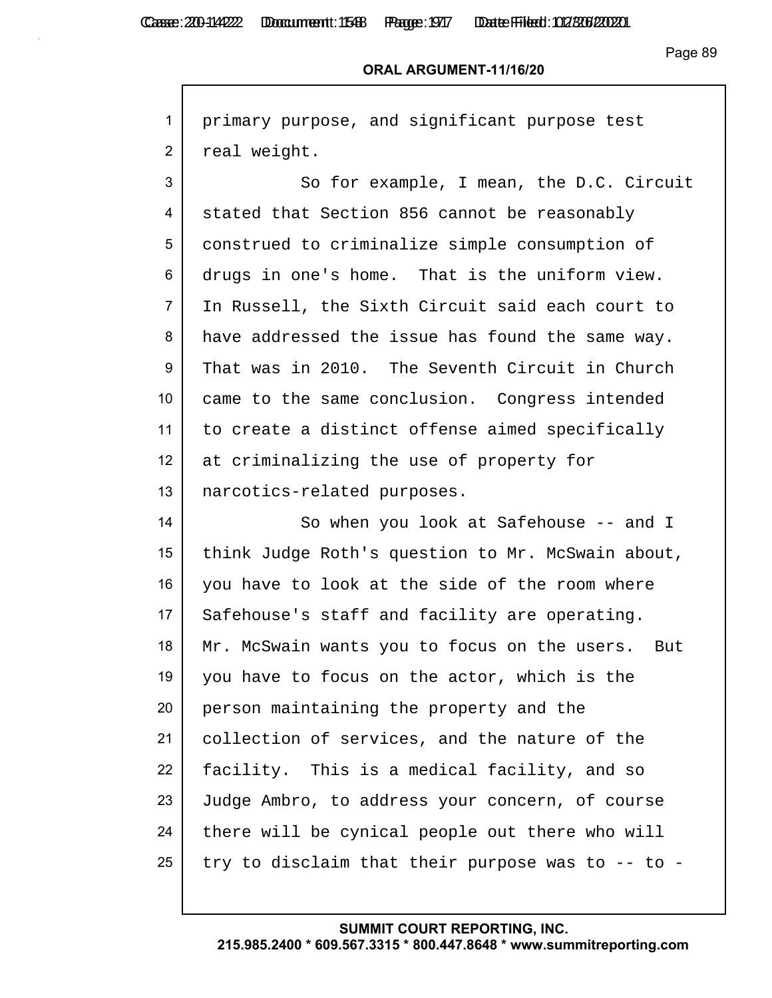Г

Casse: 200-114222 Doccument: 1588 Page: 1977 Date Filed: 02/306/2020

| $\mathbf{1}$    | primary purpose, and significant purpose test       |
|-----------------|-----------------------------------------------------|
| $\overline{2}$  | real weight.                                        |
| 3               | So for example, I mean, the D.C. Circuit            |
| 4               | stated that Section 856 cannot be reasonably        |
| 5               | construed to criminalize simple consumption of      |
| 6               | drugs in one's home. That is the uniform view.      |
| $\overline{7}$  | In Russell, the Sixth Circuit said each court to    |
| 8               | have addressed the issue has found the same way.    |
| 9               | That was in 2010. The Seventh Circuit in Church     |
| 10 <sup>°</sup> | came to the same conclusion. Congress intended      |
| 11              | to create a distinct offense aimed specifically     |
| 12              | at criminalizing the use of property for            |
| 13              | narcotics-related purposes.                         |
| 14              | So when you look at Safehouse -- and I              |
| 15              | think Judge Roth's question to Mr. McSwain about,   |
| 16              | you have to look at the side of the room where      |
| 17              | Safehouse's staff and facility are operating.       |
| 18              | Mr. McSwain wants you to focus on the users.<br>But |
| 19              | you have to focus on the actor, which is the        |
| 20              | person maintaining the property and the             |
| 21              | collection of services, and the nature of the       |
| 22              | facility. This is a medical facility, and so        |
| 23              | Judge Ambro, to address your concern, of course     |
| 24              | there will be cynical people out there who will     |
| 25              | try to disclaim that their purpose was to -- to -   |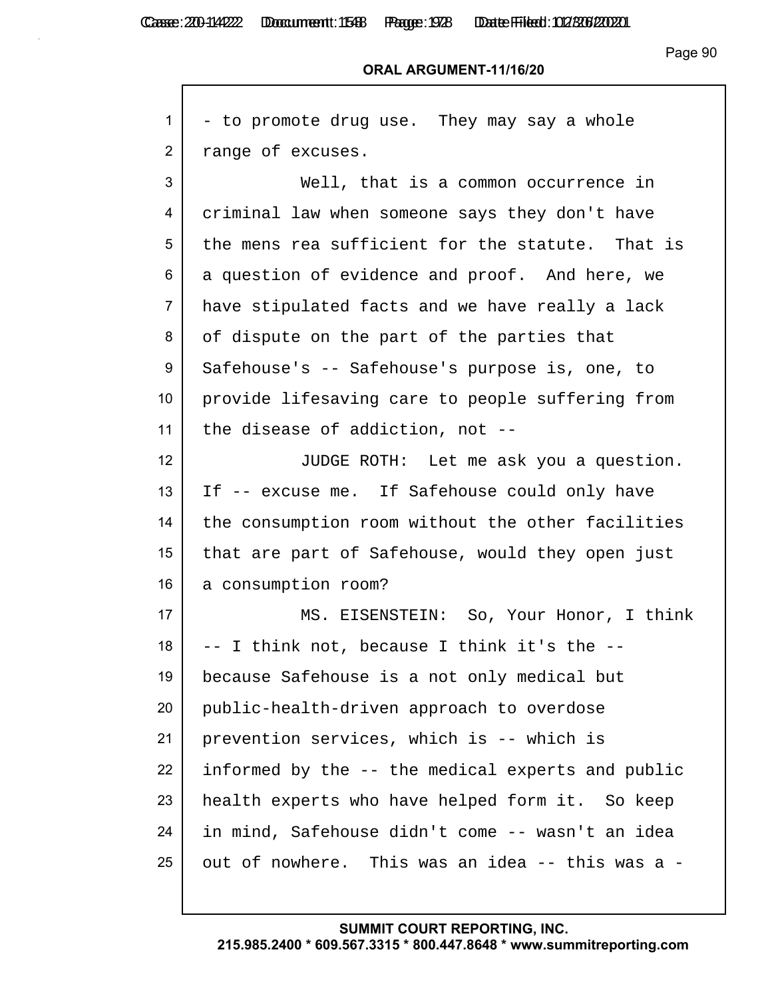Г

Casse: 200-114222 Doccument: 1588 Page: 1978 Date Filed: 02/306/2020

#### **ORAL ARGUMENT-11/16/20**

| 1                | - to promote drug use. They may say a whole       |
|------------------|---------------------------------------------------|
| $\overline{2}$   | range of excuses.                                 |
| 3                | Well, that is a common occurrence in              |
| 4                | criminal law when someone says they don't have    |
| 5                | the mens rea sufficient for the statute. That is  |
| 6                | a question of evidence and proof. And here, we    |
| $\overline{7}$   | have stipulated facts and we have really a lack   |
| 8                | of dispute on the part of the parties that        |
| 9                | Safehouse's -- Safehouse's purpose is, one, to    |
| 10 <sup>°</sup>  | provide lifesaving care to people suffering from  |
| 11               | the disease of addiction, not --                  |
| 12 <sup>°</sup>  | JUDGE ROTH: Let me ask you a question.            |
| 13               | If -- excuse me. If Safehouse could only have     |
| 14               | the consumption room without the other facilities |
| 15 <sub>15</sub> | that are part of Safehouse, would they open just  |
| 16               | a consumption room?                               |
| 17               | MS. EISENSTEIN: So, Your Honor, I think           |
| 18               | -- I think not, because I think it's the --       |
| 19               | because Safehouse is a not only medical but       |
| 20               | public-health-driven approach to overdose         |
| 21               | prevention services, which is -- which is         |
| 22               | informed by the -- the medical experts and public |
| 23               | health experts who have helped form it. So keep   |
| 24               | in mind, Safehouse didn't come -- wasn't an idea  |
| 25               | out of nowhere. This was an idea -- this was a -  |
|                  |                                                   |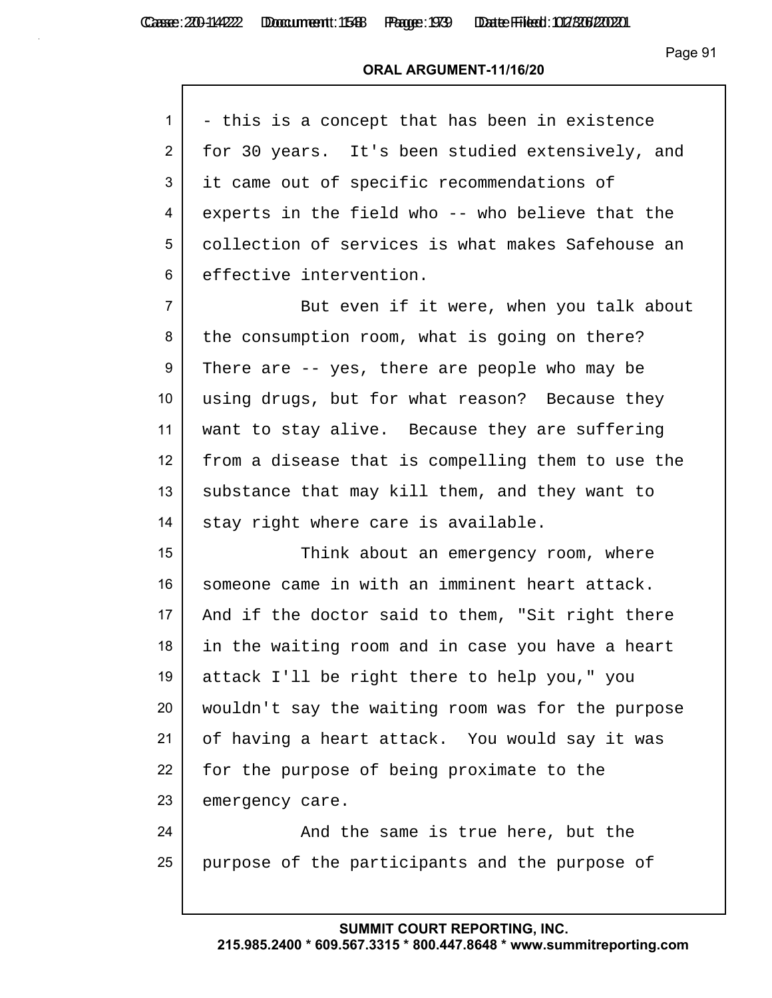Casse: 200-114222 Domcument: 1548 Page: 1939 Date Filed: 02/306/200201

Page 91

#### **ORAL ARGUMENT-11/16/20**

| $1 \mid$ | - this is a concept that has been in existence    |
|----------|---------------------------------------------------|
| 2 I      | for 30 years. It's been studied extensively, and  |
|          | 3   it came out of specific recommendations of    |
| 4        | experts in the field who -- who believe that the  |
| 5        | collection of services is what makes Safehouse an |
|          | 6   effective intervention.                       |

7 But even if it were, when you talk about 8 the consumption room, what is going on there? 9 There are -- yes, there are people who may be 10 using drugs, but for what reason? Because they 11 want to stay alive. Because they are suffering 12 from a disease that is compelling them to use the 13 | substance that may kill them, and they want to 14 stay right where care is available.

15 Think about an emergency room, where 16 someone came in with an imminent heart attack. 17 | And if the doctor said to them, "Sit right there 18 in the waiting room and in case you have a heart 19 attack I'll be right there to help you," you 20 wouldn't say the waiting room was for the purpose 21 of having a heart attack. You would say it was 22 for the purpose of being proximate to the 23 emergency care.

24 | The same is true here, but the 25 purpose of the participants and the purpose of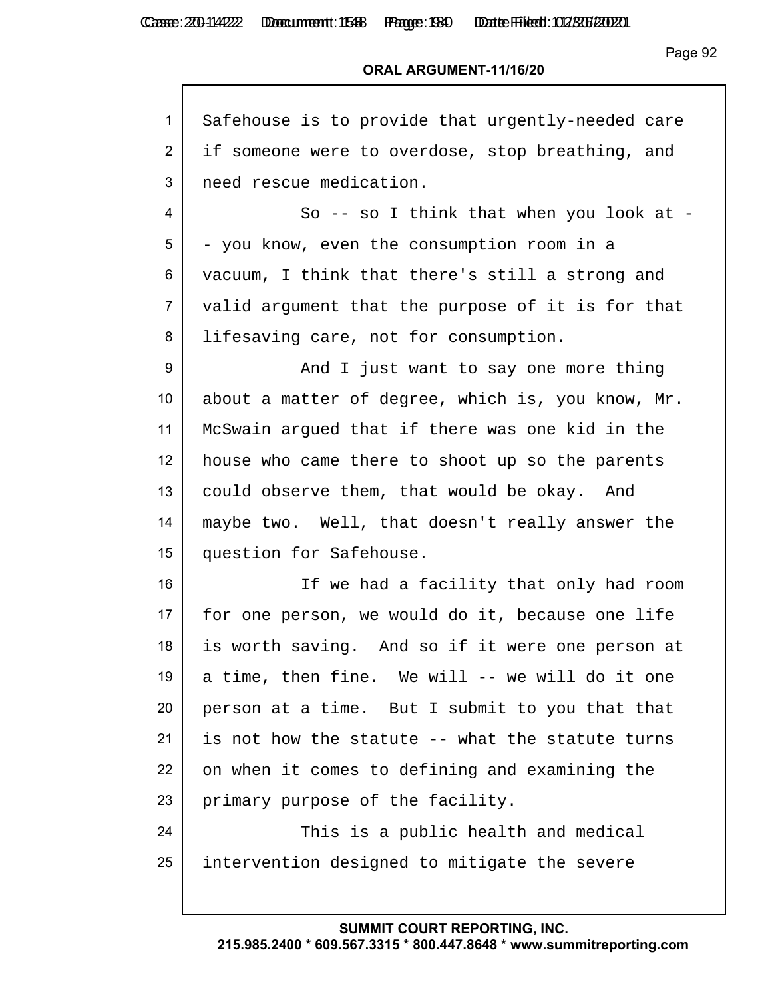| 1               | Safehouse is to provide that urgently-needed care |
|-----------------|---------------------------------------------------|
| $\overline{2}$  | if someone were to overdose, stop breathing, and  |
| 3               | need rescue medication.                           |
| 4               | So -- so I think that when you look at -          |
| 5               | - you know, even the consumption room in a        |
| 6               | vacuum, I think that there's still a strong and   |
| $\overline{7}$  | valid argument that the purpose of it is for that |
| 8               | lifesaving care, not for consumption.             |
| 9               | And I just want to say one more thing             |
| 10 <sup>°</sup> | about a matter of degree, which is, you know, Mr. |
| 11              | McSwain argued that if there was one kid in the   |
| 12              | house who came there to shoot up so the parents   |
| 13              | could observe them, that would be okay. And       |
| 14              | maybe two. Well, that doesn't really answer the   |
| 15              | question for Safehouse.                           |
| 16              | If we had a facility that only had room           |
| 17              | for one person, we would do it, because one life  |
| 18              | is worth saving. And so if it were one person at  |
| 19              | a time, then fine. We will -- we will do it one   |
| 20              | person at a time. But I submit to you that that   |
| 21              | is not how the statute -- what the statute turns  |
| 22              | on when it comes to defining and examining the    |
| 23              | primary purpose of the facility.                  |
| 24              | This is a public health and medical               |
| 25              | intervention designed to mitigate the severe      |
|                 |                                                   |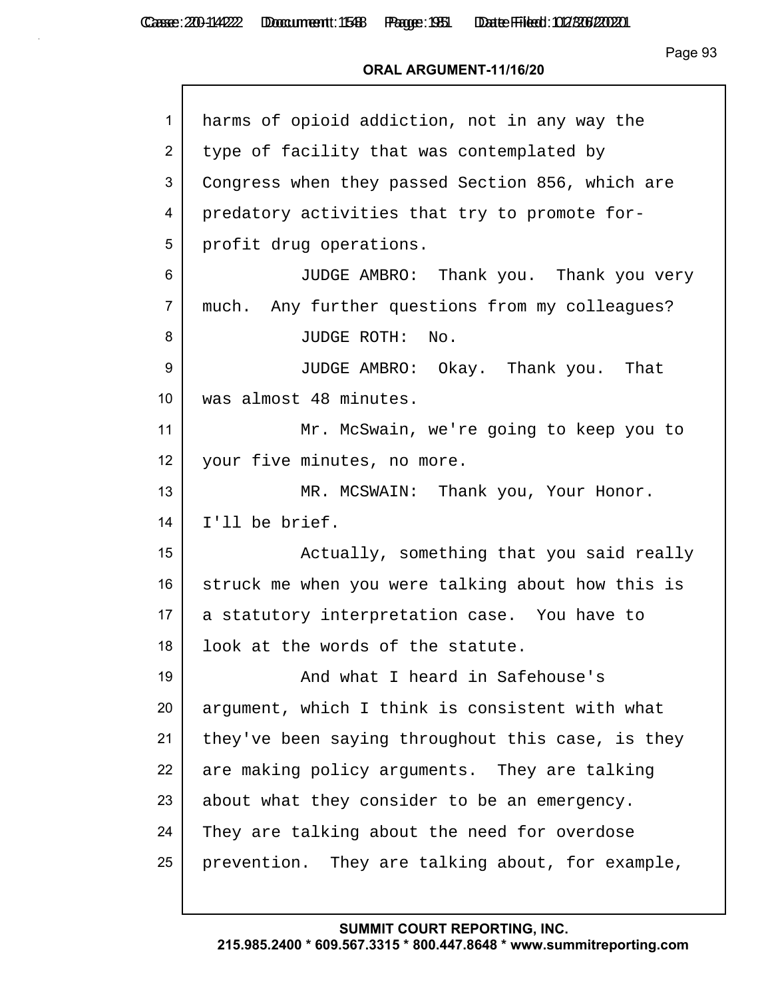Г

Page 93

### **ORAL ARGUMENT-11/16/20**

| $\mathbf{1}$   | harms of opioid addiction, not in any way the     |
|----------------|---------------------------------------------------|
| $\overline{2}$ | type of facility that was contemplated by         |
| 3              | Congress when they passed Section 856, which are  |
| 4              | predatory activities that try to promote for-     |
| 5              | profit drug operations.                           |
| 6              | JUDGE AMBRO: Thank you. Thank you very            |
| $\overline{7}$ | much. Any further questions from my colleagues?   |
| 8              | JUDGE ROTH: No.                                   |
| 9              | JUDGE AMBRO: Okay. Thank you. That                |
| 10             | was almost 48 minutes.                            |
| 11             | Mr. McSwain, we're going to keep you to           |
| 12             | your five minutes, no more.                       |
| 13             | MR. MCSWAIN: Thank you, Your Honor.               |
| 14             | I'll be brief.                                    |
| 15             | Actually, something that you said really          |
| 16             | struck me when you were talking about how this is |
| 17             | a statutory interpretation case. You have to      |
| 18             | look at the words of the statute.                 |
| 19             | And what I heard in Safehouse's                   |
| 20             | argument, which I think is consistent with what   |
| 21             | they've been saying throughout this case, is they |
| 22             | are making policy arguments. They are talking     |
| 23             | about what they consider to be an emergency.      |
| 24             | They are talking about the need for overdose      |
| 25             | prevention. They are talking about, for example,  |
|                |                                                   |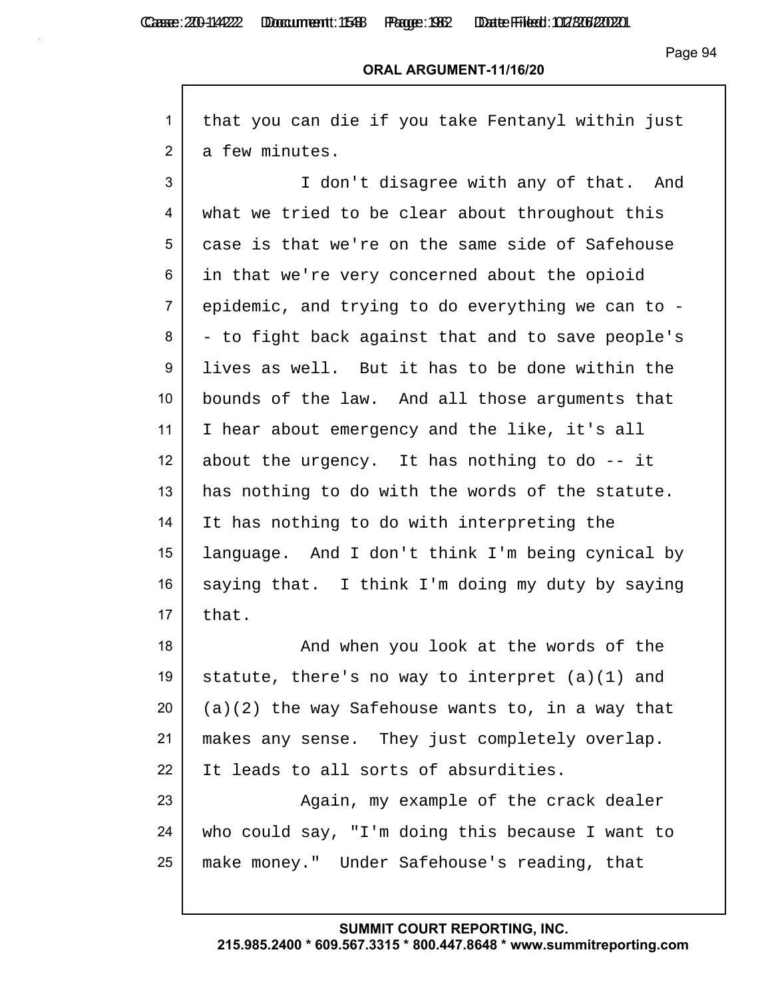Г

Casse: 200-114222 Doccument: 1588 Page: 1962 Date Filed: 02/306/2020

Page 94

## **ORAL ARGUMENT-11/16/20**

| $\mathbf{1}$    | that you can die if you take Fentanyl within just  |
|-----------------|----------------------------------------------------|
| $\overline{2}$  | a few minutes.                                     |
| 3               | I don't disagree with any of that. And             |
| 4               | what we tried to be clear about throughout this    |
| 5               | case is that we're on the same side of Safehouse   |
| 6               | in that we're very concerned about the opioid      |
| $\overline{7}$  | epidemic, and trying to do everything we can to -  |
| 8               | - to fight back against that and to save people's  |
| 9               | lives as well. But it has to be done within the    |
| 10 <sup>°</sup> | bounds of the law. And all those arguments that    |
| 11              | I hear about emergency and the like, it's all      |
| 12              | about the urgency. It has nothing to do -- it      |
| 13              | has nothing to do with the words of the statute.   |
| 14              | It has nothing to do with interpreting the         |
| 15              | language. And I don't think I'm being cynical by   |
| 16              | saying that. I think I'm doing my duty by saying   |
| 17              | that.                                              |
| 18              | And when you look at the words of the              |
| 19              | statute, there's no way to interpret $(a)(1)$ and  |
| 20              | $(a)(2)$ the way Safehouse wants to, in a way that |
| 21              | makes any sense. They just completely overlap.     |
| 22              | It leads to all sorts of absurdities.              |
| 23              | Again, my example of the crack dealer              |
| 24              | who could say, "I'm doing this because I want to   |
| 25              | make money." Under Safehouse's reading, that       |
|                 |                                                    |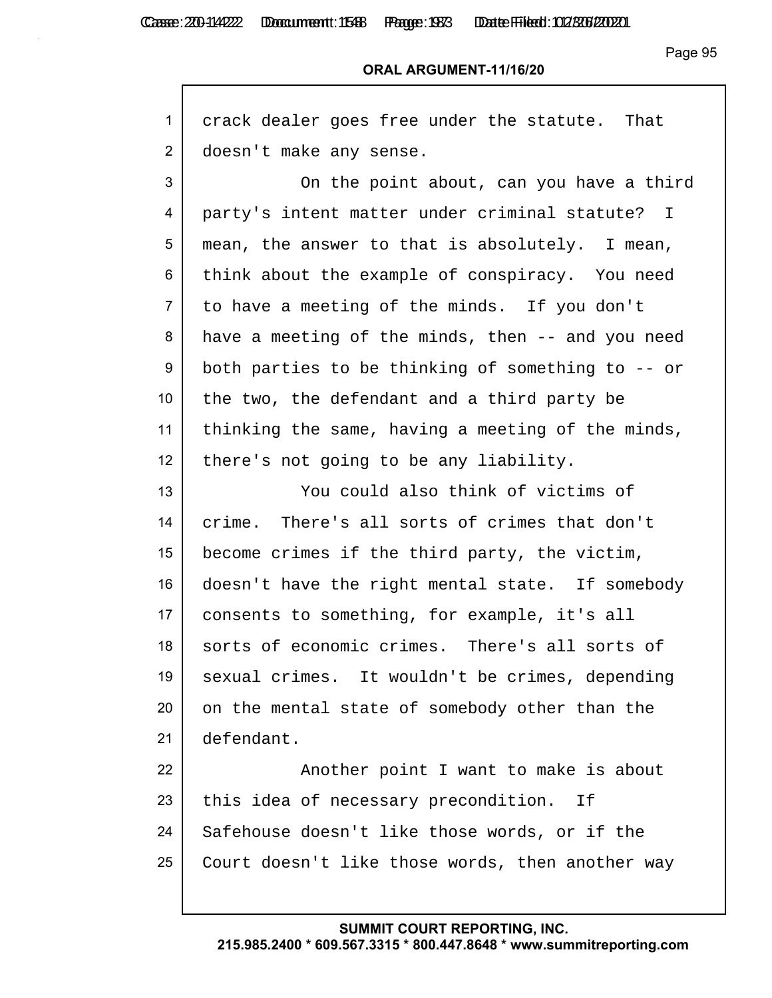Casse: 200-114222 Doccument: 1588 Page: 1933 Date Filed: 02/306/2020

Page 95

### **ORAL ARGUMENT-11/16/20**

| 1              | crack dealer goes free under the statute. That    |
|----------------|---------------------------------------------------|
| $\overline{2}$ | doesn't make any sense.                           |
| 3              | On the point about, can you have a third          |
| 4              | party's intent matter under criminal statute? I   |
| 5              | mean, the answer to that is absolutely. I mean,   |
| 6              | think about the example of conspiracy. You need   |
| 7              | to have a meeting of the minds. If you don't      |
| 8              | have a meeting of the minds, then -- and you need |
| 9              | both parties to be thinking of something to -- or |
| 10             | the two, the defendant and a third party be       |
| 11             | thinking the same, having a meeting of the minds, |
| 12             | there's not going to be any liability.            |
| 13             | You could also think of victims of                |
| 14             | crime. There's all sorts of crimes that don't     |
| 15             | become crimes if the third party, the victim,     |
| 16             | doesn't have the right mental state. If somebody  |
| 17             | consents to something, for example, it's all      |
| 18             | sorts of economic crimes. There's all sorts of    |
| 19             | sexual crimes. It wouldn't be crimes, depending   |
| 20             | on the mental state of somebody other than the    |
| 21             | defendant.                                        |
| 22             | Another point I want to make is about             |
| 23             | this idea of necessary precondition. If           |
| 24             | Safehouse doesn't like those words, or if the     |
| 25             | Court doesn't like those words, then another way  |
|                |                                                   |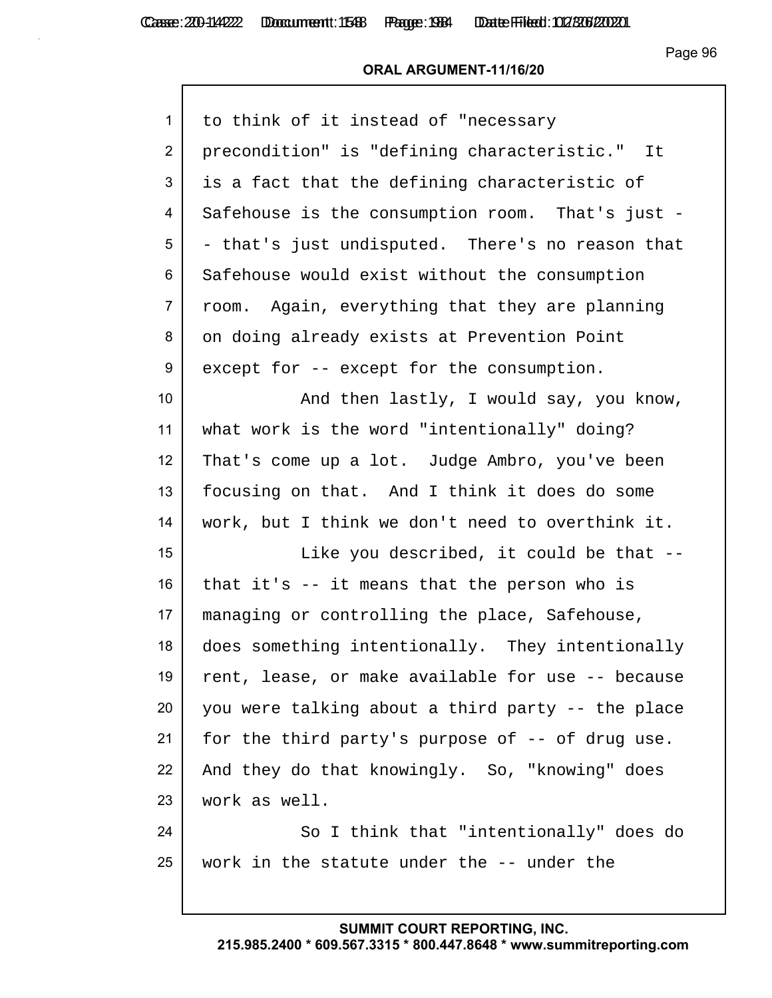Casse: 200-114222 Doccument: 1588 Page: 1984 Date Filed: 02/306/2020

### **ORAL ARGUMENT-11/16/20**

| $\mathbf{1}$    | to think of it instead of "necessary              |
|-----------------|---------------------------------------------------|
| $\overline{2}$  | precondition" is "defining characteristic." It    |
| 3               | is a fact that the defining characteristic of     |
| 4               | Safehouse is the consumption room. That's just -  |
| 5               | - that's just undisputed. There's no reason that  |
| 6               | Safehouse would exist without the consumption     |
| $\overline{7}$  | room. Again, everything that they are planning    |
| 8               | on doing already exists at Prevention Point       |
| 9               | except for -- except for the consumption.         |
| 10 <sup>°</sup> | And then lastly, I would say, you know,           |
| 11              | what work is the word "intentionally" doing?      |
| 12              | That's come up a lot. Judge Ambro, you've been    |
| 13              | focusing on that. And I think it does do some     |
| 14              | work, but I think we don't need to overthink it.  |
| 15              | Like you described, it could be that --           |
| 16              | that it's -- it means that the person who is      |
| 17              | managing or controlling the place, Safehouse,     |
| 18              | does something intentionally. They intentionally  |
| 19              | rent, lease, or make available for use -- because |
| 20              | you were talking about a third party -- the place |
| 21              | for the third party's purpose of -- of drug use.  |
| 22              | And they do that knowingly. So, "knowing" does    |
| 23              | work as well.                                     |
| 24              | So I think that "intentionally" does do           |
| 25              | work in the statute under the -- under the        |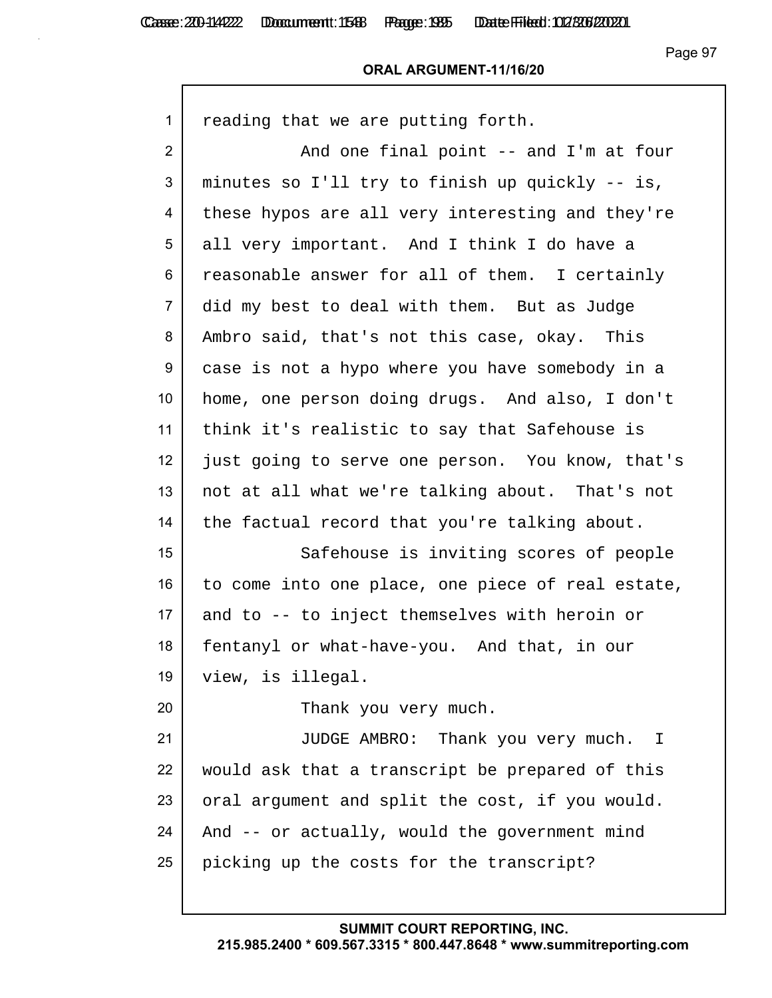### **ORAL ARGUMENT-11/16/20**

| $\mathbf{1}$   | reading that we are putting forth.                |
|----------------|---------------------------------------------------|
| $\overline{2}$ | And one final point -- and I'm at four            |
| 3              | minutes so I'll try to finish up quickly -- is,   |
| 4              | these hypos are all very interesting and they're  |
| 5              | all very important. And I think I do have a       |
| 6              | reasonable answer for all of them. I certainly    |
| 7              | did my best to deal with them. But as Judge       |
| 8              | Ambro said, that's not this case, okay. This      |
| 9              | case is not a hypo where you have somebody in a   |
| 10             | home, one person doing drugs. And also, I don't   |
| 11             | think it's realistic to say that Safehouse is     |
| 12             | just going to serve one person. You know, that's  |
| 13             | not at all what we're talking about. That's not   |
| 14             | the factual record that you're talking about.     |
| 15             | Safehouse is inviting scores of people            |
| 16             | to come into one place, one piece of real estate, |
| 17             | and to -- to inject themselves with heroin or     |
| 18             | fentanyl or what-have-you. And that, in our       |
| 19             | view, is illegal.                                 |
| 20             | Thank you very much.                              |
| 21             | JUDGE AMBRO: Thank you very much. I               |
| 22             | would ask that a transcript be prepared of this   |
| 23             | oral argument and split the cost, if you would.   |
| 24             | And -- or actually, would the government mind     |
| 25             | picking up the costs for the transcript?          |
|                |                                                   |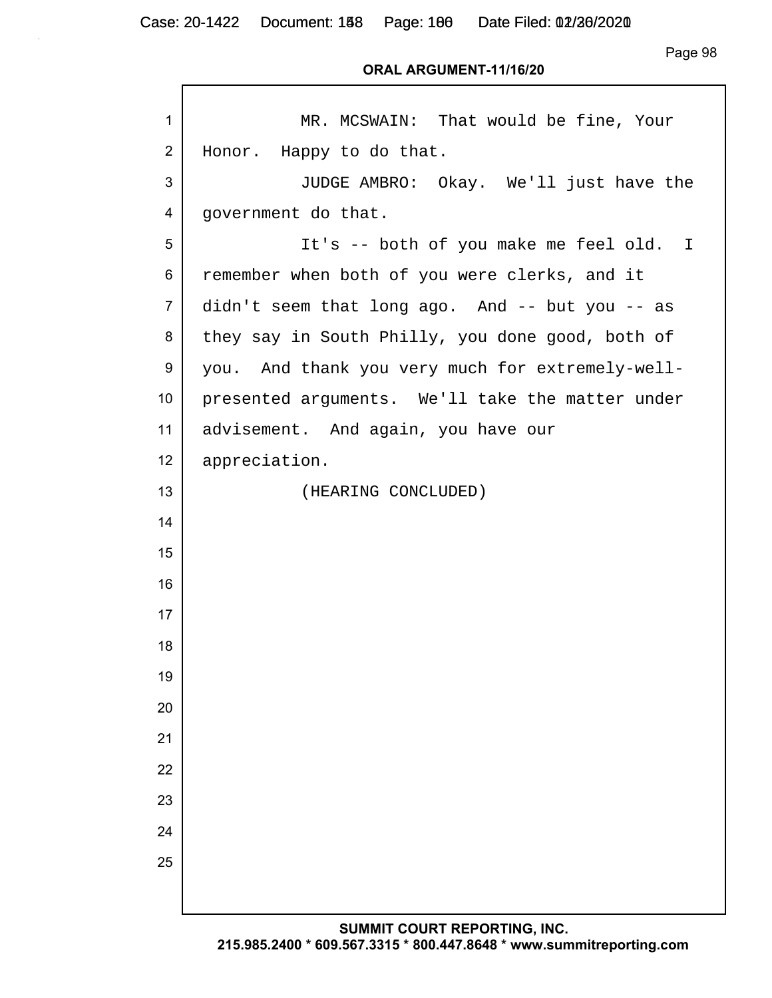Case: 20-1422 Document: 158 Page: 160 Date Filed: 02/26/2020

Page 98

#### **ORAL ARGUMENT-11/16/20**

| $\mathbf{1}$    | MR. MCSWAIN: That would be fine, Your            |
|-----------------|--------------------------------------------------|
| 2               | Honor. Happy to do that.                         |
| 3               | JUDGE AMBRO: Okay. We'll just have the           |
| 4               | government do that.                              |
| 5               | It's -- both of you make me feel old. I          |
| 6               | remember when both of you were clerks, and it    |
| $\overline{7}$  | didn't seem that long ago. And -- but you -- as  |
| 8               | they say in South Philly, you done good, both of |
| 9               | you. And thank you very much for extremely-well- |
| 10 <sup>1</sup> | presented arguments. We'll take the matter under |
| 11              | advisement. And again, you have our              |
| 12              | appreciation.                                    |
| 13              | (HEARING CONCLUDED)                              |
| 14              |                                                  |
| 15              |                                                  |
| 16              |                                                  |
| 17              |                                                  |
| 18              |                                                  |
| 19              |                                                  |
| 20              |                                                  |
| 21              |                                                  |
| 22              |                                                  |
| 23              |                                                  |
| 24              |                                                  |
| 25              |                                                  |
|                 |                                                  |
|                 |                                                  |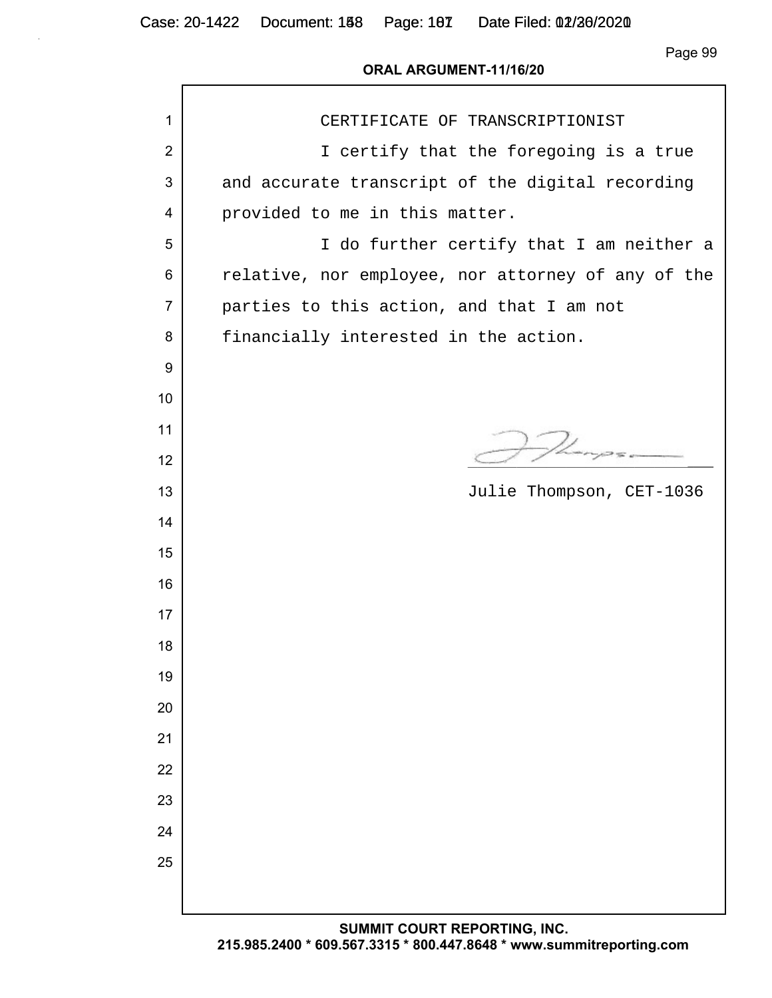Case: 20-1422 Document: 158 Page: 107 Date Filed: 02/26/2020

Page 99

#### **ORAL ARGUMENT-11/16/20**

| 1              | CERTIFICATE OF TRANSCRIPTIONIST                    |
|----------------|----------------------------------------------------|
| $\overline{2}$ | I certify that the foregoing is a true             |
| 3              | and accurate transcript of the digital recording   |
| 4              | provided to me in this matter.                     |
| 5              | I do further certify that I am neither a           |
| 6              | relative, nor employee, nor attorney of any of the |
| $\overline{7}$ | parties to this action, and that I am not          |
| 8              | financially interested in the action.              |
| 9              |                                                    |
| 10             |                                                    |
| 11             |                                                    |
| 12             |                                                    |
| 13             | Julie Thompson, CET-1036                           |
| 14             |                                                    |
| 15             |                                                    |
| 16             |                                                    |
| 17             |                                                    |
| 18             |                                                    |
| 19             |                                                    |
| 20             |                                                    |
| 21             |                                                    |
| 22             |                                                    |
| 23             |                                                    |
| 24             |                                                    |
| 25             |                                                    |
|                |                                                    |
|                | CUMMIT COUPT PEROPTING INC.                        |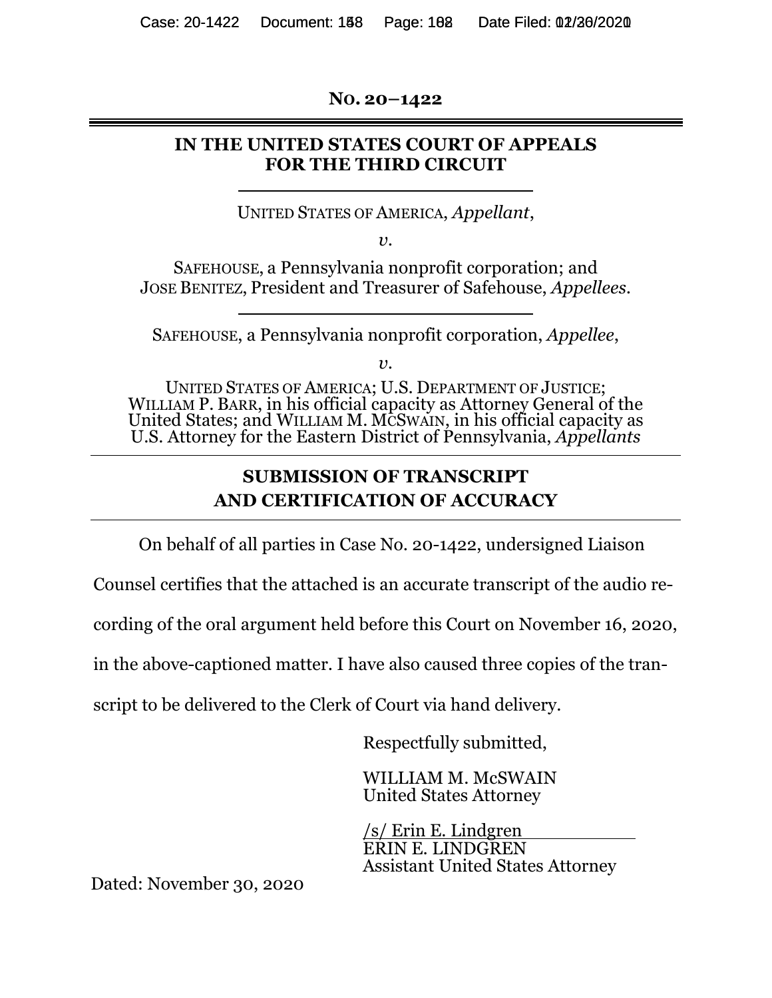**NO. 20–1422** 

## **IN THE UNITED STATES COURT OF APPEALS FOR THE THIRD CIRCUIT**

UNITED STATES OF AMERICA, *Appellant*,

*v.* 

SAFEHOUSE, a Pennsylvania nonprofit corporation; and JOSE BENITEZ, President and Treasurer of Safehouse, *Appellees.* 

SAFEHOUSE, a Pennsylvania nonprofit corporation, *Appellee*,

 $v<sub>r</sub>$ 

UNITED STATES OF AMERICA; U.S. DEPARTMENT OF JUSTICE; WILLIAM P. BARR, in his official capacity as Attorney General of the United States; and WILLIAM M. MCSWAIN, in his official capacity as U.S. Attorney for the Eastern District of Pennsylvania, *Appellants*

# **SUBMISSION OF TRANSCRIPT AND CERTIFICATION OF ACCURACY**

On behalf of all parties in Case No. 20-1422, undersigned Liaison

Counsel certifies that the attached is an accurate transcript of the audio re-

cording of the oral argument held before this Court on November 16, 2020,

in the above-captioned matter. I have also caused three copies of the tran-

script to be delivered to the Clerk of Court via hand delivery.

Respectfully submitted,

WILLIAM M. McSWAIN United States Attorney

/s/ Erin E. Lindgren ERIN E. LINDGREN Assistant United States Attorney

Dated: November 30, 2020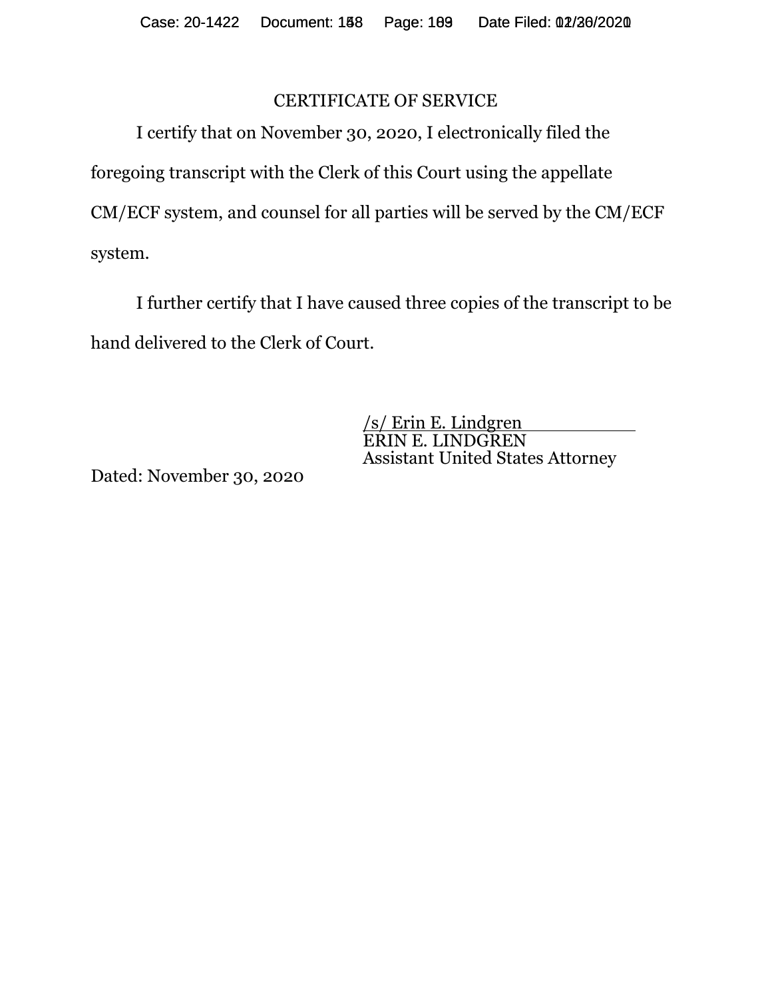## CERTIFICATE OF SERVICE

I certify that on November 30, 2020, I electronically filed the foregoing transcript with the Clerk of this Court using the appellate CM/ECF system, and counsel for all parties will be served by the CM/ECF system.

I further certify that I have caused three copies of the transcript to be hand delivered to the Clerk of Court.

> /s/ Erin E. Lindgren ERIN E. LINDGREN Assistant United States Attorney

Dated: November 30, 2020